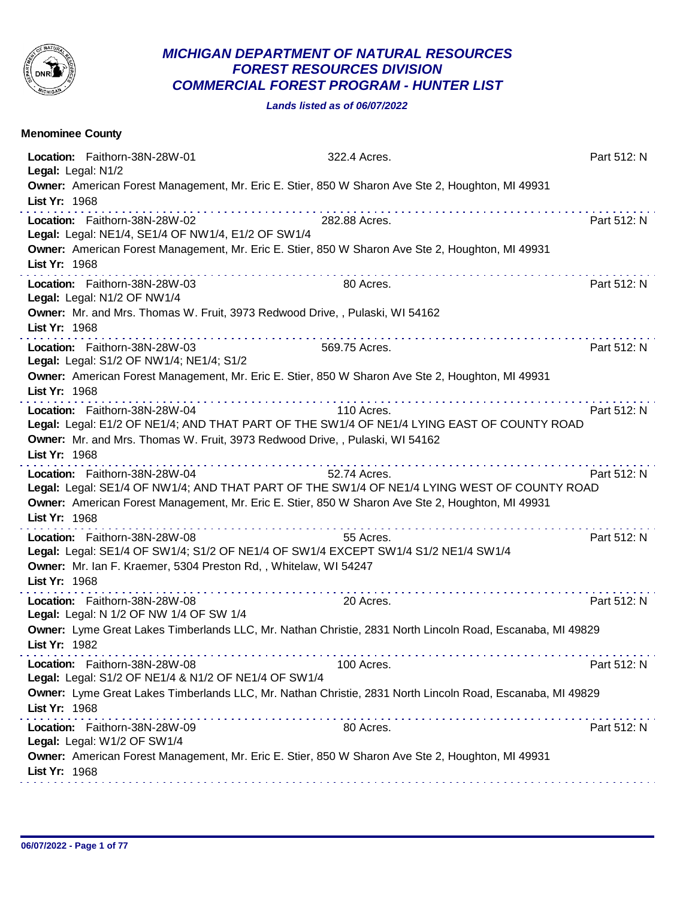

## *MICHIGAN DEPARTMENT OF NATURAL RESOURCES FOREST RESOURCES DIVISION COMMERCIAL FOREST PROGRAM - HUNTER LIST*

*Lands listed as of 06/07/2022*

| <b>Menominee County</b>                                                                                           |                                                                                                                                                                                                                 |             |
|-------------------------------------------------------------------------------------------------------------------|-----------------------------------------------------------------------------------------------------------------------------------------------------------------------------------------------------------------|-------------|
| Location: Faithorn-38N-28W-01<br>Legal: Legal: N1/2                                                               | 322.4 Acres.                                                                                                                                                                                                    | Part 512: N |
| List Yr: 1968                                                                                                     | Owner: American Forest Management, Mr. Eric E. Stier, 850 W Sharon Ave Ste 2, Houghton, MI 49931                                                                                                                |             |
| Location: Faithorn-38N-28W-02<br>Legal: Legal: NE1/4, SE1/4 OF NW1/4, E1/2 OF SW1/4                               | 282.88 Acres.                                                                                                                                                                                                   | Part 512: N |
| List Yr: 1968                                                                                                     | Owner: American Forest Management, Mr. Eric E. Stier, 850 W Sharon Ave Ste 2, Houghton, MI 49931                                                                                                                |             |
| Location: Faithorn-38N-28W-03<br>Legal: Legal: N1/2 OF NW1/4                                                      | 80 Acres.                                                                                                                                                                                                       | Part 512: N |
| List Yr: 1968                                                                                                     | Owner: Mr. and Mrs. Thomas W. Fruit, 3973 Redwood Drive, , Pulaski, WI 54162                                                                                                                                    |             |
| Location: Faithorn-38N-28W-03<br>Legal: Legal: S1/2 OF NW1/4; NE1/4; S1/2                                         | 569.75 Acres.                                                                                                                                                                                                   | Part 512: N |
| List Yr: 1968                                                                                                     | Owner: American Forest Management, Mr. Eric E. Stier, 850 W Sharon Ave Ste 2, Houghton, MI 49931                                                                                                                |             |
| Location: Faithorn-38N-28W-04<br>List Yr: 1968                                                                    | 110 Acres.<br>Legal: Legal: E1/2 OF NE1/4; AND THAT PART OF THE SW1/4 OF NE1/4 LYING EAST OF COUNTY ROAD<br>Owner: Mr. and Mrs. Thomas W. Fruit, 3973 Redwood Drive, , Pulaski, WI 54162                        | Part 512: N |
| Location: Faithorn-38N-28W-04<br>List Yr: 1968                                                                    | 52.74 Acres.<br>Legal: Legal: SE1/4 OF NW1/4; AND THAT PART OF THE SW1/4 OF NE1/4 LYING WEST OF COUNTY ROAD<br>Owner: American Forest Management, Mr. Eric E. Stier, 850 W Sharon Ave Ste 2, Houghton, MI 49931 | Part 512: N |
| Location: Faithorn-38N-28W-08<br>Owner: Mr. Ian F. Kraemer, 5304 Preston Rd,, Whitelaw, WI 54247<br>List Yr: 1968 | 55 Acres.<br>Legal: Legal: SE1/4 OF SW1/4; S1/2 OF NE1/4 OF SW1/4 EXCEPT SW1/4 S1/2 NE1/4 SW1/4                                                                                                                 | Part 512: N |
| Location: Faithorn-38N-28W-08<br>Legal: Legal: N 1/2 OF NW 1/4 OF SW 1/4                                          | 20 Acres.                                                                                                                                                                                                       | Part 512: N |
| List Yr: 1982                                                                                                     | Owner: Lyme Great Lakes Timberlands LLC, Mr. Nathan Christie, 2831 North Lincoln Road, Escanaba, MI 49829<br>.                                                                                                  |             |
| Location: Faithorn-38N-28W-08<br>Legal: Legal: S1/2 OF NE1/4 & N1/2 OF NE1/4 OF SW1/4                             | 100 Acres.                                                                                                                                                                                                      | Part 512: N |
| List Yr: 1968                                                                                                     | Owner: Lyme Great Lakes Timberlands LLC, Mr. Nathan Christie, 2831 North Lincoln Road, Escanaba, MI 49829                                                                                                       |             |
| Location: Faithorn-38N-28W-09<br>Legal: Legal: W1/2 OF SW1/4                                                      | 80 Acres.                                                                                                                                                                                                       | Part 512: N |
| List Yr: 1968                                                                                                     | Owner: American Forest Management, Mr. Eric E. Stier, 850 W Sharon Ave Ste 2, Houghton, MI 49931                                                                                                                |             |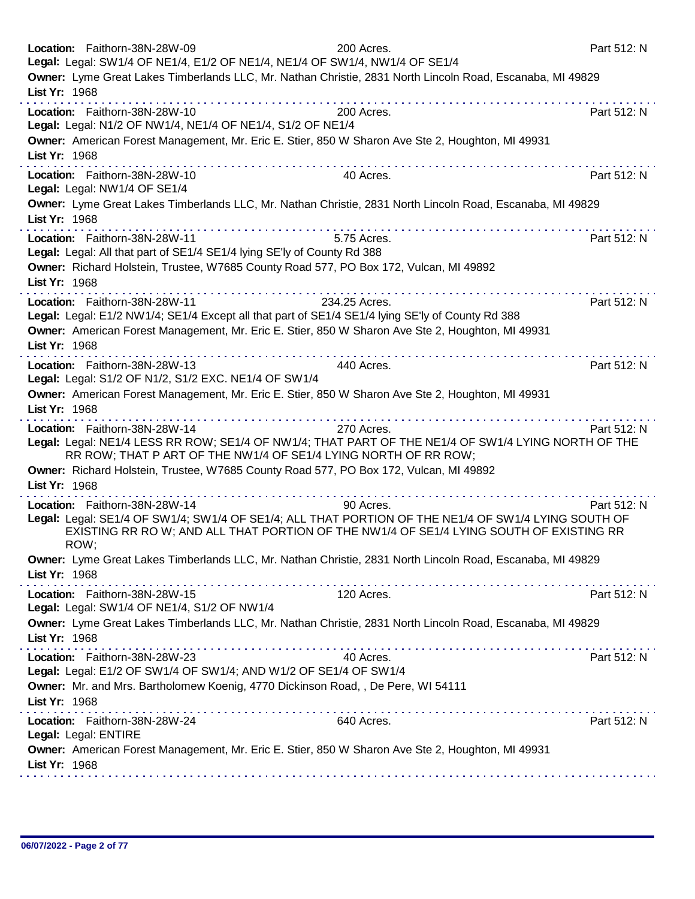| Location: Faithorn-38N-28W-09<br>Legal: Legal: SW1/4 OF NE1/4, E1/2 OF NE1/4, NE1/4 OF SW1/4, NW1/4 OF SE1/4                                                                                                                                                                                                      | 200 Acres.    | Part 512: N |
|-------------------------------------------------------------------------------------------------------------------------------------------------------------------------------------------------------------------------------------------------------------------------------------------------------------------|---------------|-------------|
| Owner: Lyme Great Lakes Timberlands LLC, Mr. Nathan Christie, 2831 North Lincoln Road, Escanaba, MI 49829<br>List Yr: 1968                                                                                                                                                                                        |               |             |
| Location: Faithorn-38N-28W-10<br>Legal: Legal: N1/2 OF NW1/4, NE1/4 OF NE1/4, S1/2 OF NE1/4<br>Owner: American Forest Management, Mr. Eric E. Stier, 850 W Sharon Ave Ste 2, Houghton, MI 49931                                                                                                                   | 200 Acres.    | Part 512: N |
| List Yr: 1968<br>.<br>Location: Faithorn-38N-28W-10<br>Legal: Legal: NW1/4 OF SE1/4                                                                                                                                                                                                                               | 40 Acres.     | Part 512: N |
| Owner: Lyme Great Lakes Timberlands LLC, Mr. Nathan Christie, 2831 North Lincoln Road, Escanaba, MI 49829<br>List Yr: 1968                                                                                                                                                                                        |               |             |
| Location: Faithorn-38N-28W-11<br>Legal: Legal: All that part of SE1/4 SE1/4 lying SE'ly of County Rd 388<br>Owner: Richard Holstein, Trustee, W7685 County Road 577, PO Box 172, Vulcan, MI 49892<br>List Yr: 1968                                                                                                | 5.75 Acres.   | Part 512: N |
| Location: Faithorn-38N-28W-11<br>Legal: Legal: E1/2 NW1/4; SE1/4 Except all that part of SE1/4 SE1/4 lying SE'ly of County Rd 388<br>Owner: American Forest Management, Mr. Eric E. Stier, 850 W Sharon Ave Ste 2, Houghton, MI 49931<br>List Yr: 1968                                                            | 234.25 Acres. | Part 512: N |
| .<br>Location: Faithorn-38N-28W-13<br>Legal: Legal: S1/2 OF N1/2, S1/2 EXC. NE1/4 OF SW1/4<br>Owner: American Forest Management, Mr. Eric E. Stier, 850 W Sharon Ave Ste 2, Houghton, MI 49931<br>List Yr: 1968                                                                                                   | 440 Acres.    | Part 512: N |
| Location: Faithorn-38N-28W-14<br>Legal: Legal: NE1/4 LESS RR ROW; SE1/4 OF NW1/4; THAT PART OF THE NE1/4 OF SW1/4 LYING NORTH OF THE<br>RR ROW; THAT P ART OF THE NW1/4 OF SE1/4 LYING NORTH OF RR ROW;<br>Owner: Richard Holstein, Trustee, W7685 County Road 577, PO Box 172, Vulcan, MI 49892<br>List Yr: 1968 | 270 Acres.    | Part 512: N |
| Location: Faithorn-38N-28W-14<br>Legal: Legal: SE1/4 OF SW1/4; SW1/4 OF SE1/4; ALL THAT PORTION OF THE NE1/4 OF SW1/4 LYING SOUTH OF<br>EXISTING RR RO W; AND ALL THAT PORTION OF THE NW1/4 OF SE1/4 LYING SOUTH OF EXISTING RR<br>ROW;                                                                           | 90 Acres.     | Part 512: N |
| Owner: Lyme Great Lakes Timberlands LLC, Mr. Nathan Christie, 2831 North Lincoln Road, Escanaba, MI 49829<br>List Yr: 1968                                                                                                                                                                                        |               |             |
| Location: Faithorn-38N-28W-15<br>Legal: Legal: SW1/4 OF NE1/4, S1/2 OF NW1/4                                                                                                                                                                                                                                      | 120 Acres.    | Part 512: N |
| Owner: Lyme Great Lakes Timberlands LLC, Mr. Nathan Christie, 2831 North Lincoln Road, Escanaba, MI 49829<br>List Yr: 1968                                                                                                                                                                                        |               |             |
| Location: Faithorn-38N-28W-23<br>Legal: Legal: E1/2 OF SW1/4 OF SW1/4; AND W1/2 OF SE1/4 OF SW1/4<br>Owner: Mr. and Mrs. Bartholomew Koenig, 4770 Dickinson Road, , De Pere, WI 54111<br>List Yr: 1968                                                                                                            | 40 Acres.     | Part 512: N |
| Location: Faithorn-38N-28W-24<br>Legal: Legal: ENTIRE<br>Owner: American Forest Management, Mr. Eric E. Stier, 850 W Sharon Ave Ste 2, Houghton, MI 49931<br>List Yr: 1968                                                                                                                                        | 640 Acres.    | Part 512: N |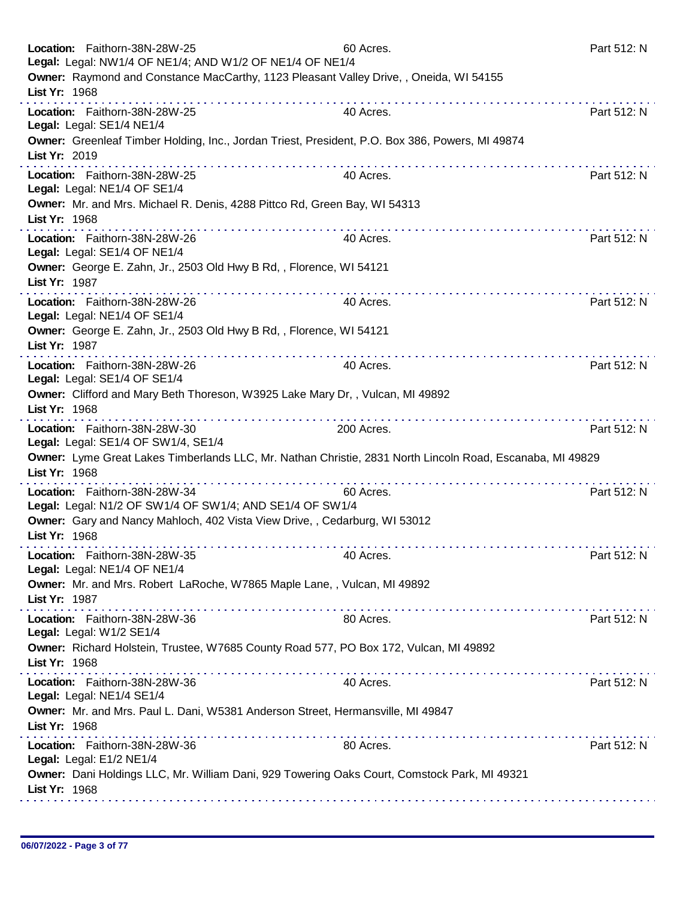|               | Location: Faithorn-38N-28W-25<br>Legal: Legal: NW1/4 OF NE1/4; AND W1/2 OF NE1/4 OF NE1/4                 | 60 Acres.                                                                                                                                                                                                                                   | Part 512: N |
|---------------|-----------------------------------------------------------------------------------------------------------|---------------------------------------------------------------------------------------------------------------------------------------------------------------------------------------------------------------------------------------------|-------------|
| List Yr: 1968 | Owner: Raymond and Constance MacCarthy, 1123 Pleasant Valley Drive, , Oneida, WI 54155                    |                                                                                                                                                                                                                                             |             |
|               | Location: Faithorn-38N-28W-25<br>Legal: Legal: SE1/4 NE1/4                                                | 40 Acres.                                                                                                                                                                                                                                   | Part 512: N |
| List Yr: 2019 | Owner: Greenleaf Timber Holding, Inc., Jordan Triest, President, P.O. Box 386, Powers, MI 49874           |                                                                                                                                                                                                                                             |             |
|               | Location: Faithorn-38N-28W-25<br>Legal: Legal: NE1/4 OF SE1/4                                             | 40 Acres.                                                                                                                                                                                                                                   | Part 512: N |
| List Yr: 1968 | Owner: Mr. and Mrs. Michael R. Denis, 4288 Pittco Rd, Green Bay, WI 54313                                 |                                                                                                                                                                                                                                             |             |
|               | Location: Faithorn-38N-28W-26<br>Legal: Legal: SE1/4 OF NE1/4                                             | 40 Acres.                                                                                                                                                                                                                                   | Part 512: N |
| List Yr: 1987 | Owner: George E. Zahn, Jr., 2503 Old Hwy B Rd, , Florence, WI 54121                                       |                                                                                                                                                                                                                                             |             |
|               | Location: Faithorn-38N-28W-26<br>Legal: Legal: NE1/4 OF SE1/4                                             | 40 Acres.                                                                                                                                                                                                                                   | Part 512: N |
| List Yr: 1987 | Owner: George E. Zahn, Jr., 2503 Old Hwy B Rd, , Florence, WI 54121                                       |                                                                                                                                                                                                                                             |             |
|               | Location: Faithorn-38N-28W-26<br>Legal: Legal: SE1/4 OF SE1/4                                             | 40 Acres.                                                                                                                                                                                                                                   | Part 512: N |
| List Yr: 1968 | Owner: Clifford and Mary Beth Thoreson, W3925 Lake Mary Dr,, Vulcan, MI 49892                             |                                                                                                                                                                                                                                             |             |
|               | .<br>Location: Faithorn-38N-28W-30<br>Legal: Legal: SE1/4 OF SW1/4, SE1/4                                 | 200 Acres.                                                                                                                                                                                                                                  | Part 512: N |
| List Yr: 1968 | Owner: Lyme Great Lakes Timberlands LLC, Mr. Nathan Christie, 2831 North Lincoln Road, Escanaba, MI 49829 |                                                                                                                                                                                                                                             |             |
|               | Location: Faithorn-38N-28W-34<br>Legal: Legal: N1/2 OF SW1/4 OF SW1/4; AND SE1/4 OF SW1/4                 | .<br>60 Acres.                                                                                                                                                                                                                              | Part 512: N |
| List Yr: 1968 | Owner: Gary and Nancy Mahloch, 402 Vista View Drive, , Cedarburg, WI 53012                                |                                                                                                                                                                                                                                             |             |
|               | Location: Faithorn-38N-28W-35<br>Legal: Legal: NE1/4 OF NE1/4                                             | 40 Acres.                                                                                                                                                                                                                                   | Part 512: N |
| List Yr: 1987 | Owner: Mr. and Mrs. Robert LaRoche, W7865 Maple Lane, , Vulcan, MI 49892                                  |                                                                                                                                                                                                                                             |             |
|               | Location: Faithorn-38N-28W-36<br>Legal: Legal: W1/2 SE1/4                                                 | 80 Acres.                                                                                                                                                                                                                                   | Part 512: N |
| List Yr: 1968 | Owner: Richard Holstein, Trustee, W7685 County Road 577, PO Box 172, Vulcan, MI 49892                     |                                                                                                                                                                                                                                             |             |
|               | Location: Faithorn-38N-28W-36<br>Legal: Legal: NE1/4 SE1/4                                                | 40 Acres.                                                                                                                                                                                                                                   | Part 512: N |
| List Yr: 1968 | Owner: Mr. and Mrs. Paul L. Dani, W5381 Anderson Street, Hermansville, MI 49847                           |                                                                                                                                                                                                                                             |             |
|               | Location: Faithorn-38N-28W-36<br>Legal: Legal: E1/2 NE1/4                                                 | the contract of the contract of the contract of the contract of the contract of the contract of the contract of the contract of the contract of the contract of the contract of the contract of the contract of the contract o<br>80 Acres. | Part 512: N |
|               | Owner: Dani Holdings LLC, Mr. William Dani, 929 Towering Oaks Court, Comstock Park, MI 49321              |                                                                                                                                                                                                                                             |             |
|               | List Yr: 1968                                                                                             |                                                                                                                                                                                                                                             |             |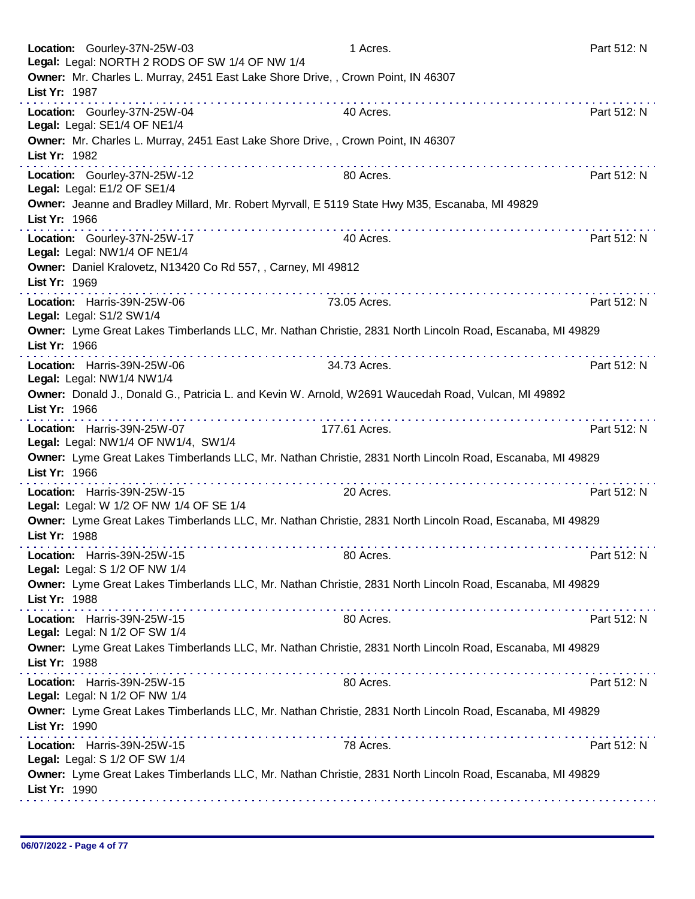| Location: Gourley-37N-25W-03<br>Legal: Legal: NORTH 2 RODS OF SW 1/4 OF NW 1/4                     |                                                                                                                                                                                                                                | 1 Acres.                                                                                                                                                                                                                                                                                                                                                                                                                                                  | Part 512: N |
|----------------------------------------------------------------------------------------------------|--------------------------------------------------------------------------------------------------------------------------------------------------------------------------------------------------------------------------------|-----------------------------------------------------------------------------------------------------------------------------------------------------------------------------------------------------------------------------------------------------------------------------------------------------------------------------------------------------------------------------------------------------------------------------------------------------------|-------------|
| Owner: Mr. Charles L. Murray, 2451 East Lake Shore Drive, , Crown Point, IN 46307<br>List Yr: 1987 |                                                                                                                                                                                                                                | .                                                                                                                                                                                                                                                                                                                                                                                                                                                         |             |
| Location: Gourley-37N-25W-04<br>Legal: Legal: SE1/4 OF NE1/4                                       |                                                                                                                                                                                                                                | 40 Acres.                                                                                                                                                                                                                                                                                                                                                                                                                                                 | Part 512: N |
| Owner: Mr. Charles L. Murray, 2451 East Lake Shore Drive, , Crown Point, IN 46307<br>List Yr: 1982 |                                                                                                                                                                                                                                |                                                                                                                                                                                                                                                                                                                                                                                                                                                           |             |
| Location: Gourley-37N-25W-12<br>Legal: Legal: E1/2 OF SE1/4                                        |                                                                                                                                                                                                                                | 80 Acres.                                                                                                                                                                                                                                                                                                                                                                                                                                                 | Part 512: N |
| List Yr: 1966                                                                                      |                                                                                                                                                                                                                                | Owner: Jeanne and Bradley Millard, Mr. Robert Myrvall, E 5119 State Hwy M35, Escanaba, MI 49829                                                                                                                                                                                                                                                                                                                                                           |             |
| Location: Gourley-37N-25W-17<br>Legal: Legal: NW1/4 OF NE1/4                                       |                                                                                                                                                                                                                                | 40 Acres.                                                                                                                                                                                                                                                                                                                                                                                                                                                 | Part 512: N |
| Owner: Daniel Kralovetz, N13420 Co Rd 557, , Carney, MI 49812<br>List Yr: 1969                     |                                                                                                                                                                                                                                | $\mathcal{L}^{\mathcal{A}}(\mathcal{A}^{\mathcal{A}}(\mathcal{A}^{\mathcal{A}}(\mathcal{A}^{\mathcal{A}}(\mathcal{A}^{\mathcal{A}}(\mathcal{A}^{\mathcal{A}}(\mathcal{A}^{\mathcal{A}}(\mathcal{A}^{\mathcal{A}}(\mathcal{A}^{\mathcal{A}}(\mathcal{A}^{\mathcal{A}}(\mathcal{A}^{\mathcal{A}}(\mathcal{A}^{\mathcal{A}}(\mathcal{A}^{\mathcal{A}}(\mathcal{A}^{\mathcal{A}}(\mathcal{A}^{\mathcal{A}}(\mathcal{A}^{\mathcal{A}}(\mathcal{A}^{\mathcal{A$ |             |
| Location: Harris-39N-25W-06<br>Legal: Legal: S1/2 SW1/4                                            |                                                                                                                                                                                                                                | 73.05 Acres.                                                                                                                                                                                                                                                                                                                                                                                                                                              | Part 512: N |
| List Yr: 1966                                                                                      |                                                                                                                                                                                                                                | Owner: Lyme Great Lakes Timberlands LLC, Mr. Nathan Christie, 2831 North Lincoln Road, Escanaba, MI 49829                                                                                                                                                                                                                                                                                                                                                 |             |
| Location: Harris-39N-25W-06<br>Legal: Legal: NW1/4 NW1/4                                           |                                                                                                                                                                                                                                | 34.73 Acres.                                                                                                                                                                                                                                                                                                                                                                                                                                              | Part 512: N |
| List Yr: 1966                                                                                      |                                                                                                                                                                                                                                | Owner: Donald J., Donald G., Patricia L. and Kevin W. Arnold, W2691 Waucedah Road, Vulcan, MI 49892                                                                                                                                                                                                                                                                                                                                                       |             |
| Location: Harris-39N-25W-07<br>Legal: Legal: NW1/4 OF NW1/4, SW1/4                                 |                                                                                                                                                                                                                                | 177.61 Acres.                                                                                                                                                                                                                                                                                                                                                                                                                                             | Part 512: N |
| List Yr: 1966                                                                                      |                                                                                                                                                                                                                                | Owner: Lyme Great Lakes Timberlands LLC, Mr. Nathan Christie, 2831 North Lincoln Road, Escanaba, MI 49829                                                                                                                                                                                                                                                                                                                                                 |             |
| Location: Harris-39N-25W-15<br>Legal: Legal: W 1/2 OF NW 1/4 OF SE 1/4                             |                                                                                                                                                                                                                                | 20 Acres.                                                                                                                                                                                                                                                                                                                                                                                                                                                 | Part 512: N |
| List Yr: 1988                                                                                      |                                                                                                                                                                                                                                | Owner: Lyme Great Lakes Timberlands LLC, Mr. Nathan Christie, 2831 North Lincoln Road, Escanaba, MI 49829                                                                                                                                                                                                                                                                                                                                                 |             |
| Location: Harris-39N-25W-15<br>Legal: Legal: S 1/2 OF NW 1/4                                       |                                                                                                                                                                                                                                | 80 Acres.                                                                                                                                                                                                                                                                                                                                                                                                                                                 | Part 512: N |
| List Yr: 1988                                                                                      |                                                                                                                                                                                                                                | Owner: Lyme Great Lakes Timberlands LLC, Mr. Nathan Christie, 2831 North Lincoln Road, Escanaba, MI 49829                                                                                                                                                                                                                                                                                                                                                 |             |
| Location: Harris-39N-25W-15<br>Legal: Legal: N 1/2 OF SW 1/4                                       |                                                                                                                                                                                                                                | 80 Acres.                                                                                                                                                                                                                                                                                                                                                                                                                                                 | Part 512: N |
| List Yr: 1988                                                                                      |                                                                                                                                                                                                                                | Owner: Lyme Great Lakes Timberlands LLC, Mr. Nathan Christie, 2831 North Lincoln Road, Escanaba, MI 49829                                                                                                                                                                                                                                                                                                                                                 |             |
| Location: Harris-39N-25W-15<br>Legal: Legal: N 1/2 OF NW 1/4                                       |                                                                                                                                                                                                                                | 80 Acres.                                                                                                                                                                                                                                                                                                                                                                                                                                                 | Part 512: N |
| List Yr: 1990                                                                                      | the contract of the contract of the contract of the contract of the contract of the contract of the contract of the contract of the contract of the contract of the contract of the contract of the contract of the contract o | Owner: Lyme Great Lakes Timberlands LLC, Mr. Nathan Christie, 2831 North Lincoln Road, Escanaba, MI 49829                                                                                                                                                                                                                                                                                                                                                 |             |
| Location: Harris-39N-25W-15<br>Legal: Legal: S 1/2 OF SW 1/4                                       |                                                                                                                                                                                                                                | 78 Acres.                                                                                                                                                                                                                                                                                                                                                                                                                                                 | Part 512: N |
| List Yr: 1990                                                                                      |                                                                                                                                                                                                                                | Owner: Lyme Great Lakes Timberlands LLC, Mr. Nathan Christie, 2831 North Lincoln Road, Escanaba, MI 49829                                                                                                                                                                                                                                                                                                                                                 |             |
|                                                                                                    |                                                                                                                                                                                                                                |                                                                                                                                                                                                                                                                                                                                                                                                                                                           |             |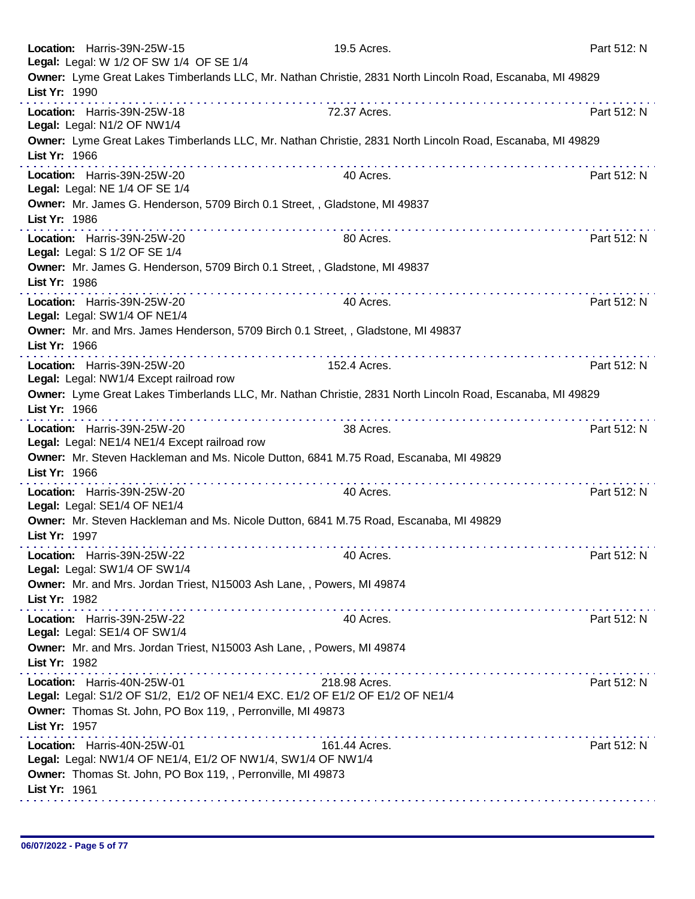| Location: Harris-39N-25W-15<br>Legal: Legal: W 1/2 OF SW 1/4 OF SE 1/4                                                                                    | 19.5 Acres.                                                                                               | Part 512: N |
|-----------------------------------------------------------------------------------------------------------------------------------------------------------|-----------------------------------------------------------------------------------------------------------|-------------|
| List Yr: 1990                                                                                                                                             | Owner: Lyme Great Lakes Timberlands LLC, Mr. Nathan Christie, 2831 North Lincoln Road, Escanaba, MI 49829 |             |
| Location: Harris-39N-25W-18<br>Legal: Legal: N1/2 OF NW1/4                                                                                                | 72.37 Acres.                                                                                              | Part 512: N |
| List Yr: 1966                                                                                                                                             | Owner: Lyme Great Lakes Timberlands LLC, Mr. Nathan Christie, 2831 North Lincoln Road, Escanaba, MI 49829 |             |
| Location: Harris-39N-25W-20<br>Legal: Legal: NE 1/4 OF SE 1/4                                                                                             | 40 Acres.                                                                                                 | Part 512: N |
| List Yr: 1986                                                                                                                                             | Owner: Mr. James G. Henderson, 5709 Birch 0.1 Street, , Gladstone, MI 49837                               |             |
| Location: Harris-39N-25W-20<br>Legal: Legal: S 1/2 OF SE 1/4                                                                                              | 80 Acres.                                                                                                 | Part 512: N |
| List Yr: 1986                                                                                                                                             | Owner: Mr. James G. Henderson, 5709 Birch 0.1 Street, , Gladstone, MI 49837                               |             |
| Location: Harris-39N-25W-20<br>Legal: Legal: SW1/4 OF NE1/4                                                                                               | 40 Acres.                                                                                                 | Part 512: N |
| List Yr: 1966                                                                                                                                             | Owner: Mr. and Mrs. James Henderson, 5709 Birch 0.1 Street, , Gladstone, MI 49837                         |             |
| Location: Harris-39N-25W-20<br>Legal: Legal: NW1/4 Except railroad row                                                                                    | 152.4 Acres.                                                                                              | Part 512: N |
| List Yr: 1966                                                                                                                                             | Owner: Lyme Great Lakes Timberlands LLC, Mr. Nathan Christie, 2831 North Lincoln Road, Escanaba, MI 49829 |             |
| Location: Harris-39N-25W-20<br>Legal: Legal: NE1/4 NE1/4 Except railroad row                                                                              | 38 Acres.                                                                                                 | Part 512: N |
| List Yr: 1966                                                                                                                                             | Owner: Mr. Steven Hackleman and Ms. Nicole Dutton, 6841 M.75 Road, Escanaba, MI 49829                     |             |
| Location: Harris-39N-25W-20<br>Legal: Legal: SE1/4 OF NE1/4                                                                                               | 40 Acres.                                                                                                 | Part 512: N |
| List Yr: 1997                                                                                                                                             | Owner: Mr. Steven Hackleman and Ms. Nicole Dutton, 6841 M.75 Road, Escanaba, MI 49829                     |             |
| Location: Harris-39N-25W-22<br>Legal: Legal: SW1/4 OF SW1/4                                                                                               | 40 Acres.                                                                                                 | Part 512: N |
| Owner: Mr. and Mrs. Jordan Triest, N15003 Ash Lane, , Powers, MI 49874<br>List Yr: 1982                                                                   |                                                                                                           |             |
| Location: Harris-39N-25W-22<br>Legal: Legal: SE1/4 OF SW1/4                                                                                               | 40 Acres.                                                                                                 | Part 512: N |
| Owner: Mr. and Mrs. Jordan Triest, N15003 Ash Lane, , Powers, MI 49874<br>List Yr: 1982                                                                   |                                                                                                           |             |
| Location: Harris-40N-25W-01                                                                                                                               | 218.98 Acres.<br>Legal: Legal: S1/2 OF S1/2, E1/2 OF NE1/4 EXC. E1/2 OF E1/2 OF E1/2 OF NE1/4             | Part 512: N |
| Owner: Thomas St. John, PO Box 119, , Perronville, MI 49873<br>List Yr: 1957                                                                              |                                                                                                           |             |
| Location: Harris-40N-25W-01<br>Legal: Legal: NW1/4 OF NE1/4, E1/2 OF NW1/4, SW1/4 OF NW1/4<br>Owner: Thomas St. John, PO Box 119, , Perronville, MI 49873 | 161.44 Acres.                                                                                             | Part 512: N |
| List Yr: 1961                                                                                                                                             |                                                                                                           |             |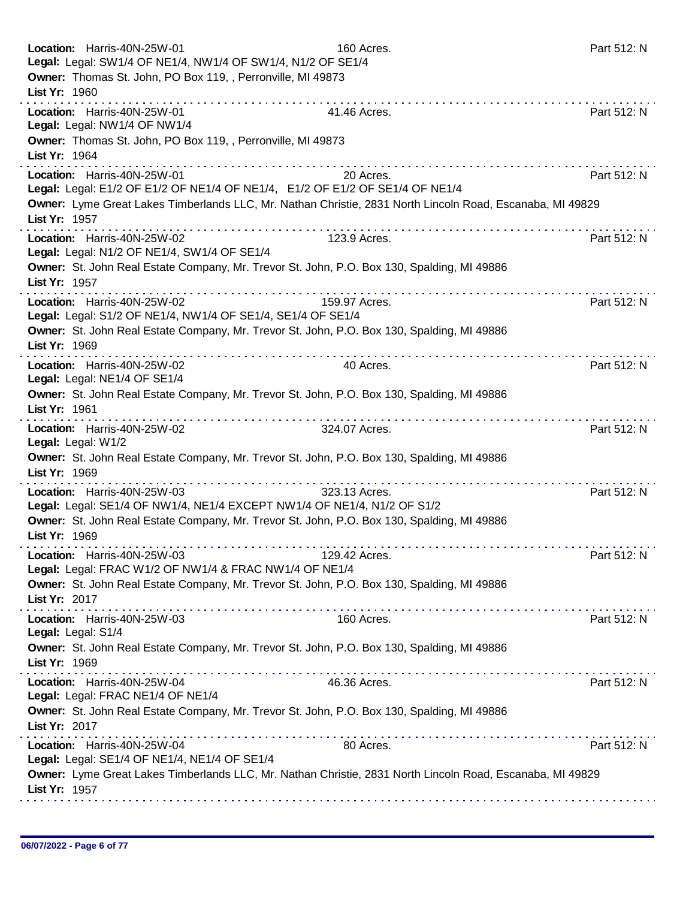| Location: Harris-40N-25W-01<br>Legal: Legal: SW1/4 OF NE1/4, NW1/4 OF SW1/4, N1/2 OF SE1/4<br>Owner: Thomas St. John, PO Box 119, , Perronville, MI 49873<br>List Yr: 1960 | 160 Acres.                                                                                                                                                                                                            | Part 512: N |
|----------------------------------------------------------------------------------------------------------------------------------------------------------------------------|-----------------------------------------------------------------------------------------------------------------------------------------------------------------------------------------------------------------------|-------------|
| Location: Harris-40N-25W-01<br>Legal: Legal: NW1/4 OF NW1/4<br>Owner: Thomas St. John, PO Box 119, , Perronville, MI 49873<br>List Yr: 1964                                | a construction of the construction of<br>41.46 Acres.                                                                                                                                                                 | Part 512: N |
| Location: Harris-40N-25W-01<br>List Yr: 1957                                                                                                                               | .<br>20 Acres.<br>Legal: Legal: E1/2 OF E1/2 OF NE1/4 OF NE1/4, E1/2 OF E1/2 OF SE1/4 OF NE1/4<br>Owner: Lyme Great Lakes Timberlands LLC, Mr. Nathan Christie, 2831 North Lincoln Road, Escanaba, MI 49829           | Part 512: N |
| Location: Harris-40N-25W-02<br>Legal: Legal: N1/2 OF NE1/4, SW1/4 OF SE1/4<br>List Yr: 1957                                                                                | 123.9 Acres.<br>Owner: St. John Real Estate Company, Mr. Trevor St. John, P.O. Box 130, Spalding, MI 49886                                                                                                            | Part 512: N |
| Location: Harris-40N-25W-02<br>Legal: Legal: S1/2 OF NE1/4, NW1/4 OF SE1/4, SE1/4 OF SE1/4<br>List Yr: 1969                                                                | 159.97 Acres.<br>Owner: St. John Real Estate Company, Mr. Trevor St. John, P.O. Box 130, Spalding, MI 49886                                                                                                           | Part 512: N |
| Location: Harris-40N-25W-02<br>Legal: Legal: NE1/4 OF SE1/4<br>List Yr: 1961                                                                                               | 40 Acres.<br>Owner: St. John Real Estate Company, Mr. Trevor St. John, P.O. Box 130, Spalding, MI 49886                                                                                                               | Part 512: N |
| Location: Harris-40N-25W-02<br>Legal: Legal: W1/2<br>List Yr: 1969                                                                                                         | .<br>324.07 Acres.<br>Owner: St. John Real Estate Company, Mr. Trevor St. John, P.O. Box 130, Spalding, MI 49886                                                                                                      | Part 512: N |
| Location: Harris-40N-25W-03<br>List Yr: 1969                                                                                                                               | dia dia dia dia dia dia dia<br>323.13 Acres.<br>Legal: Legal: SE1/4 OF NW1/4, NE1/4 EXCEPT NW1/4 OF NE1/4, N1/2 OF S1/2<br>Owner: St. John Real Estate Company, Mr. Trevor St. John, P.O. Box 130, Spalding, MI 49886 | Part 512: N |
| Location: Harris-40N-25W-03<br>Legal: Legal: FRAC W1/2 OF NW1/4 & FRAC NW1/4 OF NE1/4<br>List Yr: 2017                                                                     | 129.42 Acres.<br>Owner: St. John Real Estate Company, Mr. Trevor St. John, P.O. Box 130, Spalding, MI 49886                                                                                                           | Part 512: N |
| Location: Harris-40N-25W-03<br>Legal: Legal: S1/4<br>List Yr: 1969                                                                                                         | 160 Acres.<br>Owner: St. John Real Estate Company, Mr. Trevor St. John, P.O. Box 130, Spalding, MI 49886                                                                                                              | Part 512: N |
| Location: Harris-40N-25W-04<br>Legal: Legal: FRAC NE1/4 OF NE1/4<br>List Yr: 2017                                                                                          | 46.36 Acres.<br>Owner: St. John Real Estate Company, Mr. Trevor St. John, P.O. Box 130, Spalding, MI 49886                                                                                                            | Part 512: N |
| Location: Harris-40N-25W-04<br>Legal: Legal: SE1/4 OF NE1/4, NE1/4 OF SE1/4<br>List Yr: 1957                                                                               | 80 Acres.<br>Owner: Lyme Great Lakes Timberlands LLC, Mr. Nathan Christie, 2831 North Lincoln Road, Escanaba, MI 49829                                                                                                | Part 512: N |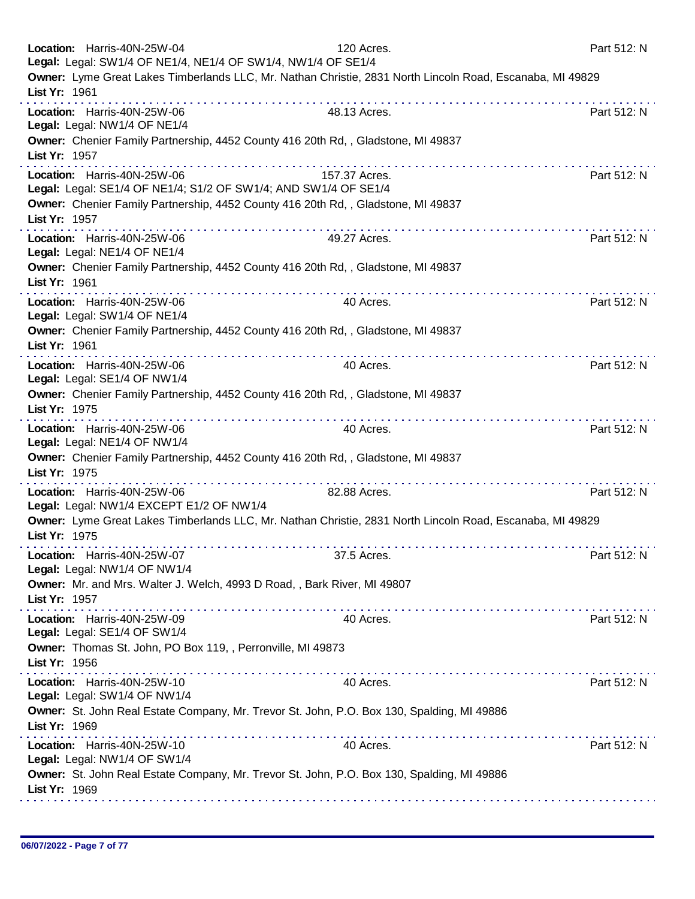| Location: Harris-40N-25W-04<br>Legal: Legal: SW1/4 OF NE1/4, NE1/4 OF SW1/4, NW1/4 OF SE1/4 | 120 Acres.                                                                                                | Part 512: N |
|---------------------------------------------------------------------------------------------|-----------------------------------------------------------------------------------------------------------|-------------|
| List Yr: 1961                                                                               | Owner: Lyme Great Lakes Timberlands LLC, Mr. Nathan Christie, 2831 North Lincoln Road, Escanaba, MI 49829 |             |
| Location: Harris-40N-25W-06<br>Legal: Legal: NW1/4 OF NE1/4                                 | 48.13 Acres.                                                                                              | Part 512: N |
| List Yr: 1957                                                                               | Owner: Chenier Family Partnership, 4452 County 416 20th Rd,, Gladstone, MI 49837                          |             |
| Location: Harris-40N-25W-06                                                                 | 157.37 Acres.<br>Legal: Legal: SE1/4 OF NE1/4; S1/2 OF SW1/4; AND SW1/4 OF SE1/4                          | Part 512: N |
| List Yr: 1957                                                                               | Owner: Chenier Family Partnership, 4452 County 416 20th Rd,, Gladstone, MI 49837                          |             |
| Location: Harris-40N-25W-06<br>Legal: Legal: NE1/4 OF NE1/4                                 | 49.27 Acres.                                                                                              | Part 512: N |
| List Yr: 1961                                                                               | Owner: Chenier Family Partnership, 4452 County 416 20th Rd,, Gladstone, MI 49837<br>.                     |             |
| Location: Harris-40N-25W-06<br>Legal: Legal: SW1/4 OF NE1/4                                 | 40 Acres.                                                                                                 | Part 512: N |
| List Yr: 1961                                                                               | Owner: Chenier Family Partnership, 4452 County 416 20th Rd,, Gladstone, MI 49837                          |             |
| Location: Harris-40N-25W-06<br>Legal: Legal: SE1/4 OF NW1/4                                 | 40 Acres.                                                                                                 | Part 512: N |
| List Yr: 1975                                                                               | Owner: Chenier Family Partnership, 4452 County 416 20th Rd,, Gladstone, MI 49837<br>.                     |             |
| Location: Harris-40N-25W-06<br>Legal: Legal: NE1/4 OF NW1/4                                 | 40 Acres.                                                                                                 | Part 512: N |
| List Yr: 1975                                                                               | Owner: Chenier Family Partnership, 4452 County 416 20th Rd,, Gladstone, MI 49837                          |             |
| Location: Harris-40N-25W-06<br>Legal: Legal: NW1/4 EXCEPT E1/2 OF NW1/4                     | 82.88 Acres.                                                                                              | Part 512: N |
| List Yr: 1975                                                                               | Owner: Lyme Great Lakes Timberlands LLC, Mr. Nathan Christie, 2831 North Lincoln Road, Escanaba, MI 49829 |             |
| Location: Harris-40N-25W-07<br>Legal: Legal: NW1/4 OF NW1/4                                 | 37.5 Acres.                                                                                               | Part 512: N |
| List Yr: 1957                                                                               | Owner: Mr. and Mrs. Walter J. Welch, 4993 D Road, , Bark River, MI 49807                                  |             |
| Location: Harris-40N-25W-09<br>Legal: Legal: SE1/4 OF SW1/4                                 | 40 Acres.                                                                                                 | Part 512: N |
| Owner: Thomas St. John, PO Box 119, , Perronville, MI 49873<br>List Yr: 1956                |                                                                                                           |             |
| Location: Harris-40N-25W-10<br>Legal: Legal: SW1/4 OF NW1/4                                 | 40 Acres.                                                                                                 | Part 512: N |
| List Yr: 1969                                                                               | Owner: St. John Real Estate Company, Mr. Trevor St. John, P.O. Box 130, Spalding, MI 49886                |             |
| Location: Harris-40N-25W-10<br>Legal: Legal: NW1/4 OF SW1/4                                 | 40 Acres.                                                                                                 | Part 512: N |
| List Yr: 1969                                                                               | Owner: St. John Real Estate Company, Mr. Trevor St. John, P.O. Box 130, Spalding, MI 49886                |             |
|                                                                                             |                                                                                                           |             |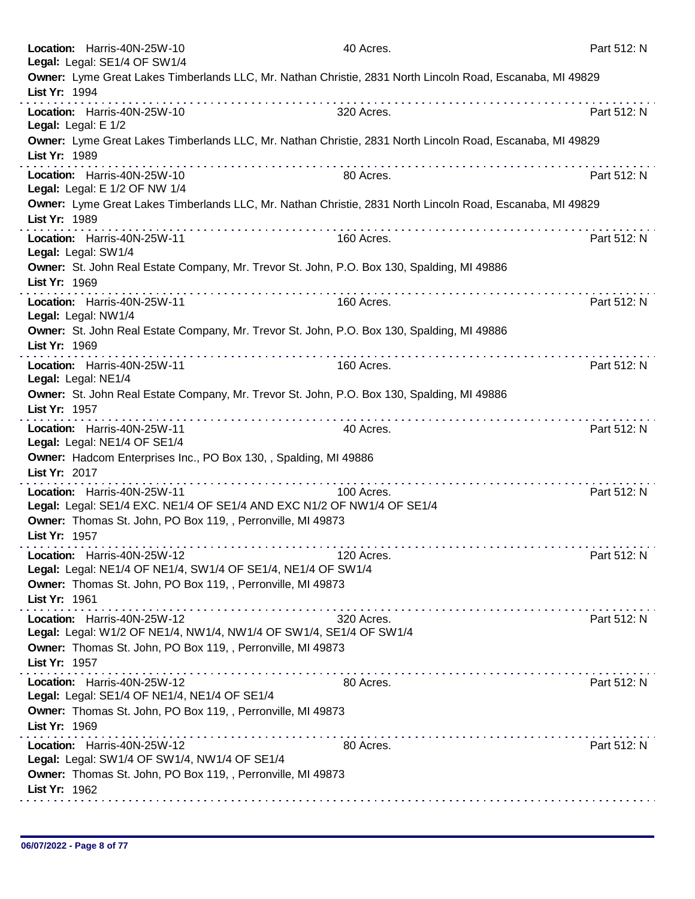| Location: Harris-40N-25W-10<br>Legal: Legal: SE1/4 OF SW1/4                                                                                                                            | 40 Acres.  | Part 512: N |
|----------------------------------------------------------------------------------------------------------------------------------------------------------------------------------------|------------|-------------|
| Owner: Lyme Great Lakes Timberlands LLC, Mr. Nathan Christie, 2831 North Lincoln Road, Escanaba, MI 49829<br>List Yr: 1994                                                             |            |             |
| Location: Harris-40N-25W-10<br>Legal: Legal: E 1/2                                                                                                                                     | 320 Acres. | Part 512: N |
| Owner: Lyme Great Lakes Timberlands LLC, Mr. Nathan Christie, 2831 North Lincoln Road, Escanaba, MI 49829<br>List Yr: 1989<br>.                                                        |            |             |
| Location: Harris-40N-25W-10<br>Legal: Legal: E 1/2 OF NW 1/4                                                                                                                           | 80 Acres.  | Part 512: N |
| Owner: Lyme Great Lakes Timberlands LLC, Mr. Nathan Christie, 2831 North Lincoln Road, Escanaba, MI 49829<br>List Yr: 1989                                                             |            |             |
| Location: Harris-40N-25W-11<br>Legal: Legal: SW1/4                                                                                                                                     | 160 Acres. | Part 512: N |
| Owner: St. John Real Estate Company, Mr. Trevor St. John, P.O. Box 130, Spalding, MI 49886<br>List Yr: 1969                                                                            |            |             |
| Location: Harris-40N-25W-11<br>Legal: Legal: NW1/4                                                                                                                                     | 160 Acres. | Part 512: N |
| Owner: St. John Real Estate Company, Mr. Trevor St. John, P.O. Box 130, Spalding, MI 49886<br>List Yr: 1969                                                                            |            |             |
| Location: Harris-40N-25W-11<br>Legal: Legal: NE1/4                                                                                                                                     | 160 Acres. | Part 512: N |
| Owner: St. John Real Estate Company, Mr. Trevor St. John, P.O. Box 130, Spalding, MI 49886<br>List Yr: 1957                                                                            |            |             |
| Location: Harris-40N-25W-11<br>Legal: Legal: NE1/4 OF SE1/4                                                                                                                            | 40 Acres.  | Part 512: N |
| Owner: Hadcom Enterprises Inc., PO Box 130, , Spalding, MI 49886<br>List Yr: 2017                                                                                                      |            |             |
| Location: Harris-40N-25W-11<br>Legal: Legal: SE1/4 EXC. NE1/4 OF SE1/4 AND EXC N1/2 OF NW1/4 OF SE1/4<br>Owner: Thomas St. John, PO Box 119, , Perronville, MI 49873<br>List Yr: 1957  | 100 Acres. | Part 512: N |
| Location: Harris-40N-25W-12<br>Legal: Legal: NE1/4 OF NE1/4, SW1/4 OF SE1/4, NE1/4 OF SW1/4<br>Owner: Thomas St. John, PO Box 119, , Perronville, MI 49873<br>List Yr: 1961            | 120 Acres. | Part 512: N |
| .<br>Location: Harris-40N-25W-12<br>Legal: Legal: W1/2 OF NE1/4, NW1/4, NW1/4 OF SW1/4, SE1/4 OF SW1/4<br>Owner: Thomas St. John, PO Box 119, , Perronville, MI 49873<br>List Yr: 1957 | 320 Acres. | Part 512: N |
| Location: Harris-40N-25W-12<br>Legal: Legal: SE1/4 OF NE1/4, NE1/4 OF SE1/4<br>Owner: Thomas St. John, PO Box 119, , Perronville, MI 49873<br>List Yr: 1969                            | 80 Acres.  | Part 512: N |
| Location: Harris-40N-25W-12<br>Legal: Legal: SW1/4 OF SW1/4, NW1/4 OF SE1/4<br>Owner: Thomas St. John, PO Box 119, , Perronville, MI 49873<br>List Yr: 1962                            | 80 Acres.  | Part 512: N |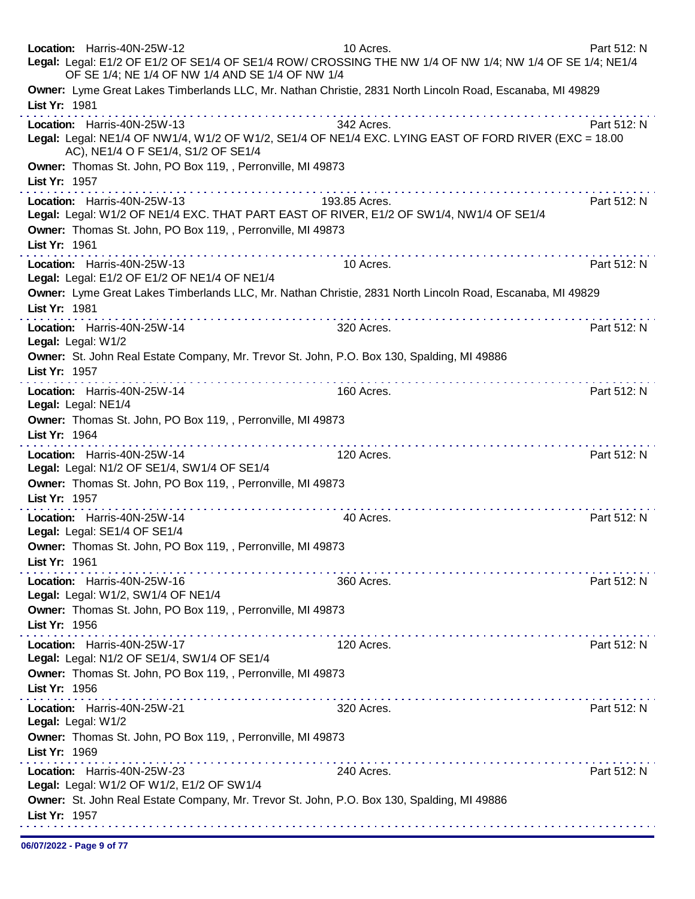| Location: Harris-40N-25W-12<br>Legal: Legal: E1/2 OF E1/2 OF SE1/4 OF SE1/4 ROW/ CROSSING THE NW 1/4 OF NW 1/4; NW 1/4 OF SE 1/4; NE1/4<br>OF SE 1/4; NE 1/4 OF NW 1/4 AND SE 1/4 OF NW 1/4            | 10 Acres.                                   | Part 512: N |
|--------------------------------------------------------------------------------------------------------------------------------------------------------------------------------------------------------|---------------------------------------------|-------------|
| Owner: Lyme Great Lakes Timberlands LLC, Mr. Nathan Christie, 2831 North Lincoln Road, Escanaba, MI 49829<br>List Yr: 1981                                                                             |                                             |             |
| .<br>Location: Harris-40N-25W-13<br>Legal: Legal: NE1/4 OF NW1/4, W1/2 OF W1/2, SE1/4 OF NE1/4 EXC. LYING EAST OF FORD RIVER (EXC = 18.00<br>AC), NE1/4 O F SE1/4, S1/2 OF SE1/4                       | 342 Acres.                                  | Part 512: N |
| Owner: Thomas St. John, PO Box 119, , Perronville, MI 49873<br>List Yr: 1957                                                                                                                           |                                             |             |
| Location: Harris-40N-25W-13<br>Legal: Legal: W1/2 OF NE1/4 EXC. THAT PART EAST OF RIVER, E1/2 OF SW1/4, NW1/4 OF SE1/4<br>Owner: Thomas St. John, PO Box 119, , Perronville, MI 49873<br>List Yr: 1961 | 193.85 Acres.                               | Part 512: N |
| Location: Harris-40N-25W-13                                                                                                                                                                            | 10 Acres.                                   | Part 512: N |
| Legal: Legal: E1/2 OF E1/2 OF NE1/4 OF NE1/4<br>Owner: Lyme Great Lakes Timberlands LLC, Mr. Nathan Christie, 2831 North Lincoln Road, Escanaba, MI 49829<br>List Yr: 1981<br>.                        | .                                           |             |
| Location: Harris-40N-25W-14<br>Legal: Legal: W1/2                                                                                                                                                      | 320 Acres.                                  | Part 512: N |
| Owner: St. John Real Estate Company, Mr. Trevor St. John, P.O. Box 130, Spalding, MI 49886<br>List Yr: 1957                                                                                            |                                             |             |
| Location: Harris-40N-25W-14<br>Legal: Legal: NE1/4                                                                                                                                                     | 160 Acres.                                  | Part 512: N |
| Owner: Thomas St. John, PO Box 119, , Perronville, MI 49873<br>List Yr: 1964                                                                                                                           |                                             |             |
| Location: Harris-40N-25W-14<br>Legal: Legal: N1/2 OF SE1/4, SW1/4 OF SE1/4                                                                                                                             | 120 Acres.                                  | Part 512: N |
| Owner: Thomas St. John, PO Box 119, , Perronville, MI 49873<br>List Yr: 1957                                                                                                                           |                                             |             |
| Location: Harris-40N-25W-14<br>Legal: Legal: SE1/4 OF SE1/4                                                                                                                                            | 40 Acres.                                   | Part 512: N |
| Owner: Thomas St. John, PO Box 119, , Perronville, MI 49873<br>List Yr: 1961                                                                                                                           | did did a did did a did did a did a did a d |             |
| Location: Harris-40N-25W-16<br>Legal: Legal: W1/2, SW1/4 OF NE1/4                                                                                                                                      | 360 Acres.                                  | Part 512: N |
| Owner: Thomas St. John, PO Box 119, , Perronville, MI 49873<br>List Yr: 1956                                                                                                                           |                                             |             |
| Location: Harris-40N-25W-17<br>Legal: Legal: N1/2 OF SE1/4, SW1/4 OF SE1/4                                                                                                                             | 120 Acres.                                  | Part 512: N |
| Owner: Thomas St. John, PO Box 119, , Perronville, MI 49873<br>List Yr: 1956                                                                                                                           |                                             |             |
| a construction of the construction of<br>Location: Harris-40N-25W-21<br>Legal: Legal: W1/2                                                                                                             | 320 Acres.                                  | Part 512: N |
| Owner: Thomas St. John, PO Box 119, , Perronville, MI 49873<br>List Yr: 1969                                                                                                                           |                                             |             |
| .<br>Location: Harris-40N-25W-23<br>Legal: Legal: W1/2 OF W1/2, E1/2 OF SW1/4                                                                                                                          | 240 Acres.                                  | Part 512: N |
| Owner: St. John Real Estate Company, Mr. Trevor St. John, P.O. Box 130, Spalding, MI 49886<br>List Yr: 1957                                                                                            |                                             |             |
|                                                                                                                                                                                                        |                                             |             |

06/07/2022 - Page 9 of 77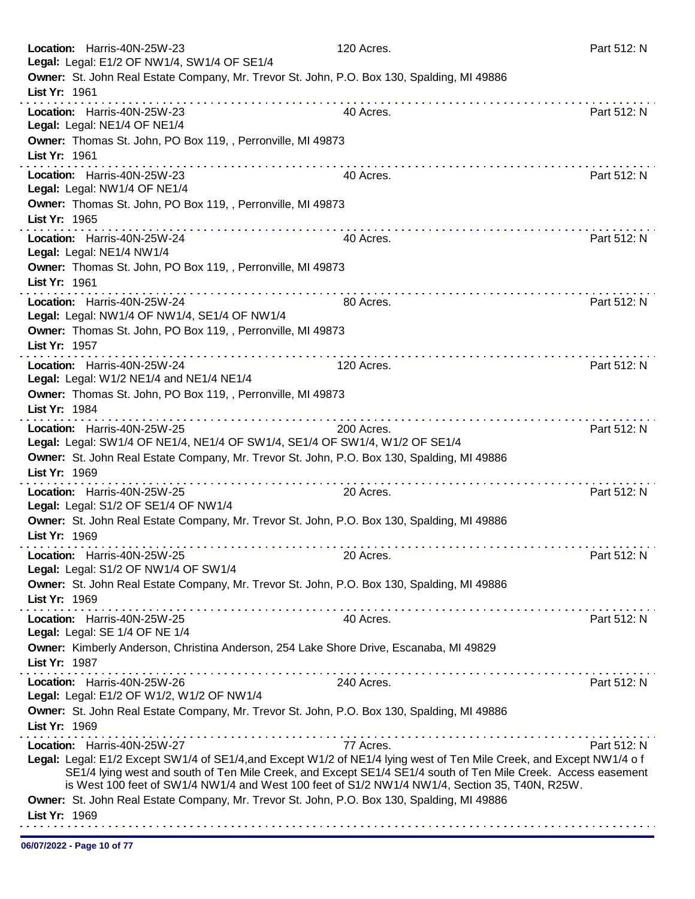| Location: Harris-40N-25W-23<br>Legal: Legal: E1/2 OF NW1/4, SW1/4 OF SE1/4                                                                                                                                                                                                                                                                                                                                                                                           | 120 Acres.                                     | Part 512: N |
|----------------------------------------------------------------------------------------------------------------------------------------------------------------------------------------------------------------------------------------------------------------------------------------------------------------------------------------------------------------------------------------------------------------------------------------------------------------------|------------------------------------------------|-------------|
| Owner: St. John Real Estate Company, Mr. Trevor St. John, P.O. Box 130, Spalding, MI 49886<br>List Yr: 1961                                                                                                                                                                                                                                                                                                                                                          |                                                |             |
| Location: Harris-40N-25W-23<br>Legal: Legal: NE1/4 OF NE1/4                                                                                                                                                                                                                                                                                                                                                                                                          | 40 Acres.                                      | Part 512: N |
| Owner: Thomas St. John, PO Box 119, , Perronville, MI 49873<br>List Yr: 1961                                                                                                                                                                                                                                                                                                                                                                                         |                                                |             |
| .<br>Location: Harris-40N-25W-23<br>Legal: Legal: NW1/4 OF NE1/4                                                                                                                                                                                                                                                                                                                                                                                                     | 40 Acres.                                      | Part 512: N |
| Owner: Thomas St. John, PO Box 119, , Perronville, MI 49873<br>List Yr: 1965                                                                                                                                                                                                                                                                                                                                                                                         |                                                |             |
| Location: Harris-40N-25W-24<br>Legal: Legal: NE1/4 NW1/4                                                                                                                                                                                                                                                                                                                                                                                                             | 40 Acres.                                      | Part 512: N |
| Owner: Thomas St. John, PO Box 119, , Perronville, MI 49873<br>List Yr: 1961                                                                                                                                                                                                                                                                                                                                                                                         |                                                |             |
| Location: Harris-40N-25W-24<br>Legal: Legal: NW1/4 OF NW1/4, SE1/4 OF NW1/4                                                                                                                                                                                                                                                                                                                                                                                          | 80 Acres.                                      | Part 512: N |
| Owner: Thomas St. John, PO Box 119, , Perronville, MI 49873<br>List Yr: 1957                                                                                                                                                                                                                                                                                                                                                                                         |                                                |             |
| .<br>Location: Harris-40N-25W-24<br>Legal: Legal: W1/2 NE1/4 and NE1/4 NE1/4<br>Owner: Thomas St. John, PO Box 119, , Perronville, MI 49873                                                                                                                                                                                                                                                                                                                          | 120 Acres.                                     | Part 512: N |
| List Yr: 1984                                                                                                                                                                                                                                                                                                                                                                                                                                                        | distribution of the complete original control. |             |
| Location: Harris-40N-25W-25<br>Legal: Legal: SW1/4 OF NE1/4, NE1/4 OF SW1/4, SE1/4 OF SW1/4, W1/2 OF SE1/4<br>Owner: St. John Real Estate Company, Mr. Trevor St. John, P.O. Box 130, Spalding, MI 49886                                                                                                                                                                                                                                                             | 200 Acres.                                     | Part 512: N |
| List Yr: 1969<br>.                                                                                                                                                                                                                                                                                                                                                                                                                                                   | .                                              |             |
| Location: Harris-40N-25W-25<br>Legal: Legal: S1/2 OF SE1/4 OF NW1/4                                                                                                                                                                                                                                                                                                                                                                                                  | 20 Acres.                                      | Part 512: N |
| Owner: St. John Real Estate Company, Mr. Trevor St. John, P.O. Box 130, Spalding, MI 49886<br>List Yr: 1969                                                                                                                                                                                                                                                                                                                                                          |                                                |             |
| Location: Harris-40N-25W-25<br>Legal: Legal: S1/2 OF NW1/4 OF SW1/4                                                                                                                                                                                                                                                                                                                                                                                                  | 20 Acres.                                      | Part 512: N |
| Owner: St. John Real Estate Company, Mr. Trevor St. John, P.O. Box 130, Spalding, MI 49886<br>List Yr: 1969                                                                                                                                                                                                                                                                                                                                                          |                                                |             |
| Location: Harris-40N-25W-25<br>Legal: Legal: SE 1/4 OF NE 1/4                                                                                                                                                                                                                                                                                                                                                                                                        | 40 Acres.                                      | Part 512: N |
| Owner: Kimberly Anderson, Christina Anderson, 254 Lake Shore Drive, Escanaba, MI 49829<br>List Yr: 1987                                                                                                                                                                                                                                                                                                                                                              |                                                |             |
| Location: Harris-40N-25W-26<br>Legal: Legal: E1/2 OF W1/2, W1/2 OF NW1/4                                                                                                                                                                                                                                                                                                                                                                                             | 240 Acres.                                     | Part 512: N |
| Owner: St. John Real Estate Company, Mr. Trevor St. John, P.O. Box 130, Spalding, MI 49886<br>List Yr: 1969                                                                                                                                                                                                                                                                                                                                                          |                                                |             |
| Location: Harris-40N-25W-27<br>Legal: Legal: E1/2 Except SW1/4 of SE1/4, and Except W1/2 of NE1/4 lying west of Ten Mile Creek, and Except NW1/4 of<br>SE1/4 lying west and south of Ten Mile Creek, and Except SE1/4 SE1/4 south of Ten Mile Creek. Access easement<br>is West 100 feet of SW1/4 NW1/4 and West 100 feet of S1/2 NW1/4 NW1/4, Section 35, T40N, R25W.<br>Owner: St. John Real Estate Company, Mr. Trevor St. John, P.O. Box 130, Spalding, MI 49886 | 77 Acres.                                      | Part 512: N |
| List Yr: 1969                                                                                                                                                                                                                                                                                                                                                                                                                                                        |                                                |             |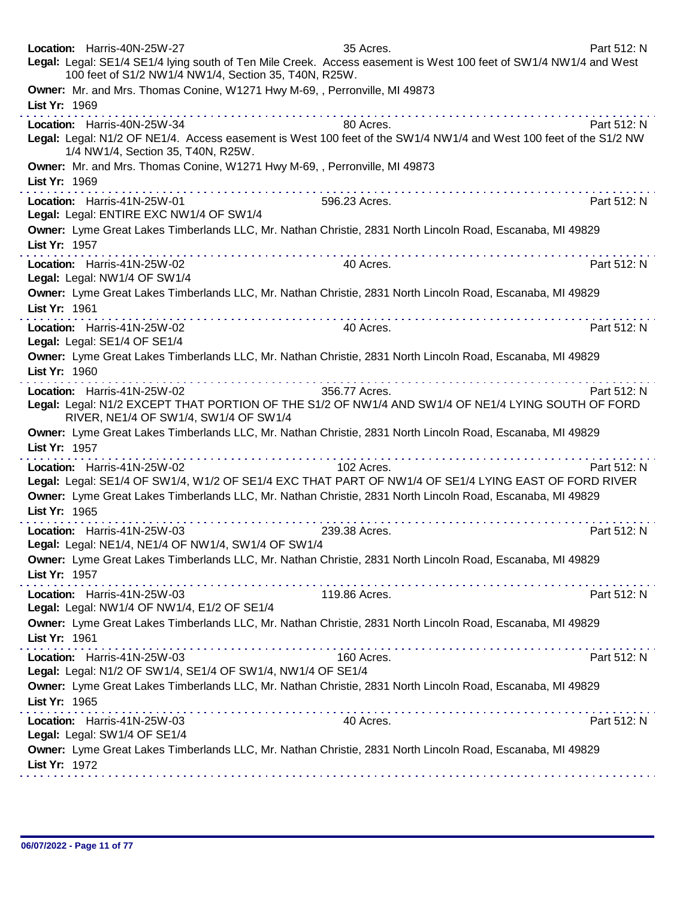| Location: Harris-40N-25W-27<br>Legal: Legal: SE1/4 SE1/4 lying south of Ten Mile Creek. Access easement is West 100 feet of SW1/4 NW1/4 and West<br>100 feet of S1/2 NW1/4 NW1/4, Section 35, T40N, R25W.                                        | 35 Acres.       | Part 512: N |
|--------------------------------------------------------------------------------------------------------------------------------------------------------------------------------------------------------------------------------------------------|-----------------|-------------|
| Owner: Mr. and Mrs. Thomas Conine, W1271 Hwy M-69,, Perronville, MI 49873<br>List Yr: 1969                                                                                                                                                       |                 |             |
| Location: Harris-40N-25W-34<br>Legal: Legal: N1/2 OF NE1/4. Access easement is West 100 feet of the SW1/4 NW1/4 and West 100 feet of the S1/2 NW<br>1/4 NW1/4, Section 35, T40N, R25W.                                                           | 80 Acres.       | Part 512: N |
| Owner: Mr. and Mrs. Thomas Conine, W1271 Hwy M-69,, Perronville, MI 49873<br>List Yr: 1969                                                                                                                                                       |                 |             |
| Location: Harris-41N-25W-01<br>Legal: Legal: ENTIRE EXC NW1/4 OF SW1/4                                                                                                                                                                           | 596.23 Acres.   | Part 512: N |
| Owner: Lyme Great Lakes Timberlands LLC, Mr. Nathan Christie, 2831 North Lincoln Road, Escanaba, MI 49829<br>List Yr: 1957                                                                                                                       |                 |             |
| Location: Harris-41N-25W-02<br>Legal: Legal: NW1/4 OF SW1/4                                                                                                                                                                                      | 40 Acres.       | Part 512: N |
| Owner: Lyme Great Lakes Timberlands LLC, Mr. Nathan Christie, 2831 North Lincoln Road, Escanaba, MI 49829<br>List Yr: 1961                                                                                                                       |                 |             |
| Location: Harris-41N-25W-02<br>Legal: Legal: SE1/4 OF SE1/4                                                                                                                                                                                      | 40 Acres.       | Part 512: N |
| Owner: Lyme Great Lakes Timberlands LLC, Mr. Nathan Christie, 2831 North Lincoln Road, Escanaba, MI 49829<br>List Yr: 1960                                                                                                                       |                 |             |
| Location: Harris-41N-25W-02<br>Legal: Legal: N1/2 EXCEPT THAT PORTION OF THE S1/2 OF NW1/4 AND SW1/4 OF NE1/4 LYING SOUTH OF FORD<br>RIVER, NE1/4 OF SW1/4, SW1/4 OF SW1/4                                                                       | 356.77 Acres.   | Part 512: N |
| Owner: Lyme Great Lakes Timberlands LLC, Mr. Nathan Christie, 2831 North Lincoln Road, Escanaba, MI 49829<br>List Yr: 1957                                                                                                                       |                 |             |
| Location: Harris-41N-25W-02<br>Legal: Legal: SE1/4 OF SW1/4, W1/2 OF SE1/4 EXC THAT PART OF NW1/4 OF SE1/4 LYING EAST OF FORD RIVER<br>Owner: Lyme Great Lakes Timberlands LLC, Mr. Nathan Christie, 2831 North Lincoln Road, Escanaba, MI 49829 | .<br>102 Acres. | Part 512: N |
| List Yr: 1965                                                                                                                                                                                                                                    |                 |             |
| Location: Harris-41N-25W-03<br>Legal: Legal: NE1/4, NE1/4 OF NW1/4, SW1/4 OF SW1/4                                                                                                                                                               | 239.38 Acres.   | Part 512: N |
| Owner: Lyme Great Lakes Timberlands LLC, Mr. Nathan Christie, 2831 North Lincoln Road, Escanaba, MI 49829<br>List Yr: 1957                                                                                                                       |                 |             |
| Location: Harris-41N-25W-03<br>Legal: Legal: NW1/4 OF NW1/4, E1/2 OF SE1/4                                                                                                                                                                       | 119.86 Acres.   | Part 512: N |
| Owner: Lyme Great Lakes Timberlands LLC, Mr. Nathan Christie, 2831 North Lincoln Road, Escanaba, MI 49829<br>List Yr: 1961                                                                                                                       |                 |             |
| Location: Harris-41N-25W-03<br>Legal: Legal: N1/2 OF SW1/4, SE1/4 OF SW1/4, NW1/4 OF SE1/4                                                                                                                                                       | 160 Acres.      | Part 512: N |
| Owner: Lyme Great Lakes Timberlands LLC, Mr. Nathan Christie, 2831 North Lincoln Road, Escanaba, MI 49829<br>List Yr: 1965                                                                                                                       |                 |             |
| Location: Harris-41N-25W-03<br>Legal: Legal: SW1/4 OF SE1/4                                                                                                                                                                                      | 40 Acres.       | Part 512: N |
| Owner: Lyme Great Lakes Timberlands LLC, Mr. Nathan Christie, 2831 North Lincoln Road, Escanaba, MI 49829<br>List Yr: 1972                                                                                                                       |                 |             |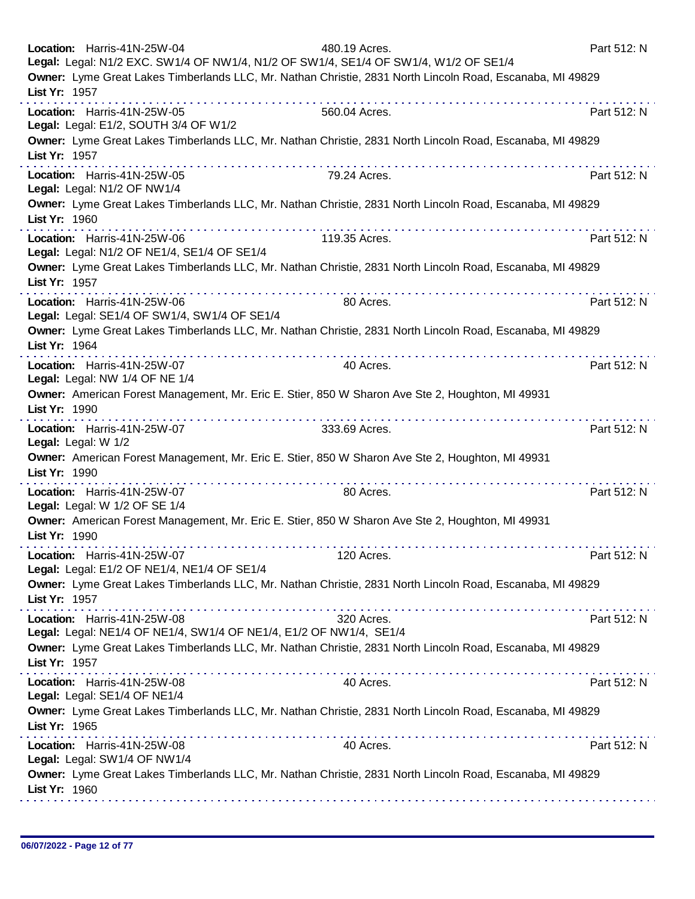| Location: Harris-41N-25W-04<br>480.19 Acres.<br>Legal: Legal: N1/2 EXC. SW1/4 OF NW1/4, N1/2 OF SW1/4, SE1/4 OF SW1/4, W1/2 OF SE1/4 | Part 512: N               |  |
|--------------------------------------------------------------------------------------------------------------------------------------|---------------------------|--|
| Owner: Lyme Great Lakes Timberlands LLC, Mr. Nathan Christie, 2831 North Lincoln Road, Escanaba, MI 49829<br>List Yr: 1957           |                           |  |
| Location: Harris-41N-25W-05<br>560.04 Acres.<br>Legal: Legal: E1/2, SOUTH 3/4 OF W1/2                                                | Part 512: N               |  |
| Owner: Lyme Great Lakes Timberlands LLC, Mr. Nathan Christie, 2831 North Lincoln Road, Escanaba, MI 49829<br>List Yr: 1957           |                           |  |
| .<br>Location: Harris-41N-25W-05<br>79.24 Acres.<br>Legal: Legal: N1/2 OF NW1/4                                                      | Part 512: N               |  |
| Owner: Lyme Great Lakes Timberlands LLC, Mr. Nathan Christie, 2831 North Lincoln Road, Escanaba, MI 49829<br>List Yr: 1960           |                           |  |
| .<br>Location: Harris-41N-25W-06<br>119.35 Acres.<br>Legal: Legal: N1/2 OF NE1/4, SE1/4 OF SE1/4                                     | Part 512: N               |  |
| Owner: Lyme Great Lakes Timberlands LLC, Mr. Nathan Christie, 2831 North Lincoln Road, Escanaba, MI 49829<br>List Yr: 1957           |                           |  |
| 80 Acres.<br>Location: Harris-41N-25W-06<br>Legal: Legal: SE1/4 OF SW1/4, SW1/4 OF SE1/4                                             | Part 512: N               |  |
| Owner: Lyme Great Lakes Timberlands LLC, Mr. Nathan Christie, 2831 North Lincoln Road, Escanaba, MI 49829<br>List Yr: 1964           |                           |  |
| Location: Harris-41N-25W-07<br>40 Acres.<br>Legal: Legal: NW 1/4 OF NE 1/4                                                           | Part 512: N               |  |
| Owner: American Forest Management, Mr. Eric E. Stier, 850 W Sharon Ave Ste 2, Houghton, MI 49931<br>List Yr: 1990                    |                           |  |
| Location: Harris-41N-25W-07<br>333.69 Acres.<br>Legal: Legal: W 1/2                                                                  | Part 512: N               |  |
| Owner: American Forest Management, Mr. Eric E. Stier, 850 W Sharon Ave Ste 2, Houghton, MI 49931<br>List Yr: 1990                    |                           |  |
| Location: Harris-41N-25W-07<br>80 Acres.<br>Legal: Legal: W 1/2 OF SE 1/4                                                            | Part 512: N               |  |
| Owner: American Forest Management, Mr. Eric E. Stier, 850 W Sharon Ave Ste 2, Houghton, MI 49931<br>List Yr: 1990                    |                           |  |
| Location: Harris-41N-25W-07<br>120 Acres.<br>Legal: Legal: E1/2 OF NE1/4, NE1/4 OF SE1/4                                             | Part 512: N               |  |
| Owner: Lyme Great Lakes Timberlands LLC, Mr. Nathan Christie, 2831 North Lincoln Road, Escanaba, MI 49829<br>List Yr: 1957           |                           |  |
| Location: Harris-41N-25W-08<br>320 Acres.<br>Legal: Legal: NE1/4 OF NE1/4, SW1/4 OF NE1/4, E1/2 OF NW1/4, SE1/4                      | Part 512: N               |  |
| Owner: Lyme Great Lakes Timberlands LLC, Mr. Nathan Christie, 2831 North Lincoln Road, Escanaba, MI 49829<br>List Yr: 1957           |                           |  |
| Location: Harris-41N-25W-08<br>40 Acres.<br>Legal: Legal: SE1/4 OF NE1/4                                                             | . <b>.</b><br>Part 512: N |  |
| Owner: Lyme Great Lakes Timberlands LLC, Mr. Nathan Christie, 2831 North Lincoln Road, Escanaba, MI 49829<br>List Yr: 1965           |                           |  |
| Location: Harris-41N-25W-08<br>40 Acres.<br>Legal: Legal: SW1/4 OF NW1/4                                                             | Part 512: N               |  |
| Owner: Lyme Great Lakes Timberlands LLC, Mr. Nathan Christie, 2831 North Lincoln Road, Escanaba, MI 49829<br>List Yr: 1960           |                           |  |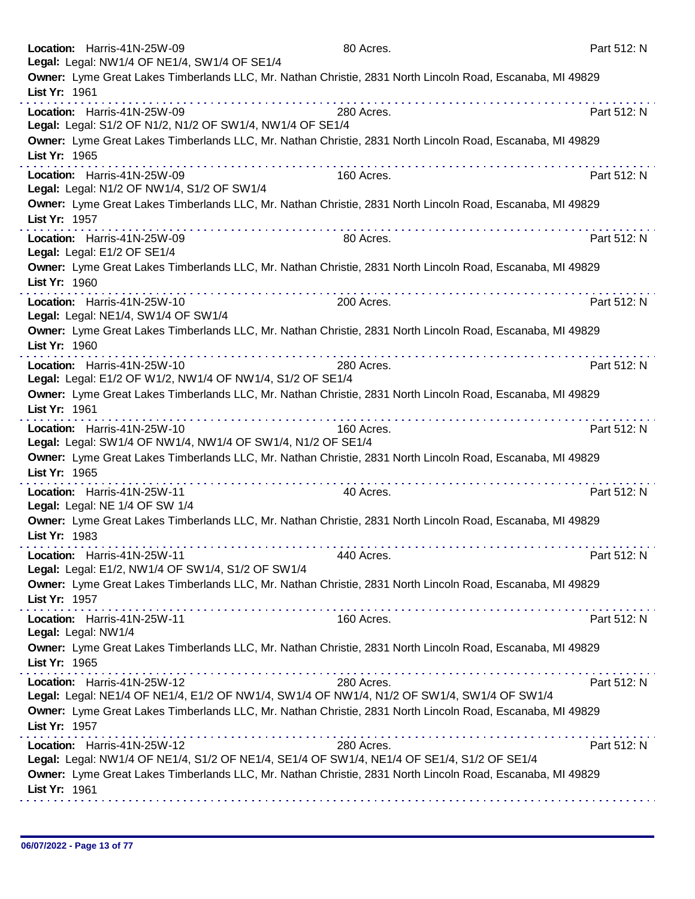| Location: Harris-41N-25W-09<br>Legal: Legal: NW1/4 OF NE1/4, SW1/4 OF SE1/4                                                | 80 Acres.  |   | Part 512: N |
|----------------------------------------------------------------------------------------------------------------------------|------------|---|-------------|
| Owner: Lyme Great Lakes Timberlands LLC, Mr. Nathan Christie, 2831 North Lincoln Road, Escanaba, MI 49829<br>List Yr: 1961 |            |   |             |
| Location: Harris-41N-25W-09<br>Legal: Legal: S1/2 OF N1/2, N1/2 OF SW1/4, NW1/4 OF SE1/4                                   | 280 Acres. |   | Part 512: N |
| Owner: Lyme Great Lakes Timberlands LLC, Mr. Nathan Christie, 2831 North Lincoln Road, Escanaba, MI 49829<br>List Yr: 1965 |            |   |             |
| Location: Harris-41N-25W-09<br>Legal: Legal: N1/2 OF NW1/4, S1/2 OF SW1/4                                                  | 160 Acres. |   | Part 512: N |
| Owner: Lyme Great Lakes Timberlands LLC, Mr. Nathan Christie, 2831 North Lincoln Road, Escanaba, MI 49829<br>List Yr: 1957 |            |   |             |
| Location: Harris-41N-25W-09<br>Legal: Legal: E1/2 OF SE1/4                                                                 | 80 Acres.  |   | Part 512: N |
| Owner: Lyme Great Lakes Timberlands LLC, Mr. Nathan Christie, 2831 North Lincoln Road, Escanaba, MI 49829<br>List Yr: 1960 |            |   |             |
| Location: Harris-41N-25W-10<br>Legal: Legal: NE1/4, SW1/4 OF SW1/4                                                         | 200 Acres. |   | Part 512: N |
| Owner: Lyme Great Lakes Timberlands LLC, Mr. Nathan Christie, 2831 North Lincoln Road, Escanaba, MI 49829<br>List Yr: 1960 |            |   |             |
| Location: Harris-41N-25W-10<br>Legal: Legal: E1/2 OF W1/2, NW1/4 OF NW1/4, S1/2 OF SE1/4                                   | 280 Acres. |   | Part 512: N |
| Owner: Lyme Great Lakes Timberlands LLC, Mr. Nathan Christie, 2831 North Lincoln Road, Escanaba, MI 49829<br>List Yr: 1961 |            |   |             |
| Location: Harris-41N-25W-10<br>Legal: Legal: SW1/4 OF NW1/4, NW1/4 OF SW1/4, N1/2 OF SE1/4                                 | 160 Acres. |   | Part 512: N |
| Owner: Lyme Great Lakes Timberlands LLC, Mr. Nathan Christie, 2831 North Lincoln Road, Escanaba, MI 49829<br>List Yr: 1965 |            |   |             |
| Location: Harris-41N-25W-11<br>Legal: Legal: NE 1/4 OF SW 1/4                                                              | 40 Acres.  | . | Part 512: N |
| Owner: Lyme Great Lakes Timberlands LLC, Mr. Nathan Christie, 2831 North Lincoln Road, Escanaba, MI 49829<br>List Yr: 1983 |            |   |             |
| Location: Harris-41N-25W-11<br>Legal: Legal: E1/2, NW1/4 OF SW1/4, S1/2 OF SW1/4                                           | 440 Acres. |   | Part 512: N |
| Owner: Lyme Great Lakes Timberlands LLC, Mr. Nathan Christie, 2831 North Lincoln Road, Escanaba, MI 49829<br>List Yr: 1957 |            |   |             |
| Location: Harris-41N-25W-11<br>Legal: Legal: NW1/4                                                                         | 160 Acres. |   | Part 512: N |
| Owner: Lyme Great Lakes Timberlands LLC, Mr. Nathan Christie, 2831 North Lincoln Road, Escanaba, MI 49829<br>List Yr: 1965 |            |   |             |
| Location: Harris-41N-25W-12<br>Legal: Legal: NE1/4 OF NE1/4, E1/2 OF NW1/4, SW1/4 OF NW1/4, N1/2 OF SW1/4, SW1/4 OF SW1/4  | 280 Acres. |   | Part 512: N |
| Owner: Lyme Great Lakes Timberlands LLC, Mr. Nathan Christie, 2831 North Lincoln Road, Escanaba, MI 49829<br>List Yr: 1957 |            |   |             |
| Location: Harris-41N-25W-12<br>Legal: Legal: NW1/4 OF NE1/4, S1/2 OF NE1/4, SE1/4 OF SW1/4, NE1/4 OF SE1/4, S1/2 OF SE1/4  | 280 Acres. |   | Part 512: N |
| Owner: Lyme Great Lakes Timberlands LLC, Mr. Nathan Christie, 2831 North Lincoln Road, Escanaba, MI 49829<br>List Yr: 1961 |            |   |             |
|                                                                                                                            |            |   |             |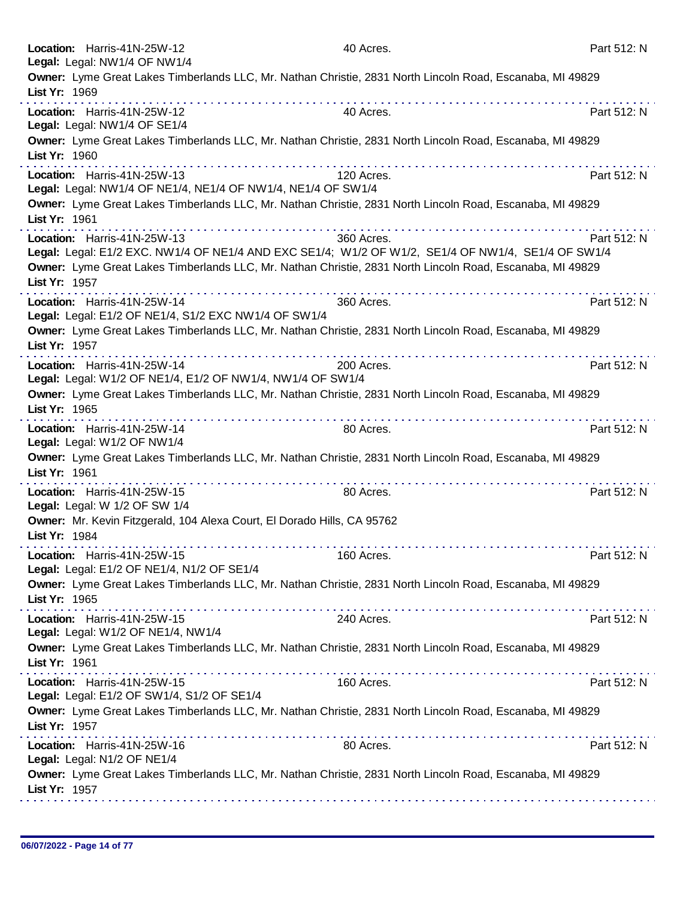| Location: Harris-41N-25W-12<br>Legal: Legal: NW1/4 OF NW1/4       |                                                                                                                                                                                                                                                                                                                                                                                                                                                           | 40 Acres.                                                                                                                                                                                                                     | Part 512: N |
|-------------------------------------------------------------------|-----------------------------------------------------------------------------------------------------------------------------------------------------------------------------------------------------------------------------------------------------------------------------------------------------------------------------------------------------------------------------------------------------------------------------------------------------------|-------------------------------------------------------------------------------------------------------------------------------------------------------------------------------------------------------------------------------|-------------|
| List Yr: 1969                                                     |                                                                                                                                                                                                                                                                                                                                                                                                                                                           | Owner: Lyme Great Lakes Timberlands LLC, Mr. Nathan Christie, 2831 North Lincoln Road, Escanaba, MI 49829                                                                                                                     |             |
| Location: Harris-41N-25W-12<br>Legal: Legal: NW1/4 OF SE1/4       |                                                                                                                                                                                                                                                                                                                                                                                                                                                           | 40 Acres.                                                                                                                                                                                                                     | Part 512: N |
| List Yr: 1960                                                     |                                                                                                                                                                                                                                                                                                                                                                                                                                                           | Owner: Lyme Great Lakes Timberlands LLC, Mr. Nathan Christie, 2831 North Lincoln Road, Escanaba, MI 49829                                                                                                                     |             |
| Location: Harris-41N-25W-13                                       | .<br>Legal: Legal: NW1/4 OF NE1/4, NE1/4 OF NW1/4, NE1/4 OF SW1/4                                                                                                                                                                                                                                                                                                                                                                                         | .<br>120 Acres.                                                                                                                                                                                                               | Part 512: N |
| List Yr: 1961                                                     |                                                                                                                                                                                                                                                                                                                                                                                                                                                           | Owner: Lyme Great Lakes Timberlands LLC, Mr. Nathan Christie, 2831 North Lincoln Road, Escanaba, MI 49829<br>.                                                                                                                |             |
| Location: Harris-41N-25W-13<br>List Yr: 1957                      |                                                                                                                                                                                                                                                                                                                                                                                                                                                           | 360 Acres.<br>Legal: Legal: E1/2 EXC. NW1/4 OF NE1/4 AND EXC SE1/4; W1/2 OF W1/2, SE1/4 OF NW1/4, SE1/4 OF SW1/4<br>Owner: Lyme Great Lakes Timberlands LLC, Mr. Nathan Christie, 2831 North Lincoln Road, Escanaba, MI 49829 | Part 512: N |
| Location: Harris-41N-25W-14                                       | Legal: Legal: E1/2 OF NE1/4, S1/2 EXC NW1/4 OF SW1/4                                                                                                                                                                                                                                                                                                                                                                                                      | 360 Acres.                                                                                                                                                                                                                    | Part 512: N |
| List Yr: 1957                                                     |                                                                                                                                                                                                                                                                                                                                                                                                                                                           | Owner: Lyme Great Lakes Timberlands LLC, Mr. Nathan Christie, 2831 North Lincoln Road, Escanaba, MI 49829                                                                                                                     |             |
| Location: Harris-41N-25W-14                                       | Legal: Legal: W1/2 OF NE1/4, E1/2 OF NW1/4, NW1/4 OF SW1/4                                                                                                                                                                                                                                                                                                                                                                                                | 200 Acres.                                                                                                                                                                                                                    | Part 512: N |
| List Yr: 1965                                                     | $\label{eq:2.1} \begin{array}{lllllllllllllllllllll} \mathbf{1}_{\mathbf{1}} & \mathbf{1}_{\mathbf{1}} & \mathbf{1}_{\mathbf{1}} & \mathbf{1}_{\mathbf{1}} & \mathbf{1}_{\mathbf{1}} & \mathbf{1}_{\mathbf{1}} & \mathbf{1}_{\mathbf{1}} & \mathbf{1}_{\mathbf{1}} & \mathbf{1}_{\mathbf{1}} & \mathbf{1}_{\mathbf{1}} & \mathbf{1}_{\mathbf{1}} & \mathbf{1}_{\mathbf{1}} & \mathbf{1}_{\mathbf{1}} & \mathbf{1}_{\mathbf{1}} & \mathbf{1}_{\mathbf{1}}$ | Owner: Lyme Great Lakes Timberlands LLC, Mr. Nathan Christie, 2831 North Lincoln Road, Escanaba, MI 49829<br>.                                                                                                                |             |
| Location: Harris-41N-25W-14<br>Legal: Legal: W1/2 OF NW1/4        |                                                                                                                                                                                                                                                                                                                                                                                                                                                           | 80 Acres.                                                                                                                                                                                                                     | Part 512: N |
| List Yr: 1961                                                     |                                                                                                                                                                                                                                                                                                                                                                                                                                                           | Owner: Lyme Great Lakes Timberlands LLC, Mr. Nathan Christie, 2831 North Lincoln Road, Escanaba, MI 49829                                                                                                                     |             |
| Location: Harris-41N-25W-15<br>Legal: Legal: W 1/2 OF SW 1/4      |                                                                                                                                                                                                                                                                                                                                                                                                                                                           | 80 Acres.                                                                                                                                                                                                                     | Part 512: N |
| List Yr: 1984                                                     | Owner: Mr. Kevin Fitzgerald, 104 Alexa Court, El Dorado Hills, CA 95762                                                                                                                                                                                                                                                                                                                                                                                   |                                                                                                                                                                                                                               |             |
| Location: Harris-41N-25W-15                                       | Legal: Legal: E1/2 OF NE1/4, N1/2 OF SE1/4                                                                                                                                                                                                                                                                                                                                                                                                                | 160 Acres.                                                                                                                                                                                                                    | Part 512: N |
| List Yr: 1965                                                     |                                                                                                                                                                                                                                                                                                                                                                                                                                                           | Owner: Lyme Great Lakes Timberlands LLC, Mr. Nathan Christie, 2831 North Lincoln Road, Escanaba, MI 49829                                                                                                                     |             |
| Location: Harris-41N-25W-15<br>Legal: Legal: W1/2 OF NE1/4, NW1/4 |                                                                                                                                                                                                                                                                                                                                                                                                                                                           | 240 Acres.                                                                                                                                                                                                                    | Part 512: N |
| List Yr: 1961                                                     |                                                                                                                                                                                                                                                                                                                                                                                                                                                           | Owner: Lyme Great Lakes Timberlands LLC, Mr. Nathan Christie, 2831 North Lincoln Road, Escanaba, MI 49829                                                                                                                     |             |
| Location: Harris-41N-25W-15                                       | Legal: Legal: E1/2 OF SW1/4, S1/2 OF SE1/4                                                                                                                                                                                                                                                                                                                                                                                                                | 160 Acres.                                                                                                                                                                                                                    | Part 512: N |
| List Yr: 1957                                                     |                                                                                                                                                                                                                                                                                                                                                                                                                                                           | Owner: Lyme Great Lakes Timberlands LLC, Mr. Nathan Christie, 2831 North Lincoln Road, Escanaba, MI 49829                                                                                                                     |             |
| Location: Harris-41N-25W-16<br>Legal: Legal: N1/2 OF NE1/4        |                                                                                                                                                                                                                                                                                                                                                                                                                                                           | 80 Acres.                                                                                                                                                                                                                     | Part 512: N |
| List Yr: 1957                                                     |                                                                                                                                                                                                                                                                                                                                                                                                                                                           | Owner: Lyme Great Lakes Timberlands LLC, Mr. Nathan Christie, 2831 North Lincoln Road, Escanaba, MI 49829                                                                                                                     |             |
|                                                                   |                                                                                                                                                                                                                                                                                                                                                                                                                                                           |                                                                                                                                                                                                                               |             |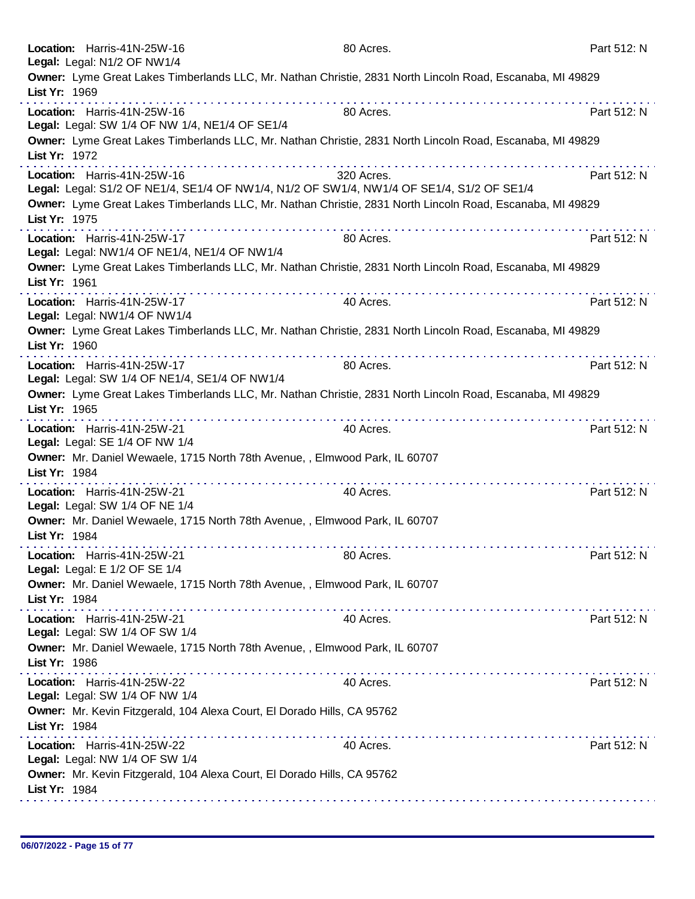| Location: Harris-41N-25W-16<br>Legal: Legal: N1/2 OF NW1/4                                   | 80 Acres.                                                                                                                                                                                                                                                                                                                                                                                                                                                                                         | Part 512: N |
|----------------------------------------------------------------------------------------------|---------------------------------------------------------------------------------------------------------------------------------------------------------------------------------------------------------------------------------------------------------------------------------------------------------------------------------------------------------------------------------------------------------------------------------------------------------------------------------------------------|-------------|
| List Yr: 1969                                                                                | Owner: Lyme Great Lakes Timberlands LLC, Mr. Nathan Christie, 2831 North Lincoln Road, Escanaba, MI 49829                                                                                                                                                                                                                                                                                                                                                                                         |             |
| Location: Harris-41N-25W-16<br>Legal: Legal: SW 1/4 OF NW 1/4, NE1/4 OF SE1/4                | dia a dia a dia a dia a dia a dia a dia a dia a<br>80 Acres.                                                                                                                                                                                                                                                                                                                                                                                                                                      | Part 512: N |
| List Yr: 1972                                                                                | Owner: Lyme Great Lakes Timberlands LLC, Mr. Nathan Christie, 2831 North Lincoln Road, Escanaba, MI 49829                                                                                                                                                                                                                                                                                                                                                                                         |             |
| Location: Harris-41N-25W-16                                                                  | 320 Acres.<br>Legal: Legal: S1/2 OF NE1/4, SE1/4 OF NW1/4, N1/2 OF SW1/4, NW1/4 OF SE1/4, S1/2 OF SE1/4                                                                                                                                                                                                                                                                                                                                                                                           | Part 512: N |
| List Yr: 1975                                                                                | Owner: Lyme Great Lakes Timberlands LLC, Mr. Nathan Christie, 2831 North Lincoln Road, Escanaba, MI 49829<br>.                                                                                                                                                                                                                                                                                                                                                                                    |             |
| Location: Harris-41N-25W-17<br>Legal: Legal: NW1/4 OF NE1/4, NE1/4 OF NW1/4                  | 80 Acres.                                                                                                                                                                                                                                                                                                                                                                                                                                                                                         | Part 512: N |
| List Yr: 1961                                                                                | Owner: Lyme Great Lakes Timberlands LLC, Mr. Nathan Christie, 2831 North Lincoln Road, Escanaba, MI 49829                                                                                                                                                                                                                                                                                                                                                                                         |             |
| Location: Harris-41N-25W-17<br>Legal: Legal: NW1/4 OF NW1/4                                  | 40 Acres.                                                                                                                                                                                                                                                                                                                                                                                                                                                                                         | Part 512: N |
| List Yr: 1960                                                                                | Owner: Lyme Great Lakes Timberlands LLC, Mr. Nathan Christie, 2831 North Lincoln Road, Escanaba, MI 49829                                                                                                                                                                                                                                                                                                                                                                                         |             |
| Location: Harris-41N-25W-17<br>Legal: Legal: SW 1/4 OF NE1/4, SE1/4 OF NW1/4                 | 80 Acres.                                                                                                                                                                                                                                                                                                                                                                                                                                                                                         | Part 512: N |
| List Yr: 1965                                                                                | Owner: Lyme Great Lakes Timberlands LLC, Mr. Nathan Christie, 2831 North Lincoln Road, Escanaba, MI 49829<br>.<br>.                                                                                                                                                                                                                                                                                                                                                                               |             |
| Location: Harris-41N-25W-21<br>Legal: Legal: SE 1/4 OF NW 1/4                                | 40 Acres.                                                                                                                                                                                                                                                                                                                                                                                                                                                                                         | Part 512: N |
| Owner: Mr. Daniel Wewaele, 1715 North 78th Avenue, , Elmwood Park, IL 60707<br>List Yr: 1984 |                                                                                                                                                                                                                                                                                                                                                                                                                                                                                                   |             |
| Location: Harris-41N-25W-21<br>Legal: Legal: SW 1/4 OF NE 1/4                                | 40 Acres.                                                                                                                                                                                                                                                                                                                                                                                                                                                                                         | Part 512: N |
| Owner: Mr. Daniel Wewaele, 1715 North 78th Avenue, , Elmwood Park, IL 60707<br>List Yr: 1984 |                                                                                                                                                                                                                                                                                                                                                                                                                                                                                                   |             |
| Location: Harris-41N-25W-21<br>Legal: Legal: E 1/2 OF SE 1/4                                 | 80 Acres.                                                                                                                                                                                                                                                                                                                                                                                                                                                                                         | Part 512: N |
| Owner: Mr. Daniel Wewaele, 1715 North 78th Avenue, , Elmwood Park, IL 60707<br>List Yr: 1984 | $\label{eq:reduced} \begin{split} \mathcal{L}_{\mathcal{A}}(\mathcal{A}) = \mathcal{L}_{\mathcal{A}}(\mathcal{A}) = \mathcal{L}_{\mathcal{A}}(\mathcal{A}) = \mathcal{L}_{\mathcal{A}}(\mathcal{A}) = \mathcal{L}_{\mathcal{A}}(\mathcal{A}) = \mathcal{L}_{\mathcal{A}}(\mathcal{A}) = \mathcal{L}_{\mathcal{A}}(\mathcal{A}) = \mathcal{L}_{\mathcal{A}}(\mathcal{A}) = \mathcal{L}_{\mathcal{A}}(\mathcal{A}) = \mathcal{L}_{\mathcal{A}}(\mathcal{A}) = \mathcal{L}_{\mathcal{A}}(\mathcal{A$ |             |
| Location: Harris-41N-25W-21<br>Legal: Legal: SW 1/4 OF SW 1/4                                | 40 Acres.                                                                                                                                                                                                                                                                                                                                                                                                                                                                                         | Part 512: N |
| Owner: Mr. Daniel Wewaele, 1715 North 78th Avenue, , Elmwood Park, IL 60707<br>List Yr: 1986 |                                                                                                                                                                                                                                                                                                                                                                                                                                                                                                   |             |
| Location: Harris-41N-25W-22<br>Legal: Legal: SW 1/4 OF NW 1/4                                | 40 Acres.                                                                                                                                                                                                                                                                                                                                                                                                                                                                                         | Part 512: N |
| Owner: Mr. Kevin Fitzgerald, 104 Alexa Court, El Dorado Hills, CA 95762<br>List Yr: 1984     |                                                                                                                                                                                                                                                                                                                                                                                                                                                                                                   |             |
| Location: Harris-41N-25W-22<br>Legal: Legal: NW 1/4 OF SW 1/4                                | 40 Acres.                                                                                                                                                                                                                                                                                                                                                                                                                                                                                         | Part 512: N |
| Owner: Mr. Kevin Fitzgerald, 104 Alexa Court, El Dorado Hills, CA 95762<br>List Yr: 1984     |                                                                                                                                                                                                                                                                                                                                                                                                                                                                                                   |             |
|                                                                                              |                                                                                                                                                                                                                                                                                                                                                                                                                                                                                                   |             |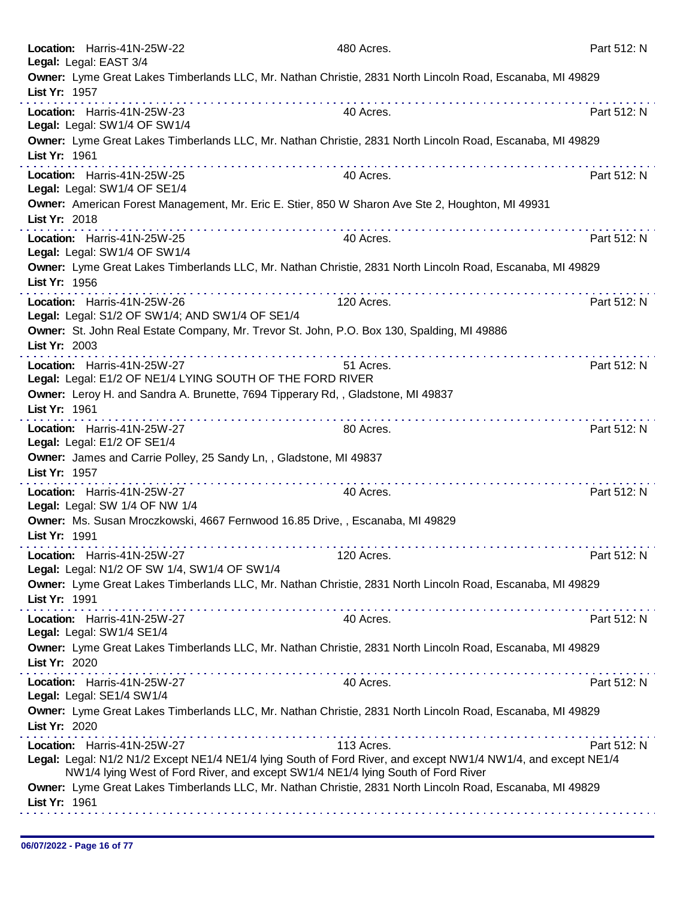| Location: Harris-41N-25W-22<br>Legal: Legal: EAST 3/4                                            | 480 Acres.                                                                                                                                                                                                       | Part 512: N |
|--------------------------------------------------------------------------------------------------|------------------------------------------------------------------------------------------------------------------------------------------------------------------------------------------------------------------|-------------|
| List Yr: 1957                                                                                    | Owner: Lyme Great Lakes Timberlands LLC, Mr. Nathan Christie, 2831 North Lincoln Road, Escanaba, MI 49829                                                                                                        |             |
| Location: Harris-41N-25W-23<br>Legal: Legal: SW1/4 OF SW1/4                                      | 40 Acres.                                                                                                                                                                                                        | Part 512: N |
| List Yr: 1961                                                                                    | Owner: Lyme Great Lakes Timberlands LLC, Mr. Nathan Christie, 2831 North Lincoln Road, Escanaba, MI 49829                                                                                                        |             |
| Location: Harris-41N-25W-25<br>Legal: Legal: SW1/4 OF SE1/4                                      | 40 Acres.                                                                                                                                                                                                        | Part 512: N |
| List Yr: 2018                                                                                    | Owner: American Forest Management, Mr. Eric E. Stier, 850 W Sharon Ave Ste 2, Houghton, MI 49931                                                                                                                 |             |
| Location: Harris-41N-25W-25<br>Legal: Legal: SW1/4 OF SW1/4                                      | 40 Acres.                                                                                                                                                                                                        | Part 512: N |
| List Yr: 1956                                                                                    | Owner: Lyme Great Lakes Timberlands LLC, Mr. Nathan Christie, 2831 North Lincoln Road, Escanaba, MI 49829                                                                                                        |             |
| Location: Harris-41N-25W-26<br>Legal: Legal: S1/2 OF SW1/4; AND SW1/4 OF SE1/4                   | 120 Acres.                                                                                                                                                                                                       | Part 512: N |
| List Yr: 2003                                                                                    | Owner: St. John Real Estate Company, Mr. Trevor St. John, P.O. Box 130, Spalding, MI 49886<br>.                                                                                                                  |             |
| Location: Harris-41N-25W-27<br>Legal: Legal: E1/2 OF NE1/4 LYING SOUTH OF THE FORD RIVER         | 51 Acres.                                                                                                                                                                                                        | Part 512: N |
| Owner: Leroy H. and Sandra A. Brunette, 7694 Tipperary Rd,, Gladstone, MI 49837<br>List Yr: 1961 | .                                                                                                                                                                                                                |             |
| Location: Harris-41N-25W-27<br>Legal: Legal: E1/2 OF SE1/4                                       | 80 Acres.                                                                                                                                                                                                        | Part 512: N |
| Owner: James and Carrie Polley, 25 Sandy Ln,, Gladstone, MI 49837<br>List Yr: 1957               |                                                                                                                                                                                                                  |             |
| Location: Harris-41N-25W-27<br>Legal: Legal: SW 1/4 OF NW 1/4                                    | 40 Acres.                                                                                                                                                                                                        | Part 512: N |
| Owner: Ms. Susan Mroczkowski, 4667 Fernwood 16.85 Drive, , Escanaba, MI 49829<br>List Yr: 1991   |                                                                                                                                                                                                                  |             |
| Location: Harris-41N-25W-27<br>Legal: Legal: N1/2 OF SW 1/4, SW1/4 OF SW1/4                      | 120 Acres.                                                                                                                                                                                                       | Part 512: N |
| List Yr: 1991                                                                                    | Owner: Lyme Great Lakes Timberlands LLC, Mr. Nathan Christie, 2831 North Lincoln Road, Escanaba, MI 49829                                                                                                        |             |
| Location: Harris-41N-25W-27<br>Legal: Legal: SW1/4 SE1/4                                         | 40 Acres.                                                                                                                                                                                                        | Part 512: N |
| List Yr: 2020                                                                                    | Owner: Lyme Great Lakes Timberlands LLC, Mr. Nathan Christie, 2831 North Lincoln Road, Escanaba, MI 49829                                                                                                        |             |
| Location: Harris-41N-25W-27<br>Legal: Legal: SE1/4 SW1/4                                         | 40 Acres.                                                                                                                                                                                                        | Part 512: N |
| List Yr: 2020                                                                                    | Owner: Lyme Great Lakes Timberlands LLC, Mr. Nathan Christie, 2831 North Lincoln Road, Escanaba, MI 49829                                                                                                        |             |
| Location: Harris-41N-25W-27                                                                      | 113 Acres.<br>Legal: Legal: N1/2 N1/2 Except NE1/4 NE1/4 lying South of Ford River, and except NW1/4 NW1/4, and except NE1/4<br>NW1/4 lying West of Ford River, and except SW1/4 NE1/4 lying South of Ford River | Part 512: N |
| List Yr: 1961                                                                                    | Owner: Lyme Great Lakes Timberlands LLC, Mr. Nathan Christie, 2831 North Lincoln Road, Escanaba, MI 49829                                                                                                        |             |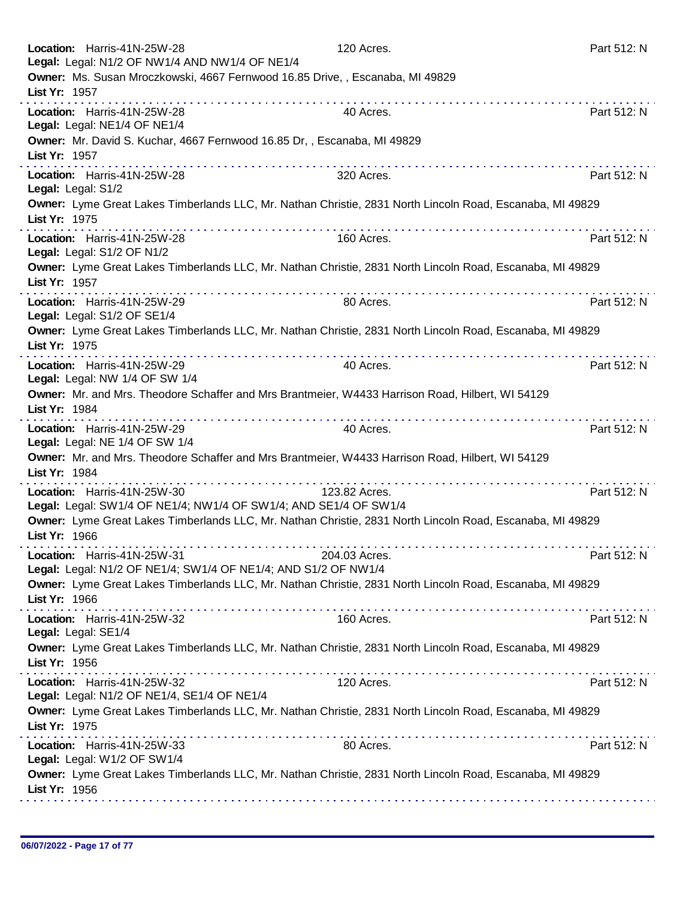| Location: Harris-41N-25W-28<br>Legal: Legal: N1/2 OF NW1/4 AND NW1/4 OF NE1/4                                              | 120 Acres.    | Part 512: N |
|----------------------------------------------------------------------------------------------------------------------------|---------------|-------------|
| Owner: Ms. Susan Mroczkowski, 4667 Fernwood 16.85 Drive, , Escanaba, MI 49829<br>List Yr: 1957                             |               |             |
| Location: Harris-41N-25W-28<br>Legal: Legal: NE1/4 OF NE1/4                                                                | 40 Acres.     | Part 512: N |
| Owner: Mr. David S. Kuchar, 4667 Fernwood 16.85 Dr,, Escanaba, MI 49829<br>List Yr: 1957                                   |               |             |
| Location: Harris-41N-25W-28<br>Legal: Legal: S1/2                                                                          | 320 Acres.    | Part 512: N |
| Owner: Lyme Great Lakes Timberlands LLC, Mr. Nathan Christie, 2831 North Lincoln Road, Escanaba, MI 49829<br>List Yr: 1975 |               |             |
| Location: Harris-41N-25W-28<br>Legal: Legal: S1/2 OF N1/2                                                                  | 160 Acres.    | Part 512: N |
| Owner: Lyme Great Lakes Timberlands LLC, Mr. Nathan Christie, 2831 North Lincoln Road, Escanaba, MI 49829<br>List Yr: 1957 |               |             |
| Location: Harris-41N-25W-29<br>Legal: Legal: S1/2 OF SE1/4                                                                 | 80 Acres.     | Part 512: N |
| Owner: Lyme Great Lakes Timberlands LLC, Mr. Nathan Christie, 2831 North Lincoln Road, Escanaba, MI 49829<br>List Yr: 1975 |               |             |
| Location: Harris-41N-25W-29<br>Legal: Legal: NW 1/4 OF SW 1/4                                                              | 40 Acres.     | Part 512: N |
| Owner: Mr. and Mrs. Theodore Schaffer and Mrs Brantmeier, W4433 Harrison Road, Hilbert, WI 54129<br>List Yr: 1984          |               |             |
| Location: Harris-41N-25W-29<br>Legal: Legal: NE 1/4 OF SW 1/4                                                              | 40 Acres.     | Part 512: N |
| Owner: Mr. and Mrs. Theodore Schaffer and Mrs Brantmeier, W4433 Harrison Road, Hilbert, WI 54129<br>List Yr: 1984          |               |             |
| Location: Harris-41N-25W-30<br>Legal: Legal: SW1/4 OF NE1/4; NW1/4 OF SW1/4; AND SE1/4 OF SW1/4                            | 123.82 Acres. | Part 512: N |
| Owner: Lyme Great Lakes Timberlands LLC, Mr. Nathan Christie, 2831 North Lincoln Road, Escanaba, MI 49829<br>List Yr: 1966 |               |             |
| Location: Harris-41N-25W-31<br>Legal: Legal: N1/2 OF NE1/4; SW1/4 OF NE1/4; AND S1/2 OF NW1/4                              | 204.03 Acres. | Part 512: N |
| Owner: Lyme Great Lakes Timberlands LLC, Mr. Nathan Christie, 2831 North Lincoln Road, Escanaba, MI 49829<br>List Yr: 1966 |               |             |
| Location: Harris-41N-25W-32<br>Legal: Legal: SE1/4                                                                         | 160 Acres.    | Part 512: N |
| Owner: Lyme Great Lakes Timberlands LLC, Mr. Nathan Christie, 2831 North Lincoln Road, Escanaba, MI 49829<br>List Yr: 1956 |               |             |
| Location: Harris-41N-25W-32<br>Legal: Legal: N1/2 OF NE1/4, SE1/4 OF NE1/4                                                 | 120 Acres.    | Part 512: N |
| Owner: Lyme Great Lakes Timberlands LLC, Mr. Nathan Christie, 2831 North Lincoln Road, Escanaba, MI 49829<br>List Yr: 1975 |               |             |
| Location: Harris-41N-25W-33<br>Legal: Legal: W1/2 OF SW1/4                                                                 | 80 Acres.     | Part 512: N |
| Owner: Lyme Great Lakes Timberlands LLC, Mr. Nathan Christie, 2831 North Lincoln Road, Escanaba, MI 49829<br>List Yr: 1956 |               |             |
|                                                                                                                            |               |             |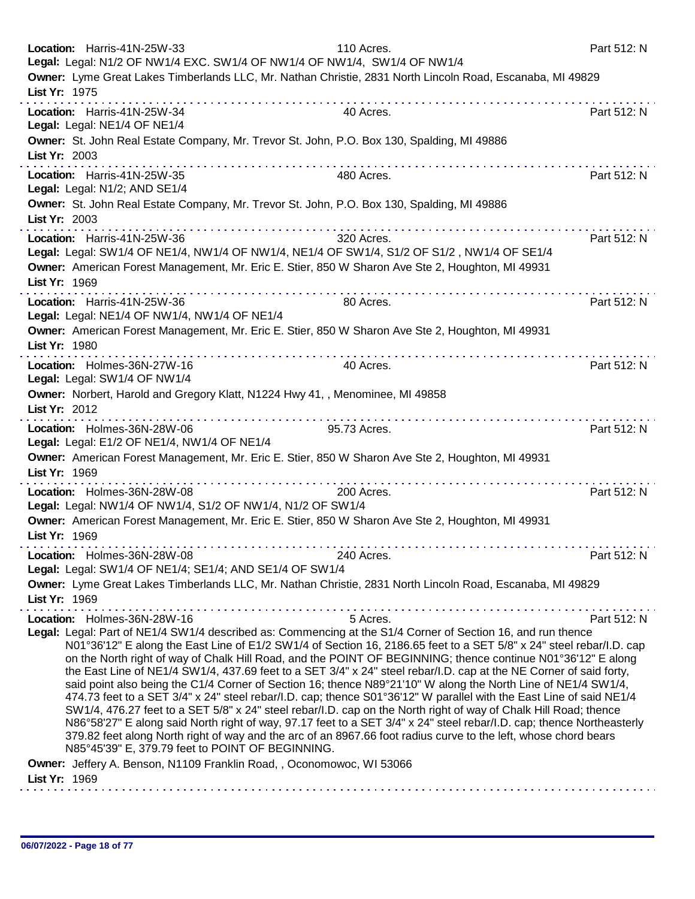| Location: Harris-41N-25W-33<br>Legal: Legal: N1/2 OF NW1/4 EXC. SW1/4 OF NW1/4 OF NW1/4, SW1/4 OF NW1/4                                                         | 110 Acres.                                                                                                                                                                                                                                                                                                                                                                                                                                                                                                                                                                                                                                                                                                                                                                                                                                                                                                                                                        | Part 512: N |
|-----------------------------------------------------------------------------------------------------------------------------------------------------------------|-------------------------------------------------------------------------------------------------------------------------------------------------------------------------------------------------------------------------------------------------------------------------------------------------------------------------------------------------------------------------------------------------------------------------------------------------------------------------------------------------------------------------------------------------------------------------------------------------------------------------------------------------------------------------------------------------------------------------------------------------------------------------------------------------------------------------------------------------------------------------------------------------------------------------------------------------------------------|-------------|
| Owner: Lyme Great Lakes Timberlands LLC, Mr. Nathan Christie, 2831 North Lincoln Road, Escanaba, MI 49829                                                       |                                                                                                                                                                                                                                                                                                                                                                                                                                                                                                                                                                                                                                                                                                                                                                                                                                                                                                                                                                   |             |
| List Yr: 1975                                                                                                                                                   |                                                                                                                                                                                                                                                                                                                                                                                                                                                                                                                                                                                                                                                                                                                                                                                                                                                                                                                                                                   |             |
| Location: Harris-41N-25W-34<br>Legal: Legal: NE1/4 OF NE1/4                                                                                                     | 40 Acres.                                                                                                                                                                                                                                                                                                                                                                                                                                                                                                                                                                                                                                                                                                                                                                                                                                                                                                                                                         | Part 512: N |
| Owner: St. John Real Estate Company, Mr. Trevor St. John, P.O. Box 130, Spalding, MI 49886<br>List Yr: 2003                                                     |                                                                                                                                                                                                                                                                                                                                                                                                                                                                                                                                                                                                                                                                                                                                                                                                                                                                                                                                                                   |             |
| Location: Harris-41N-25W-35<br>Legal: Legal: N1/2; AND SE1/4                                                                                                    | 480 Acres.                                                                                                                                                                                                                                                                                                                                                                                                                                                                                                                                                                                                                                                                                                                                                                                                                                                                                                                                                        | Part 512: N |
| Owner: St. John Real Estate Company, Mr. Trevor St. John, P.O. Box 130, Spalding, MI 49886<br>List Yr: 2003                                                     |                                                                                                                                                                                                                                                                                                                                                                                                                                                                                                                                                                                                                                                                                                                                                                                                                                                                                                                                                                   |             |
| Location: Harris-41N-25W-36<br>Legal: Legal: SW1/4 OF NE1/4, NW1/4 OF NW1/4, NE1/4 OF SW1/4, S1/2 OF S1/2, NW1/4 OF SE1/4                                       | .<br>320 Acres.                                                                                                                                                                                                                                                                                                                                                                                                                                                                                                                                                                                                                                                                                                                                                                                                                                                                                                                                                   | Part 512: N |
| Owner: American Forest Management, Mr. Eric E. Stier, 850 W Sharon Ave Ste 2, Houghton, MI 49931<br>List Yr: 1969                                               |                                                                                                                                                                                                                                                                                                                                                                                                                                                                                                                                                                                                                                                                                                                                                                                                                                                                                                                                                                   |             |
| Location: Harris-41N-25W-36<br>Legal: Legal: NE1/4 OF NW1/4, NW1/4 OF NE1/4                                                                                     | 80 Acres.                                                                                                                                                                                                                                                                                                                                                                                                                                                                                                                                                                                                                                                                                                                                                                                                                                                                                                                                                         | Part 512: N |
| Owner: American Forest Management, Mr. Eric E. Stier, 850 W Sharon Ave Ste 2, Houghton, MI 49931<br>List Yr: 1980                                               |                                                                                                                                                                                                                                                                                                                                                                                                                                                                                                                                                                                                                                                                                                                                                                                                                                                                                                                                                                   |             |
| .<br>Location: Holmes-36N-27W-16<br>Legal: Legal: SW1/4 OF NW1/4                                                                                                | 40 Acres.                                                                                                                                                                                                                                                                                                                                                                                                                                                                                                                                                                                                                                                                                                                                                                                                                                                                                                                                                         | Part 512: N |
| Owner: Norbert, Harold and Gregory Klatt, N1224 Hwy 41,, Menominee, MI 49858<br>List Yr: 2012                                                                   |                                                                                                                                                                                                                                                                                                                                                                                                                                                                                                                                                                                                                                                                                                                                                                                                                                                                                                                                                                   |             |
| and and and and and and and<br>Location: Holmes-36N-28W-06<br>Legal: Legal: E1/2 OF NE1/4, NW1/4 OF NE1/4                                                       | 95.73 Acres.                                                                                                                                                                                                                                                                                                                                                                                                                                                                                                                                                                                                                                                                                                                                                                                                                                                                                                                                                      | Part 512: N |
| Owner: American Forest Management, Mr. Eric E. Stier, 850 W Sharon Ave Ste 2, Houghton, MI 49931<br>List Yr: 1969                                               |                                                                                                                                                                                                                                                                                                                                                                                                                                                                                                                                                                                                                                                                                                                                                                                                                                                                                                                                                                   |             |
| Location: Holmes-36N-28W-08<br>Legal: Legal: NW1/4 OF NW1/4, S1/2 OF NW1/4, N1/2 OF SW1/4                                                                       | 200 Acres.                                                                                                                                                                                                                                                                                                                                                                                                                                                                                                                                                                                                                                                                                                                                                                                                                                                                                                                                                        | Part 512: N |
| Owner: American Forest Management, Mr. Eric E. Stier, 850 W Sharon Ave Ste 2, Houghton, MI 49931<br>List Yr: 1969                                               |                                                                                                                                                                                                                                                                                                                                                                                                                                                                                                                                                                                                                                                                                                                                                                                                                                                                                                                                                                   |             |
| Location: Holmes-36N-28W-08<br>Legal: Legal: SW1/4 OF NE1/4; SE1/4; AND SE1/4 OF SW1/4                                                                          | 240 Acres.                                                                                                                                                                                                                                                                                                                                                                                                                                                                                                                                                                                                                                                                                                                                                                                                                                                                                                                                                        | Part 512: N |
| Owner: Lyme Great Lakes Timberlands LLC, Mr. Nathan Christie, 2831 North Lincoln Road, Escanaba, MI 49829<br>List Yr: 1969                                      |                                                                                                                                                                                                                                                                                                                                                                                                                                                                                                                                                                                                                                                                                                                                                                                                                                                                                                                                                                   |             |
| Location: Holmes-36N-28W-16                                                                                                                                     | 5 Acres.                                                                                                                                                                                                                                                                                                                                                                                                                                                                                                                                                                                                                                                                                                                                                                                                                                                                                                                                                          | Part 512: N |
| Legal: Legal: Part of NE1/4 SW1/4 described as: Commencing at the S1/4 Corner of Section 16, and run thence<br>N85°45'39" E, 379.79 feet to POINT OF BEGINNING. | N01°36'12" E along the East Line of E1/2 SW1/4 of Section 16, 2186.65 feet to a SET 5/8" x 24" steel rebar/l.D. cap<br>on the North right of way of Chalk Hill Road, and the POINT OF BEGINNING; thence continue N01°36'12" E along<br>the East Line of NE1/4 SW1/4, 437.69 feet to a SET 3/4" x 24" steel rebar/I.D. cap at the NE Corner of said forty,<br>said point also being the C1/4 Corner of Section 16; thence N89°21'10" W along the North Line of NE1/4 SW1/4,<br>474.73 feet to a SET 3/4" x 24" steel rebar/I.D. cap; thence S01°36'12" W parallel with the East Line of said NE1/4<br>SW1/4, 476.27 feet to a SET 5/8" x 24" steel rebar/I.D. cap on the North right of way of Chalk Hill Road; thence<br>N86°58'27" E along said North right of way, 97.17 feet to a SET 3/4" x 24" steel rebar/I.D. cap; thence Northeasterly<br>379.82 feet along North right of way and the arc of an 8967.66 foot radius curve to the left, whose chord bears |             |
| Owner: Jeffery A. Benson, N1109 Franklin Road, , Oconomowoc, WI 53066<br>List Yr: 1969                                                                          |                                                                                                                                                                                                                                                                                                                                                                                                                                                                                                                                                                                                                                                                                                                                                                                                                                                                                                                                                                   |             |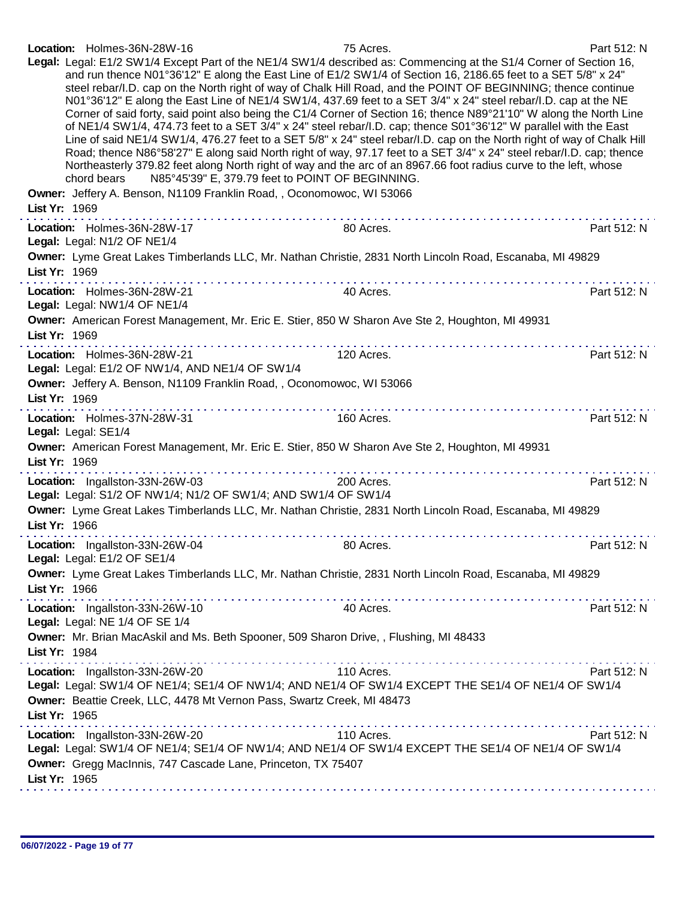|  | Location: Holmes-36N-28W-16 | 75 Acres. | Part 512: N |
|--|-----------------------------|-----------|-------------|
|--|-----------------------------|-----------|-------------|

| Legal: Legal: E1/2 SW1/4 Except Part of the NE1/4 SW1/4 described as: Commencing at the S1/4 Corner of Section 16,<br>and run thence N01°36'12" E along the East Line of E1/2 SW1/4 of Section 16, 2186.65 feet to a SET 5/8" x 24"<br>steel rebar/l.D. cap on the North right of way of Chalk Hill Road, and the POINT OF BEGINNING; thence continue<br>N01°36'12" E along the East Line of NE1/4 SW1/4, 437.69 feet to a SET 3/4" x 24" steel rebar/I.D. cap at the NE<br>Corner of said forty, said point also being the C1/4 Corner of Section 16; thence N89°21'10" W along the North Line<br>of NE1/4 SW1/4, 474.73 feet to a SET 3/4" x 24" steel rebar/l.D. cap; thence S01°36'12" W parallel with the East<br>Line of said NE1/4 SW1/4, 476.27 feet to a SET 5/8" x 24" steel rebar/I.D. cap on the North right of way of Chalk Hill<br>Road; thence N86°58'27" E along said North right of way, 97.17 feet to a SET 3/4" x 24" steel rebar/I.D. cap; thence<br>Northeasterly 379.82 feet along North right of way and the arc of an 8967.66 foot radius curve to the left, whose<br>N85°45'39" E, 379.79 feet to POINT OF BEGINNING.<br>chord bears |             |  |
|---------------------------------------------------------------------------------------------------------------------------------------------------------------------------------------------------------------------------------------------------------------------------------------------------------------------------------------------------------------------------------------------------------------------------------------------------------------------------------------------------------------------------------------------------------------------------------------------------------------------------------------------------------------------------------------------------------------------------------------------------------------------------------------------------------------------------------------------------------------------------------------------------------------------------------------------------------------------------------------------------------------------------------------------------------------------------------------------------------------------------------------------------------------|-------------|--|
| Owner: Jeffery A. Benson, N1109 Franklin Road, , Oconomowoc, WI 53066<br>List Yr: 1969                                                                                                                                                                                                                                                                                                                                                                                                                                                                                                                                                                                                                                                                                                                                                                                                                                                                                                                                                                                                                                                                        |             |  |
| Location: Holmes-36N-28W-17<br>80 Acres.<br>Legal: Legal: N1/2 OF NE1/4                                                                                                                                                                                                                                                                                                                                                                                                                                                                                                                                                                                                                                                                                                                                                                                                                                                                                                                                                                                                                                                                                       | Part 512: N |  |
| Owner: Lyme Great Lakes Timberlands LLC, Mr. Nathan Christie, 2831 North Lincoln Road, Escanaba, MI 49829<br>List Yr: 1969                                                                                                                                                                                                                                                                                                                                                                                                                                                                                                                                                                                                                                                                                                                                                                                                                                                                                                                                                                                                                                    |             |  |
| Location: Holmes-36N-28W-21<br>40 Acres.<br>Legal: Legal: NW1/4 OF NE1/4                                                                                                                                                                                                                                                                                                                                                                                                                                                                                                                                                                                                                                                                                                                                                                                                                                                                                                                                                                                                                                                                                      | Part 512: N |  |
| Owner: American Forest Management, Mr. Eric E. Stier, 850 W Sharon Ave Ste 2, Houghton, MI 49931<br>List Yr: 1969                                                                                                                                                                                                                                                                                                                                                                                                                                                                                                                                                                                                                                                                                                                                                                                                                                                                                                                                                                                                                                             |             |  |
| Location: Holmes-36N-28W-21<br>120 Acres.<br>Legal: Legal: E1/2 OF NW1/4, AND NE1/4 OF SW1/4                                                                                                                                                                                                                                                                                                                                                                                                                                                                                                                                                                                                                                                                                                                                                                                                                                                                                                                                                                                                                                                                  | Part 512: N |  |
| Owner: Jeffery A. Benson, N1109 Franklin Road, , Oconomowoc, WI 53066<br>List Yr: 1969                                                                                                                                                                                                                                                                                                                                                                                                                                                                                                                                                                                                                                                                                                                                                                                                                                                                                                                                                                                                                                                                        |             |  |
| Location: Holmes-37N-28W-31<br>160 Acres.<br>Legal: Legal: SE1/4                                                                                                                                                                                                                                                                                                                                                                                                                                                                                                                                                                                                                                                                                                                                                                                                                                                                                                                                                                                                                                                                                              | Part 512: N |  |
| Owner: American Forest Management, Mr. Eric E. Stier, 850 W Sharon Ave Ste 2, Houghton, MI 49931<br>List Yr: 1969                                                                                                                                                                                                                                                                                                                                                                                                                                                                                                                                                                                                                                                                                                                                                                                                                                                                                                                                                                                                                                             |             |  |
| Location: Ingallston-33N-26W-03<br>200 Acres.<br>Legal: Legal: S1/2 OF NW1/4; N1/2 OF SW1/4; AND SW1/4 OF SW1/4                                                                                                                                                                                                                                                                                                                                                                                                                                                                                                                                                                                                                                                                                                                                                                                                                                                                                                                                                                                                                                               | Part 512: N |  |
| Owner: Lyme Great Lakes Timberlands LLC, Mr. Nathan Christie, 2831 North Lincoln Road, Escanaba, MI 49829<br>List Yr: 1966                                                                                                                                                                                                                                                                                                                                                                                                                                                                                                                                                                                                                                                                                                                                                                                                                                                                                                                                                                                                                                    |             |  |
| 80 Acres.<br>Location: Ingallston-33N-26W-04<br>Legal: Legal: E1/2 OF SE1/4                                                                                                                                                                                                                                                                                                                                                                                                                                                                                                                                                                                                                                                                                                                                                                                                                                                                                                                                                                                                                                                                                   | Part 512: N |  |
| Owner: Lyme Great Lakes Timberlands LLC, Mr. Nathan Christie, 2831 North Lincoln Road, Escanaba, MI 49829<br>List Yr: 1966                                                                                                                                                                                                                                                                                                                                                                                                                                                                                                                                                                                                                                                                                                                                                                                                                                                                                                                                                                                                                                    |             |  |
| Location: Ingallston-33N-26W-10<br>40 Acres.<br>Legal: Legal: NE 1/4 OF SE 1/4                                                                                                                                                                                                                                                                                                                                                                                                                                                                                                                                                                                                                                                                                                                                                                                                                                                                                                                                                                                                                                                                                | Part 512: N |  |
| Owner: Mr. Brian MacAskil and Ms. Beth Spooner, 509 Sharon Drive, , Flushing, MI 48433<br>List Yr: 1984                                                                                                                                                                                                                                                                                                                                                                                                                                                                                                                                                                                                                                                                                                                                                                                                                                                                                                                                                                                                                                                       |             |  |
| Location: Ingallston-33N-26W-20<br>110 Acres.<br>Legal: Legal: SW1/4 OF NE1/4; SE1/4 OF NW1/4; AND NE1/4 OF SW1/4 EXCEPT THE SE1/4 OF NE1/4 OF SW1/4<br>Owner: Beattie Creek, LLC, 4478 Mt Vernon Pass, Swartz Creek, MI 48473<br>List Yr: 1965                                                                                                                                                                                                                                                                                                                                                                                                                                                                                                                                                                                                                                                                                                                                                                                                                                                                                                               | Part 512: N |  |
| Location: Ingallston-33N-26W-20<br>110 Acres.<br>Legal: Legal: SW1/4 OF NE1/4; SE1/4 OF NW1/4; AND NE1/4 OF SW1/4 EXCEPT THE SE1/4 OF NE1/4 OF SW1/4<br>Owner: Gregg MacInnis, 747 Cascade Lane, Princeton, TX 75407<br>List Yr: 1965                                                                                                                                                                                                                                                                                                                                                                                                                                                                                                                                                                                                                                                                                                                                                                                                                                                                                                                         | Part 512: N |  |
|                                                                                                                                                                                                                                                                                                                                                                                                                                                                                                                                                                                                                                                                                                                                                                                                                                                                                                                                                                                                                                                                                                                                                               |             |  |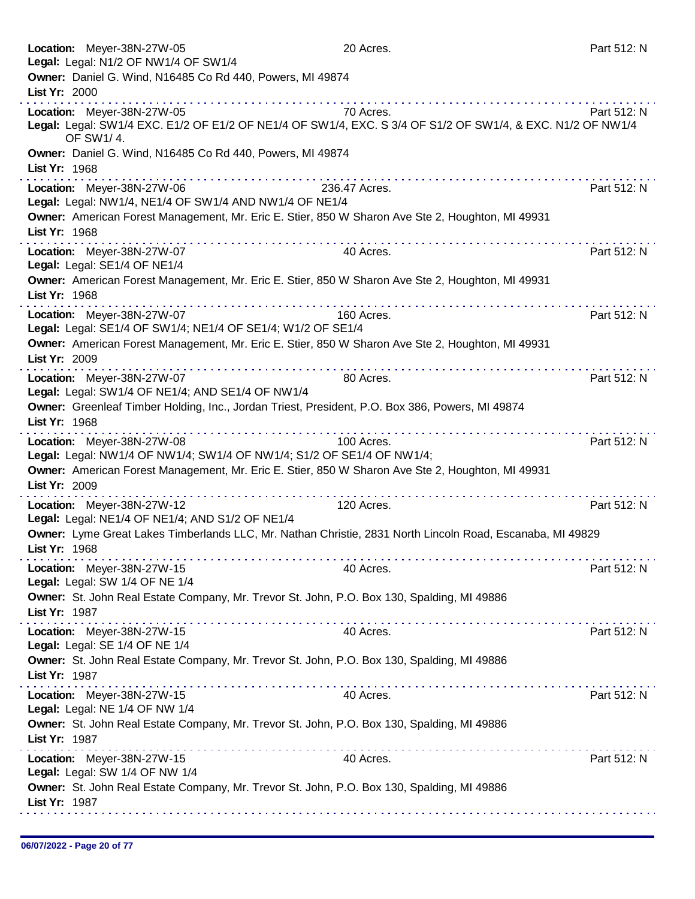| Location: Meyer-38N-27W-05<br>Legal: Legal: N1/2 OF NW1/4 OF SW1/4                                                                       | 20 Acres.     | Part 512: N |
|------------------------------------------------------------------------------------------------------------------------------------------|---------------|-------------|
| Owner: Daniel G. Wind, N16485 Co Rd 440, Powers, MI 49874<br>List Yr: 2000                                                               |               |             |
|                                                                                                                                          |               |             |
| Location: Meyer-38N-27W-05<br>Legal: Legal: SW1/4 EXC. E1/2 OF E1/2 OF NE1/4 OF SW1/4, EXC. S 3/4 OF S1/2 OF SW1/4, & EXC. N1/2 OF NW1/4 | 70 Acres.     | Part 512: N |
| OF SW1/4.                                                                                                                                |               |             |
| Owner: Daniel G. Wind, N16485 Co Rd 440, Powers, MI 49874                                                                                |               |             |
| List Yr: 1968<br>. <b>.</b>                                                                                                              |               |             |
| Location: Meyer-38N-27W-06                                                                                                               | 236.47 Acres. | Part 512: N |
| Legal: Legal: NW1/4, NE1/4 OF SW1/4 AND NW1/4 OF NE1/4                                                                                   |               |             |
| Owner: American Forest Management, Mr. Eric E. Stier, 850 W Sharon Ave Ste 2, Houghton, MI 49931                                         |               |             |
| List Yr: 1968                                                                                                                            |               |             |
| Location: Meyer-38N-27W-07                                                                                                               | 40 Acres.     | Part 512: N |
| Legal: Legal: SE1/4 OF NE1/4                                                                                                             |               |             |
| Owner: American Forest Management, Mr. Eric E. Stier, 850 W Sharon Ave Ste 2, Houghton, MI 49931                                         |               |             |
| List Yr: 1968                                                                                                                            |               |             |
| Location: Meyer-38N-27W-07                                                                                                               | 160 Acres.    | Part 512: N |
| Legal: Legal: SE1/4 OF SW1/4; NE1/4 OF SE1/4; W1/2 OF SE1/4                                                                              |               |             |
| Owner: American Forest Management, Mr. Eric E. Stier, 850 W Sharon Ave Ste 2, Houghton, MI 49931                                         |               |             |
| List Yr: 2009                                                                                                                            |               |             |
| Location: Meyer-38N-27W-07                                                                                                               | 80 Acres.     | Part 512: N |
| Legal: Legal: SW1/4 OF NE1/4; AND SE1/4 OF NW1/4                                                                                         |               |             |
| Owner: Greenleaf Timber Holding, Inc., Jordan Triest, President, P.O. Box 386, Powers, MI 49874                                          |               |             |
| List Yr: 1968                                                                                                                            |               |             |
| the second contract of the second con-<br>Location: Meyer-38N-27W-08                                                                     | 100 Acres.    | Part 512: N |
| Legal: Legal: NW1/4 OF NW1/4; SW1/4 OF NW1/4; S1/2 OF SE1/4 OF NW1/4;                                                                    |               |             |
| Owner: American Forest Management, Mr. Eric E. Stier, 850 W Sharon Ave Ste 2, Houghton, MI 49931                                         |               |             |
| List Yr: 2009                                                                                                                            |               |             |
| Location: Meyer-38N-27W-12                                                                                                               | 120 Acres.    | Part 512: N |
| Legal: Legal: NE1/4 OF NE1/4; AND S1/2 OF NE1/4                                                                                          |               |             |
| Owner: Lyme Great Lakes Timberlands LLC, Mr. Nathan Christie, 2831 North Lincoln Road, Escanaba, MI 49829                                |               |             |
| List Yr: 1968                                                                                                                            |               |             |
| Location: Meyer-38N-27W-15                                                                                                               | 40 Acres.     | Part 512: N |
| Legal: Legal: SW 1/4 OF NE 1/4                                                                                                           |               |             |
| Owner: St. John Real Estate Company, Mr. Trevor St. John, P.O. Box 130, Spalding, MI 49886                                               |               |             |
| List Yr: 1987                                                                                                                            |               |             |
| Location: Meyer-38N-27W-15                                                                                                               | 40 Acres.     | Part 512: N |
| Legal: Legal: SE 1/4 OF NE 1/4                                                                                                           |               |             |
| Owner: St. John Real Estate Company, Mr. Trevor St. John, P.O. Box 130, Spalding, MI 49886                                               |               |             |
| List Yr: 1987                                                                                                                            |               |             |
|                                                                                                                                          | 40 Acres.     | Part 512: N |
| Location: Meyer-38N-27W-15<br>Legal: Legal: NE 1/4 OF NW 1/4                                                                             |               |             |
| Owner: St. John Real Estate Company, Mr. Trevor St. John, P.O. Box 130, Spalding, MI 49886                                               |               |             |
| List Yr: 1987                                                                                                                            |               |             |
|                                                                                                                                          |               |             |
| Location: Meyer-38N-27W-15<br>Legal: Legal: SW 1/4 OF NW 1/4                                                                             | 40 Acres.     | Part 512: N |
| Owner: St. John Real Estate Company, Mr. Trevor St. John, P.O. Box 130, Spalding, MI 49886                                               |               |             |
| List Yr: 1987                                                                                                                            |               |             |
|                                                                                                                                          |               |             |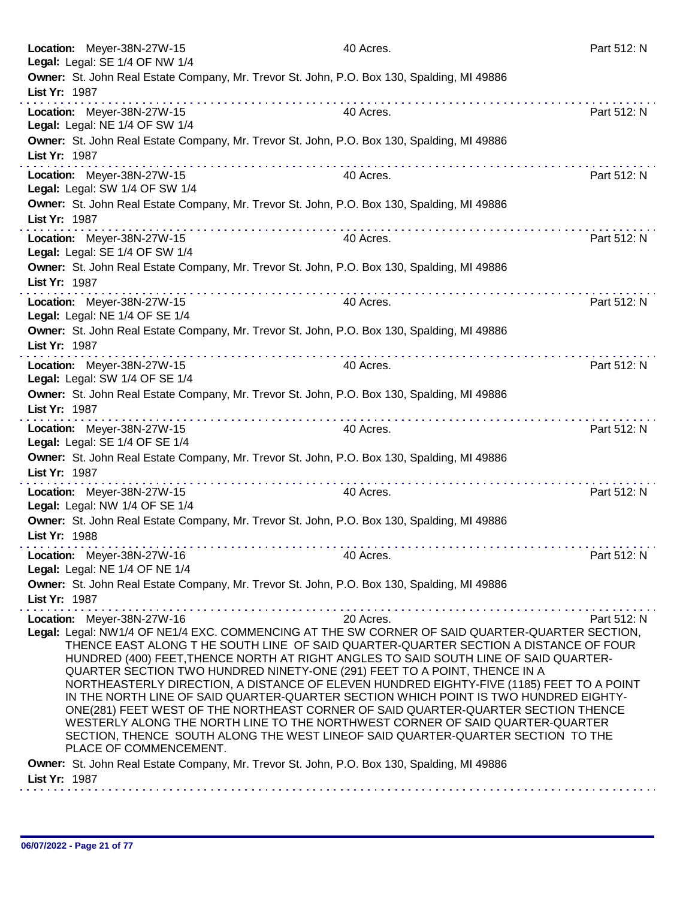| Location: Meyer-38N-27W-15<br>Legal: Legal: SE 1/4 OF NW 1/4                                                                                                                                                                                                                                                                                                                                                                                                                                                                                                                                                                                                                                                                                                                                                                                                                                 | 40 Acres. | Part 512: N |  |
|----------------------------------------------------------------------------------------------------------------------------------------------------------------------------------------------------------------------------------------------------------------------------------------------------------------------------------------------------------------------------------------------------------------------------------------------------------------------------------------------------------------------------------------------------------------------------------------------------------------------------------------------------------------------------------------------------------------------------------------------------------------------------------------------------------------------------------------------------------------------------------------------|-----------|-------------|--|
| Owner: St. John Real Estate Company, Mr. Trevor St. John, P.O. Box 130, Spalding, MI 49886<br>List Yr: 1987                                                                                                                                                                                                                                                                                                                                                                                                                                                                                                                                                                                                                                                                                                                                                                                  |           |             |  |
| Location: Meyer-38N-27W-15<br>Legal: Legal: NE 1/4 OF SW 1/4                                                                                                                                                                                                                                                                                                                                                                                                                                                                                                                                                                                                                                                                                                                                                                                                                                 | 40 Acres. | Part 512: N |  |
| Owner: St. John Real Estate Company, Mr. Trevor St. John, P.O. Box 130, Spalding, MI 49886<br>List Yr: 1987                                                                                                                                                                                                                                                                                                                                                                                                                                                                                                                                                                                                                                                                                                                                                                                  |           |             |  |
| Location: Meyer-38N-27W-15<br>Legal: Legal: SW 1/4 OF SW 1/4                                                                                                                                                                                                                                                                                                                                                                                                                                                                                                                                                                                                                                                                                                                                                                                                                                 | 40 Acres. | Part 512: N |  |
| Owner: St. John Real Estate Company, Mr. Trevor St. John, P.O. Box 130, Spalding, MI 49886<br>List Yr: 1987                                                                                                                                                                                                                                                                                                                                                                                                                                                                                                                                                                                                                                                                                                                                                                                  |           |             |  |
| Location: Meyer-38N-27W-15<br>Legal: Legal: SE 1/4 OF SW 1/4                                                                                                                                                                                                                                                                                                                                                                                                                                                                                                                                                                                                                                                                                                                                                                                                                                 | 40 Acres. | Part 512: N |  |
| Owner: St. John Real Estate Company, Mr. Trevor St. John, P.O. Box 130, Spalding, MI 49886<br>List Yr: 1987                                                                                                                                                                                                                                                                                                                                                                                                                                                                                                                                                                                                                                                                                                                                                                                  |           |             |  |
| Location: Meyer-38N-27W-15<br>Legal: Legal: NE 1/4 OF SE 1/4                                                                                                                                                                                                                                                                                                                                                                                                                                                                                                                                                                                                                                                                                                                                                                                                                                 | 40 Acres. | Part 512: N |  |
| Owner: St. John Real Estate Company, Mr. Trevor St. John, P.O. Box 130, Spalding, MI 49886<br>List Yr: 1987                                                                                                                                                                                                                                                                                                                                                                                                                                                                                                                                                                                                                                                                                                                                                                                  |           |             |  |
| Location: Meyer-38N-27W-15<br>Legal: Legal: SW 1/4 OF SE 1/4                                                                                                                                                                                                                                                                                                                                                                                                                                                                                                                                                                                                                                                                                                                                                                                                                                 | 40 Acres. | Part 512: N |  |
| Owner: St. John Real Estate Company, Mr. Trevor St. John, P.O. Box 130, Spalding, MI 49886<br>List Yr: 1987                                                                                                                                                                                                                                                                                                                                                                                                                                                                                                                                                                                                                                                                                                                                                                                  |           |             |  |
| Location: Meyer-38N-27W-15<br>Legal: Legal: SE 1/4 OF SE 1/4                                                                                                                                                                                                                                                                                                                                                                                                                                                                                                                                                                                                                                                                                                                                                                                                                                 | 40 Acres. | Part 512: N |  |
| Owner: St. John Real Estate Company, Mr. Trevor St. John, P.O. Box 130, Spalding, MI 49886<br>List Yr: 1987                                                                                                                                                                                                                                                                                                                                                                                                                                                                                                                                                                                                                                                                                                                                                                                  |           |             |  |
| Location: Meyer-38N-27W-15<br>Legal: Legal: NW 1/4 OF SE 1/4                                                                                                                                                                                                                                                                                                                                                                                                                                                                                                                                                                                                                                                                                                                                                                                                                                 | 40 Acres. | Part 512: N |  |
| Owner: St. John Real Estate Company, Mr. Trevor St. John, P.O. Box 130, Spalding, MI 49886<br>List Yr: 1988                                                                                                                                                                                                                                                                                                                                                                                                                                                                                                                                                                                                                                                                                                                                                                                  |           |             |  |
| Location: Meyer-38N-27W-16<br>Legal: Legal: NE 1/4 OF NE 1/4                                                                                                                                                                                                                                                                                                                                                                                                                                                                                                                                                                                                                                                                                                                                                                                                                                 | 40 Acres. | Part 512: N |  |
| Owner: St. John Real Estate Company, Mr. Trevor St. John, P.O. Box 130, Spalding, MI 49886<br>List Yr: 1987                                                                                                                                                                                                                                                                                                                                                                                                                                                                                                                                                                                                                                                                                                                                                                                  |           |             |  |
| 20 Acres.<br>Location: Meyer-38N-27W-16<br>Part 512: N<br>Legal: Legal: NW1/4 OF NE1/4 EXC. COMMENCING AT THE SW CORNER OF SAID QUARTER-QUARTER SECTION,<br>THENCE EAST ALONG T HE SOUTH LINE OF SAID QUARTER-QUARTER SECTION A DISTANCE OF FOUR<br>HUNDRED (400) FEET, THENCE NORTH AT RIGHT ANGLES TO SAID SOUTH LINE OF SAID QUARTER-<br>QUARTER SECTION TWO HUNDRED NINETY-ONE (291) FEET TO A POINT, THENCE IN A<br>NORTHEASTERLY DIRECTION, A DISTANCE OF ELEVEN HUNDRED EIGHTY-FIVE (1185) FEET TO A POINT<br>IN THE NORTH LINE OF SAID QUARTER-QUARTER SECTION WHICH POINT IS TWO HUNDRED EIGHTY-<br>ONE(281) FEET WEST OF THE NORTHEAST CORNER OF SAID QUARTER-QUARTER SECTION THENCE<br>WESTERLY ALONG THE NORTH LINE TO THE NORTHWEST CORNER OF SAID QUARTER-QUARTER<br>SECTION, THENCE SOUTH ALONG THE WEST LINEOF SAID QUARTER-QUARTER SECTION TO THE<br>PLACE OF COMMENCEMENT. |           |             |  |
| Owner: St. John Real Estate Company, Mr. Trevor St. John, P.O. Box 130, Spalding, MI 49886<br>List Yr: 1987                                                                                                                                                                                                                                                                                                                                                                                                                                                                                                                                                                                                                                                                                                                                                                                  |           |             |  |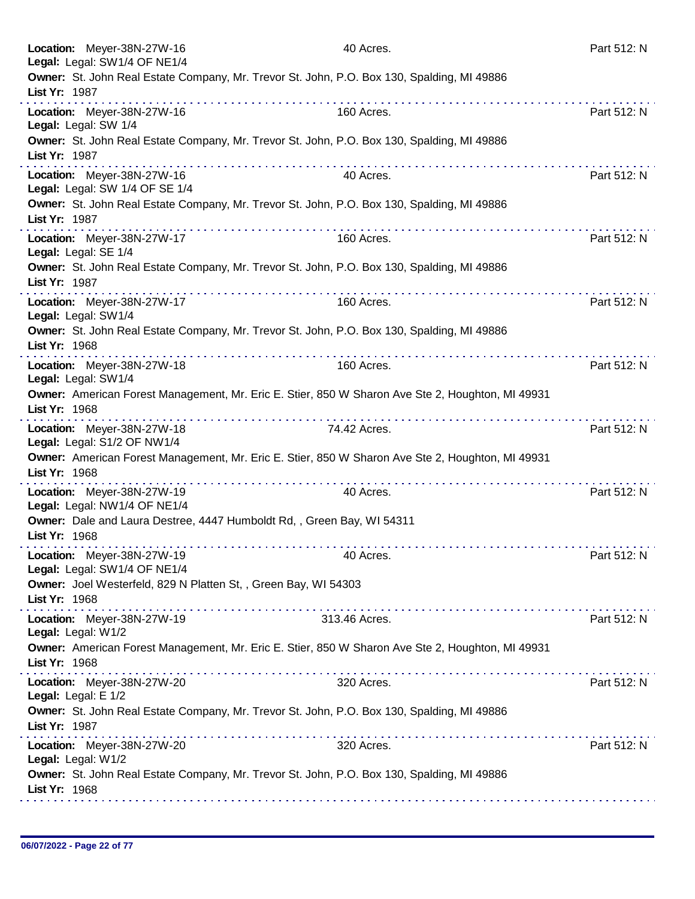| Location: Meyer-38N-27W-16<br>Legal: Legal: SW1/4 OF NE1/4   |                                                                                            | 40 Acres.                                                                                        | Part 512: N |
|--------------------------------------------------------------|--------------------------------------------------------------------------------------------|--------------------------------------------------------------------------------------------------|-------------|
| List Yr: 1987                                                | Owner: St. John Real Estate Company, Mr. Trevor St. John, P.O. Box 130, Spalding, MI 49886 |                                                                                                  |             |
| Location: Meyer-38N-27W-16<br>Legal: Legal: SW 1/4           |                                                                                            | 160 Acres.                                                                                       | Part 512: N |
| List Yr: 1987                                                | Owner: St. John Real Estate Company, Mr. Trevor St. John, P.O. Box 130, Spalding, MI 49886 |                                                                                                  |             |
| Location: Meyer-38N-27W-16<br>Legal: Legal: SW 1/4 OF SE 1/4 |                                                                                            | 40 Acres.                                                                                        | Part 512: N |
| List Yr: 1987                                                | Owner: St. John Real Estate Company, Mr. Trevor St. John, P.O. Box 130, Spalding, MI 49886 |                                                                                                  |             |
| Location: Meyer-38N-27W-17<br>Legal: Legal: SE 1/4           |                                                                                            | 160 Acres.                                                                                       | Part 512: N |
| List Yr: 1987                                                | Owner: St. John Real Estate Company, Mr. Trevor St. John, P.O. Box 130, Spalding, MI 49886 |                                                                                                  |             |
| Location: Meyer-38N-27W-17<br>Legal: Legal: SW1/4            |                                                                                            | 160 Acres.                                                                                       | Part 512: N |
| List Yr: 1968                                                | Owner: St. John Real Estate Company, Mr. Trevor St. John, P.O. Box 130, Spalding, MI 49886 |                                                                                                  |             |
| Location: Meyer-38N-27W-18<br>Legal: Legal: SW1/4            |                                                                                            | 160 Acres.                                                                                       | Part 512: N |
| List Yr: 1968                                                |                                                                                            | Owner: American Forest Management, Mr. Eric E. Stier, 850 W Sharon Ave Ste 2, Houghton, MI 49931 |             |
| Location: Meyer-38N-27W-18<br>Legal: Legal: S1/2 OF NW1/4    |                                                                                            | 74.42 Acres.                                                                                     | Part 512: N |
| List Yr: 1968                                                |                                                                                            | Owner: American Forest Management, Mr. Eric E. Stier, 850 W Sharon Ave Ste 2, Houghton, MI 49931 |             |
| Location: Meyer-38N-27W-19<br>Legal: Legal: NW1/4 OF NE1/4   |                                                                                            | 40 Acres.                                                                                        | Part 512: N |
| List Yr: 1968                                                | Owner: Dale and Laura Destree, 4447 Humboldt Rd, , Green Bay, WI 54311                     |                                                                                                  |             |
| Location: Meyer-38N-27W-19<br>Legal: Legal: SW1/4 OF NE1/4   |                                                                                            | 40 Acres.                                                                                        | Part 512: N |
| List Yr: 1968                                                | Owner: Joel Westerfeld, 829 N Platten St, , Green Bay, WI 54303                            |                                                                                                  |             |
| Location: Meyer-38N-27W-19<br>Legal: Legal: W1/2             |                                                                                            | 313.46 Acres.                                                                                    | Part 512: N |
| List Yr: 1968                                                |                                                                                            | Owner: American Forest Management, Mr. Eric E. Stier, 850 W Sharon Ave Ste 2, Houghton, MI 49931 |             |
| Location: Meyer-38N-27W-20<br>Legal: Legal: E 1/2            |                                                                                            | 320 Acres.                                                                                       | Part 512: N |
| List Yr: 1987                                                | Owner: St. John Real Estate Company, Mr. Trevor St. John, P.O. Box 130, Spalding, MI 49886 |                                                                                                  |             |
| Location: Meyer-38N-27W-20<br>Legal: Legal: W1/2             |                                                                                            | 320 Acres.                                                                                       | Part 512: N |
| List Yr: 1968                                                | Owner: St. John Real Estate Company, Mr. Trevor St. John, P.O. Box 130, Spalding, MI 49886 |                                                                                                  |             |
|                                                              |                                                                                            |                                                                                                  |             |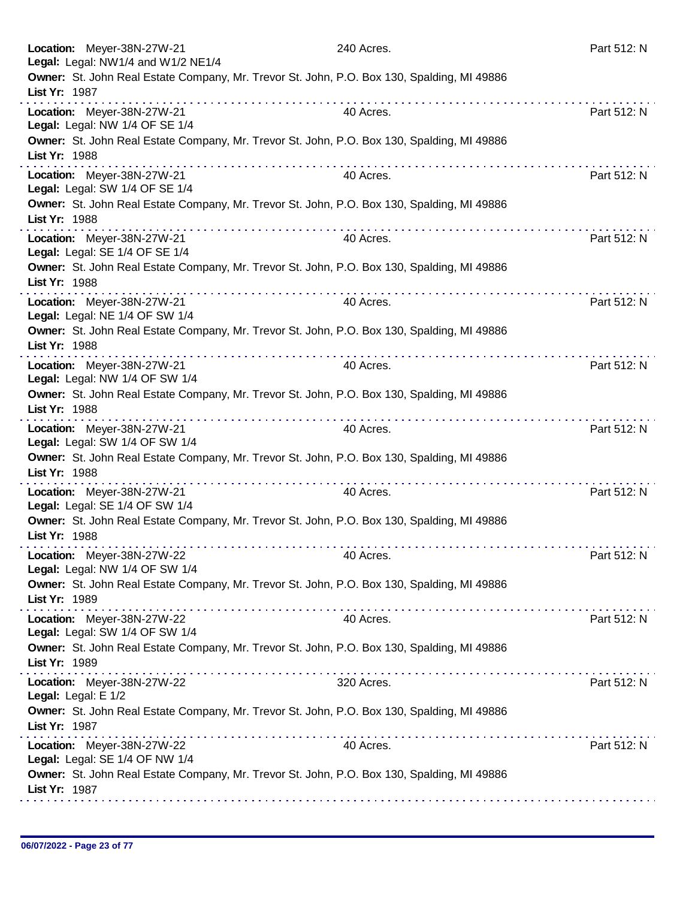| Location: Meyer-38N-27W-21<br>Legal: Legal: NW1/4 and W1/2 NE1/4                                                                                                                                                                                                                                                                                                                                                                                                                                                                                                            | 240 Acres.            | Part 512: N |
|-----------------------------------------------------------------------------------------------------------------------------------------------------------------------------------------------------------------------------------------------------------------------------------------------------------------------------------------------------------------------------------------------------------------------------------------------------------------------------------------------------------------------------------------------------------------------------|-----------------------|-------------|
| Owner: St. John Real Estate Company, Mr. Trevor St. John, P.O. Box 130, Spalding, MI 49886<br>List Yr: 1987                                                                                                                                                                                                                                                                                                                                                                                                                                                                 | dia analahana analaha |             |
| Location: Meyer-38N-27W-21<br>Legal: Legal: NW 1/4 OF SE 1/4                                                                                                                                                                                                                                                                                                                                                                                                                                                                                                                | 40 Acres.             | Part 512: N |
| Owner: St. John Real Estate Company, Mr. Trevor St. John, P.O. Box 130, Spalding, MI 49886<br>List Yr: 1988                                                                                                                                                                                                                                                                                                                                                                                                                                                                 |                       |             |
| Location: Meyer-38N-27W-21<br>Legal: Legal: SW 1/4 OF SE 1/4                                                                                                                                                                                                                                                                                                                                                                                                                                                                                                                | 40 Acres.             | Part 512: N |
| Owner: St. John Real Estate Company, Mr. Trevor St. John, P.O. Box 130, Spalding, MI 49886<br>List Yr: 1988<br>$\mathcal{L}^{\mathcal{A}}(\mathcal{A},\mathcal{A},\mathcal{A},\mathcal{A},\mathcal{A},\mathcal{A},\mathcal{A},\mathcal{A},\mathcal{A},\mathcal{A},\mathcal{A},\mathcal{A},\mathcal{A},\mathcal{A},\mathcal{A},\mathcal{A},\mathcal{A},\mathcal{A},\mathcal{A},\mathcal{A},\mathcal{A},\mathcal{A},\mathcal{A},\mathcal{A},\mathcal{A},\mathcal{A},\mathcal{A},\mathcal{A},\mathcal{A},\mathcal{A},\mathcal{A},\mathcal{A},\mathcal{A},\mathcal{A},\mathcal$ |                       |             |
| Location: Meyer-38N-27W-21<br>Legal: Legal: SE 1/4 OF SE 1/4                                                                                                                                                                                                                                                                                                                                                                                                                                                                                                                | 40 Acres.             | Part 512: N |
| Owner: St. John Real Estate Company, Mr. Trevor St. John, P.O. Box 130, Spalding, MI 49886<br>List Yr: 1988                                                                                                                                                                                                                                                                                                                                                                                                                                                                 |                       |             |
| Location: Meyer-38N-27W-21<br>Legal: Legal: NE 1/4 OF SW 1/4                                                                                                                                                                                                                                                                                                                                                                                                                                                                                                                | 40 Acres.             | Part 512: N |
| Owner: St. John Real Estate Company, Mr. Trevor St. John, P.O. Box 130, Spalding, MI 49886<br>List Yr: 1988                                                                                                                                                                                                                                                                                                                                                                                                                                                                 |                       |             |
| Location: Meyer-38N-27W-21<br>Legal: Legal: NW 1/4 OF SW 1/4                                                                                                                                                                                                                                                                                                                                                                                                                                                                                                                | 40 Acres.             | Part 512: N |
| Owner: St. John Real Estate Company, Mr. Trevor St. John, P.O. Box 130, Spalding, MI 49886<br>List Yr: 1988                                                                                                                                                                                                                                                                                                                                                                                                                                                                 | .                     |             |
| Location: Meyer-38N-27W-21<br>Legal: Legal: SW 1/4 OF SW 1/4                                                                                                                                                                                                                                                                                                                                                                                                                                                                                                                | 40 Acres.             | Part 512: N |
| Owner: St. John Real Estate Company, Mr. Trevor St. John, P.O. Box 130, Spalding, MI 49886<br>List Yr: 1988                                                                                                                                                                                                                                                                                                                                                                                                                                                                 |                       |             |
| Location: Meyer-38N-27W-21<br>Legal: Legal: SE 1/4 OF SW 1/4                                                                                                                                                                                                                                                                                                                                                                                                                                                                                                                | 40 Acres.             | Part 512: N |
| Owner: St. John Real Estate Company, Mr. Trevor St. John, P.O. Box 130, Spalding, MI 49886<br>List Yr: 1988                                                                                                                                                                                                                                                                                                                                                                                                                                                                 |                       |             |
| Location: Meyer-38N-27W-22<br>Legal: Legal: NW 1/4 OF SW 1/4                                                                                                                                                                                                                                                                                                                                                                                                                                                                                                                | 40 Acres.             | Part 512: N |
| Owner: St. John Real Estate Company, Mr. Trevor St. John, P.O. Box 130, Spalding, MI 49886<br>List Yr: 1989                                                                                                                                                                                                                                                                                                                                                                                                                                                                 |                       |             |
| Location: Meyer-38N-27W-22<br>Legal: Legal: SW 1/4 OF SW 1/4                                                                                                                                                                                                                                                                                                                                                                                                                                                                                                                | 40 Acres.             | Part 512: N |
| Owner: St. John Real Estate Company, Mr. Trevor St. John, P.O. Box 130, Spalding, MI 49886<br>List Yr: 1989                                                                                                                                                                                                                                                                                                                                                                                                                                                                 |                       |             |
| Location: Meyer-38N-27W-22<br>Legal: Legal: E 1/2                                                                                                                                                                                                                                                                                                                                                                                                                                                                                                                           | 320 Acres.            | Part 512: N |
| Owner: St. John Real Estate Company, Mr. Trevor St. John, P.O. Box 130, Spalding, MI 49886<br>List Yr: 1987                                                                                                                                                                                                                                                                                                                                                                                                                                                                 |                       |             |
| Location: Meyer-38N-27W-22<br>Legal: Legal: SE 1/4 OF NW 1/4                                                                                                                                                                                                                                                                                                                                                                                                                                                                                                                | 40 Acres.             | Part 512: N |
| Owner: St. John Real Estate Company, Mr. Trevor St. John, P.O. Box 130, Spalding, MI 49886<br>List Yr: 1987                                                                                                                                                                                                                                                                                                                                                                                                                                                                 |                       |             |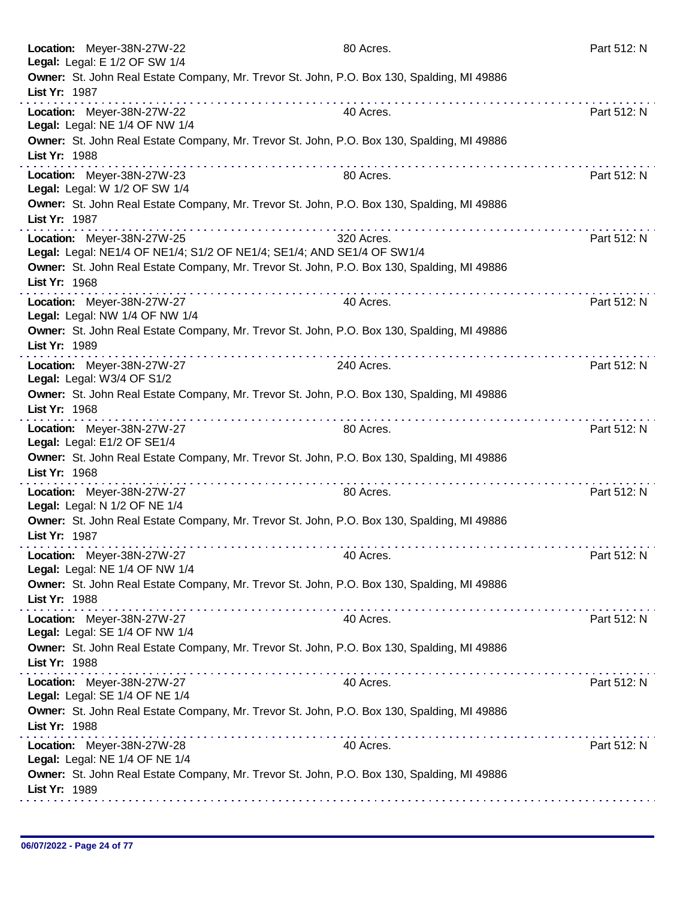| Location: Meyer-38N-27W-22<br>Legal: Legal: E 1/2 OF SW 1/4                                                                                            | 80 Acres.                                     | Part 512: N |
|--------------------------------------------------------------------------------------------------------------------------------------------------------|-----------------------------------------------|-------------|
| Owner: St. John Real Estate Company, Mr. Trevor St. John, P.O. Box 130, Spalding, MI 49886<br>List Yr: 1987                                            |                                               |             |
| Location: Meyer-38N-27W-22<br>Legal: Legal: NE 1/4 OF NW 1/4                                                                                           | 40 Acres.                                     | Part 512: N |
| Owner: St. John Real Estate Company, Mr. Trevor St. John, P.O. Box 130, Spalding, MI 49886<br>List Yr: 1988                                            |                                               |             |
| Location: Meyer-38N-27W-23<br>Legal: Legal: W 1/2 OF SW 1/4                                                                                            | 80 Acres.                                     | Part 512: N |
| Owner: St. John Real Estate Company, Mr. Trevor St. John, P.O. Box 130, Spalding, MI 49886<br>List Yr: 1987                                            |                                               |             |
| Location: Meyer-38N-27W-25<br>Legal: Legal: NE1/4 OF NE1/4; S1/2 OF NE1/4; SE1/4; AND SE1/4 OF SW1/4                                                   | 320 Acres.                                    | Part 512: N |
| Owner: St. John Real Estate Company, Mr. Trevor St. John, P.O. Box 130, Spalding, MI 49886<br>List Yr: 1968                                            |                                               |             |
| Location: Meyer-38N-27W-27<br>Legal: Legal: NW 1/4 OF NW 1/4                                                                                           | 40 Acres.                                     | Part 512: N |
| Owner: St. John Real Estate Company, Mr. Trevor St. John, P.O. Box 130, Spalding, MI 49886<br>List Yr: 1989<br>the second contract and contract of the | a provincia de la caractería de la caractería |             |
| Location: Meyer-38N-27W-27<br>Legal: Legal: W3/4 OF S1/2                                                                                               | 240 Acres.                                    | Part 512: N |
| Owner: St. John Real Estate Company, Mr. Trevor St. John, P.O. Box 130, Spalding, MI 49886<br>List Yr: 1968                                            |                                               |             |
| Location: Meyer-38N-27W-27<br>Legal: Legal: E1/2 OF SE1/4                                                                                              | 80 Acres.                                     | Part 512: N |
| Owner: St. John Real Estate Company, Mr. Trevor St. John, P.O. Box 130, Spalding, MI 49886<br>List Yr: 1968                                            | .                                             |             |
| Location: Meyer-38N-27W-27<br>Legal: Legal: N 1/2 OF NE 1/4                                                                                            | 80 Acres.                                     | Part 512: N |
| Owner: St. John Real Estate Company, Mr. Trevor St. John, P.O. Box 130, Spalding, MI 49886<br>List Yr: 1987                                            |                                               |             |
| Location: Meyer-38N-27W-27<br>Legal: Legal: NE 1/4 OF NW 1/4                                                                                           | 40 Acres.                                     | Part 512: N |
| Owner: St. John Real Estate Company, Mr. Trevor St. John, P.O. Box 130, Spalding, MI 49886<br>List Yr: 1988                                            |                                               |             |
| Location: Meyer-38N-27W-27<br>Legal: Legal: SE 1/4 OF NW 1/4                                                                                           | 40 Acres.                                     | Part 512: N |
| Owner: St. John Real Estate Company, Mr. Trevor St. John, P.O. Box 130, Spalding, MI 49886<br>List Yr: 1988                                            |                                               |             |
| Location: Meyer-38N-27W-27<br>Legal: Legal: SE 1/4 OF NE 1/4                                                                                           | 40 Acres.                                     | Part 512: N |
| Owner: St. John Real Estate Company, Mr. Trevor St. John, P.O. Box 130, Spalding, MI 49886<br>List Yr: 1988                                            |                                               |             |
| Location: Meyer-38N-27W-28<br>Legal: Legal: NE 1/4 OF NE 1/4                                                                                           | 40 Acres.                                     | Part 512: N |
| Owner: St. John Real Estate Company, Mr. Trevor St. John, P.O. Box 130, Spalding, MI 49886<br>List Yr: 1989                                            |                                               |             |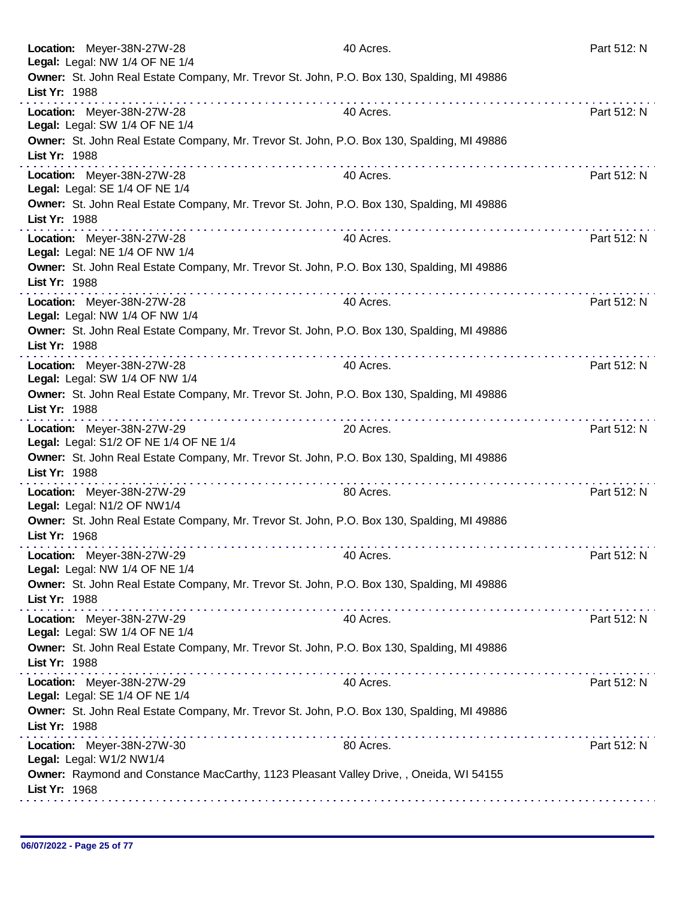| Location: Meyer-38N-27W-28<br>Legal: Legal: NW 1/4 OF NE 1/4                                                | 40 Acres. | Part 512: N |
|-------------------------------------------------------------------------------------------------------------|-----------|-------------|
| Owner: St. John Real Estate Company, Mr. Trevor St. John, P.O. Box 130, Spalding, MI 49886<br>List Yr: 1988 |           |             |
| Location: Meyer-38N-27W-28<br>Legal: Legal: SW 1/4 OF NE 1/4                                                | 40 Acres. | Part 512: N |
| Owner: St. John Real Estate Company, Mr. Trevor St. John, P.O. Box 130, Spalding, MI 49886<br>List Yr: 1988 |           |             |
| Location: Meyer-38N-27W-28<br>Legal: Legal: SE 1/4 OF NE 1/4                                                | 40 Acres. | Part 512: N |
| Owner: St. John Real Estate Company, Mr. Trevor St. John, P.O. Box 130, Spalding, MI 49886<br>List Yr: 1988 | .         |             |
| Location: Meyer-38N-27W-28<br>Legal: Legal: NE 1/4 OF NW 1/4                                                | 40 Acres. | Part 512: N |
| Owner: St. John Real Estate Company, Mr. Trevor St. John, P.O. Box 130, Spalding, MI 49886<br>List Yr: 1988 | .         |             |
| Location: Meyer-38N-27W-28<br>Legal: Legal: NW 1/4 OF NW 1/4                                                | 40 Acres. | Part 512: N |
| Owner: St. John Real Estate Company, Mr. Trevor St. John, P.O. Box 130, Spalding, MI 49886<br>List Yr: 1988 |           |             |
| Location: Meyer-38N-27W-28<br>Legal: Legal: SW 1/4 OF NW 1/4                                                | 40 Acres. | Part 512: N |
| Owner: St. John Real Estate Company, Mr. Trevor St. John, P.O. Box 130, Spalding, MI 49886<br>List Yr: 1988 |           |             |
| Location: Meyer-38N-27W-29<br>Legal: Legal: S1/2 OF NE 1/4 OF NE 1/4                                        | 20 Acres. | Part 512: N |
| Owner: St. John Real Estate Company, Mr. Trevor St. John, P.O. Box 130, Spalding, MI 49886<br>List Yr: 1988 | .         |             |
| Location: Meyer-38N-27W-29<br>Legal: Legal: N1/2 OF NW1/4                                                   | 80 Acres. | Part 512: N |
| Owner: St. John Real Estate Company, Mr. Trevor St. John, P.O. Box 130, Spalding, MI 49886<br>List Yr: 1968 |           |             |
| Location: Meyer-38N-27W-29<br>Legal: Legal: NW 1/4 OF NE 1/4                                                | 40 Acres. | Part 512: N |
| Owner: St. John Real Estate Company, Mr. Trevor St. John, P.O. Box 130, Spalding, MI 49886<br>List Yr: 1988 |           |             |
| Location: Meyer-38N-27W-29<br>Legal: Legal: SW 1/4 OF NE 1/4                                                | 40 Acres. | Part 512: N |
| Owner: St. John Real Estate Company, Mr. Trevor St. John, P.O. Box 130, Spalding, MI 49886<br>List Yr: 1988 |           |             |
| Location: Meyer-38N-27W-29<br>Legal: Legal: SE 1/4 OF NE 1/4                                                | 40 Acres. | Part 512: N |
| Owner: St. John Real Estate Company, Mr. Trevor St. John, P.O. Box 130, Spalding, MI 49886<br>List Yr: 1988 |           |             |
| Location: Meyer-38N-27W-30<br>Legal: Legal: W1/2 NW1/4                                                      | 80 Acres. | Part 512: N |
| Owner: Raymond and Constance MacCarthy, 1123 Pleasant Valley Drive,, Oneida, WI 54155<br>List Yr: 1968      |           |             |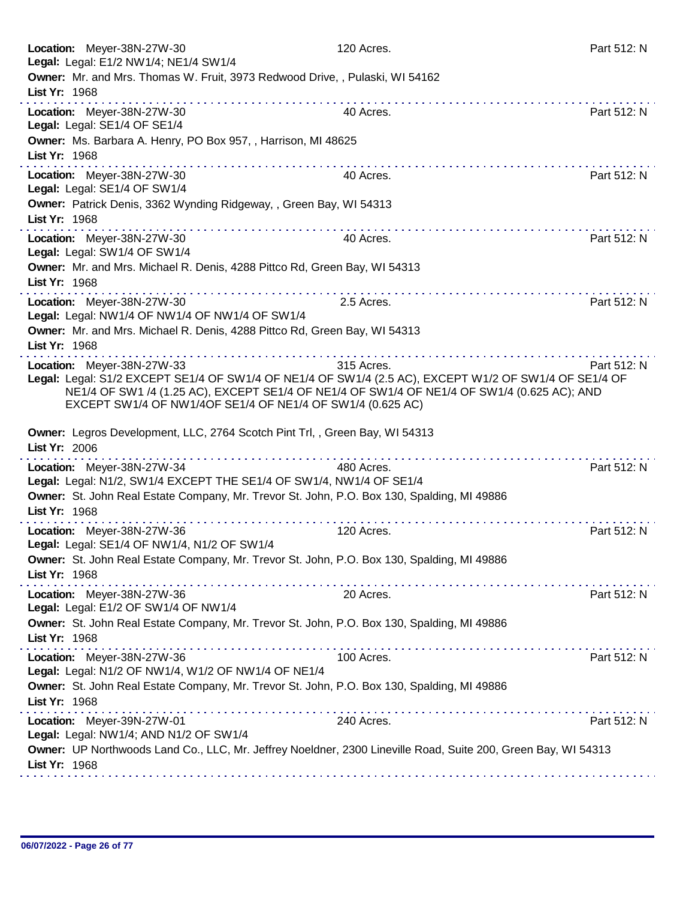| Location: Meyer-38N-27W-30<br>Legal: Legal: E1/2 NW1/4; NE1/4 SW1/4                                                                                                                                                                                                                                                                                                                                                                                                                             | 120 Acres.                                                                                                    | Part 512: N |
|-------------------------------------------------------------------------------------------------------------------------------------------------------------------------------------------------------------------------------------------------------------------------------------------------------------------------------------------------------------------------------------------------------------------------------------------------------------------------------------------------|---------------------------------------------------------------------------------------------------------------|-------------|
| Owner: Mr. and Mrs. Thomas W. Fruit, 3973 Redwood Drive, , Pulaski, WI 54162<br>List Yr: 1968                                                                                                                                                                                                                                                                                                                                                                                                   |                                                                                                               |             |
| Location: Meyer-38N-27W-30<br>Legal: Legal: SE1/4 OF SE1/4                                                                                                                                                                                                                                                                                                                                                                                                                                      | 40 Acres.                                                                                                     | Part 512: N |
| Owner: Ms. Barbara A. Henry, PO Box 957, , Harrison, MI 48625<br>List Yr: 1968                                                                                                                                                                                                                                                                                                                                                                                                                  |                                                                                                               |             |
| .<br>Location: Meyer-38N-27W-30<br>Legal: Legal: SE1/4 OF SW1/4                                                                                                                                                                                                                                                                                                                                                                                                                                 | 40 Acres.                                                                                                     | Part 512: N |
| Owner: Patrick Denis, 3362 Wynding Ridgeway, , Green Bay, WI 54313<br>List Yr: 1968                                                                                                                                                                                                                                                                                                                                                                                                             |                                                                                                               |             |
| Location: Meyer-38N-27W-30<br>Legal: Legal: SW1/4 OF SW1/4                                                                                                                                                                                                                                                                                                                                                                                                                                      | 40 Acres.                                                                                                     | Part 512: N |
| Owner: Mr. and Mrs. Michael R. Denis, 4288 Pittco Rd, Green Bay, WI 54313<br>List Yr: 1968                                                                                                                                                                                                                                                                                                                                                                                                      |                                                                                                               |             |
| Location: Meyer-38N-27W-30<br>Legal: Legal: NW1/4 OF NW1/4 OF NW1/4 OF SW1/4                                                                                                                                                                                                                                                                                                                                                                                                                    | 2.5 Acres.                                                                                                    | Part 512: N |
| Owner: Mr. and Mrs. Michael R. Denis, 4288 Pittco Rd, Green Bay, WI 54313<br>List Yr: 1968                                                                                                                                                                                                                                                                                                                                                                                                      |                                                                                                               |             |
| Location: Meyer-38N-27W-33<br>Legal: Legal: S1/2 EXCEPT SE1/4 OF SW1/4 OF NE1/4 OF SW1/4 (2.5 AC), EXCEPT W1/2 OF SW1/4 OF SE1/4 OF<br>NE1/4 OF SW1 /4 (1.25 AC), EXCEPT SE1/4 OF NE1/4 OF SW1/4 OF NE1/4 OF SW1/4 (0.625 AC); AND<br>EXCEPT SW1/4 OF NW1/4OF SE1/4 OF NE1/4 OF SW1/4 (0.625 AC)                                                                                                                                                                                                | 315 Acres.                                                                                                    | Part 512: N |
| Owner: Legros Development, LLC, 2764 Scotch Pint Trl,, Green Bay, WI 54313<br>List Yr: 2006                                                                                                                                                                                                                                                                                                                                                                                                     |                                                                                                               |             |
| Location: Meyer-38N-27W-34<br>Legal: Legal: N1/2, SW1/4 EXCEPT THE SE1/4 OF SW1/4, NW1/4 OF SE1/4                                                                                                                                                                                                                                                                                                                                                                                               | 480 Acres.                                                                                                    | Part 512: N |
| Owner: St. John Real Estate Company, Mr. Trevor St. John, P.O. Box 130, Spalding, MI 49886<br>List Yr: 1968                                                                                                                                                                                                                                                                                                                                                                                     |                                                                                                               |             |
| Location: Meyer-38N-27W-36<br>Legal: Legal: SE1/4 OF NW1/4, N1/2 OF SW1/4                                                                                                                                                                                                                                                                                                                                                                                                                       | 120 Acres.                                                                                                    | Part 512: N |
| Owner: St. John Real Estate Company, Mr. Trevor St. John, P.O. Box 130, Spalding, MI 49886<br>List Yr: 1968                                                                                                                                                                                                                                                                                                                                                                                     |                                                                                                               |             |
| the second contract and contract and<br>Location: Meyer-38N-27W-36<br>Legal: Legal: E1/2 OF SW1/4 OF NW1/4                                                                                                                                                                                                                                                                                                                                                                                      | 20 Acres.                                                                                                     | Part 512: N |
| Owner: St. John Real Estate Company, Mr. Trevor St. John, P.O. Box 130, Spalding, MI 49886<br>List Yr: 1968                                                                                                                                                                                                                                                                                                                                                                                     |                                                                                                               |             |
| Location: Meyer-38N-27W-36<br>Legal: Legal: N1/2 OF NW1/4, W1/2 OF NW1/4 OF NE1/4                                                                                                                                                                                                                                                                                                                                                                                                               | 100 Acres.                                                                                                    | Part 512: N |
| Owner: St. John Real Estate Company, Mr. Trevor St. John, P.O. Box 130, Spalding, MI 49886<br>List Yr: 1968                                                                                                                                                                                                                                                                                                                                                                                     |                                                                                                               |             |
| $\label{eq:reduced} \begin{split} \mathbf{u}^{\top} & \mathbf{u}^{\top} \mathbf{u}^{\top} \mathbf{u}^{\top} \mathbf{u}^{\top} \mathbf{u}^{\top} \mathbf{u}^{\top} \mathbf{u}^{\top} \mathbf{u}^{\top} \mathbf{u}^{\top} \mathbf{u}^{\top} \mathbf{u}^{\top} \mathbf{u}^{\top} \mathbf{u}^{\top} \mathbf{u}^{\top} \mathbf{u}^{\top} \mathbf{u}^{\top} \mathbf{u}^{\top} \mathbf{u}^{\top} \mathbf{u}^{\top} \mathbf{u}$<br>Location: Meyer-39N-27W-01<br>Legal: Legal: NW1/4; AND N1/2 OF SW1/4 | 240 Acres.                                                                                                    | Part 512: N |
|                                                                                                                                                                                                                                                                                                                                                                                                                                                                                                 |                                                                                                               |             |
| List Yr: 1968                                                                                                                                                                                                                                                                                                                                                                                                                                                                                   | Owner: UP Northwoods Land Co., LLC, Mr. Jeffrey Noeldner, 2300 Lineville Road, Suite 200, Green Bay, WI 54313 |             |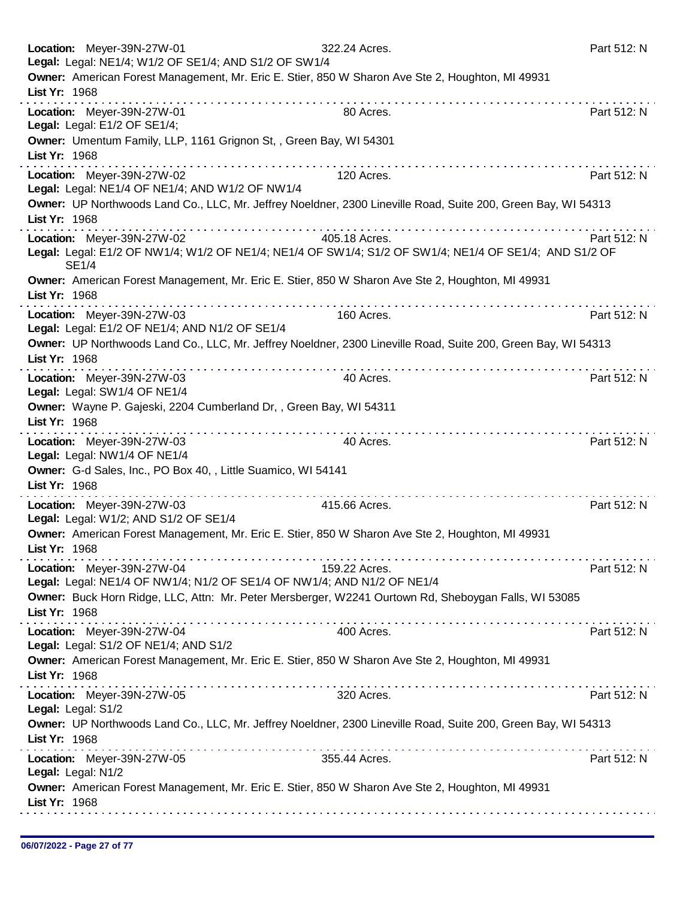| Location: Meyer-39N-27W-01<br>Legal: Legal: NE1/4; W1/2 OF SE1/4; AND S1/2 OF SW1/4                                                                  | 322.24 Acres.  | Part 512: N |
|------------------------------------------------------------------------------------------------------------------------------------------------------|----------------|-------------|
| Owner: American Forest Management, Mr. Eric E. Stier, 850 W Sharon Ave Ste 2, Houghton, MI 49931<br>List Yr: 1968                                    |                |             |
| Location: Meyer-39N-27W-01<br>Legal: Legal: E1/2 OF SE1/4;                                                                                           | .<br>80 Acres. | Part 512: N |
| Owner: Umentum Family, LLP, 1161 Grignon St,, Green Bay, WI 54301<br>List Yr: 1968                                                                   |                |             |
| Location: Meyer-39N-27W-02<br>Legal: Legal: NE1/4 OF NE1/4; AND W1/2 OF NW1/4                                                                        | 120 Acres.     | Part 512: N |
| Owner: UP Northwoods Land Co., LLC, Mr. Jeffrey Noeldner, 2300 Lineville Road, Suite 200, Green Bay, WI 54313<br>List Yr: 1968                       |                |             |
| Location: Meyer-39N-27W-02<br>Legal: Legal: E1/2 OF NW1/4; W1/2 OF NE1/4; NE1/4 OF SW1/4; S1/2 OF SW1/4; NE1/4 OF SE1/4; AND S1/2 OF<br><b>SE1/4</b> | 405.18 Acres.  | Part 512: N |
| Owner: American Forest Management, Mr. Eric E. Stier, 850 W Sharon Ave Ste 2, Houghton, MI 49931<br>List Yr: 1968                                    |                |             |
| Location: Meyer-39N-27W-03<br>Legal: Legal: E1/2 OF NE1/4; AND N1/2 OF SE1/4                                                                         | 160 Acres.     | Part 512: N |
| Owner: UP Northwoods Land Co., LLC, Mr. Jeffrey Noeldner, 2300 Lineville Road, Suite 200, Green Bay, WI 54313<br>List Yr: 1968                       |                |             |
| Location: Meyer-39N-27W-03<br>Legal: Legal: SW1/4 OF NE1/4                                                                                           | 40 Acres.      | Part 512: N |
| Owner: Wayne P. Gajeski, 2204 Cumberland Dr,, Green Bay, WI 54311<br>List Yr: 1968                                                                   |                |             |
| Location: Meyer-39N-27W-03<br>Legal: Legal: NW1/4 OF NE1/4                                                                                           | 40 Acres.      | Part 512: N |
| Owner: G-d Sales, Inc., PO Box 40, , Little Suamico, WI 54141<br>List Yr: 1968<br>.                                                                  |                |             |
| Location: Meyer-39N-27W-03<br>Legal: Legal: W1/2; AND S1/2 OF SE1/4                                                                                  | 415.66 Acres.  | Part 512: N |
| Owner: American Forest Management, Mr. Eric E. Stier, 850 W Sharon Ave Ste 2, Houghton, MI 49931<br>List Yr: 1968                                    |                |             |
| Location: Meyer-39N-27W-04<br>Legal: Legal: NE1/4 OF NW1/4; N1/2 OF SE1/4 OF NW1/4; AND N1/2 OF NE1/4                                                | 159.22 Acres.  | Part 512: N |
| Owner: Buck Horn Ridge, LLC, Attn: Mr. Peter Mersberger, W2241 Ourtown Rd, Sheboygan Falls, WI 53085<br>List Yr: 1968                                |                |             |
| Location: Meyer-39N-27W-04<br>Legal: Legal: S1/2 OF NE1/4; AND S1/2                                                                                  | 400 Acres.     | Part 512: N |
| Owner: American Forest Management, Mr. Eric E. Stier, 850 W Sharon Ave Ste 2, Houghton, MI 49931<br>List Yr: 1968                                    |                |             |
| Location: Meyer-39N-27W-05<br>Legal: Legal: S1/2                                                                                                     | 320 Acres.     | Part 512: N |
| Owner: UP Northwoods Land Co., LLC, Mr. Jeffrey Noeldner, 2300 Lineville Road, Suite 200, Green Bay, WI 54313<br>List Yr: 1968                       |                |             |
| Location: Meyer-39N-27W-05<br>Legal: Legal: N1/2                                                                                                     | 355.44 Acres.  | Part 512: N |
| Owner: American Forest Management, Mr. Eric E. Stier, 850 W Sharon Ave Ste 2, Houghton, MI 49931<br>List Yr: 1968                                    |                |             |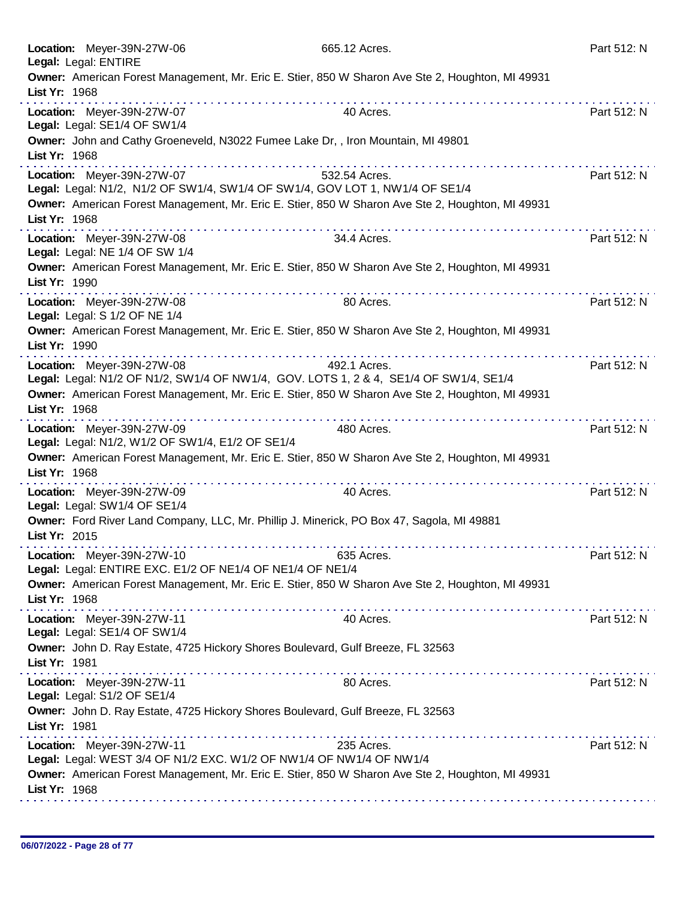| Legal: Legal: ENTIRE | Location: Meyer-39N-27W-06                                                                                                                                                                                                                                                                                      | 665.12 Acres.                                                                                         | Part 512: N |
|----------------------|-----------------------------------------------------------------------------------------------------------------------------------------------------------------------------------------------------------------------------------------------------------------------------------------------------------------|-------------------------------------------------------------------------------------------------------|-------------|
| List Yr: 1968        |                                                                                                                                                                                                                                                                                                                 | Owner: American Forest Management, Mr. Eric E. Stier, 850 W Sharon Ave Ste 2, Houghton, MI 49931      |             |
|                      | Location: Meyer-39N-27W-07<br>Legal: Legal: SE1/4 OF SW1/4                                                                                                                                                                                                                                                      | 40 Acres.                                                                                             | Part 512: N |
| List Yr: 1968        | Owner: John and Cathy Groeneveld, N3022 Fumee Lake Dr,, Iron Mountain, MI 49801                                                                                                                                                                                                                                 |                                                                                                       |             |
|                      | Location: Meyer-39N-27W-07<br>Legal: Legal: N1/2, N1/2 OF SW1/4, SW1/4 OF SW1/4, GOV LOT 1, NW1/4 OF SE1/4                                                                                                                                                                                                      | 532.54 Acres.                                                                                         | Part 512: N |
| List Yr: 1968        |                                                                                                                                                                                                                                                                                                                 | Owner: American Forest Management, Mr. Eric E. Stier, 850 W Sharon Ave Ste 2, Houghton, MI 49931      |             |
|                      | Location: Meyer-39N-27W-08<br>Legal: Legal: NE 1/4 OF SW 1/4                                                                                                                                                                                                                                                    | 34.4 Acres.                                                                                           | Part 512: N |
| List Yr: 1990        |                                                                                                                                                                                                                                                                                                                 | Owner: American Forest Management, Mr. Eric E. Stier, 850 W Sharon Ave Ste 2, Houghton, MI 49931      |             |
|                      | Location: Meyer-39N-27W-08<br>Legal: Legal: S 1/2 OF NE 1/4                                                                                                                                                                                                                                                     | 80 Acres.                                                                                             | Part 512: N |
| List Yr: 1990        |                                                                                                                                                                                                                                                                                                                 | Owner: American Forest Management, Mr. Eric E. Stier, 850 W Sharon Ave Ste 2, Houghton, MI 49931<br>. |             |
|                      | Location: Meyer-39N-27W-08                                                                                                                                                                                                                                                                                      | 492.1 Acres.<br>Legal: Legal: N1/2 OF N1/2, SW1/4 OF NW1/4, GOV. LOTS 1, 2 & 4, SE1/4 OF SW1/4, SE1/4 | Part 512: N |
| List Yr: 1968        |                                                                                                                                                                                                                                                                                                                 | Owner: American Forest Management, Mr. Eric E. Stier, 850 W Sharon Ave Ste 2, Houghton, MI 49931      |             |
|                      | a construction of the construction of the construction of the construction of the construction of the construction of the construction of the construction of the construction of the construction of the construction of the<br>Location: Meyer-39N-27W-09<br>Legal: Legal: N1/2, W1/2 OF SW1/4, E1/2 OF SE1/4 | 480 Acres.                                                                                            | Part 512: N |
| List Yr: 1968        |                                                                                                                                                                                                                                                                                                                 | Owner: American Forest Management, Mr. Eric E. Stier, 850 W Sharon Ave Ste 2, Houghton, MI 49931      |             |
|                      | Location: Meyer-39N-27W-09<br>Legal: Legal: SW1/4 OF SE1/4                                                                                                                                                                                                                                                      | 40 Acres.                                                                                             | Part 512: N |
| List Yr: 2015        | Owner: Ford River Land Company, LLC, Mr. Phillip J. Minerick, PO Box 47, Sagola, MI 49881                                                                                                                                                                                                                       |                                                                                                       |             |
|                      | Location: Meyer-39N-27W-10<br>Legal: Legal: ENTIRE EXC. E1/2 OF NE1/4 OF NE1/4 OF NE1/4                                                                                                                                                                                                                         | 635 Acres.                                                                                            | Part 512: N |
| List Yr: 1968        |                                                                                                                                                                                                                                                                                                                 | Owner: American Forest Management, Mr. Eric E. Stier, 850 W Sharon Ave Ste 2, Houghton, MI 49931      |             |
|                      | Location: Meyer-39N-27W-11<br>Legal: Legal: SE1/4 OF SW1/4                                                                                                                                                                                                                                                      | 40 Acres.                                                                                             | Part 512: N |
| List Yr: 1981        | Owner: John D. Ray Estate, 4725 Hickory Shores Boulevard, Gulf Breeze, FL 32563                                                                                                                                                                                                                                 |                                                                                                       |             |
|                      | Location: Meyer-39N-27W-11<br>Legal: Legal: S1/2 OF SE1/4                                                                                                                                                                                                                                                       | 80 Acres.                                                                                             | Part 512: N |
| List Yr: 1981        | Owner: John D. Ray Estate, 4725 Hickory Shores Boulevard, Gulf Breeze, FL 32563                                                                                                                                                                                                                                 |                                                                                                       |             |
|                      | Location: Meyer-39N-27W-11<br>Legal: Legal: WEST 3/4 OF N1/2 EXC. W1/2 OF NW1/4 OF NW1/4 OF NW1/4                                                                                                                                                                                                               | 235 Acres.                                                                                            | Part 512: N |
| List Yr: 1968        |                                                                                                                                                                                                                                                                                                                 | Owner: American Forest Management, Mr. Eric E. Stier, 850 W Sharon Ave Ste 2, Houghton, MI 49931      |             |
|                      |                                                                                                                                                                                                                                                                                                                 |                                                                                                       |             |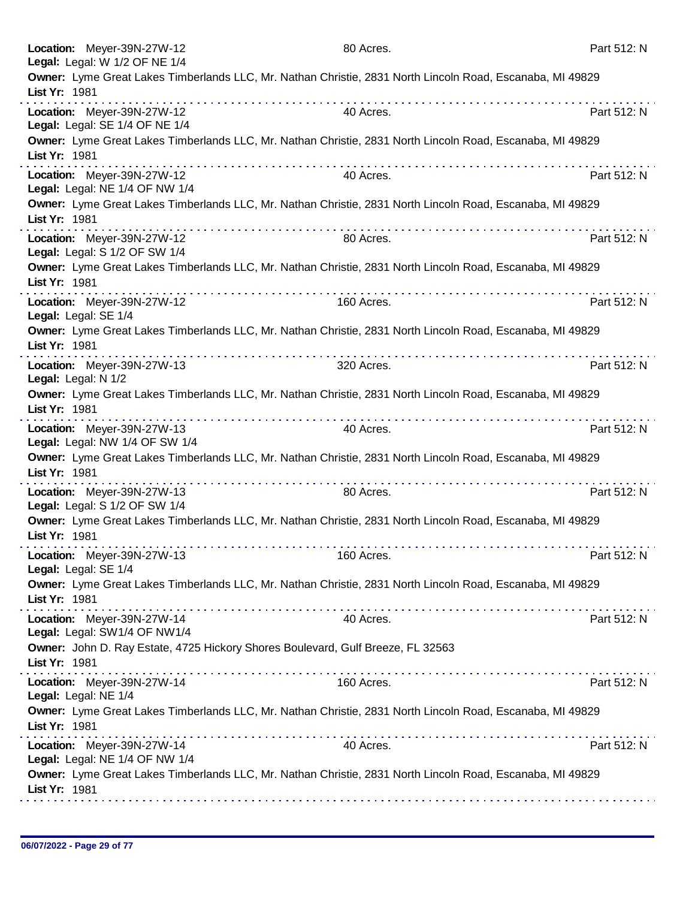| Location: Meyer-39N-27W-12<br>Legal: Legal: W 1/2 OF NE 1/4                                      | 80 Acres.                                                                                                       | Part 512: N |
|--------------------------------------------------------------------------------------------------|-----------------------------------------------------------------------------------------------------------------|-------------|
| List Yr: 1981                                                                                    | Owner: Lyme Great Lakes Timberlands LLC, Mr. Nathan Christie, 2831 North Lincoln Road, Escanaba, MI 49829       |             |
| Location: Meyer-39N-27W-12<br>Legal: Legal: SE 1/4 OF NE 1/4                                     | 40 Acres.                                                                                                       | Part 512: N |
| List Yr: 1981                                                                                    | Owner: Lyme Great Lakes Timberlands LLC, Mr. Nathan Christie, 2831 North Lincoln Road, Escanaba, MI 49829       |             |
| Location: Meyer-39N-27W-12<br>Legal: Legal: NE 1/4 OF NW 1/4                                     | 40 Acres.                                                                                                       | Part 512: N |
| List Yr: 1981                                                                                    | Owner: Lyme Great Lakes Timberlands LLC, Mr. Nathan Christie, 2831 North Lincoln Road, Escanaba, MI 49829       |             |
| Location: Meyer-39N-27W-12<br>Legal: Legal: S 1/2 OF SW 1/4                                      | 80 Acres.                                                                                                       | Part 512: N |
| List Yr: 1981                                                                                    | Owner: Lyme Great Lakes Timberlands LLC, Mr. Nathan Christie, 2831 North Lincoln Road, Escanaba, MI 49829       |             |
| Location: Meyer-39N-27W-12<br>Legal: Legal: SE 1/4                                               | 160 Acres.                                                                                                      | Part 512: N |
| List Yr: 1981                                                                                    | Owner: Lyme Great Lakes Timberlands LLC, Mr. Nathan Christie, 2831 North Lincoln Road, Escanaba, MI 49829       |             |
| Location: Meyer-39N-27W-13<br>Legal: Legal: N 1/2                                                | 320 Acres.                                                                                                      | Part 512: N |
| List Yr: 1981                                                                                    | Owner: Lyme Great Lakes Timberlands LLC, Mr. Nathan Christie, 2831 North Lincoln Road, Escanaba, MI 49829       |             |
| Location: Meyer-39N-27W-13<br>Legal: Legal: NW 1/4 OF SW 1/4                                     | . The second construction is a second construction of the second construction of the $\mathcal{A}$<br>40 Acres. | Part 512: N |
| List Yr: 1981                                                                                    | Owner: Lyme Great Lakes Timberlands LLC, Mr. Nathan Christie, 2831 North Lincoln Road, Escanaba, MI 49829       |             |
| Location: Meyer-39N-27W-13<br>Legal: Legal: S 1/2 OF SW 1/4                                      | 80 Acres.                                                                                                       | Part 512: N |
| List Yr: 1981                                                                                    | Owner: Lyme Great Lakes Timberlands LLC, Mr. Nathan Christie, 2831 North Lincoln Road, Escanaba, MI 49829       |             |
| Location: Meyer-39N-27W-13<br>Legal: Legal: SE 1/4                                               | 160 Acres.                                                                                                      | Part 512: N |
| List Yr: 1981                                                                                    | Owner: Lyme Great Lakes Timberlands LLC, Mr. Nathan Christie, 2831 North Lincoln Road, Escanaba, MI 49829       |             |
| Location: Meyer-39N-27W-14<br>Legal: Legal: SW1/4 OF NW1/4                                       | 40 Acres.                                                                                                       | Part 512: N |
| Owner: John D. Ray Estate, 4725 Hickory Shores Boulevard, Gulf Breeze, FL 32563<br>List Yr: 1981 |                                                                                                                 |             |
| Location: Meyer-39N-27W-14<br>Legal: Legal: NE 1/4                                               | 160 Acres.                                                                                                      | Part 512: N |
| List Yr: 1981                                                                                    | Owner: Lyme Great Lakes Timberlands LLC, Mr. Nathan Christie, 2831 North Lincoln Road, Escanaba, MI 49829       |             |
| Location: Meyer-39N-27W-14<br>Legal: Legal: NE 1/4 OF NW 1/4                                     | 40 Acres.                                                                                                       | Part 512: N |
| List Yr: 1981                                                                                    | Owner: Lyme Great Lakes Timberlands LLC, Mr. Nathan Christie, 2831 North Lincoln Road, Escanaba, MI 49829       |             |
|                                                                                                  |                                                                                                                 |             |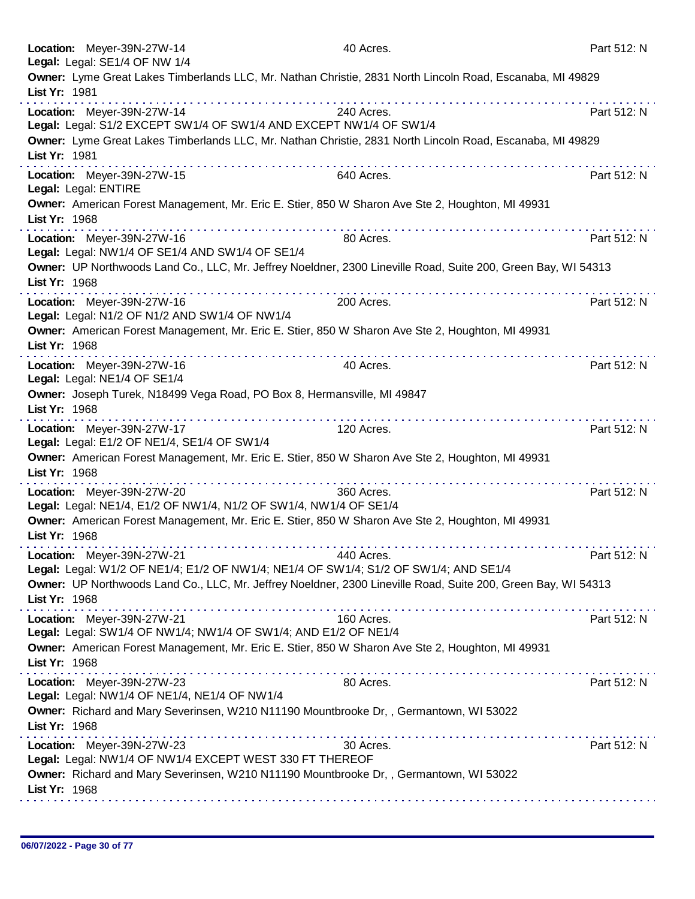|               | Location: Meyer-39N-27W-14<br>Legal: Legal: SE1/4 OF NW 1/4                                                                                              | 40 Acres.                                                                                                     | Part 512: N |
|---------------|----------------------------------------------------------------------------------------------------------------------------------------------------------|---------------------------------------------------------------------------------------------------------------|-------------|
| List Yr: 1981 |                                                                                                                                                          | Owner: Lyme Great Lakes Timberlands LLC, Mr. Nathan Christie, 2831 North Lincoln Road, Escanaba, MI 49829     |             |
|               | Location: Meyer-39N-27W-14<br>Legal: Legal: S1/2 EXCEPT SW1/4 OF SW1/4 AND EXCEPT NW1/4 OF SW1/4                                                         | 240 Acres.                                                                                                    | Part 512: N |
| List Yr: 1981 |                                                                                                                                                          | Owner: Lyme Great Lakes Timberlands LLC, Mr. Nathan Christie, 2831 North Lincoln Road, Escanaba, MI 49829     |             |
|               | Location: Meyer-39N-27W-15<br>Legal: Legal: ENTIRE                                                                                                       | 640 Acres.                                                                                                    | Part 512: N |
| List Yr: 1968 | Owner: American Forest Management, Mr. Eric E. Stier, 850 W Sharon Ave Ste 2, Houghton, MI 49931                                                         |                                                                                                               |             |
|               | Location: Meyer-39N-27W-16<br>Legal: Legal: NW1/4 OF SE1/4 AND SW1/4 OF SE1/4                                                                            | 80 Acres.                                                                                                     | Part 512: N |
| List Yr: 1968 |                                                                                                                                                          | Owner: UP Northwoods Land Co., LLC, Mr. Jeffrey Noeldner, 2300 Lineville Road, Suite 200, Green Bay, WI 54313 |             |
|               | Location: Meyer-39N-27W-16<br>Legal: Legal: N1/2 OF N1/2 AND SW1/4 OF NW1/4                                                                              | 200 Acres.                                                                                                    | Part 512: N |
| List Yr: 1968 | Owner: American Forest Management, Mr. Eric E. Stier, 850 W Sharon Ave Ste 2, Houghton, MI 49931                                                         |                                                                                                               |             |
|               | Location: Meyer-39N-27W-16<br>Legal: Legal: NE1/4 OF SE1/4                                                                                               | 40 Acres.                                                                                                     | Part 512: N |
| List Yr: 1968 | Owner: Joseph Turek, N18499 Vega Road, PO Box 8, Hermansville, MI 49847                                                                                  |                                                                                                               |             |
|               | Location: Meyer-39N-27W-17<br>Legal: Legal: E1/2 OF NE1/4, SE1/4 OF SW1/4                                                                                | 120 Acres.                                                                                                    | Part 512: N |
| List Yr: 1968 | Owner: American Forest Management, Mr. Eric E. Stier, 850 W Sharon Ave Ste 2, Houghton, MI 49931                                                         |                                                                                                               |             |
|               | Location: Meyer-39N-27W-20<br>Legal: Legal: NE1/4, E1/2 OF NW1/4, N1/2 OF SW1/4, NW1/4 OF SE1/4                                                          | 360 Acres.                                                                                                    | Part 512: N |
| List Yr: 1968 | Owner: American Forest Management, Mr. Eric E. Stier, 850 W Sharon Ave Ste 2, Houghton, MI 49931                                                         |                                                                                                               |             |
|               | Location: Meyer-39N-27W-21<br>Legal: Legal: W1/2 OF NE1/4; E1/2 OF NW1/4; NE1/4 OF SW1/4; S1/2 OF SW1/4; AND SE1/4                                       | 440 Acres.                                                                                                    | Part 512: N |
| List Yr: 1968 |                                                                                                                                                          | Owner: UP Northwoods Land Co., LLC, Mr. Jeffrey Noeldner, 2300 Lineville Road, Suite 200, Green Bay, WI 54313 |             |
|               | <u>a serie district de la característica de la cara</u><br>Location: Meyer-39N-27W-21<br>Legal: Legal: SW1/4 OF NW1/4; NW1/4 OF SW1/4; AND E1/2 OF NE1/4 | 160 Acres.                                                                                                    | Part 512: N |
| List Yr: 1968 | Owner: American Forest Management, Mr. Eric E. Stier, 850 W Sharon Ave Ste 2, Houghton, MI 49931                                                         |                                                                                                               |             |
|               | Location: Meyer-39N-27W-23<br>Legal: Legal: NW1/4 OF NE1/4, NE1/4 OF NW1/4                                                                               | 80 Acres.                                                                                                     | Part 512: N |
| List Yr: 1968 | Owner: Richard and Mary Severinsen, W210 N11190 Mountbrooke Dr,, Germantown, WI 53022                                                                    |                                                                                                               |             |
|               | Location: Meyer-39N-27W-23<br>Legal: Legal: NW1/4 OF NW1/4 EXCEPT WEST 330 FT THEREOF                                                                    | 30 Acres.                                                                                                     | Part 512: N |
| List Yr: 1968 | Owner: Richard and Mary Severinsen, W210 N11190 Mountbrooke Dr,, Germantown, WI 53022                                                                    |                                                                                                               |             |
|               |                                                                                                                                                          |                                                                                                               |             |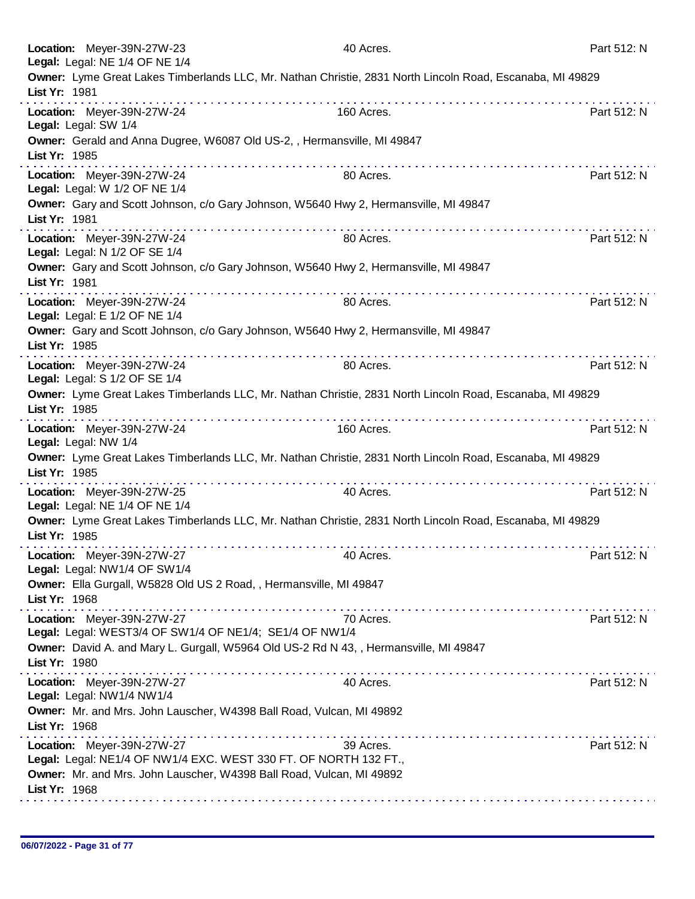| Location: Meyer-39N-27W-23<br>Legal: Legal: NE 1/4 OF NE 1/4                                   | 40 Acres.                                                                                                 | Part 512: N |
|------------------------------------------------------------------------------------------------|-----------------------------------------------------------------------------------------------------------|-------------|
| List Yr: 1981                                                                                  | Owner: Lyme Great Lakes Timberlands LLC, Mr. Nathan Christie, 2831 North Lincoln Road, Escanaba, MI 49829 |             |
| Location: Meyer-39N-27W-24<br>Legal: Legal: SW 1/4                                             | . <i>.</i> .<br>160 Acres.                                                                                | Part 512: N |
| Owner: Gerald and Anna Dugree, W6087 Old US-2, , Hermansville, MI 49847<br>List Yr: 1985       |                                                                                                           |             |
| Location: Meyer-39N-27W-24<br>Legal: Legal: W 1/2 OF NE 1/4                                    | 80 Acres.                                                                                                 | Part 512: N |
| List Yr: 1981                                                                                  | Owner: Gary and Scott Johnson, c/o Gary Johnson, W5640 Hwy 2, Hermansville, MI 49847                      |             |
| Location: Meyer-39N-27W-24<br>Legal: Legal: N 1/2 OF SE 1/4                                    | 80 Acres.                                                                                                 | Part 512: N |
| List Yr: 1981                                                                                  | Owner: Gary and Scott Johnson, c/o Gary Johnson, W5640 Hwy 2, Hermansville, MI 49847<br>.                 |             |
| Location: Meyer-39N-27W-24<br>Legal: Legal: E 1/2 OF NE 1/4                                    | 80 Acres.                                                                                                 | Part 512: N |
| List Yr: 1985                                                                                  | Owner: Gary and Scott Johnson, c/o Gary Johnson, W5640 Hwy 2, Hermansville, MI 49847                      |             |
| Location: Meyer-39N-27W-24<br>Legal: Legal: S 1/2 OF SE 1/4                                    | 80 Acres.                                                                                                 | Part 512: N |
| List Yr: 1985                                                                                  | Owner: Lyme Great Lakes Timberlands LLC, Mr. Nathan Christie, 2831 North Lincoln Road, Escanaba, MI 49829 |             |
| Location: Meyer-39N-27W-24<br>Legal: Legal: NW 1/4                                             | 160 Acres.                                                                                                | Part 512: N |
| List Yr: 1985                                                                                  | Owner: Lyme Great Lakes Timberlands LLC, Mr. Nathan Christie, 2831 North Lincoln Road, Escanaba, MI 49829 |             |
| Location: Meyer-39N-27W-25<br>Legal: Legal: NE 1/4 OF NE 1/4                                   | 40 Acres.                                                                                                 | Part 512: N |
| List Yr: 1985                                                                                  | Owner: Lyme Great Lakes Timberlands LLC, Mr. Nathan Christie, 2831 North Lincoln Road, Escanaba, MI 49829 |             |
| Location: Meyer-39N-27W-27<br>Legal: Legal: NW1/4 OF SW1/4                                     | 40 Acres.                                                                                                 | Part 512: N |
| Owner: Ella Gurgall, W5828 Old US 2 Road, , Hermansville, MI 49847<br>List Yr: 1968            |                                                                                                           |             |
| Location: Meyer-39N-27W-27<br>Legal: Legal: WEST3/4 OF SW1/4 OF NE1/4; SE1/4 OF NW1/4          | 70 Acres.                                                                                                 | Part 512: N |
| List Yr: 1980                                                                                  | Owner: David A. and Mary L. Gurgall, W5964 Old US-2 Rd N 43, , Hermansville, MI 49847                     |             |
| Location: Meyer-39N-27W-27<br>Legal: Legal: NW1/4 NW1/4                                        | 40 Acres.                                                                                                 | Part 512: N |
| Owner: Mr. and Mrs. John Lauscher, W4398 Ball Road, Vulcan, MI 49892<br>List Yr: 1968          |                                                                                                           |             |
| Location: Meyer-39N-27W-27<br>Legal: Legal: NE1/4 OF NW1/4 EXC. WEST 330 FT. OF NORTH 132 FT., | 39 Acres.                                                                                                 | Part 512: N |
| Owner: Mr. and Mrs. John Lauscher, W4398 Ball Road, Vulcan, MI 49892<br>List Yr: 1968          |                                                                                                           |             |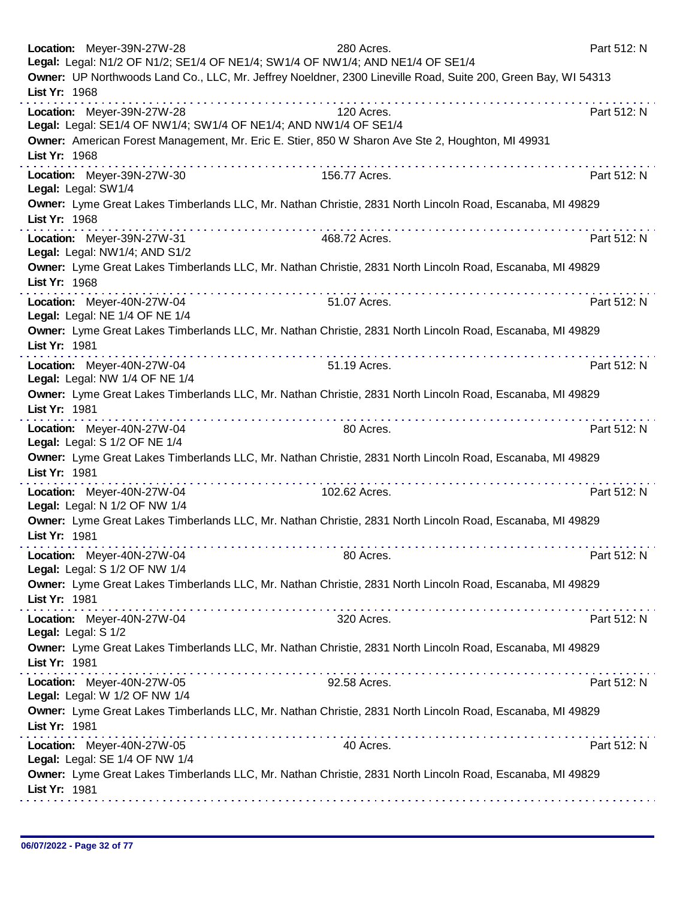|                     | Location: Meyer-39N-27W-28                                   | 280 Acres.<br>Legal: Legal: N1/2 OF N1/2; SE1/4 OF NE1/4; SW1/4 OF NW1/4; AND NE1/4 OF SE1/4                  | Part 512: N |
|---------------------|--------------------------------------------------------------|---------------------------------------------------------------------------------------------------------------|-------------|
| List Yr: 1968       |                                                              | Owner: UP Northwoods Land Co., LLC, Mr. Jeffrey Noeldner, 2300 Lineville Road, Suite 200, Green Bay, WI 54313 |             |
|                     | Location: Meyer-39N-27W-28                                   | 120 Acres.<br>Legal: Legal: SE1/4 OF NW1/4; SW1/4 OF NE1/4; AND NW1/4 OF SE1/4                                | Part 512: N |
| List Yr: 1968       |                                                              | Owner: American Forest Management, Mr. Eric E. Stier, 850 W Sharon Ave Ste 2, Houghton, MI 49931              |             |
| Legal: Legal: SW1/4 | Location: Meyer-39N-27W-30                                   | a construction of the construction<br>156.77 Acres.                                                           | Part 512: N |
| List Yr: 1968       |                                                              | Owner: Lyme Great Lakes Timberlands LLC, Mr. Nathan Christie, 2831 North Lincoln Road, Escanaba, MI 49829     |             |
|                     | Location: Meyer-39N-27W-31<br>Legal: Legal: NW1/4; AND S1/2  | 468.72 Acres.                                                                                                 | Part 512: N |
| List Yr: 1968       |                                                              | Owner: Lyme Great Lakes Timberlands LLC, Mr. Nathan Christie, 2831 North Lincoln Road, Escanaba, MI 49829     |             |
|                     | Location: Meyer-40N-27W-04<br>Legal: Legal: NE 1/4 OF NE 1/4 | 51.07 Acres.                                                                                                  | Part 512: N |
| List Yr: 1981       |                                                              | Owner: Lyme Great Lakes Timberlands LLC, Mr. Nathan Christie, 2831 North Lincoln Road, Escanaba, MI 49829     |             |
|                     | Location: Meyer-40N-27W-04<br>Legal: Legal: NW 1/4 OF NE 1/4 | 51.19 Acres.                                                                                                  | Part 512: N |
| List Yr: 1981       |                                                              | Owner: Lyme Great Lakes Timberlands LLC, Mr. Nathan Christie, 2831 North Lincoln Road, Escanaba, MI 49829     |             |
|                     | Location: Meyer-40N-27W-04<br>Legal: Legal: S 1/2 OF NE 1/4  | 80 Acres.                                                                                                     | Part 512: N |
| List Yr: 1981       |                                                              | Owner: Lyme Great Lakes Timberlands LLC, Mr. Nathan Christie, 2831 North Lincoln Road, Escanaba, MI 49829     |             |
|                     | Location: Meyer-40N-27W-04<br>Legal: Legal: N 1/2 OF NW 1/4  | 102.62 Acres.                                                                                                 | Part 512: N |
| List Yr: 1981       |                                                              | Owner: Lyme Great Lakes Timberlands LLC, Mr. Nathan Christie, 2831 North Lincoln Road, Escanaba, MI 49829     |             |
|                     | Location: Meyer-40N-27W-04<br>Legal: Legal: S 1/2 OF NW 1/4  | 80 Acres.                                                                                                     | Part 512: N |
| List Yr: 1981       |                                                              | Owner: Lyme Great Lakes Timberlands LLC, Mr. Nathan Christie, 2831 North Lincoln Road, Escanaba, MI 49829     |             |
| Legal: Legal: S 1/2 | Location: Meyer-40N-27W-04                                   | 320 Acres.                                                                                                    | Part 512: N |
| List Yr: 1981       |                                                              | Owner: Lyme Great Lakes Timberlands LLC, Mr. Nathan Christie, 2831 North Lincoln Road, Escanaba, MI 49829     |             |
|                     | Location: Meyer-40N-27W-05<br>Legal: Legal: W 1/2 OF NW 1/4  | 92.58 Acres.                                                                                                  | Part 512: N |
| List Yr: 1981       |                                                              | Owner: Lyme Great Lakes Timberlands LLC, Mr. Nathan Christie, 2831 North Lincoln Road, Escanaba, MI 49829     |             |
|                     | Location: Meyer-40N-27W-05<br>Legal: Legal: SE 1/4 OF NW 1/4 | 40 Acres.                                                                                                     | Part 512: N |
| List Yr: 1981       |                                                              | Owner: Lyme Great Lakes Timberlands LLC, Mr. Nathan Christie, 2831 North Lincoln Road, Escanaba, MI 49829     |             |
|                     |                                                              |                                                                                                               |             |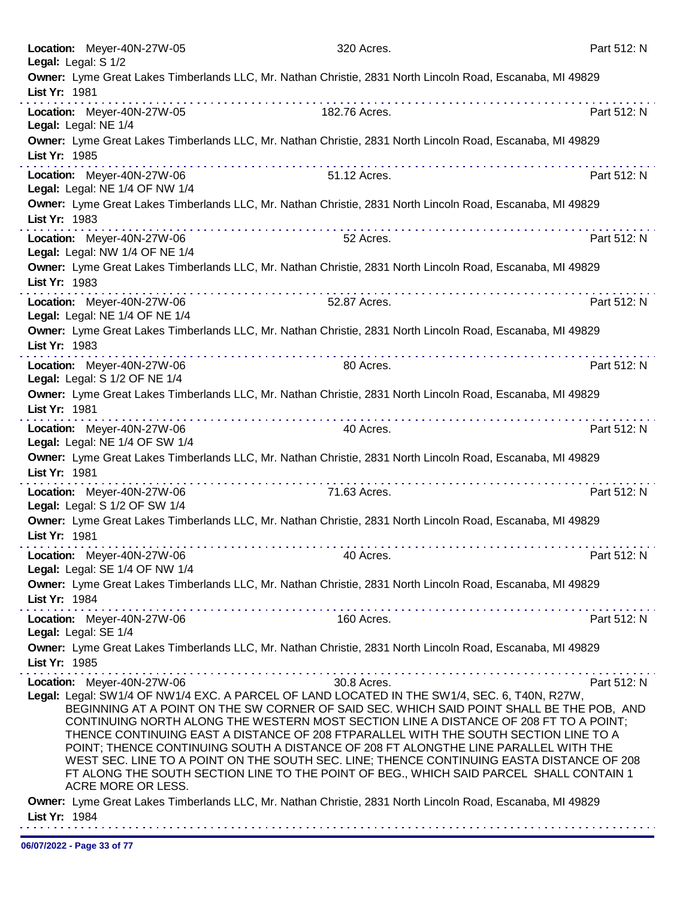|               | Location: Meyer-40N-27W-05<br>Legal: Legal: S 1/2            | 320 Acres.    |                                                                                                                                                                                                                                                                                                                                                                                                                                                                                                                                                                                                                                                           | Part 512: N |
|---------------|--------------------------------------------------------------|---------------|-----------------------------------------------------------------------------------------------------------------------------------------------------------------------------------------------------------------------------------------------------------------------------------------------------------------------------------------------------------------------------------------------------------------------------------------------------------------------------------------------------------------------------------------------------------------------------------------------------------------------------------------------------------|-------------|
|               |                                                              |               | Owner: Lyme Great Lakes Timberlands LLC, Mr. Nathan Christie, 2831 North Lincoln Road, Escanaba, MI 49829                                                                                                                                                                                                                                                                                                                                                                                                                                                                                                                                                 |             |
| List Yr: 1981 |                                                              |               |                                                                                                                                                                                                                                                                                                                                                                                                                                                                                                                                                                                                                                                           |             |
|               | Location: Meyer-40N-27W-05<br>Legal: Legal: NE 1/4           | 182.76 Acres. |                                                                                                                                                                                                                                                                                                                                                                                                                                                                                                                                                                                                                                                           | Part 512: N |
| List Yr: 1985 |                                                              |               | Owner: Lyme Great Lakes Timberlands LLC, Mr. Nathan Christie, 2831 North Lincoln Road, Escanaba, MI 49829                                                                                                                                                                                                                                                                                                                                                                                                                                                                                                                                                 |             |
|               | Location: Meyer-40N-27W-06<br>Legal: Legal: NE 1/4 OF NW 1/4 | 51.12 Acres.  |                                                                                                                                                                                                                                                                                                                                                                                                                                                                                                                                                                                                                                                           | Part 512: N |
| List Yr: 1983 |                                                              |               | Owner: Lyme Great Lakes Timberlands LLC, Mr. Nathan Christie, 2831 North Lincoln Road, Escanaba, MI 49829                                                                                                                                                                                                                                                                                                                                                                                                                                                                                                                                                 |             |
|               | Location: Meyer-40N-27W-06<br>Legal: Legal: NW 1/4 OF NE 1/4 | 52 Acres.     |                                                                                                                                                                                                                                                                                                                                                                                                                                                                                                                                                                                                                                                           | Part 512: N |
| List Yr: 1983 |                                                              |               | Owner: Lyme Great Lakes Timberlands LLC, Mr. Nathan Christie, 2831 North Lincoln Road, Escanaba, MI 49829                                                                                                                                                                                                                                                                                                                                                                                                                                                                                                                                                 |             |
|               | Location: Meyer-40N-27W-06<br>Legal: Legal: NE 1/4 OF NE 1/4 | 52.87 Acres.  |                                                                                                                                                                                                                                                                                                                                                                                                                                                                                                                                                                                                                                                           | Part 512: N |
| List Yr: 1983 |                                                              |               | Owner: Lyme Great Lakes Timberlands LLC, Mr. Nathan Christie, 2831 North Lincoln Road, Escanaba, MI 49829                                                                                                                                                                                                                                                                                                                                                                                                                                                                                                                                                 |             |
|               | Location: Meyer-40N-27W-06<br>Legal: Legal: S 1/2 OF NE 1/4  | 80 Acres.     |                                                                                                                                                                                                                                                                                                                                                                                                                                                                                                                                                                                                                                                           | Part 512: N |
| List Yr: 1981 |                                                              |               | Owner: Lyme Great Lakes Timberlands LLC, Mr. Nathan Christie, 2831 North Lincoln Road, Escanaba, MI 49829                                                                                                                                                                                                                                                                                                                                                                                                                                                                                                                                                 |             |
|               | Location: Meyer-40N-27W-06<br>Legal: Legal: NE 1/4 OF SW 1/4 | 40 Acres.     |                                                                                                                                                                                                                                                                                                                                                                                                                                                                                                                                                                                                                                                           | Part 512: N |
| List Yr: 1981 |                                                              |               | Owner: Lyme Great Lakes Timberlands LLC, Mr. Nathan Christie, 2831 North Lincoln Road, Escanaba, MI 49829                                                                                                                                                                                                                                                                                                                                                                                                                                                                                                                                                 |             |
|               | Location: Meyer-40N-27W-06<br>Legal: Legal: S 1/2 OF SW 1/4  | 71.63 Acres.  |                                                                                                                                                                                                                                                                                                                                                                                                                                                                                                                                                                                                                                                           | Part 512: N |
| List Yr: 1981 |                                                              |               | Owner: Lyme Great Lakes Timberlands LLC, Mr. Nathan Christie, 2831 North Lincoln Road, Escanaba, MI 49829                                                                                                                                                                                                                                                                                                                                                                                                                                                                                                                                                 |             |
|               | Location: Meyer-40N-27W-06<br>Legal: Legal: SE 1/4 OF NW 1/4 | 40 Acres.     |                                                                                                                                                                                                                                                                                                                                                                                                                                                                                                                                                                                                                                                           | Part 512: N |
| List Yr: 1984 |                                                              |               | Owner: Lyme Great Lakes Timberlands LLC, Mr. Nathan Christie, 2831 North Lincoln Road, Escanaba, MI 49829                                                                                                                                                                                                                                                                                                                                                                                                                                                                                                                                                 |             |
|               | Location: Meyer-40N-27W-06<br>Legal: Legal: SE 1/4           | 160 Acres.    |                                                                                                                                                                                                                                                                                                                                                                                                                                                                                                                                                                                                                                                           | Part 512: N |
| List Yr: 1985 |                                                              | .             | Owner: Lyme Great Lakes Timberlands LLC, Mr. Nathan Christie, 2831 North Lincoln Road, Escanaba, MI 49829<br>$\mathcal{L}^{\mathcal{A}}(\mathcal{A},\mathcal{A},\mathcal{A},\mathcal{A},\mathcal{A},\mathcal{A},\mathcal{A},\mathcal{A},\mathcal{A},\mathcal{A},\mathcal{A},\mathcal{A},\mathcal{A},\mathcal{A},\mathcal{A},\mathcal{A},\mathcal{A},\mathcal{A},\mathcal{A},\mathcal{A},\mathcal{A},\mathcal{A},\mathcal{A},\mathcal{A},\mathcal{A},\mathcal{A},\mathcal{A},\mathcal{A},\mathcal{A},\mathcal{A},\mathcal{A},\mathcal{A},\mathcal{A},\mathcal{A},\mathcal$                                                                                 |             |
|               | Location: Meyer-40N-27W-06                                   | 30.8 Acres.   |                                                                                                                                                                                                                                                                                                                                                                                                                                                                                                                                                                                                                                                           | Part 512: N |
|               | ACRE MORE OR LESS.                                           |               | Legal: Legal: SW1/4 OF NW1/4 EXC. A PARCEL OF LAND LOCATED IN THE SW1/4, SEC. 6, T40N, R27W,<br>BEGINNING AT A POINT ON THE SW CORNER OF SAID SEC. WHICH SAID POINT SHALL BE THE POB, AND<br>CONTINUING NORTH ALONG THE WESTERN MOST SECTION LINE A DISTANCE OF 208 FT TO A POINT;<br>THENCE CONTINUING EAST A DISTANCE OF 208 FTPARALLEL WITH THE SOUTH SECTION LINE TO A<br>POINT; THENCE CONTINUING SOUTH A DISTANCE OF 208 FT ALONGTHE LINE PARALLEL WITH THE<br>WEST SEC. LINE TO A POINT ON THE SOUTH SEC. LINE; THENCE CONTINUING EASTA DISTANCE OF 208<br>FT ALONG THE SOUTH SECTION LINE TO THE POINT OF BEG., WHICH SAID PARCEL SHALL CONTAIN 1 |             |
| List Yr: 1984 |                                                              |               | Owner: Lyme Great Lakes Timberlands LLC, Mr. Nathan Christie, 2831 North Lincoln Road, Escanaba, MI 49829                                                                                                                                                                                                                                                                                                                                                                                                                                                                                                                                                 |             |
|               |                                                              |               |                                                                                                                                                                                                                                                                                                                                                                                                                                                                                                                                                                                                                                                           |             |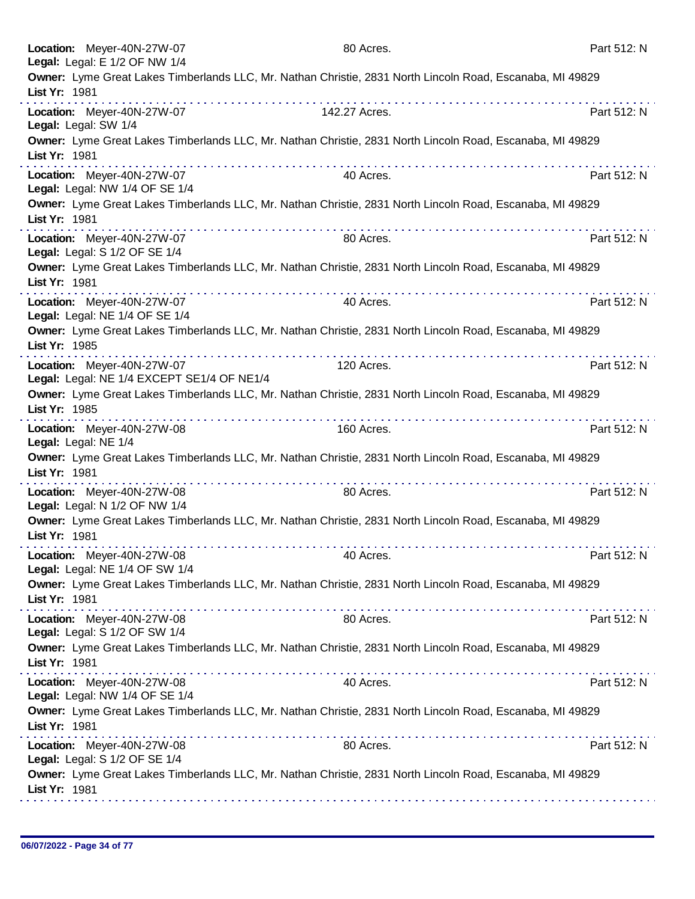|               | Location: Meyer-40N-27W-07<br>Legal: Legal: E 1/2 OF NW 1/4              | 80 Acres.                                                                                                 | Part 512: N |
|---------------|--------------------------------------------------------------------------|-----------------------------------------------------------------------------------------------------------|-------------|
| List Yr: 1981 |                                                                          | Owner: Lyme Great Lakes Timberlands LLC, Mr. Nathan Christie, 2831 North Lincoln Road, Escanaba, MI 49829 |             |
|               | Location: Meyer-40N-27W-07<br>Legal: Legal: SW 1/4                       | 142.27 Acres.                                                                                             | Part 512: N |
| List Yr: 1981 |                                                                          | Owner: Lyme Great Lakes Timberlands LLC, Mr. Nathan Christie, 2831 North Lincoln Road, Escanaba, MI 49829 |             |
|               | Location: Meyer-40N-27W-07<br>Legal: Legal: NW 1/4 OF SE 1/4             | 40 Acres.                                                                                                 | Part 512: N |
| List Yr: 1981 |                                                                          | Owner: Lyme Great Lakes Timberlands LLC, Mr. Nathan Christie, 2831 North Lincoln Road, Escanaba, MI 49829 |             |
|               | Location: Meyer-40N-27W-07<br>Legal: Legal: S 1/2 OF SE 1/4              | 80 Acres.                                                                                                 | Part 512: N |
| List Yr: 1981 |                                                                          | Owner: Lyme Great Lakes Timberlands LLC, Mr. Nathan Christie, 2831 North Lincoln Road, Escanaba, MI 49829 |             |
|               | Location: Meyer-40N-27W-07<br>Legal: Legal: NE 1/4 OF SE 1/4             | 40 Acres.                                                                                                 | Part 512: N |
| List Yr: 1985 |                                                                          | Owner: Lyme Great Lakes Timberlands LLC, Mr. Nathan Christie, 2831 North Lincoln Road, Escanaba, MI 49829 |             |
|               | Location: Meyer-40N-27W-07<br>Legal: Legal: NE 1/4 EXCEPT SE1/4 OF NE1/4 | 120 Acres.                                                                                                | Part 512: N |
| List Yr: 1985 |                                                                          | Owner: Lyme Great Lakes Timberlands LLC, Mr. Nathan Christie, 2831 North Lincoln Road, Escanaba, MI 49829 |             |
|               | Location: Meyer-40N-27W-08<br>Legal: Legal: NE 1/4                       | 160 Acres.                                                                                                | Part 512: N |
| List Yr: 1981 |                                                                          | Owner: Lyme Great Lakes Timberlands LLC, Mr. Nathan Christie, 2831 North Lincoln Road, Escanaba, MI 49829 |             |
|               | Location: Meyer-40N-27W-08<br>Legal: Legal: N 1/2 OF NW 1/4              | 80 Acres.                                                                                                 | Part 512: N |
| List Yr: 1981 |                                                                          | Owner: Lyme Great Lakes Timberlands LLC, Mr. Nathan Christie, 2831 North Lincoln Road, Escanaba, MI 49829 |             |
|               | Location: Meyer-40N-27W-08<br>Legal: Legal: NE 1/4 OF SW 1/4             | 40 Acres.                                                                                                 | Part 512: N |
| List Yr: 1981 |                                                                          | Owner: Lyme Great Lakes Timberlands LLC, Mr. Nathan Christie, 2831 North Lincoln Road, Escanaba, MI 49829 |             |
|               | Location: Meyer-40N-27W-08<br>Legal: Legal: S 1/2 OF SW 1/4              | 80 Acres.                                                                                                 | Part 512: N |
| List Yr: 1981 |                                                                          | Owner: Lyme Great Lakes Timberlands LLC, Mr. Nathan Christie, 2831 North Lincoln Road, Escanaba, MI 49829 |             |
|               | Location: Meyer-40N-27W-08<br>Legal: Legal: NW 1/4 OF SE 1/4             | 40 Acres.                                                                                                 | Part 512: N |
| List Yr: 1981 |                                                                          | Owner: Lyme Great Lakes Timberlands LLC, Mr. Nathan Christie, 2831 North Lincoln Road, Escanaba, MI 49829 |             |
|               | Location: Meyer-40N-27W-08<br>Legal: Legal: S 1/2 OF SE 1/4              | 80 Acres.                                                                                                 | Part 512: N |
| List Yr: 1981 |                                                                          | Owner: Lyme Great Lakes Timberlands LLC, Mr. Nathan Christie, 2831 North Lincoln Road, Escanaba, MI 49829 |             |
|               |                                                                          |                                                                                                           |             |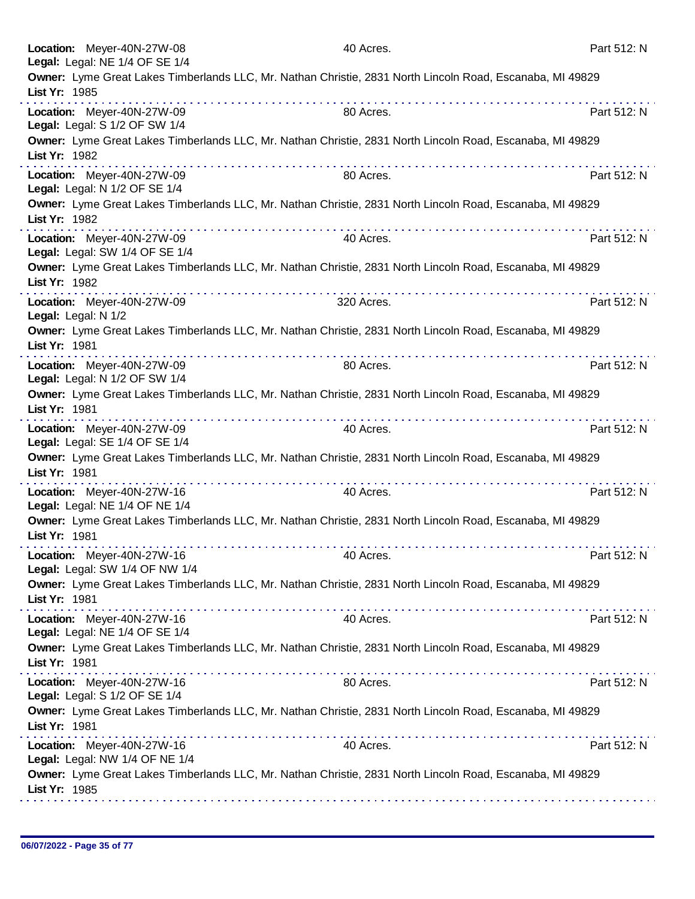|                     | Location: Meyer-40N-27W-08<br>Legal: Legal: NE 1/4 OF SE 1/4 | 40 Acres.                                                                                                 | Part 512: N |
|---------------------|--------------------------------------------------------------|-----------------------------------------------------------------------------------------------------------|-------------|
| List Yr: 1985       |                                                              | Owner: Lyme Great Lakes Timberlands LLC, Mr. Nathan Christie, 2831 North Lincoln Road, Escanaba, MI 49829 |             |
|                     | Location: Meyer-40N-27W-09<br>Legal: Legal: S 1/2 OF SW 1/4  | 80 Acres.                                                                                                 | Part 512: N |
| List Yr: 1982       |                                                              | Owner: Lyme Great Lakes Timberlands LLC, Mr. Nathan Christie, 2831 North Lincoln Road, Escanaba, MI 49829 |             |
|                     | Location: Meyer-40N-27W-09<br>Legal: Legal: N 1/2 OF SE 1/4  | 80 Acres.                                                                                                 | Part 512: N |
| List Yr: 1982       |                                                              | Owner: Lyme Great Lakes Timberlands LLC, Mr. Nathan Christie, 2831 North Lincoln Road, Escanaba, MI 49829 |             |
|                     | Location: Meyer-40N-27W-09<br>Legal: Legal: SW 1/4 OF SE 1/4 | 40 Acres.                                                                                                 | Part 512: N |
| List Yr: 1982       |                                                              | Owner: Lyme Great Lakes Timberlands LLC, Mr. Nathan Christie, 2831 North Lincoln Road, Escanaba, MI 49829 |             |
| Legal: Legal: N 1/2 | Location: Meyer-40N-27W-09                                   | 320 Acres.                                                                                                | Part 512: N |
| List Yr: 1981       |                                                              | Owner: Lyme Great Lakes Timberlands LLC, Mr. Nathan Christie, 2831 North Lincoln Road, Escanaba, MI 49829 |             |
|                     | Location: Meyer-40N-27W-09<br>Legal: Legal: N 1/2 OF SW 1/4  | 80 Acres.                                                                                                 | Part 512: N |
| List Yr: 1981       |                                                              | Owner: Lyme Great Lakes Timberlands LLC, Mr. Nathan Christie, 2831 North Lincoln Road, Escanaba, MI 49829 |             |
|                     | Location: Meyer-40N-27W-09<br>Legal: Legal: SE 1/4 OF SE 1/4 | 40 Acres.                                                                                                 | Part 512: N |
| List Yr: 1981       |                                                              | Owner: Lyme Great Lakes Timberlands LLC, Mr. Nathan Christie, 2831 North Lincoln Road, Escanaba, MI 49829 |             |
|                     | Location: Meyer-40N-27W-16<br>Legal: Legal: NE 1/4 OF NE 1/4 | 40 Acres.                                                                                                 | Part 512: N |
| List Yr: 1981       |                                                              | Owner: Lyme Great Lakes Timberlands LLC, Mr. Nathan Christie, 2831 North Lincoln Road, Escanaba, MI 49829 |             |
|                     | Location: Meyer-40N-27W-16<br>Legal: Legal: SW 1/4 OF NW 1/4 | 40 Acres.                                                                                                 | Part 512: N |
| List Yr: 1981       |                                                              | Owner: Lyme Great Lakes Timberlands LLC, Mr. Nathan Christie, 2831 North Lincoln Road, Escanaba, MI 49829 |             |
|                     | Location: Meyer-40N-27W-16<br>Legal: Legal: NE 1/4 OF SE 1/4 | 40 Acres.                                                                                                 | Part 512: N |
| List Yr: 1981       |                                                              | Owner: Lyme Great Lakes Timberlands LLC, Mr. Nathan Christie, 2831 North Lincoln Road, Escanaba, MI 49829 |             |
|                     | Location: Meyer-40N-27W-16<br>Legal: Legal: S 1/2 OF SE 1/4  | 80 Acres.                                                                                                 | Part 512: N |
| List Yr: 1981       |                                                              | Owner: Lyme Great Lakes Timberlands LLC, Mr. Nathan Christie, 2831 North Lincoln Road, Escanaba, MI 49829 |             |
|                     | Location: Meyer-40N-27W-16<br>Legal: Legal: NW 1/4 OF NE 1/4 | 40 Acres.                                                                                                 | Part 512: N |
| List Yr: 1985       |                                                              | Owner: Lyme Great Lakes Timberlands LLC, Mr. Nathan Christie, 2831 North Lincoln Road, Escanaba, MI 49829 |             |
|                     |                                                              |                                                                                                           |             |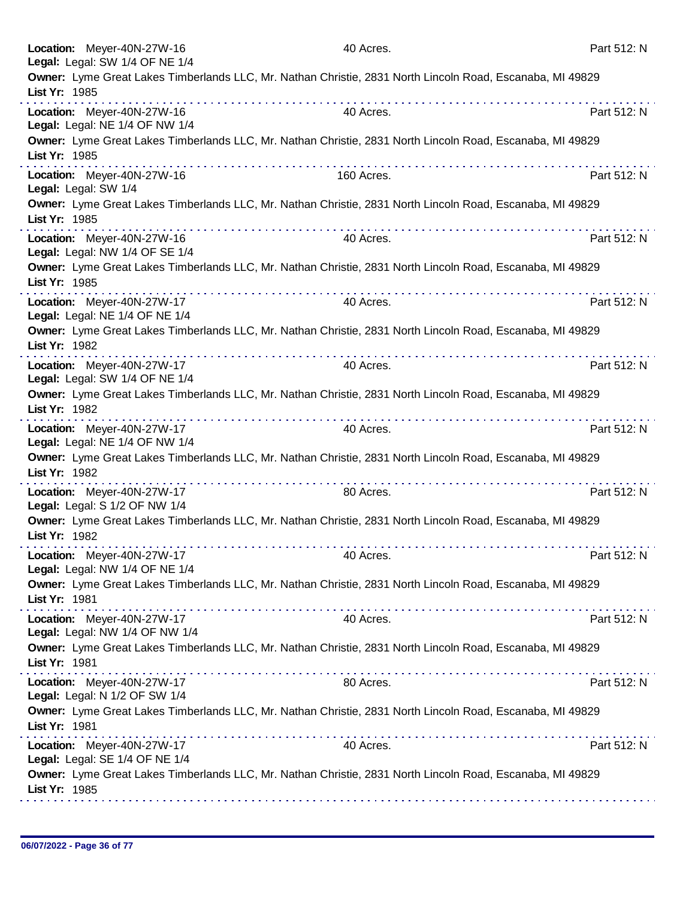|                                                                                                                            | Location: Meyer-40N-27W-16<br>Legal: Legal: SW 1/4 OF NE 1/4 | 40 Acres.                                                                                                 | Part 512: N |
|----------------------------------------------------------------------------------------------------------------------------|--------------------------------------------------------------|-----------------------------------------------------------------------------------------------------------|-------------|
|                                                                                                                            | List Yr: 1985                                                | Owner: Lyme Great Lakes Timberlands LLC, Mr. Nathan Christie, 2831 North Lincoln Road, Escanaba, MI 49829 |             |
|                                                                                                                            | Location: Meyer-40N-27W-16<br>Legal: Legal: NE 1/4 OF NW 1/4 | 40 Acres.                                                                                                 | Part 512: N |
|                                                                                                                            | List Yr: 1985                                                | Owner: Lyme Great Lakes Timberlands LLC, Mr. Nathan Christie, 2831 North Lincoln Road, Escanaba, MI 49829 |             |
|                                                                                                                            | Location: Meyer-40N-27W-16<br>Legal: Legal: SW 1/4           | .<br>160 Acres.                                                                                           | Part 512: N |
|                                                                                                                            | List Yr: 1985                                                | Owner: Lyme Great Lakes Timberlands LLC, Mr. Nathan Christie, 2831 North Lincoln Road, Escanaba, MI 49829 |             |
|                                                                                                                            | Location: Meyer-40N-27W-16<br>Legal: Legal: NW 1/4 OF SE 1/4 | 40 Acres.                                                                                                 | Part 512: N |
|                                                                                                                            | List Yr: 1985                                                | Owner: Lyme Great Lakes Timberlands LLC, Mr. Nathan Christie, 2831 North Lincoln Road, Escanaba, MI 49829 |             |
|                                                                                                                            | Location: Meyer-40N-27W-17<br>Legal: Legal: NE 1/4 OF NE 1/4 | 40 Acres.                                                                                                 | Part 512: N |
|                                                                                                                            | List Yr: 1982                                                | Owner: Lyme Great Lakes Timberlands LLC, Mr. Nathan Christie, 2831 North Lincoln Road, Escanaba, MI 49829 |             |
|                                                                                                                            | Location: Meyer-40N-27W-17<br>Legal: Legal: SW 1/4 OF NE 1/4 | 40 Acres.                                                                                                 | Part 512: N |
|                                                                                                                            | List Yr: 1982                                                | Owner: Lyme Great Lakes Timberlands LLC, Mr. Nathan Christie, 2831 North Lincoln Road, Escanaba, MI 49829 |             |
|                                                                                                                            | Location: Meyer-40N-27W-17<br>Legal: Legal: NE 1/4 OF NW 1/4 | 40 Acres.                                                                                                 | Part 512: N |
|                                                                                                                            | List Yr: 1982                                                | Owner: Lyme Great Lakes Timberlands LLC, Mr. Nathan Christie, 2831 North Lincoln Road, Escanaba, MI 49829 |             |
|                                                                                                                            | Location: Meyer-40N-27W-17<br>Legal: Legal: S 1/2 OF NW 1/4  | 80 Acres.                                                                                                 | Part 512: N |
|                                                                                                                            | List Yr: 1982                                                | Owner: Lyme Great Lakes Timberlands LLC, Mr. Nathan Christie, 2831 North Lincoln Road, Escanaba, MI 49829 |             |
|                                                                                                                            | Location: Meyer-40N-27W-17<br>Legal: Legal: NW 1/4 OF NE 1/4 | 40 Acres.                                                                                                 | Part 512: N |
|                                                                                                                            | List Yr: 1981                                                | Owner: Lyme Great Lakes Timberlands LLC, Mr. Nathan Christie, 2831 North Lincoln Road, Escanaba, MI 49829 |             |
|                                                                                                                            | Location: Meyer-40N-27W-17<br>Legal: Legal: NW 1/4 OF NW 1/4 | 40 Acres.                                                                                                 | Part 512: N |
|                                                                                                                            | List Yr: 1981                                                | Owner: Lyme Great Lakes Timberlands LLC, Mr. Nathan Christie, 2831 North Lincoln Road, Escanaba, MI 49829 |             |
|                                                                                                                            | Location: Meyer-40N-27W-17<br>Legal: Legal: N 1/2 OF SW 1/4  | 80 Acres.                                                                                                 | Part 512: N |
| Owner: Lyme Great Lakes Timberlands LLC, Mr. Nathan Christie, 2831 North Lincoln Road, Escanaba, MI 49829<br>List Yr: 1981 |                                                              |                                                                                                           |             |
|                                                                                                                            | Location: Meyer-40N-27W-17<br>Legal: Legal: SE 1/4 OF NE 1/4 | 40 Acres.                                                                                                 | Part 512: N |
|                                                                                                                            | List Yr: 1985                                                | Owner: Lyme Great Lakes Timberlands LLC, Mr. Nathan Christie, 2831 North Lincoln Road, Escanaba, MI 49829 |             |
|                                                                                                                            |                                                              |                                                                                                           |             |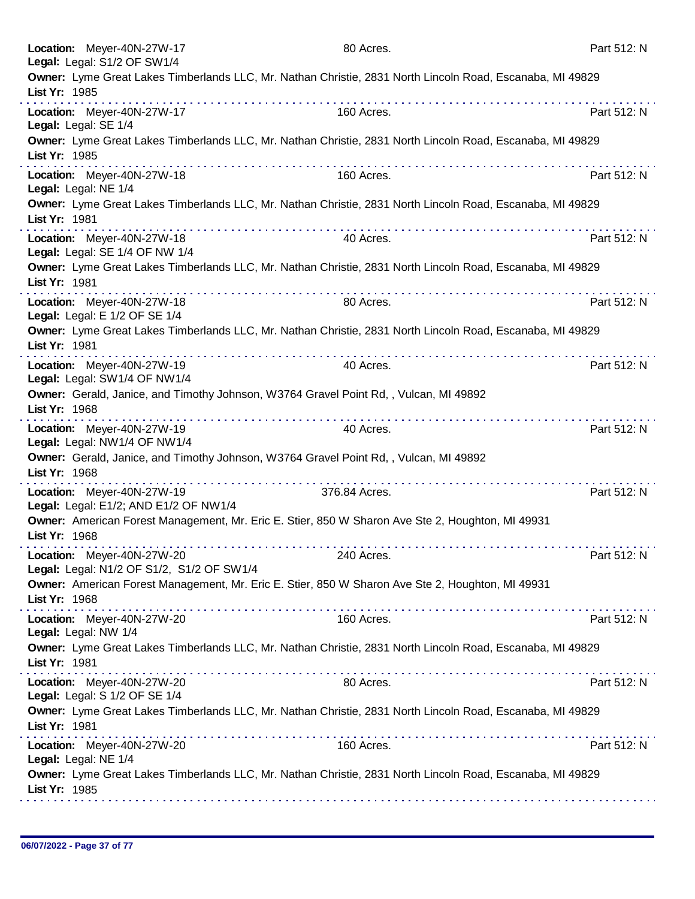|               | Location: Meyer-40N-27W-17<br>Legal: Legal: S1/2 OF SW1/4               | 80 Acres.                                                                                                 | Part 512: N |
|---------------|-------------------------------------------------------------------------|-----------------------------------------------------------------------------------------------------------|-------------|
| List Yr: 1985 |                                                                         | Owner: Lyme Great Lakes Timberlands LLC, Mr. Nathan Christie, 2831 North Lincoln Road, Escanaba, MI 49829 |             |
|               | Location: Meyer-40N-27W-17<br>Legal: Legal: SE 1/4                      | 160 Acres.                                                                                                | Part 512: N |
| List Yr: 1985 |                                                                         | Owner: Lyme Great Lakes Timberlands LLC, Mr. Nathan Christie, 2831 North Lincoln Road, Escanaba, MI 49829 |             |
|               | Location: Meyer-40N-27W-18<br>Legal: Legal: NE 1/4                      | 160 Acres.                                                                                                | Part 512: N |
| List Yr: 1981 |                                                                         | Owner: Lyme Great Lakes Timberlands LLC, Mr. Nathan Christie, 2831 North Lincoln Road, Escanaba, MI 49829 |             |
|               | Location: Meyer-40N-27W-18<br>Legal: Legal: SE 1/4 OF NW 1/4            | 40 Acres.                                                                                                 | Part 512: N |
| List Yr: 1981 |                                                                         | Owner: Lyme Great Lakes Timberlands LLC, Mr. Nathan Christie, 2831 North Lincoln Road, Escanaba, MI 49829 |             |
|               | Location: Meyer-40N-27W-18<br>Legal: Legal: E 1/2 OF SE 1/4             | 80 Acres.                                                                                                 | Part 512: N |
| List Yr: 1981 |                                                                         | Owner: Lyme Great Lakes Timberlands LLC, Mr. Nathan Christie, 2831 North Lincoln Road, Escanaba, MI 49829 |             |
|               | Location: Meyer-40N-27W-19<br>Legal: Legal: SW1/4 OF NW1/4              | 40 Acres.                                                                                                 | Part 512: N |
| List Yr: 1968 |                                                                         | Owner: Gerald, Janice, and Timothy Johnson, W3764 Gravel Point Rd,, Vulcan, MI 49892                      |             |
|               | Location: Meyer-40N-27W-19<br>Legal: Legal: NW1/4 OF NW1/4              | .<br>40 Acres.                                                                                            | Part 512: N |
| List Yr: 1968 |                                                                         | Owner: Gerald, Janice, and Timothy Johnson, W3764 Gravel Point Rd,, Vulcan, MI 49892                      |             |
|               | Location: Meyer-40N-27W-19<br>Legal: Legal: E1/2; AND E1/2 OF NW1/4     | 376.84 Acres.                                                                                             | Part 512: N |
| List Yr: 1968 |                                                                         | Owner: American Forest Management, Mr. Eric E. Stier, 850 W Sharon Ave Ste 2, Houghton, MI 49931          |             |
|               | Location: Meyer-40N-27W-20<br>Legal: Legal: N1/2 OF S1/2, S1/2 OF SW1/4 | 240 Acres.                                                                                                | Part 512: N |
| List Yr: 1968 |                                                                         | Owner: American Forest Management, Mr. Eric E. Stier, 850 W Sharon Ave Ste 2, Houghton, MI 49931          |             |
|               | Location: Meyer-40N-27W-20<br>Legal: Legal: NW 1/4                      | 160 Acres.                                                                                                | Part 512: N |
| List Yr: 1981 |                                                                         | Owner: Lyme Great Lakes Timberlands LLC, Mr. Nathan Christie, 2831 North Lincoln Road, Escanaba, MI 49829 |             |
|               | Location: Meyer-40N-27W-20<br>Legal: Legal: S 1/2 OF SE 1/4             | 80 Acres.                                                                                                 | Part 512: N |
| List Yr: 1981 |                                                                         | Owner: Lyme Great Lakes Timberlands LLC, Mr. Nathan Christie, 2831 North Lincoln Road, Escanaba, MI 49829 |             |
|               | Location: Meyer-40N-27W-20<br>Legal: Legal: NE 1/4                      | 160 Acres.                                                                                                | Part 512: N |
| List Yr: 1985 |                                                                         | Owner: Lyme Great Lakes Timberlands LLC, Mr. Nathan Christie, 2831 North Lincoln Road, Escanaba, MI 49829 |             |
|               |                                                                         |                                                                                                           |             |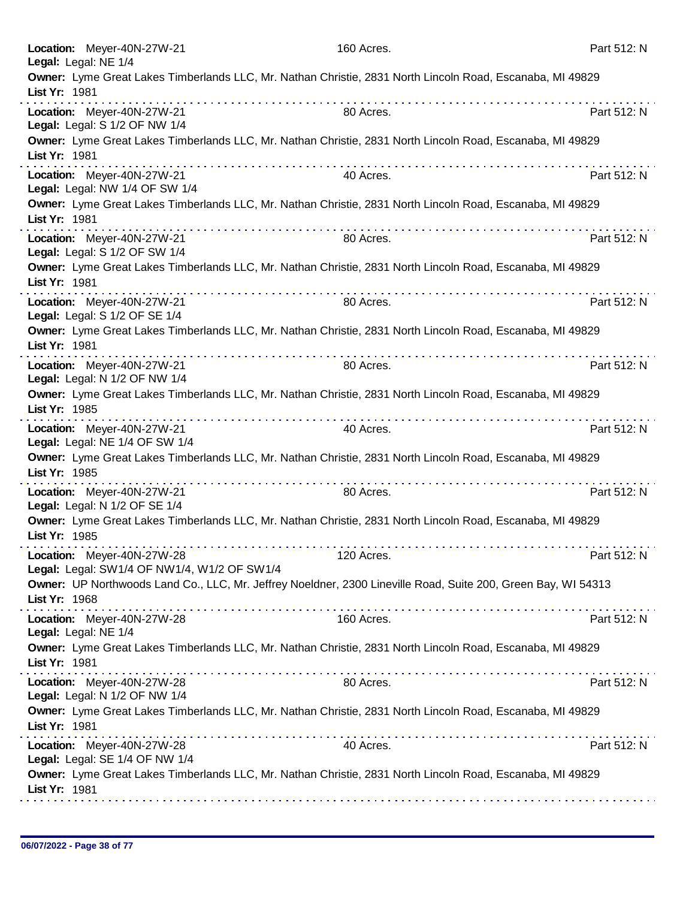| Location: Meyer-40N-27W-21<br>Legal: Legal: NE 1/4                        | 160 Acres.                                                                                                                                                                                                                       | Part 512: N |
|---------------------------------------------------------------------------|----------------------------------------------------------------------------------------------------------------------------------------------------------------------------------------------------------------------------------|-------------|
| List Yr: 1981                                                             | Owner: Lyme Great Lakes Timberlands LLC, Mr. Nathan Christie, 2831 North Lincoln Road, Escanaba, MI 49829                                                                                                                        |             |
| Location: Meyer-40N-27W-21<br>Legal: Legal: S 1/2 OF NW 1/4               | 80 Acres.                                                                                                                                                                                                                        | Part 512: N |
| List Yr: 1981                                                             | Owner: Lyme Great Lakes Timberlands LLC, Mr. Nathan Christie, 2831 North Lincoln Road, Escanaba, MI 49829                                                                                                                        |             |
| Location: Meyer-40N-27W-21<br>Legal: Legal: NW 1/4 OF SW 1/4              | 40 Acres.                                                                                                                                                                                                                        | Part 512: N |
| List Yr: 1981                                                             | Owner: Lyme Great Lakes Timberlands LLC, Mr. Nathan Christie, 2831 North Lincoln Road, Escanaba, MI 49829                                                                                                                        |             |
| Location: Meyer-40N-27W-21<br>Legal: Legal: S 1/2 OF SW 1/4               | 80 Acres.                                                                                                                                                                                                                        | Part 512: N |
| List Yr: 1981                                                             | Owner: Lyme Great Lakes Timberlands LLC, Mr. Nathan Christie, 2831 North Lincoln Road, Escanaba, MI 49829                                                                                                                        |             |
| Location: Meyer-40N-27W-21<br>Legal: Legal: S 1/2 OF SE 1/4               | 80 Acres.                                                                                                                                                                                                                        | Part 512: N |
| List Yr: 1981                                                             | Owner: Lyme Great Lakes Timberlands LLC, Mr. Nathan Christie, 2831 North Lincoln Road, Escanaba, MI 49829                                                                                                                        |             |
| Location: Meyer-40N-27W-21<br>Legal: Legal: N 1/2 OF NW 1/4               | 80 Acres.                                                                                                                                                                                                                        | Part 512: N |
| List Yr: 1985                                                             | Owner: Lyme Great Lakes Timberlands LLC, Mr. Nathan Christie, 2831 North Lincoln Road, Escanaba, MI 49829                                                                                                                        |             |
| Location: Meyer-40N-27W-21<br>Legal: Legal: NE 1/4 OF SW 1/4              | 40 Acres.                                                                                                                                                                                                                        | Part 512: N |
| List Yr: 1985                                                             | Owner: Lyme Great Lakes Timberlands LLC, Mr. Nathan Christie, 2831 North Lincoln Road, Escanaba, MI 49829                                                                                                                        |             |
| Location: Meyer-40N-27W-21<br>Legal: Legal: N 1/2 OF SE 1/4               | 80 Acres.                                                                                                                                                                                                                        | Part 512: N |
| List Yr: 1985                                                             | Owner: Lyme Great Lakes Timberlands LLC, Mr. Nathan Christie, 2831 North Lincoln Road, Escanaba, MI 49829                                                                                                                        |             |
| Location: Meyer-40N-27W-28<br>Legal: Legal: SW1/4 OF NW1/4, W1/2 OF SW1/4 | 120 Acres.                                                                                                                                                                                                                       | Part 512: N |
| List Yr: 1968                                                             | Owner: UP Northwoods Land Co., LLC, Mr. Jeffrey Noeldner, 2300 Lineville Road, Suite 200, Green Bay, WI 54313                                                                                                                    |             |
| Location: Meyer-40N-27W-28<br>Legal: Legal: NE 1/4                        | 160 Acres.                                                                                                                                                                                                                       | Part 512: N |
| List Yr: 1981                                                             | Owner: Lyme Great Lakes Timberlands LLC, Mr. Nathan Christie, 2831 North Lincoln Road, Escanaba, MI 49829                                                                                                                        |             |
| Location: Meyer-40N-27W-28<br>Legal: Legal: N 1/2 OF NW 1/4               | 80 Acres.                                                                                                                                                                                                                        | Part 512: N |
| List Yr: 1981                                                             | Owner: Lyme Great Lakes Timberlands LLC, Mr. Nathan Christie, 2831 North Lincoln Road, Escanaba, MI 49829                                                                                                                        |             |
| Location: Meyer-40N-27W-28<br>Legal: Legal: SE 1/4 OF NW 1/4              | 40 Acres.                                                                                                                                                                                                                        | Part 512: N |
| List Yr: 1981                                                             | Owner: Lyme Great Lakes Timberlands LLC, Mr. Nathan Christie, 2831 North Lincoln Road, Escanaba, MI 49829<br>.<br>1999. – Prince Paris, predsedent politike i predsedent i predsedent i predsedent i predsedent i predsedent i p |             |
|                                                                           |                                                                                                                                                                                                                                  |             |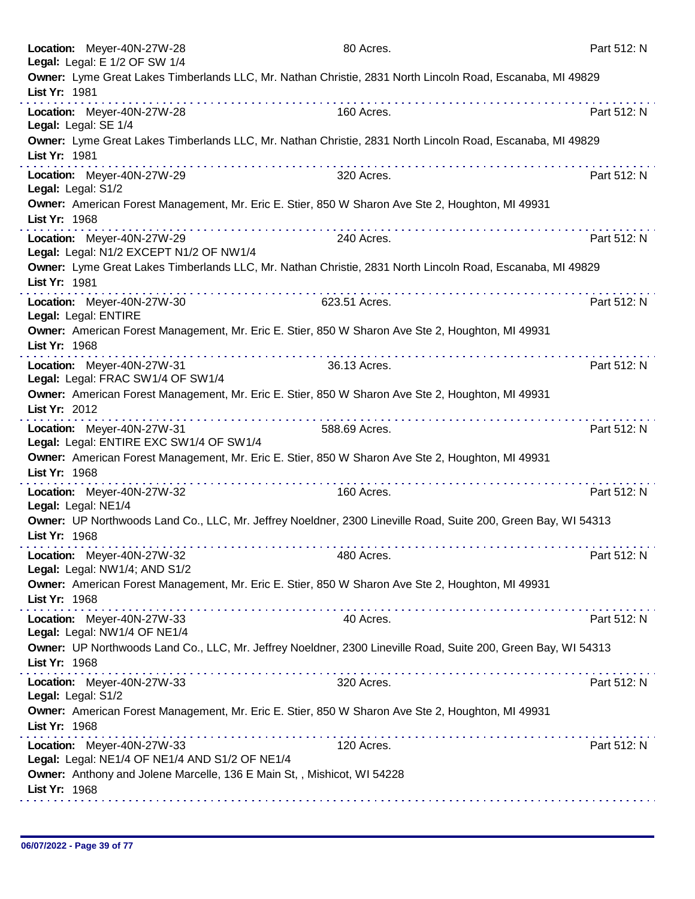|                    | Location: Meyer-40N-27W-28<br>Legal: Legal: E 1/2 OF SW 1/4                  | 80 Acres.                                                                                                     | Part 512: N |
|--------------------|------------------------------------------------------------------------------|---------------------------------------------------------------------------------------------------------------|-------------|
| List Yr: 1981      |                                                                              | Owner: Lyme Great Lakes Timberlands LLC, Mr. Nathan Christie, 2831 North Lincoln Road, Escanaba, MI 49829     |             |
|                    | Location: Meyer-40N-27W-28<br>Legal: Legal: SE 1/4                           | 160 Acres.                                                                                                    | Part 512: N |
| List Yr: 1981      |                                                                              | Owner: Lyme Great Lakes Timberlands LLC, Mr. Nathan Christie, 2831 North Lincoln Road, Escanaba, MI 49829     |             |
| Legal: Legal: S1/2 | Location: Meyer-40N-27W-29                                                   | a construction of the construction of<br>320 Acres.                                                           | Part 512: N |
| List Yr: 1968      |                                                                              | Owner: American Forest Management, Mr. Eric E. Stier, 850 W Sharon Ave Ste 2, Houghton, MI 49931              |             |
|                    | Location: Meyer-40N-27W-29<br>Legal: Legal: N1/2 EXCEPT N1/2 OF NW1/4        | 240 Acres.                                                                                                    | Part 512: N |
| List Yr: 1981      |                                                                              | Owner: Lyme Great Lakes Timberlands LLC, Mr. Nathan Christie, 2831 North Lincoln Road, Escanaba, MI 49829     |             |
|                    | Location: Meyer-40N-27W-30<br>Legal: Legal: ENTIRE                           | 623.51 Acres.                                                                                                 | Part 512: N |
| List Yr: 1968      |                                                                              | Owner: American Forest Management, Mr. Eric E. Stier, 850 W Sharon Ave Ste 2, Houghton, MI 49931              |             |
|                    | Location: Meyer-40N-27W-31<br>Legal: Legal: FRAC SW1/4 OF SW1/4              | 36.13 Acres.                                                                                                  | Part 512: N |
| List Yr: 2012      |                                                                              | Owner: American Forest Management, Mr. Eric E. Stier, 850 W Sharon Ave Ste 2, Houghton, MI 49931              |             |
|                    | Location: Meyer-40N-27W-31<br>Legal: Legal: ENTIRE EXC SW1/4 OF SW1/4        | .<br>588.69 Acres.                                                                                            | Part 512: N |
| List Yr: 1968      |                                                                              | Owner: American Forest Management, Mr. Eric E. Stier, 850 W Sharon Ave Ste 2, Houghton, MI 49931              |             |
|                    | Location: Meyer-40N-27W-32<br>Legal: Legal: NE1/4                            | 160 Acres.                                                                                                    | Part 512: N |
| List Yr: 1968      |                                                                              | Owner: UP Northwoods Land Co., LLC, Mr. Jeffrey Noeldner, 2300 Lineville Road, Suite 200, Green Bay, WI 54313 |             |
|                    | Location: Meyer-40N-27W-32<br>Legal: Legal: NW1/4; AND S1/2                  | 480 Acres.                                                                                                    | Part 512: N |
| List Yr: 1968      |                                                                              | Owner: American Forest Management, Mr. Eric E. Stier, 850 W Sharon Ave Ste 2, Houghton, MI 49931              |             |
|                    | Location: Meyer-40N-27W-33<br>Legal: Legal: NW1/4 OF NE1/4                   | 40 Acres.                                                                                                     | Part 512: N |
| List Yr: 1968      |                                                                              | Owner: UP Northwoods Land Co., LLC, Mr. Jeffrey Noeldner, 2300 Lineville Road, Suite 200, Green Bay, WI 54313 |             |
| Legal: Legal: S1/2 | Location: Meyer-40N-27W-33                                                   | 320 Acres.                                                                                                    | Part 512: N |
| List Yr: 1968      |                                                                              | Owner: American Forest Management, Mr. Eric E. Stier, 850 W Sharon Ave Ste 2, Houghton, MI 49931              |             |
|                    | Location: Meyer-40N-27W-33<br>Legal: Legal: NE1/4 OF NE1/4 AND S1/2 OF NE1/4 | 120 Acres.                                                                                                    | Part 512: N |
| List Yr: 1968      | Owner: Anthony and Jolene Marcelle, 136 E Main St,, Mishicot, WI 54228       |                                                                                                               |             |
|                    |                                                                              |                                                                                                               |             |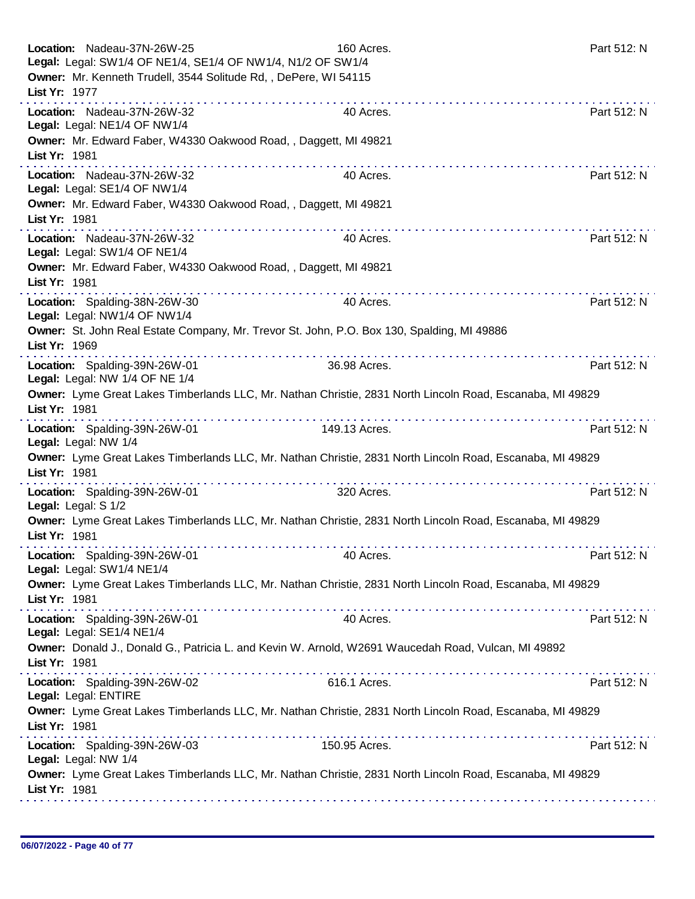| Location: Nadeau-37N-26W-25                                     | Legal: Legal: SW1/4 OF NE1/4, SE1/4 OF NW1/4, N1/2 OF SW1/4      | 160 Acres.                                                                                                | Part 512: N |
|-----------------------------------------------------------------|------------------------------------------------------------------|-----------------------------------------------------------------------------------------------------------|-------------|
|                                                                 | Owner: Mr. Kenneth Trudell, 3544 Solitude Rd, , DePere, WI 54115 |                                                                                                           |             |
| List Yr: 1977                                                   |                                                                  |                                                                                                           |             |
| Location: Nadeau-37N-26W-32<br>Legal: Legal: NE1/4 OF NW1/4     |                                                                  | 40 Acres.                                                                                                 | Part 512: N |
| List Yr: 1981                                                   | Owner: Mr. Edward Faber, W4330 Oakwood Road, , Daggett, MI 49821 |                                                                                                           |             |
| Location: Nadeau-37N-26W-32<br>Legal: Legal: SE1/4 OF NW1/4     |                                                                  | 40 Acres.                                                                                                 | Part 512: N |
| List Yr: 1981                                                   | Owner: Mr. Edward Faber, W4330 Oakwood Road, , Daggett, MI 49821 |                                                                                                           |             |
| Location: Nadeau-37N-26W-32<br>Legal: Legal: SW1/4 OF NE1/4     |                                                                  | 40 Acres.                                                                                                 | Part 512: N |
| List Yr: 1981                                                   | Owner: Mr. Edward Faber, W4330 Oakwood Road, , Daggett, MI 49821 |                                                                                                           |             |
| Location: Spalding-38N-26W-30<br>Legal: Legal: NW1/4 OF NW1/4   |                                                                  | 40 Acres.                                                                                                 | Part 512: N |
| List Yr: 1969                                                   |                                                                  | Owner: St. John Real Estate Company, Mr. Trevor St. John, P.O. Box 130, Spalding, MI 49886                |             |
| Location: Spalding-39N-26W-01<br>Legal: Legal: NW 1/4 OF NE 1/4 |                                                                  | 36.98 Acres.                                                                                              | Part 512: N |
| List Yr: 1981                                                   |                                                                  | Owner: Lyme Great Lakes Timberlands LLC, Mr. Nathan Christie, 2831 North Lincoln Road, Escanaba, MI 49829 |             |
| Location: Spalding-39N-26W-01<br>Legal: Legal: NW 1/4           |                                                                  | 149.13 Acres.                                                                                             | Part 512: N |
| List Yr: 1981                                                   |                                                                  | Owner: Lyme Great Lakes Timberlands LLC, Mr. Nathan Christie, 2831 North Lincoln Road, Escanaba, MI 49829 |             |
| Location: Spalding-39N-26W-01<br>Legal: Legal: S 1/2            |                                                                  | 320 Acres.                                                                                                | Part 512: N |
| List Yr: 1981                                                   |                                                                  | Owner: Lyme Great Lakes Timberlands LLC, Mr. Nathan Christie, 2831 North Lincoln Road, Escanaba, MI 49829 |             |
| Location: Spalding-39N-26W-01<br>Legal: Legal: SW1/4 NE1/4      |                                                                  | 40 Acres.                                                                                                 | Part 512: N |
| List Yr: 1981                                                   |                                                                  | Owner: Lyme Great Lakes Timberlands LLC, Mr. Nathan Christie, 2831 North Lincoln Road, Escanaba, MI 49829 |             |
| Location: Spalding-39N-26W-01<br>Legal: Legal: SE1/4 NE1/4      |                                                                  | 40 Acres.                                                                                                 | Part 512: N |
| List Yr: 1981                                                   |                                                                  | Owner: Donald J., Donald G., Patricia L. and Kevin W. Arnold, W2691 Waucedah Road, Vulcan, MI 49892       |             |
| Location: Spalding-39N-26W-02<br>Legal: Legal: ENTIRE           |                                                                  | 616.1 Acres.                                                                                              | Part 512: N |
| List Yr: 1981                                                   |                                                                  | Owner: Lyme Great Lakes Timberlands LLC, Mr. Nathan Christie, 2831 North Lincoln Road, Escanaba, MI 49829 |             |
| Location: Spalding-39N-26W-03<br>Legal: Legal: NW 1/4           |                                                                  | 150.95 Acres.                                                                                             | Part 512: N |
| List Yr: 1981                                                   |                                                                  | Owner: Lyme Great Lakes Timberlands LLC, Mr. Nathan Christie, 2831 North Lincoln Road, Escanaba, MI 49829 |             |
|                                                                 |                                                                  |                                                                                                           |             |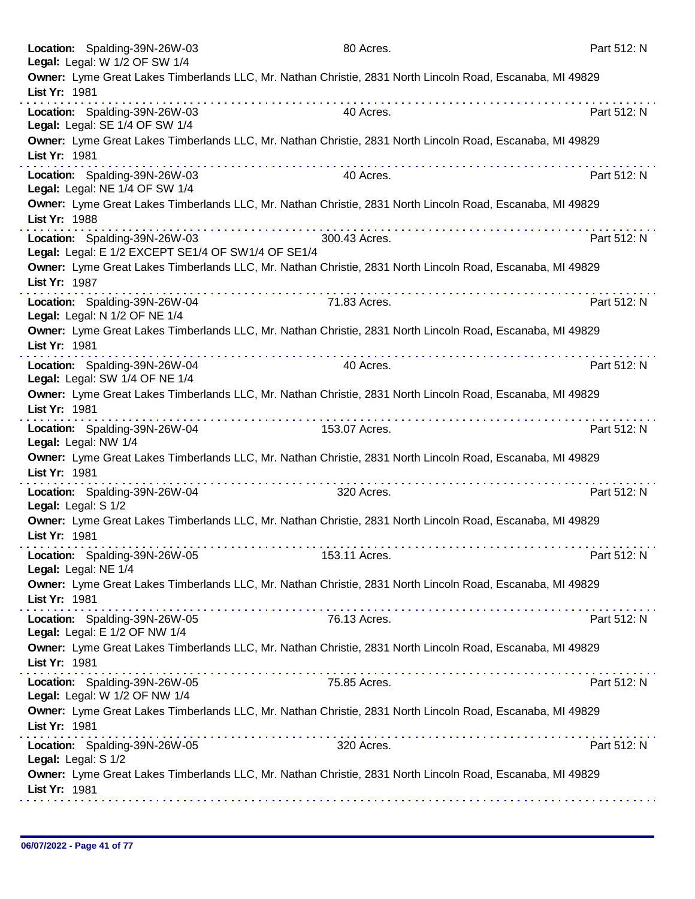| Legal: Legal: W 1/2 OF SW 1/4<br>Owner: Lyme Great Lakes Timberlands LLC, Mr. Nathan Christie, 2831 North Lincoln Road, Escanaba, MI 49829<br>List Yr: 1981<br>Location: Spalding-39N-26W-03<br>40 Acres.<br>Part 512: N<br>Legal: Legal: SE 1/4 OF SW 1/4<br>Owner: Lyme Great Lakes Timberlands LLC, Mr. Nathan Christie, 2831 North Lincoln Road, Escanaba, MI 49829<br>List Yr: 1981<br>Location: Spalding-39N-26W-03<br>Part 512: N<br>40 Acres.<br>Legal: Legal: NE 1/4 OF SW 1/4<br>Owner: Lyme Great Lakes Timberlands LLC, Mr. Nathan Christie, 2831 North Lincoln Road, Escanaba, MI 49829<br>List Yr: 1988<br>Location: Spalding-39N-26W-03<br>300.43 Acres.<br>Part 512: N |
|----------------------------------------------------------------------------------------------------------------------------------------------------------------------------------------------------------------------------------------------------------------------------------------------------------------------------------------------------------------------------------------------------------------------------------------------------------------------------------------------------------------------------------------------------------------------------------------------------------------------------------------------------------------------------------------|
|                                                                                                                                                                                                                                                                                                                                                                                                                                                                                                                                                                                                                                                                                        |
|                                                                                                                                                                                                                                                                                                                                                                                                                                                                                                                                                                                                                                                                                        |
|                                                                                                                                                                                                                                                                                                                                                                                                                                                                                                                                                                                                                                                                                        |
|                                                                                                                                                                                                                                                                                                                                                                                                                                                                                                                                                                                                                                                                                        |
|                                                                                                                                                                                                                                                                                                                                                                                                                                                                                                                                                                                                                                                                                        |
| Legal: Legal: E 1/2 EXCEPT SE1/4 OF SW1/4 OF SE1/4                                                                                                                                                                                                                                                                                                                                                                                                                                                                                                                                                                                                                                     |
| Owner: Lyme Great Lakes Timberlands LLC, Mr. Nathan Christie, 2831 North Lincoln Road, Escanaba, MI 49829<br>List Yr: 1987                                                                                                                                                                                                                                                                                                                                                                                                                                                                                                                                                             |
| Location: Spalding-39N-26W-04<br>71.83 Acres.<br>Part 512: N<br>Legal: Legal: N 1/2 OF NE 1/4                                                                                                                                                                                                                                                                                                                                                                                                                                                                                                                                                                                          |
| Owner: Lyme Great Lakes Timberlands LLC, Mr. Nathan Christie, 2831 North Lincoln Road, Escanaba, MI 49829<br>List Yr: 1981                                                                                                                                                                                                                                                                                                                                                                                                                                                                                                                                                             |
| Part 512: N<br>Location: Spalding-39N-26W-04<br>40 Acres.<br>Legal: Legal: SW 1/4 OF NE 1/4                                                                                                                                                                                                                                                                                                                                                                                                                                                                                                                                                                                            |
| Owner: Lyme Great Lakes Timberlands LLC, Mr. Nathan Christie, 2831 North Lincoln Road, Escanaba, MI 49829<br>List Yr: 1981<br>.                                                                                                                                                                                                                                                                                                                                                                                                                                                                                                                                                        |
| Location: Spalding-39N-26W-04<br>153.07 Acres.<br>Part 512: N<br>Legal: Legal: NW 1/4                                                                                                                                                                                                                                                                                                                                                                                                                                                                                                                                                                                                  |
| Owner: Lyme Great Lakes Timberlands LLC, Mr. Nathan Christie, 2831 North Lincoln Road, Escanaba, MI 49829<br>List Yr: 1981<br>.                                                                                                                                                                                                                                                                                                                                                                                                                                                                                                                                                        |
| Location: Spalding-39N-26W-04<br>320 Acres.<br>Part 512: N<br>Legal: Legal: S 1/2                                                                                                                                                                                                                                                                                                                                                                                                                                                                                                                                                                                                      |
| Owner: Lyme Great Lakes Timberlands LLC, Mr. Nathan Christie, 2831 North Lincoln Road, Escanaba, MI 49829<br>List Yr: 1981                                                                                                                                                                                                                                                                                                                                                                                                                                                                                                                                                             |
| Location: Spalding-39N-26W-05<br>153.11 Acres.<br>Part 512: N<br>Legal: Legal: NE 1/4                                                                                                                                                                                                                                                                                                                                                                                                                                                                                                                                                                                                  |
| Owner: Lyme Great Lakes Timberlands LLC, Mr. Nathan Christie, 2831 North Lincoln Road, Escanaba, MI 49829<br>List Yr: 1981                                                                                                                                                                                                                                                                                                                                                                                                                                                                                                                                                             |
| Location: Spalding-39N-26W-05<br>Part 512: N<br>76.13 Acres.<br>Legal: Legal: E 1/2 OF NW 1/4                                                                                                                                                                                                                                                                                                                                                                                                                                                                                                                                                                                          |
| Owner: Lyme Great Lakes Timberlands LLC, Mr. Nathan Christie, 2831 North Lincoln Road, Escanaba, MI 49829<br>List Yr: 1981<br><b>The contract of the contract of the contract of the contract of the contract of the contract of the contract of the contract of the contract of the contract of the contract of the contract of the contract of the contract </b>                                                                                                                                                                                                                                                                                                                     |
| Location: Spalding-39N-26W-05<br>75.85 Acres.<br>Part 512: N<br>Legal: Legal: W 1/2 OF NW 1/4                                                                                                                                                                                                                                                                                                                                                                                                                                                                                                                                                                                          |
| Owner: Lyme Great Lakes Timberlands LLC, Mr. Nathan Christie, 2831 North Lincoln Road, Escanaba, MI 49829<br>List Yr: 1981                                                                                                                                                                                                                                                                                                                                                                                                                                                                                                                                                             |
| 320 Acres.<br>Location: Spalding-39N-26W-05<br>Part 512: N<br>Legal: Legal: S 1/2                                                                                                                                                                                                                                                                                                                                                                                                                                                                                                                                                                                                      |
| Owner: Lyme Great Lakes Timberlands LLC, Mr. Nathan Christie, 2831 North Lincoln Road, Escanaba, MI 49829<br>List Yr: 1981                                                                                                                                                                                                                                                                                                                                                                                                                                                                                                                                                             |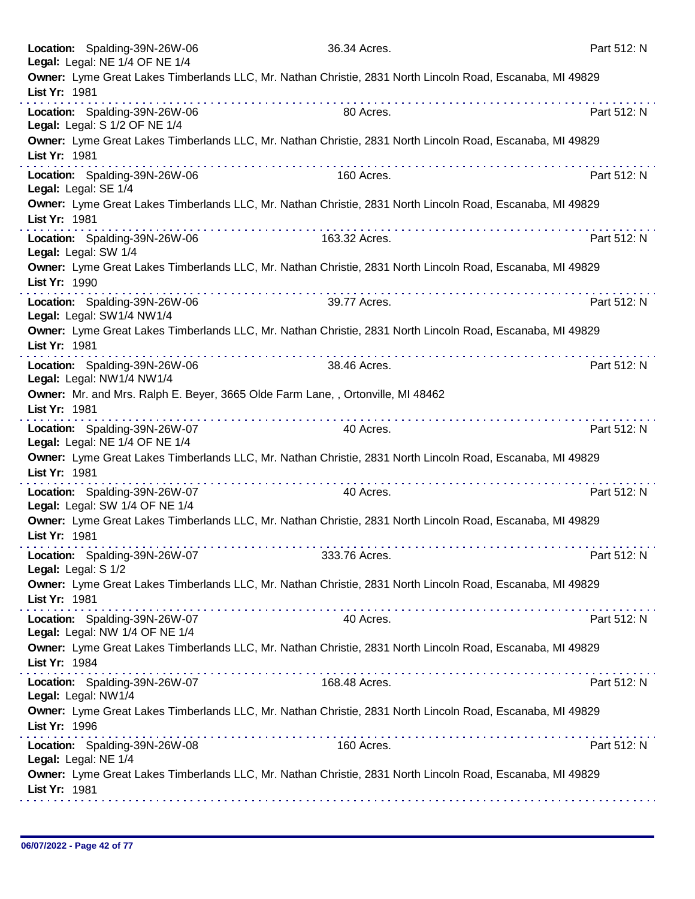|                     | Location: Spalding-39N-26W-06<br>Legal: Legal: NE 1/4 OF NE 1/4 | 36.34 Acres.                                                                        |                                                                                                                | Part 512: N |
|---------------------|-----------------------------------------------------------------|-------------------------------------------------------------------------------------|----------------------------------------------------------------------------------------------------------------|-------------|
| List Yr: 1981       |                                                                 |                                                                                     | Owner: Lyme Great Lakes Timberlands LLC, Mr. Nathan Christie, 2831 North Lincoln Road, Escanaba, MI 49829      |             |
|                     | Location: Spalding-39N-26W-06<br>Legal: Legal: S 1/2 OF NE 1/4  | 80 Acres.                                                                           |                                                                                                                | Part 512: N |
| List Yr: 1981       |                                                                 |                                                                                     | Owner: Lyme Great Lakes Timberlands LLC, Mr. Nathan Christie, 2831 North Lincoln Road, Escanaba, MI 49829      |             |
|                     | Location: Spalding-39N-26W-06<br>Legal: Legal: SE 1/4           | 160 Acres.                                                                          |                                                                                                                | Part 512: N |
| List Yr: 1981       |                                                                 |                                                                                     | Owner: Lyme Great Lakes Timberlands LLC, Mr. Nathan Christie, 2831 North Lincoln Road, Escanaba, MI 49829      |             |
|                     | Location: Spalding-39N-26W-06<br>Legal: Legal: SW 1/4           | 163.32 Acres.                                                                       |                                                                                                                | Part 512: N |
| List Yr: 1990       |                                                                 |                                                                                     | Owner: Lyme Great Lakes Timberlands LLC, Mr. Nathan Christie, 2831 North Lincoln Road, Escanaba, MI 49829      |             |
|                     | Location: Spalding-39N-26W-06<br>Legal: Legal: SW1/4 NW1/4      | 39.77 Acres.                                                                        |                                                                                                                | Part 512: N |
| List Yr: 1981       |                                                                 |                                                                                     | Owner: Lyme Great Lakes Timberlands LLC, Mr. Nathan Christie, 2831 North Lincoln Road, Escanaba, MI 49829<br>. |             |
|                     | Location: Spalding-39N-26W-06<br>Legal: Legal: NW1/4 NW1/4      | 38.46 Acres.                                                                        |                                                                                                                | Part 512: N |
| List Yr: 1981       |                                                                 | Owner: Mr. and Mrs. Ralph E. Beyer, 3665 Olde Farm Lane,, Ortonville, MI 48462<br>. |                                                                                                                |             |
|                     | Location: Spalding-39N-26W-07<br>Legal: Legal: NE 1/4 OF NE 1/4 | 40 Acres.                                                                           |                                                                                                                | Part 512: N |
| List Yr: 1981       |                                                                 |                                                                                     | Owner: Lyme Great Lakes Timberlands LLC, Mr. Nathan Christie, 2831 North Lincoln Road, Escanaba, MI 49829      |             |
|                     | Location: Spalding-39N-26W-07<br>Legal: Legal: SW 1/4 OF NE 1/4 | 40 Acres.                                                                           |                                                                                                                | Part 512: N |
| List Yr: 1981       |                                                                 |                                                                                     | Owner: Lyme Great Lakes Timberlands LLC, Mr. Nathan Christie, 2831 North Lincoln Road, Escanaba, MI 49829      |             |
| Legal: Legal: S 1/2 | Location: Spalding-39N-26W-07                                   | 333.76 Acres.                                                                       |                                                                                                                | Part 512: N |
| List Yr: 1981       |                                                                 |                                                                                     | Owner: Lyme Great Lakes Timberlands LLC, Mr. Nathan Christie, 2831 North Lincoln Road, Escanaba, MI 49829      |             |
|                     | Location: Spalding-39N-26W-07<br>Legal: Legal: NW 1/4 OF NE 1/4 | 40 Acres.                                                                           |                                                                                                                | Part 512: N |
| List Yr: 1984       |                                                                 |                                                                                     | Owner: Lyme Great Lakes Timberlands LLC, Mr. Nathan Christie, 2831 North Lincoln Road, Escanaba, MI 49829      |             |
|                     | Location: Spalding-39N-26W-07<br>Legal: Legal: NW1/4            | 168.48 Acres.                                                                       |                                                                                                                | Part 512: N |
| List Yr: 1996       |                                                                 |                                                                                     | Owner: Lyme Great Lakes Timberlands LLC, Mr. Nathan Christie, 2831 North Lincoln Road, Escanaba, MI 49829      |             |
|                     | Location: Spalding-39N-26W-08<br>Legal: Legal: NE 1/4           | 160 Acres.                                                                          |                                                                                                                | Part 512: N |
| List Yr: 1981       |                                                                 |                                                                                     | Owner: Lyme Great Lakes Timberlands LLC, Mr. Nathan Christie, 2831 North Lincoln Road, Escanaba, MI 49829      |             |
|                     |                                                                 |                                                                                     |                                                                                                                |             |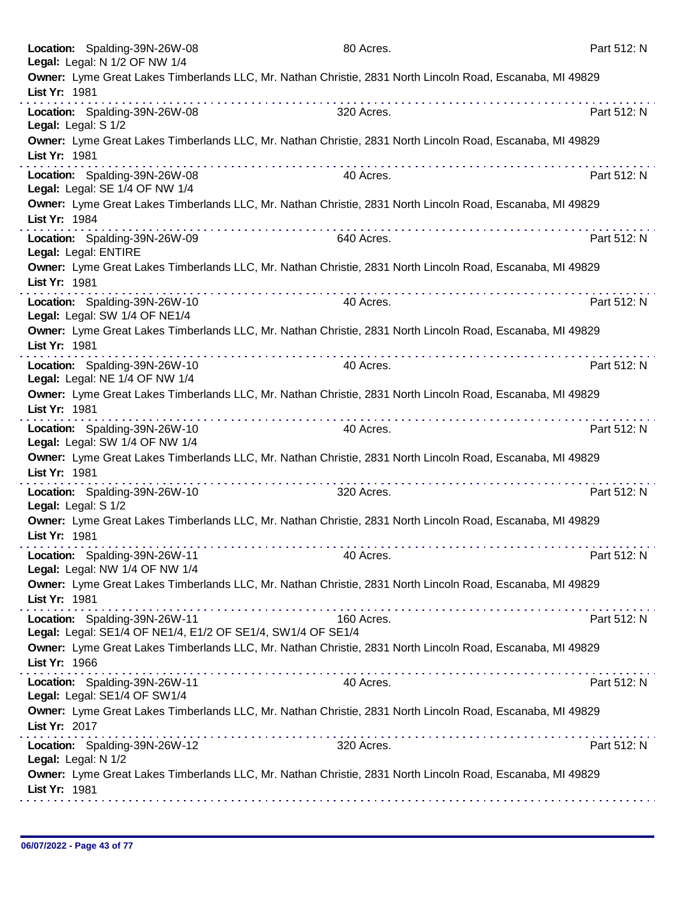|                     | Location: Spalding-39N-26W-08<br>Legal: Legal: N 1/2 OF NW 1/4                               | 80 Acres.  |                                                                                                           | Part 512: N |
|---------------------|----------------------------------------------------------------------------------------------|------------|-----------------------------------------------------------------------------------------------------------|-------------|
| List Yr: 1981       |                                                                                              |            | Owner: Lyme Great Lakes Timberlands LLC, Mr. Nathan Christie, 2831 North Lincoln Road, Escanaba, MI 49829 |             |
|                     | Location: Spalding-39N-26W-08<br>Legal: Legal: S 1/2                                         | 320 Acres. |                                                                                                           | Part 512: N |
| List Yr: 1981       |                                                                                              |            | Owner: Lyme Great Lakes Timberlands LLC, Mr. Nathan Christie, 2831 North Lincoln Road, Escanaba, MI 49829 |             |
|                     | Location: Spalding-39N-26W-08<br>Legal: Legal: SE 1/4 OF NW 1/4                              | 40 Acres.  |                                                                                                           | Part 512: N |
| List Yr: 1984       |                                                                                              |            | Owner: Lyme Great Lakes Timberlands LLC, Mr. Nathan Christie, 2831 North Lincoln Road, Escanaba, MI 49829 |             |
|                     | Location: Spalding-39N-26W-09<br>Legal: Legal: ENTIRE                                        | 640 Acres. |                                                                                                           | Part 512: N |
| List Yr: 1981       |                                                                                              |            | Owner: Lyme Great Lakes Timberlands LLC, Mr. Nathan Christie, 2831 North Lincoln Road, Escanaba, MI 49829 |             |
|                     | Location: Spalding-39N-26W-10<br>Legal: Legal: SW 1/4 OF NE1/4                               | 40 Acres.  |                                                                                                           | Part 512: N |
| List Yr: 1981       |                                                                                              | .          | Owner: Lyme Great Lakes Timberlands LLC, Mr. Nathan Christie, 2831 North Lincoln Road, Escanaba, MI 49829 |             |
|                     | Location: Spalding-39N-26W-10<br>Legal: Legal: NE 1/4 OF NW 1/4                              | 40 Acres.  |                                                                                                           | Part 512: N |
| List Yr: 1981       |                                                                                              |            | Owner: Lyme Great Lakes Timberlands LLC, Mr. Nathan Christie, 2831 North Lincoln Road, Escanaba, MI 49829 |             |
|                     | Location: Spalding-39N-26W-10<br>Legal: Legal: SW 1/4 OF NW 1/4                              | 40 Acres.  |                                                                                                           | Part 512: N |
| List Yr: 1981       |                                                                                              |            | Owner: Lyme Great Lakes Timberlands LLC, Mr. Nathan Christie, 2831 North Lincoln Road, Escanaba, MI 49829 |             |
| Legal: Legal: S 1/2 | Location: Spalding-39N-26W-10                                                                | 320 Acres. |                                                                                                           | Part 512: N |
| List Yr: 1981       |                                                                                              |            | Owner: Lyme Great Lakes Timberlands LLC, Mr. Nathan Christie, 2831 North Lincoln Road, Escanaba, MI 49829 |             |
|                     | Location: Spalding-39N-26W-11<br>Legal: Legal: NW 1/4 OF NW 1/4                              | 40 Acres.  |                                                                                                           | Part 512: N |
| List Yr: 1981       |                                                                                              |            | Owner: Lyme Great Lakes Timberlands LLC, Mr. Nathan Christie, 2831 North Lincoln Road, Escanaba, MI 49829 |             |
|                     | Location: Spalding-39N-26W-11<br>Legal: Legal: SE1/4 OF NE1/4, E1/2 OF SE1/4, SW1/4 OF SE1/4 | 160 Acres. |                                                                                                           | Part 512: N |
| List Yr: 1966       |                                                                                              |            | Owner: Lyme Great Lakes Timberlands LLC, Mr. Nathan Christie, 2831 North Lincoln Road, Escanaba, MI 49829 |             |
|                     | Location: Spalding-39N-26W-11<br>Legal: Legal: SE1/4 OF SW1/4                                | 40 Acres.  |                                                                                                           | Part 512: N |
| List Yr: 2017       |                                                                                              |            | Owner: Lyme Great Lakes Timberlands LLC, Mr. Nathan Christie, 2831 North Lincoln Road, Escanaba, MI 49829 |             |
| Legal: Legal: N 1/2 | Location: Spalding-39N-26W-12                                                                | 320 Acres. |                                                                                                           | Part 512: N |
| List Yr: 1981       |                                                                                              |            | Owner: Lyme Great Lakes Timberlands LLC, Mr. Nathan Christie, 2831 North Lincoln Road, Escanaba, MI 49829 |             |
|                     |                                                                                              |            |                                                                                                           |             |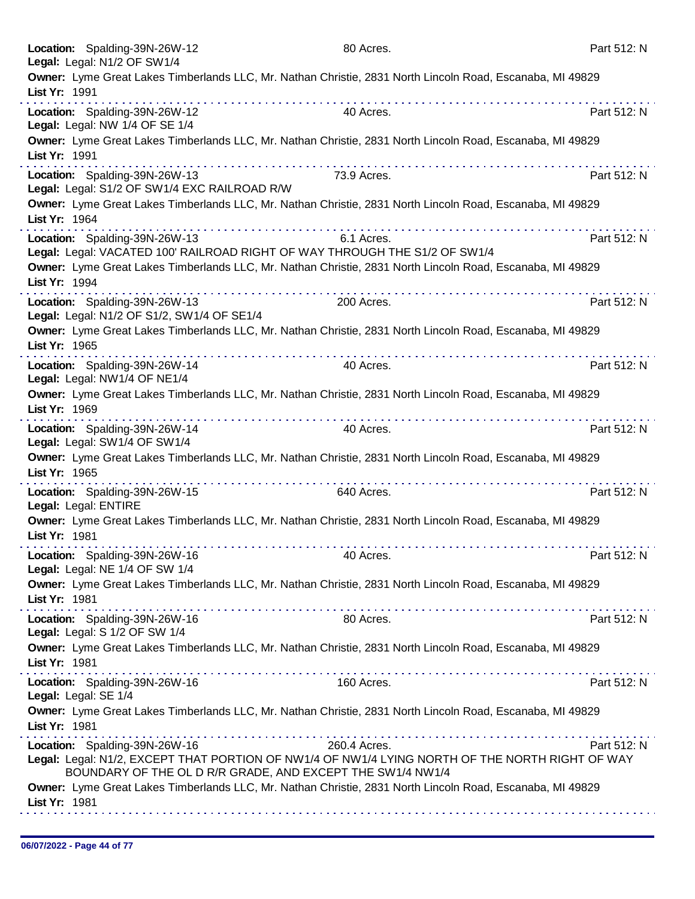| Location: Spalding-39N-26W-12                                   | 80 Acres.                                                                                                 | Part 512: N |
|-----------------------------------------------------------------|-----------------------------------------------------------------------------------------------------------|-------------|
| Legal: Legal: N1/2 OF SW1/4                                     |                                                                                                           |             |
|                                                                 | Owner: Lyme Great Lakes Timberlands LLC, Mr. Nathan Christie, 2831 North Lincoln Road, Escanaba, MI 49829 |             |
| List Yr: 1991                                                   |                                                                                                           |             |
| Location: Spalding-39N-26W-12                                   | 40 Acres.                                                                                                 | Part 512: N |
| Legal: Legal: NW 1/4 OF SE 1/4                                  |                                                                                                           |             |
|                                                                 | Owner: Lyme Great Lakes Timberlands LLC, Mr. Nathan Christie, 2831 North Lincoln Road, Escanaba, MI 49829 |             |
| List Yr: 1991                                                   |                                                                                                           |             |
| Location: Spalding-39N-26W-13                                   | 73.9 Acres.                                                                                               | Part 512: N |
| Legal: Legal: S1/2 OF SW1/4 EXC RAILROAD R/W                    |                                                                                                           |             |
|                                                                 | Owner: Lyme Great Lakes Timberlands LLC, Mr. Nathan Christie, 2831 North Lincoln Road, Escanaba, MI 49829 |             |
| List Yr: 1964                                                   |                                                                                                           |             |
| Location: Spalding-39N-26W-13                                   | 6.1 Acres.                                                                                                | Part 512: N |
|                                                                 | Legal: Legal: VACATED 100' RAILROAD RIGHT OF WAY THROUGH THE S1/2 OF SW1/4                                |             |
|                                                                 | Owner: Lyme Great Lakes Timberlands LLC, Mr. Nathan Christie, 2831 North Lincoln Road, Escanaba, MI 49829 |             |
| List Yr: 1994                                                   |                                                                                                           |             |
| Location: Spalding-39N-26W-13                                   | 200 Acres.                                                                                                | Part 512: N |
| Legal: Legal: N1/2 OF S1/2, SW1/4 OF SE1/4                      |                                                                                                           |             |
|                                                                 | Owner: Lyme Great Lakes Timberlands LLC, Mr. Nathan Christie, 2831 North Lincoln Road, Escanaba, MI 49829 |             |
| List Yr: 1965                                                   |                                                                                                           |             |
| Location: Spalding-39N-26W-14                                   | 40 Acres.                                                                                                 | Part 512: N |
| Legal: Legal: NW1/4 OF NE1/4                                    |                                                                                                           |             |
|                                                                 | Owner: Lyme Great Lakes Timberlands LLC, Mr. Nathan Christie, 2831 North Lincoln Road, Escanaba, MI 49829 |             |
| List Yr: 1969                                                   |                                                                                                           |             |
| Location: Spalding-39N-26W-14                                   | 40 Acres.                                                                                                 | Part 512: N |
| Legal: Legal: SW1/4 OF SW1/4                                    |                                                                                                           |             |
| List Yr: 1965                                                   | Owner: Lyme Great Lakes Timberlands LLC, Mr. Nathan Christie, 2831 North Lincoln Road, Escanaba, MI 49829 |             |
| .                                                               |                                                                                                           |             |
| Location: Spalding-39N-26W-15                                   | 640 Acres.                                                                                                | Part 512: N |
| Legal: Legal: ENTIRE                                            | Owner: Lyme Great Lakes Timberlands LLC, Mr. Nathan Christie, 2831 North Lincoln Road, Escanaba, MI 49829 |             |
| List Yr: 1981                                                   |                                                                                                           |             |
|                                                                 |                                                                                                           |             |
| Location: Spalding-39N-26W-16<br>Legal: Legal: NE 1/4 OF SW 1/4 | 40 Acres.                                                                                                 | Part 512: N |
|                                                                 | Owner: Lyme Great Lakes Timberlands LLC, Mr. Nathan Christie, 2831 North Lincoln Road, Escanaba, MI 49829 |             |
| List Yr: 1981                                                   |                                                                                                           |             |
| a provincia de la caractería de la caractería de                |                                                                                                           |             |
| Location: Spalding-39N-26W-16<br>Legal: Legal: S 1/2 OF SW 1/4  | 80 Acres.                                                                                                 | Part 512: N |
|                                                                 | Owner: Lyme Great Lakes Timberlands LLC, Mr. Nathan Christie, 2831 North Lincoln Road, Escanaba, MI 49829 |             |
| List Yr: 1981                                                   |                                                                                                           |             |
|                                                                 | 160 Acres.                                                                                                | Part 512: N |
| Location: Spalding-39N-26W-16<br>Legal: Legal: SE 1/4           |                                                                                                           |             |
|                                                                 | Owner: Lyme Great Lakes Timberlands LLC, Mr. Nathan Christie, 2831 North Lincoln Road, Escanaba, MI 49829 |             |
| List Yr: 1981                                                   |                                                                                                           |             |
| Location: Spalding-39N-26W-16                                   | 260.4 Acres.                                                                                              | Part 512: N |
|                                                                 | Legal: Legal: N1/2, EXCEPT THAT PORTION OF NW1/4 OF NW1/4 LYING NORTH OF THE NORTH RIGHT OF WAY           |             |
| BOUNDARY OF THE OL D R/R GRADE, AND EXCEPT THE SW1/4 NW1/4      |                                                                                                           |             |
|                                                                 | Owner: Lyme Great Lakes Timberlands LLC, Mr. Nathan Christie, 2831 North Lincoln Road, Escanaba, MI 49829 |             |
| List Yr: 1981                                                   |                                                                                                           |             |
|                                                                 |                                                                                                           |             |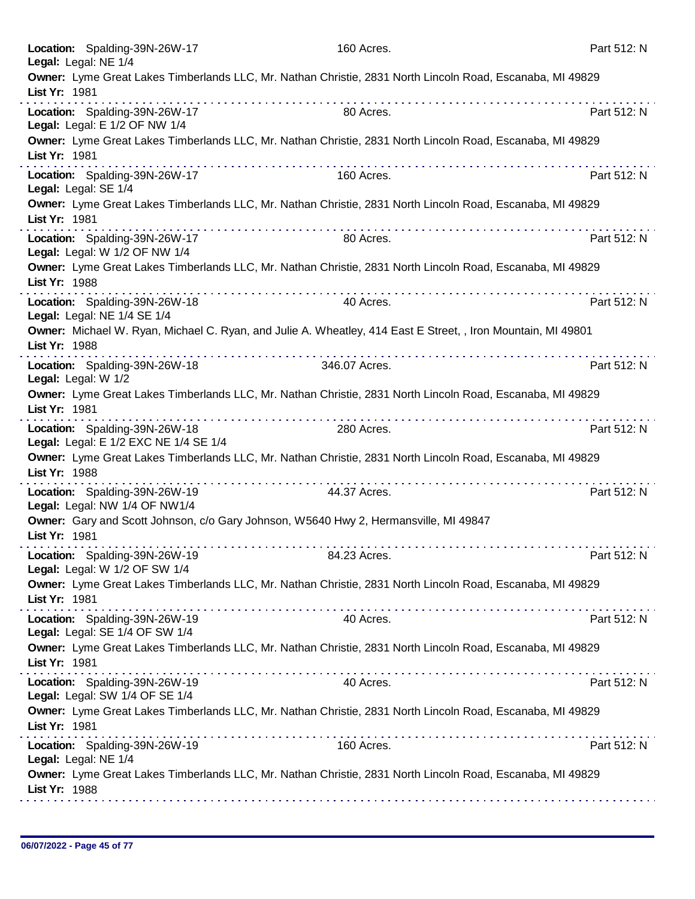| Location: Spalding-39N-26W-17<br>Legal: Legal: NE 1/4                  | 160 Acres.                                                                                                                                | Part 512: N |
|------------------------------------------------------------------------|-------------------------------------------------------------------------------------------------------------------------------------------|-------------|
| List Yr: 1981                                                          | Owner: Lyme Great Lakes Timberlands LLC, Mr. Nathan Christie, 2831 North Lincoln Road, Escanaba, MI 49829                                 |             |
| Location: Spalding-39N-26W-17<br>Legal: Legal: E 1/2 OF NW 1/4         | 80 Acres.                                                                                                                                 | Part 512: N |
| List Yr: 1981                                                          | Owner: Lyme Great Lakes Timberlands LLC, Mr. Nathan Christie, 2831 North Lincoln Road, Escanaba, MI 49829                                 |             |
| Location: Spalding-39N-26W-17<br>Legal: Legal: SE 1/4                  | 160 Acres.                                                                                                                                | Part 512: N |
| List Yr: 1981                                                          | Owner: Lyme Great Lakes Timberlands LLC, Mr. Nathan Christie, 2831 North Lincoln Road, Escanaba, MI 49829                                 |             |
| Location: Spalding-39N-26W-17<br>Legal: Legal: W 1/2 OF NW 1/4         | 80 Acres.                                                                                                                                 | Part 512: N |
| List Yr: 1988                                                          | Owner: Lyme Great Lakes Timberlands LLC, Mr. Nathan Christie, 2831 North Lincoln Road, Escanaba, MI 49829                                 |             |
| Location: Spalding-39N-26W-18<br>Legal: Legal: NE 1/4 SE 1/4           | 40 Acres.                                                                                                                                 | Part 512: N |
| List Yr: 1988                                                          | Owner: Michael W. Ryan, Michael C. Ryan, and Julie A. Wheatley, 414 East E Street, , Iron Mountain, MI 49801<br>a se se se se se se se se |             |
| Location: Spalding-39N-26W-18<br>Legal: Legal: W 1/2                   | 346.07 Acres.                                                                                                                             | Part 512: N |
| List Yr: 1981                                                          | Owner: Lyme Great Lakes Timberlands LLC, Mr. Nathan Christie, 2831 North Lincoln Road, Escanaba, MI 49829                                 |             |
| Location: Spalding-39N-26W-18<br>Legal: Legal: E 1/2 EXC NE 1/4 SE 1/4 | 280 Acres.                                                                                                                                | Part 512: N |
| List Yr: 1988                                                          | Owner: Lyme Great Lakes Timberlands LLC, Mr. Nathan Christie, 2831 North Lincoln Road, Escanaba, MI 49829<br>.                            |             |
| Location: Spalding-39N-26W-19<br>Legal: Legal: NW 1/4 OF NW1/4         | 44.37 Acres.                                                                                                                              | Part 512: N |
| List Yr: 1981                                                          | Owner: Gary and Scott Johnson, c/o Gary Johnson, W5640 Hwy 2, Hermansville, MI 49847                                                      |             |
| Location: Spalding-39N-26W-19<br>Legal: Legal: W 1/2 OF SW 1/4         | 84.23 Acres.                                                                                                                              | Part 512: N |
| List Yr: 1981                                                          | Owner: Lyme Great Lakes Timberlands LLC, Mr. Nathan Christie, 2831 North Lincoln Road, Escanaba, MI 49829                                 |             |
| Location: Spalding-39N-26W-19<br>Legal: Legal: SE 1/4 OF SW 1/4        | 40 Acres.                                                                                                                                 | Part 512: N |
| List Yr: 1981                                                          | Owner: Lyme Great Lakes Timberlands LLC, Mr. Nathan Christie, 2831 North Lincoln Road, Escanaba, MI 49829                                 |             |
| Location: Spalding-39N-26W-19<br>Legal: Legal: SW 1/4 OF SE 1/4        | 40 Acres.                                                                                                                                 | Part 512: N |
| List Yr: 1981                                                          | Owner: Lyme Great Lakes Timberlands LLC, Mr. Nathan Christie, 2831 North Lincoln Road, Escanaba, MI 49829                                 |             |
| Location: Spalding-39N-26W-19<br>Legal: Legal: NE 1/4                  | 160 Acres.                                                                                                                                | Part 512: N |
| List Yr: 1988                                                          | Owner: Lyme Great Lakes Timberlands LLC, Mr. Nathan Christie, 2831 North Lincoln Road, Escanaba, MI 49829                                 |             |
|                                                                        |                                                                                                                                           |             |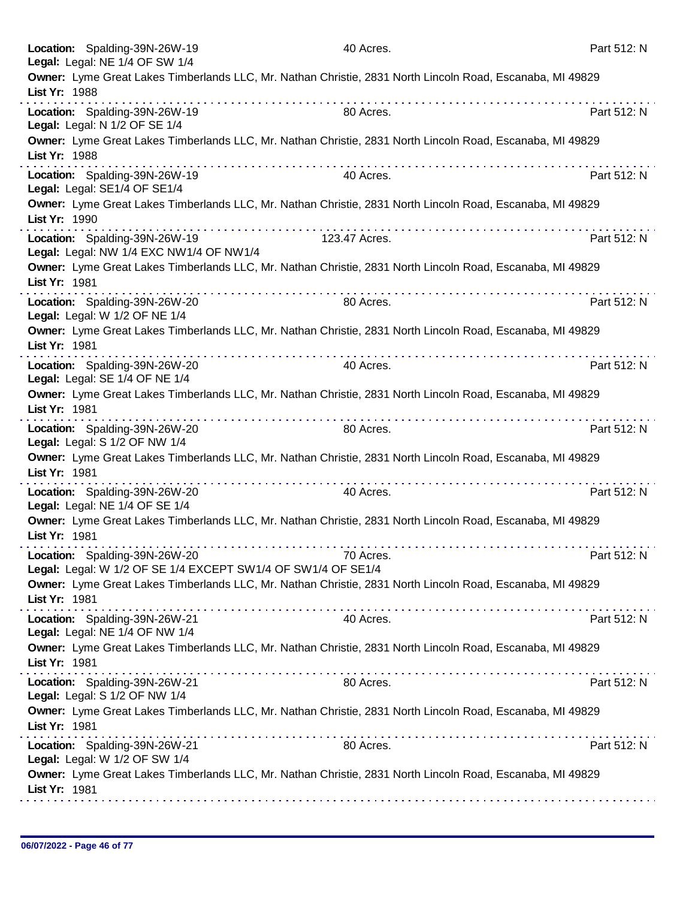|               | Location: Spalding-39N-26W-19<br>Legal: Legal: NE 1/4 OF SW 1/4                               | 40 Acres.                                                                                                 | Part 512: N |
|---------------|-----------------------------------------------------------------------------------------------|-----------------------------------------------------------------------------------------------------------|-------------|
| List Yr: 1988 |                                                                                               | Owner: Lyme Great Lakes Timberlands LLC, Mr. Nathan Christie, 2831 North Lincoln Road, Escanaba, MI 49829 |             |
|               | Location: Spalding-39N-26W-19<br>Legal: Legal: N 1/2 OF SE 1/4                                | 80 Acres.                                                                                                 | Part 512: N |
| List Yr: 1988 |                                                                                               | Owner: Lyme Great Lakes Timberlands LLC, Mr. Nathan Christie, 2831 North Lincoln Road, Escanaba, MI 49829 |             |
|               | Location: Spalding-39N-26W-19<br>Legal: Legal: SE1/4 OF SE1/4                                 | 40 Acres.                                                                                                 | Part 512: N |
| List Yr: 1990 |                                                                                               | Owner: Lyme Great Lakes Timberlands LLC, Mr. Nathan Christie, 2831 North Lincoln Road, Escanaba, MI 49829 |             |
|               | Location: Spalding-39N-26W-19<br>Legal: Legal: NW 1/4 EXC NW1/4 OF NW1/4                      | 123.47 Acres.                                                                                             | Part 512: N |
| List Yr: 1981 |                                                                                               | Owner: Lyme Great Lakes Timberlands LLC, Mr. Nathan Christie, 2831 North Lincoln Road, Escanaba, MI 49829 |             |
|               | Location: Spalding-39N-26W-20<br>Legal: Legal: W 1/2 OF NE 1/4                                | 80 Acres.                                                                                                 | Part 512: N |
| List Yr: 1981 |                                                                                               | Owner: Lyme Great Lakes Timberlands LLC, Mr. Nathan Christie, 2831 North Lincoln Road, Escanaba, MI 49829 |             |
|               | Location: Spalding-39N-26W-20<br>Legal: Legal: SE 1/4 OF NE 1/4                               | 40 Acres.                                                                                                 | Part 512: N |
| List Yr: 1981 |                                                                                               | Owner: Lyme Great Lakes Timberlands LLC, Mr. Nathan Christie, 2831 North Lincoln Road, Escanaba, MI 49829 |             |
|               | Location: Spalding-39N-26W-20<br>Legal: Legal: S 1/2 OF NW 1/4                                | .<br>80 Acres.                                                                                            | Part 512: N |
| List Yr: 1981 |                                                                                               | Owner: Lyme Great Lakes Timberlands LLC, Mr. Nathan Christie, 2831 North Lincoln Road, Escanaba, MI 49829 |             |
|               | Location: Spalding-39N-26W-20<br>Legal: Legal: NE 1/4 OF SE 1/4                               | .<br>40 Acres.                                                                                            | Part 512: N |
| List Yr: 1981 |                                                                                               | Owner: Lyme Great Lakes Timberlands LLC, Mr. Nathan Christie, 2831 North Lincoln Road, Escanaba, MI 49829 |             |
|               | Location: Spalding-39N-26W-20<br>Legal: Legal: W 1/2 OF SE 1/4 EXCEPT SW1/4 OF SW1/4 OF SE1/4 | 70 Acres.                                                                                                 | Part 512: N |
| List Yr: 1981 |                                                                                               | Owner: Lyme Great Lakes Timberlands LLC, Mr. Nathan Christie, 2831 North Lincoln Road, Escanaba, MI 49829 |             |
|               | Location: Spalding-39N-26W-21<br>Legal: Legal: NE 1/4 OF NW 1/4                               | 40 Acres.                                                                                                 | Part 512: N |
| List Yr: 1981 |                                                                                               | Owner: Lyme Great Lakes Timberlands LLC, Mr. Nathan Christie, 2831 North Lincoln Road, Escanaba, MI 49829 |             |
|               | Location: Spalding-39N-26W-21<br>Legal: Legal: S 1/2 OF NW 1/4                                | 80 Acres.                                                                                                 | Part 512: N |
| List Yr: 1981 |                                                                                               | Owner: Lyme Great Lakes Timberlands LLC, Mr. Nathan Christie, 2831 North Lincoln Road, Escanaba, MI 49829 |             |
|               | Location: Spalding-39N-26W-21<br>Legal: Legal: W 1/2 OF SW 1/4                                | 80 Acres.                                                                                                 | Part 512: N |
| List Yr: 1981 |                                                                                               | Owner: Lyme Great Lakes Timberlands LLC, Mr. Nathan Christie, 2831 North Lincoln Road, Escanaba, MI 49829 |             |
|               |                                                                                               |                                                                                                           |             |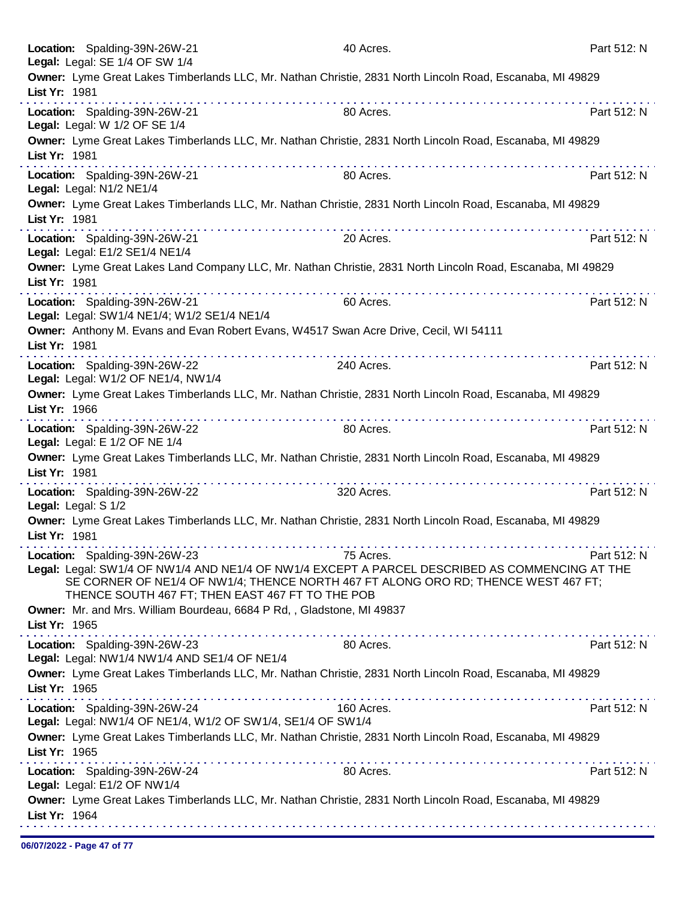| List Yr: 1964       |                                                                                              |                                                                                                                                                                                                                                                                                                                                                                                                                                                                                                                                            |             |
|---------------------|----------------------------------------------------------------------------------------------|--------------------------------------------------------------------------------------------------------------------------------------------------------------------------------------------------------------------------------------------------------------------------------------------------------------------------------------------------------------------------------------------------------------------------------------------------------------------------------------------------------------------------------------------|-------------|
|                     | Legal: Legal: E1/2 OF NW1/4                                                                  | Owner: Lyme Great Lakes Timberlands LLC, Mr. Nathan Christie, 2831 North Lincoln Road, Escanaba, MI 49829                                                                                                                                                                                                                                                                                                                                                                                                                                  |             |
| List Yr: 1965       | Location: Spalding-39N-26W-24                                                                | Owner: Lyme Great Lakes Timberlands LLC, Mr. Nathan Christie, 2831 North Lincoln Road, Escanaba, MI 49829<br>80 Acres.                                                                                                                                                                                                                                                                                                                                                                                                                     | Part 512: N |
|                     | Location: Spalding-39N-26W-24<br>Legal: Legal: NW1/4 OF NE1/4, W1/2 OF SW1/4, SE1/4 OF SW1/4 | 160 Acres.                                                                                                                                                                                                                                                                                                                                                                                                                                                                                                                                 | Part 512: N |
| List Yr: 1965       |                                                                                              | Owner: Lyme Great Lakes Timberlands LLC, Mr. Nathan Christie, 2831 North Lincoln Road, Escanaba, MI 49829<br>$\label{eq:2.1} \begin{array}{lllllllllllllllllllll} \mathbf{1}_{\mathbf{1}}&\mathbf{1}_{\mathbf{1}}&\mathbf{1}_{\mathbf{1}}&\mathbf{1}_{\mathbf{1}}&\mathbf{1}_{\mathbf{1}}&\mathbf{1}_{\mathbf{1}}&\mathbf{1}_{\mathbf{1}}&\mathbf{1}_{\mathbf{1}}&\mathbf{1}_{\mathbf{1}}&\mathbf{1}_{\mathbf{1}}&\mathbf{1}_{\mathbf{1}}&\mathbf{1}_{\mathbf{1}}&\mathbf{1}_{\mathbf{1}}&\mathbf{1}_{\mathbf{1}}&\mathbf{1}_{\mathbf{1}}$ |             |
|                     | Location: Spalding-39N-26W-23<br>Legal: Legal: NW1/4 NW1/4 AND SE1/4 OF NE1/4                | 80 Acres.                                                                                                                                                                                                                                                                                                                                                                                                                                                                                                                                  | Part 512: N |
| List Yr: 1965       |                                                                                              | Owner: Mr. and Mrs. William Bourdeau, 6684 P Rd,, Gladstone, MI 49837                                                                                                                                                                                                                                                                                                                                                                                                                                                                      |             |
|                     | Location: Spalding-39N-26W-23<br>THENCE SOUTH 467 FT; THEN EAST 467 FT TO THE POB            | 75 Acres.<br>Legal: Legal: SW1/4 OF NW1/4 AND NE1/4 OF NW1/4 EXCEPT A PARCEL DESCRIBED AS COMMENCING AT THE<br>SE CORNER OF NE1/4 OF NW1/4; THENCE NORTH 467 FT ALONG ORO RD; THENCE WEST 467 FT;                                                                                                                                                                                                                                                                                                                                          | Part 512: N |
| List Yr: 1981       |                                                                                              | Owner: Lyme Great Lakes Timberlands LLC, Mr. Nathan Christie, 2831 North Lincoln Road, Escanaba, MI 49829                                                                                                                                                                                                                                                                                                                                                                                                                                  |             |
| Legal: Legal: S 1/2 | Location: Spalding-39N-26W-22                                                                | $\label{eq:reduced} \begin{split} \mathbf{u}^{\prime} & = \mathbf{u}^{\prime} \cdot \mathbf{u}^{\prime} + \mathbf{u}^{\prime} \cdot \mathbf{u}^{\prime} + \mathbf{u}^{\prime} \cdot \mathbf{u}^{\prime} + \mathbf{u}^{\prime} \cdot \mathbf{u}^{\prime} + \mathbf{u}^{\prime} \cdot \mathbf{u}^{\prime} + \mathbf{u}^{\prime} \cdot \mathbf{u}^{\prime} \end{split}$<br>320 Acres.                                                                                                                                                         | Part 512: N |
| List Yr: 1981       |                                                                                              | Owner: Lyme Great Lakes Timberlands LLC, Mr. Nathan Christie, 2831 North Lincoln Road, Escanaba, MI 49829                                                                                                                                                                                                                                                                                                                                                                                                                                  |             |
|                     | Location: Spalding-39N-26W-22<br>Legal: Legal: E 1/2 OF NE 1/4                               | 80 Acres.                                                                                                                                                                                                                                                                                                                                                                                                                                                                                                                                  | Part 512: N |
| List Yr: 1966       |                                                                                              | Owner: Lyme Great Lakes Timberlands LLC, Mr. Nathan Christie, 2831 North Lincoln Road, Escanaba, MI 49829                                                                                                                                                                                                                                                                                                                                                                                                                                  |             |
|                     | Location: Spalding-39N-26W-22<br>Legal: Legal: W1/2 OF NE1/4, NW1/4                          | 240 Acres.                                                                                                                                                                                                                                                                                                                                                                                                                                                                                                                                 | Part 512: N |
| List Yr: 1981       |                                                                                              | Owner: Anthony M. Evans and Evan Robert Evans, W4517 Swan Acre Drive, Cecil, WI 54111                                                                                                                                                                                                                                                                                                                                                                                                                                                      |             |
|                     | Location: Spalding-39N-26W-21<br>Legal: Legal: SW1/4 NE1/4; W1/2 SE1/4 NE1/4                 | 60 Acres.                                                                                                                                                                                                                                                                                                                                                                                                                                                                                                                                  | Part 512: N |
| List Yr: 1981       |                                                                                              | Owner: Lyme Great Lakes Land Company LLC, Mr. Nathan Christie, 2831 North Lincoln Road, Escanaba, MI 49829                                                                                                                                                                                                                                                                                                                                                                                                                                 |             |
|                     | Location: Spalding-39N-26W-21<br>Legal: Legal: E1/2 SE1/4 NE1/4                              | 20 Acres.                                                                                                                                                                                                                                                                                                                                                                                                                                                                                                                                  | Part 512: N |
| List Yr: 1981       | Legal: Legal: N1/2 NE1/4                                                                     | Owner: Lyme Great Lakes Timberlands LLC, Mr. Nathan Christie, 2831 North Lincoln Road, Escanaba, MI 49829                                                                                                                                                                                                                                                                                                                                                                                                                                  |             |
|                     | Location: Spalding-39N-26W-21                                                                | 80 Acres.                                                                                                                                                                                                                                                                                                                                                                                                                                                                                                                                  | Part 512: N |
| List Yr: 1981       | Legal: Legal: W 1/2 OF SE 1/4                                                                | Owner: Lyme Great Lakes Timberlands LLC, Mr. Nathan Christie, 2831 North Lincoln Road, Escanaba, MI 49829                                                                                                                                                                                                                                                                                                                                                                                                                                  |             |
| List Yr: 1981       | Location: Spalding-39N-26W-21                                                                | 80 Acres.                                                                                                                                                                                                                                                                                                                                                                                                                                                                                                                                  | Part 512: N |
|                     | Legal: Legal: SE 1/4 OF SW 1/4                                                               | Owner: Lyme Great Lakes Timberlands LLC, Mr. Nathan Christie, 2831 North Lincoln Road, Escanaba, MI 49829                                                                                                                                                                                                                                                                                                                                                                                                                                  |             |
|                     | Location: Spalding-39N-26W-21                                                                | 40 Acres.                                                                                                                                                                                                                                                                                                                                                                                                                                                                                                                                  | Part 512: N |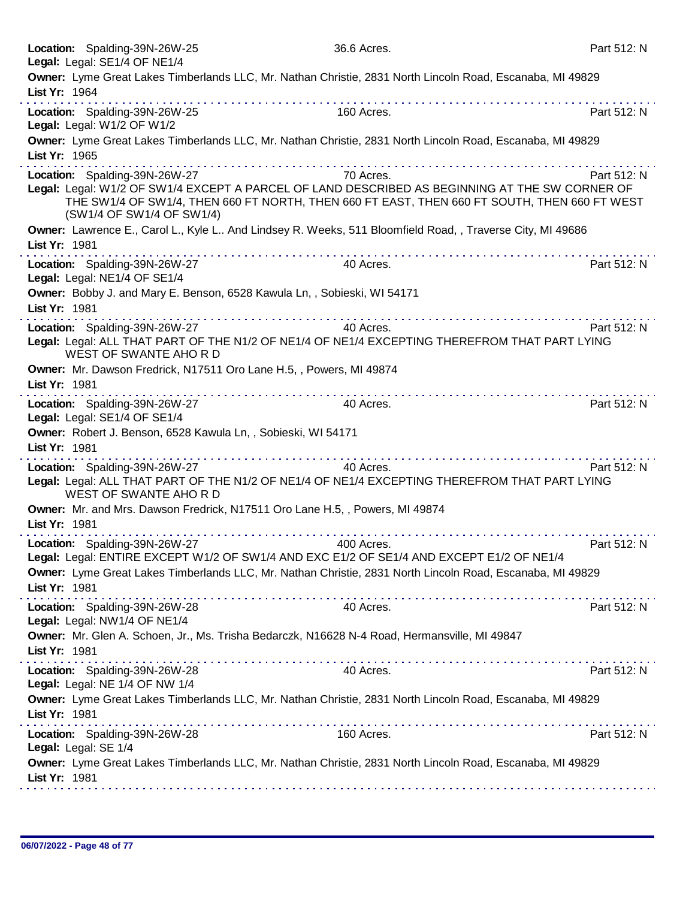|               | Location: Spalding-39N-26W-25<br>Legal: Legal: SE1/4 OF NE1/4                                | 36.6 Acres.                                                                                                                                                                                                         | Part 512: N |
|---------------|----------------------------------------------------------------------------------------------|---------------------------------------------------------------------------------------------------------------------------------------------------------------------------------------------------------------------|-------------|
| List Yr: 1964 |                                                                                              | Owner: Lyme Great Lakes Timberlands LLC, Mr. Nathan Christie, 2831 North Lincoln Road, Escanaba, MI 49829                                                                                                           |             |
|               | Location: Spalding-39N-26W-25<br>Legal: Legal: W1/2 OF W1/2                                  | 160 Acres.                                                                                                                                                                                                          | Part 512: N |
| List Yr: 1965 |                                                                                              | Owner: Lyme Great Lakes Timberlands LLC, Mr. Nathan Christie, 2831 North Lincoln Road, Escanaba, MI 49829                                                                                                           |             |
|               | Location: Spalding-39N-26W-27<br>(SW1/4 OF SW1/4 OF SW1/4)                                   | .<br>70 Acres.<br>Legal: Legal: W1/2 OF SW1/4 EXCEPT A PARCEL OF LAND DESCRIBED AS BEGINNING AT THE SW CORNER OF<br>THE SW1/4 OF SW1/4, THEN 660 FT NORTH, THEN 660 FT EAST, THEN 660 FT SOUTH, THEN 660 FT WEST    | Part 512: N |
| List Yr: 1981 |                                                                                              | Owner: Lawrence E., Carol L., Kyle L And Lindsey R. Weeks, 511 Bloomfield Road, , Traverse City, MI 49686                                                                                                           |             |
|               | Location: Spalding-39N-26W-27<br>Legal: Legal: NE1/4 OF SE1/4                                | 40 Acres.                                                                                                                                                                                                           | Part 512: N |
| List Yr: 1981 | Owner: Bobby J. and Mary E. Benson, 6528 Kawula Ln,, Sobieski, WI 54171                      |                                                                                                                                                                                                                     |             |
|               | Location: Spalding-39N-26W-27<br>WEST OF SWANTE AHORD                                        | 40 Acres.<br>Legal: Legal: ALL THAT PART OF THE N1/2 OF NE1/4 OF NE1/4 EXCEPTING THEREFROM THAT PART LYING                                                                                                          | Part 512: N |
| List Yr: 1981 | Owner: Mr. Dawson Fredrick, N17511 Oro Lane H.5, , Powers, MI 49874                          |                                                                                                                                                                                                                     |             |
|               | Location: Spalding-39N-26W-27<br>Legal: Legal: SE1/4 OF SE1/4                                | 40 Acres.                                                                                                                                                                                                           | Part 512: N |
| List Yr: 1981 | Owner: Robert J. Benson, 6528 Kawula Ln,, Sobieski, WI 54171                                 |                                                                                                                                                                                                                     |             |
|               | Location: Spalding-39N-26W-27<br>WEST OF SWANTE AHORD                                        | 40 Acres.<br>Legal: Legal: ALL THAT PART OF THE N1/2 OF NE1/4 OF NE1/4 EXCEPTING THEREFROM THAT PART LYING                                                                                                          | Part 512: N |
| List Yr: 1981 | Owner: Mr. and Mrs. Dawson Fredrick, N17511 Oro Lane H.5,, Powers, MI 49874                  |                                                                                                                                                                                                                     |             |
|               | .<br>Location: Spalding-39N-26W-27                                                           | 400 Acres.<br>Legal: Legal: ENTIRE EXCEPT W1/2 OF SW1/4 AND EXC E1/2 OF SE1/4 AND EXCEPT E1/2 OF NE1/4<br>Owner: Lyme Great Lakes Timberlands LLC, Mr. Nathan Christie, 2831 North Lincoln Road, Escanaba, MI 49829 | Part 512: N |
| List Yr: 1981 |                                                                                              |                                                                                                                                                                                                                     |             |
|               | Location: Spalding-39N-26W-28<br>Legal: Legal: NW1/4 OF NE1/4                                | 40 Acres.                                                                                                                                                                                                           | Part 512: N |
| List Yr: 1981 | Owner: Mr. Glen A. Schoen, Jr., Ms. Trisha Bedarczk, N16628 N-4 Road, Hermansville, MI 49847 |                                                                                                                                                                                                                     |             |
|               | Location: Spalding-39N-26W-28<br>Legal: Legal: NE 1/4 OF NW 1/4                              | 40 Acres.                                                                                                                                                                                                           | Part 512: N |
| List Yr: 1981 |                                                                                              | Owner: Lyme Great Lakes Timberlands LLC, Mr. Nathan Christie, 2831 North Lincoln Road, Escanaba, MI 49829                                                                                                           |             |
|               | Location: Spalding-39N-26W-28<br>Legal: Legal: SE 1/4                                        | 160 Acres.                                                                                                                                                                                                          | Part 512: N |
| List Yr: 1981 |                                                                                              | Owner: Lyme Great Lakes Timberlands LLC, Mr. Nathan Christie, 2831 North Lincoln Road, Escanaba, MI 49829                                                                                                           |             |
|               |                                                                                              |                                                                                                                                                                                                                     |             |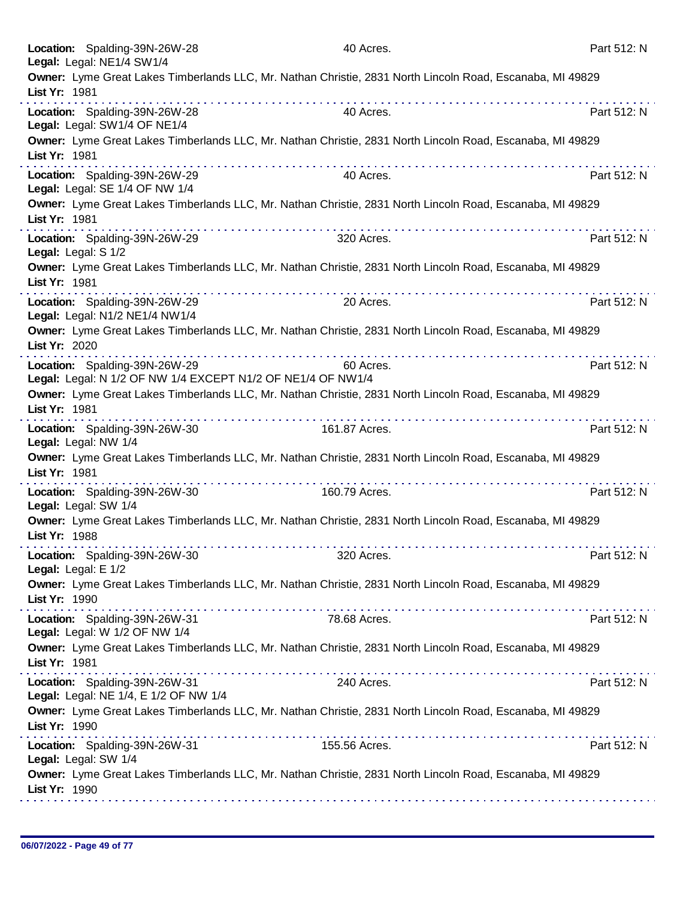|                      | Location: Spalding-39N-26W-28<br>Legal: Legal: NE1/4 SW1/4                                   | 40 Acres.                                                                                                                                                                                                                     |                                                                                                                       | Part 512: N |
|----------------------|----------------------------------------------------------------------------------------------|-------------------------------------------------------------------------------------------------------------------------------------------------------------------------------------------------------------------------------|-----------------------------------------------------------------------------------------------------------------------|-------------|
| List Yr: 1981        |                                                                                              |                                                                                                                                                                                                                               | Owner: Lyme Great Lakes Timberlands LLC, Mr. Nathan Christie, 2831 North Lincoln Road, Escanaba, MI 49829             |             |
|                      | Location: Spalding-39N-26W-28<br>Legal: Legal: SW1/4 OF NE1/4                                | 40 Acres.                                                                                                                                                                                                                     |                                                                                                                       | Part 512: N |
| List Yr: 1981        |                                                                                              |                                                                                                                                                                                                                               | Owner: Lyme Great Lakes Timberlands LLC, Mr. Nathan Christie, 2831 North Lincoln Road, Escanaba, MI 49829             |             |
|                      | Location: Spalding-39N-26W-29<br>Legal: Legal: SE 1/4 OF NW 1/4                              | 40 Acres.                                                                                                                                                                                                                     |                                                                                                                       | Part 512: N |
| List Yr: 1981        |                                                                                              |                                                                                                                                                                                                                               | Owner: Lyme Great Lakes Timberlands LLC, Mr. Nathan Christie, 2831 North Lincoln Road, Escanaba, MI 49829             |             |
| Legal: Legal: S 1/2  | Location: Spalding-39N-26W-29                                                                | 320 Acres.                                                                                                                                                                                                                    |                                                                                                                       | Part 512: N |
| List Yr: 1981        |                                                                                              |                                                                                                                                                                                                                               | Owner: Lyme Great Lakes Timberlands LLC, Mr. Nathan Christie, 2831 North Lincoln Road, Escanaba, MI 49829             |             |
|                      | Location: Spalding-39N-26W-29<br>Legal: Legal: N1/2 NE1/4 NW1/4                              | 20 Acres.                                                                                                                                                                                                                     |                                                                                                                       | Part 512: N |
| List Yr: 2020        |                                                                                              |                                                                                                                                                                                                                               | Owner: Lyme Great Lakes Timberlands LLC, Mr. Nathan Christie, 2831 North Lincoln Road, Escanaba, MI 49829             |             |
|                      | Location: Spalding-39N-26W-29<br>Legal: Legal: N 1/2 OF NW 1/4 EXCEPT N1/2 OF NE1/4 OF NW1/4 | 60 Acres.                                                                                                                                                                                                                     |                                                                                                                       | Part 512: N |
| List Yr: 1981        |                                                                                              |                                                                                                                                                                                                                               | Owner: Lyme Great Lakes Timberlands LLC, Mr. Nathan Christie, 2831 North Lincoln Road, Escanaba, MI 49829<br><u>.</u> |             |
| Legal: Legal: NW 1/4 | Location: Spalding-39N-26W-30                                                                | 161.87 Acres.                                                                                                                                                                                                                 |                                                                                                                       | Part 512: N |
| List Yr: 1981        |                                                                                              | .                                                                                                                                                                                                                             | Owner: Lyme Great Lakes Timberlands LLC, Mr. Nathan Christie, 2831 North Lincoln Road, Escanaba, MI 49829             |             |
| Legal: Legal: SW 1/4 | Location: Spalding-39N-26W-30                                                                | 160.79 Acres.                                                                                                                                                                                                                 |                                                                                                                       | Part 512: N |
| List Yr: 1988        |                                                                                              |                                                                                                                                                                                                                               | Owner: Lyme Great Lakes Timberlands LLC, Mr. Nathan Christie, 2831 North Lincoln Road, Escanaba, MI 49829             |             |
| Legal: Legal: E 1/2  | Location: Spalding-39N-26W-30                                                                | 320 Acres.                                                                                                                                                                                                                    |                                                                                                                       | Part 512: N |
| List Yr: 1990        |                                                                                              | a construction of the construction of the construction of the construction of the construction of the construction of the construction of the construction of the construction of the construction of the construction of the | Owner: Lyme Great Lakes Timberlands LLC, Mr. Nathan Christie, 2831 North Lincoln Road, Escanaba, MI 49829             |             |
|                      | Location: Spalding-39N-26W-31<br>Legal: Legal: W 1/2 OF NW 1/4                               | 78.68 Acres.                                                                                                                                                                                                                  |                                                                                                                       | Part 512: N |
| List Yr: 1981        |                                                                                              |                                                                                                                                                                                                                               | Owner: Lyme Great Lakes Timberlands LLC, Mr. Nathan Christie, 2831 North Lincoln Road, Escanaba, MI 49829             |             |
|                      | Location: Spalding-39N-26W-31<br>Legal: Legal: NE 1/4, E 1/2 OF NW 1/4                       | 240 Acres.                                                                                                                                                                                                                    |                                                                                                                       | Part 512: N |
| List Yr: 1990        |                                                                                              |                                                                                                                                                                                                                               | Owner: Lyme Great Lakes Timberlands LLC, Mr. Nathan Christie, 2831 North Lincoln Road, Escanaba, MI 49829             |             |
| Legal: Legal: SW 1/4 | Location: Spalding-39N-26W-31                                                                | 155.56 Acres.                                                                                                                                                                                                                 |                                                                                                                       | Part 512: N |
| List Yr: 1990        |                                                                                              |                                                                                                                                                                                                                               | Owner: Lyme Great Lakes Timberlands LLC, Mr. Nathan Christie, 2831 North Lincoln Road, Escanaba, MI 49829             |             |
|                      |                                                                                              |                                                                                                                                                                                                                               |                                                                                                                       |             |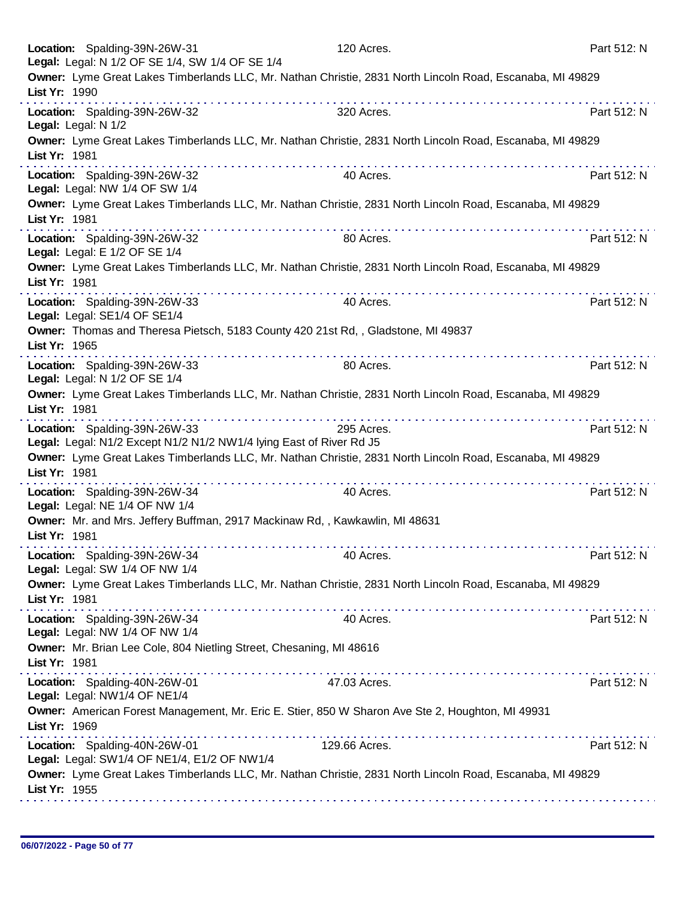| Owner: Lyme Great Lakes Timberlands LLC, Mr. Nathan Christie, 2831 North Lincoln Road, Escanaba, MI 49829<br>List Yr: 1990<br>Location: Spalding-39N-26W-32<br>320 Acres.<br>Part 512: N<br>Legal: Legal: N 1/2<br>Owner: Lyme Great Lakes Timberlands LLC, Mr. Nathan Christie, 2831 North Lincoln Road, Escanaba, MI 49829<br>List Yr: 1981<br>Location: Spalding-39N-26W-32<br>Part 512: N<br>40 Acres.<br>Legal: Legal: NW 1/4 OF SW 1/4<br>Owner: Lyme Great Lakes Timberlands LLC, Mr. Nathan Christie, 2831 North Lincoln Road, Escanaba, MI 49829<br>List Yr: 1981<br>Location: Spalding-39N-26W-32<br>Part 512: N<br>80 Acres.<br>Legal: Legal: E 1/2 OF SE 1/4<br>Owner: Lyme Great Lakes Timberlands LLC, Mr. Nathan Christie, 2831 North Lincoln Road, Escanaba, MI 49829<br>List Yr: 1981<br>Location: Spalding-39N-26W-33<br>Part 512: N<br>40 Acres.<br>Legal: Legal: SE1/4 OF SE1/4<br>Owner: Thomas and Theresa Pietsch, 5183 County 420 21st Rd,, Gladstone, MI 49837<br>List Yr: 1965<br>.<br>Location: Spalding-39N-26W-33<br>Part 512: N<br>80 Acres.<br>Legal: Legal: N 1/2 OF SE 1/4<br>Owner: Lyme Great Lakes Timberlands LLC, Mr. Nathan Christie, 2831 North Lincoln Road, Escanaba, MI 49829<br>List Yr: 1981<br>Location: Spalding-39N-26W-33<br>295 Acres.<br>Part 512: N<br>Legal: Legal: N1/2 Except N1/2 N1/2 NW1/4 lying East of River Rd J5<br>Owner: Lyme Great Lakes Timberlands LLC, Mr. Nathan Christie, 2831 North Lincoln Road, Escanaba, MI 49829<br>List Yr: 1981<br>.<br>did a charactere and and analysis<br>Location: Spalding-39N-26W-34<br>40 Acres.<br>Part 512: N<br>Legal: Legal: NE 1/4 OF NW 1/4<br>Owner: Mr. and Mrs. Jeffery Buffman, 2917 Mackinaw Rd, , Kawkawlin, MI 48631<br>List Yr: 1981<br>Location: Spalding-39N-26W-34<br>Part 512: N<br>40 Acres.<br>Legal: Legal: SW 1/4 OF NW 1/4<br>Owner: Lyme Great Lakes Timberlands LLC, Mr. Nathan Christie, 2831 North Lincoln Road, Escanaba, MI 49829<br>List Yr: 1981<br>Location: Spalding-39N-26W-34<br>40 Acres.<br>Part 512: N<br>Legal: Legal: NW 1/4 OF NW 1/4<br>Owner: Mr. Brian Lee Cole, 804 Nietling Street, Chesaning, MI 48616<br>List Yr: 1981<br>Location: Spalding-40N-26W-01<br>47.03 Acres.<br>Part 512: N<br>Legal: Legal: NW1/4 OF NE1/4<br>Owner: American Forest Management, Mr. Eric E. Stier, 850 W Sharon Ave Ste 2, Houghton, MI 49931<br>List Yr: 1969<br>Location: Spalding-40N-26W-01<br>129.66 Acres.<br>Part 512: N<br>Legal: Legal: SW1/4 OF NE1/4, E1/2 OF NW1/4<br>Owner: Lyme Great Lakes Timberlands LLC, Mr. Nathan Christie, 2831 North Lincoln Road, Escanaba, MI 49829<br>List Yr: 1955 | Location: Spalding-39N-26W-31<br>Legal: Legal: N 1/2 OF SE 1/4, SW 1/4 OF SE 1/4 | 120 Acres. | Part 512: N |
|-----------------------------------------------------------------------------------------------------------------------------------------------------------------------------------------------------------------------------------------------------------------------------------------------------------------------------------------------------------------------------------------------------------------------------------------------------------------------------------------------------------------------------------------------------------------------------------------------------------------------------------------------------------------------------------------------------------------------------------------------------------------------------------------------------------------------------------------------------------------------------------------------------------------------------------------------------------------------------------------------------------------------------------------------------------------------------------------------------------------------------------------------------------------------------------------------------------------------------------------------------------------------------------------------------------------------------------------------------------------------------------------------------------------------------------------------------------------------------------------------------------------------------------------------------------------------------------------------------------------------------------------------------------------------------------------------------------------------------------------------------------------------------------------------------------------------------------------------------------------------------------------------------------------------------------------------------------------------------------------------------------------------------------------------------------------------------------------------------------------------------------------------------------------------------------------------------------------------------------------------------------------------------------------------------------------------------------------------------------------------------------------------------------------------------------------------------------------------------------------------------------------------------------------------------------------------------------------------------------------------------------------------|----------------------------------------------------------------------------------|------------|-------------|
|                                                                                                                                                                                                                                                                                                                                                                                                                                                                                                                                                                                                                                                                                                                                                                                                                                                                                                                                                                                                                                                                                                                                                                                                                                                                                                                                                                                                                                                                                                                                                                                                                                                                                                                                                                                                                                                                                                                                                                                                                                                                                                                                                                                                                                                                                                                                                                                                                                                                                                                                                                                                                                               |                                                                                  |            |             |
|                                                                                                                                                                                                                                                                                                                                                                                                                                                                                                                                                                                                                                                                                                                                                                                                                                                                                                                                                                                                                                                                                                                                                                                                                                                                                                                                                                                                                                                                                                                                                                                                                                                                                                                                                                                                                                                                                                                                                                                                                                                                                                                                                                                                                                                                                                                                                                                                                                                                                                                                                                                                                                               |                                                                                  |            |             |
|                                                                                                                                                                                                                                                                                                                                                                                                                                                                                                                                                                                                                                                                                                                                                                                                                                                                                                                                                                                                                                                                                                                                                                                                                                                                                                                                                                                                                                                                                                                                                                                                                                                                                                                                                                                                                                                                                                                                                                                                                                                                                                                                                                                                                                                                                                                                                                                                                                                                                                                                                                                                                                               |                                                                                  |            |             |
|                                                                                                                                                                                                                                                                                                                                                                                                                                                                                                                                                                                                                                                                                                                                                                                                                                                                                                                                                                                                                                                                                                                                                                                                                                                                                                                                                                                                                                                                                                                                                                                                                                                                                                                                                                                                                                                                                                                                                                                                                                                                                                                                                                                                                                                                                                                                                                                                                                                                                                                                                                                                                                               |                                                                                  |            |             |
|                                                                                                                                                                                                                                                                                                                                                                                                                                                                                                                                                                                                                                                                                                                                                                                                                                                                                                                                                                                                                                                                                                                                                                                                                                                                                                                                                                                                                                                                                                                                                                                                                                                                                                                                                                                                                                                                                                                                                                                                                                                                                                                                                                                                                                                                                                                                                                                                                                                                                                                                                                                                                                               |                                                                                  |            |             |
|                                                                                                                                                                                                                                                                                                                                                                                                                                                                                                                                                                                                                                                                                                                                                                                                                                                                                                                                                                                                                                                                                                                                                                                                                                                                                                                                                                                                                                                                                                                                                                                                                                                                                                                                                                                                                                                                                                                                                                                                                                                                                                                                                                                                                                                                                                                                                                                                                                                                                                                                                                                                                                               |                                                                                  |            |             |
|                                                                                                                                                                                                                                                                                                                                                                                                                                                                                                                                                                                                                                                                                                                                                                                                                                                                                                                                                                                                                                                                                                                                                                                                                                                                                                                                                                                                                                                                                                                                                                                                                                                                                                                                                                                                                                                                                                                                                                                                                                                                                                                                                                                                                                                                                                                                                                                                                                                                                                                                                                                                                                               |                                                                                  |            |             |
|                                                                                                                                                                                                                                                                                                                                                                                                                                                                                                                                                                                                                                                                                                                                                                                                                                                                                                                                                                                                                                                                                                                                                                                                                                                                                                                                                                                                                                                                                                                                                                                                                                                                                                                                                                                                                                                                                                                                                                                                                                                                                                                                                                                                                                                                                                                                                                                                                                                                                                                                                                                                                                               |                                                                                  |            |             |
|                                                                                                                                                                                                                                                                                                                                                                                                                                                                                                                                                                                                                                                                                                                                                                                                                                                                                                                                                                                                                                                                                                                                                                                                                                                                                                                                                                                                                                                                                                                                                                                                                                                                                                                                                                                                                                                                                                                                                                                                                                                                                                                                                                                                                                                                                                                                                                                                                                                                                                                                                                                                                                               |                                                                                  |            |             |
|                                                                                                                                                                                                                                                                                                                                                                                                                                                                                                                                                                                                                                                                                                                                                                                                                                                                                                                                                                                                                                                                                                                                                                                                                                                                                                                                                                                                                                                                                                                                                                                                                                                                                                                                                                                                                                                                                                                                                                                                                                                                                                                                                                                                                                                                                                                                                                                                                                                                                                                                                                                                                                               |                                                                                  |            |             |
|                                                                                                                                                                                                                                                                                                                                                                                                                                                                                                                                                                                                                                                                                                                                                                                                                                                                                                                                                                                                                                                                                                                                                                                                                                                                                                                                                                                                                                                                                                                                                                                                                                                                                                                                                                                                                                                                                                                                                                                                                                                                                                                                                                                                                                                                                                                                                                                                                                                                                                                                                                                                                                               |                                                                                  |            |             |
|                                                                                                                                                                                                                                                                                                                                                                                                                                                                                                                                                                                                                                                                                                                                                                                                                                                                                                                                                                                                                                                                                                                                                                                                                                                                                                                                                                                                                                                                                                                                                                                                                                                                                                                                                                                                                                                                                                                                                                                                                                                                                                                                                                                                                                                                                                                                                                                                                                                                                                                                                                                                                                               |                                                                                  |            |             |
|                                                                                                                                                                                                                                                                                                                                                                                                                                                                                                                                                                                                                                                                                                                                                                                                                                                                                                                                                                                                                                                                                                                                                                                                                                                                                                                                                                                                                                                                                                                                                                                                                                                                                                                                                                                                                                                                                                                                                                                                                                                                                                                                                                                                                                                                                                                                                                                                                                                                                                                                                                                                                                               |                                                                                  |            |             |
|                                                                                                                                                                                                                                                                                                                                                                                                                                                                                                                                                                                                                                                                                                                                                                                                                                                                                                                                                                                                                                                                                                                                                                                                                                                                                                                                                                                                                                                                                                                                                                                                                                                                                                                                                                                                                                                                                                                                                                                                                                                                                                                                                                                                                                                                                                                                                                                                                                                                                                                                                                                                                                               |                                                                                  |            |             |
|                                                                                                                                                                                                                                                                                                                                                                                                                                                                                                                                                                                                                                                                                                                                                                                                                                                                                                                                                                                                                                                                                                                                                                                                                                                                                                                                                                                                                                                                                                                                                                                                                                                                                                                                                                                                                                                                                                                                                                                                                                                                                                                                                                                                                                                                                                                                                                                                                                                                                                                                                                                                                                               |                                                                                  |            |             |
|                                                                                                                                                                                                                                                                                                                                                                                                                                                                                                                                                                                                                                                                                                                                                                                                                                                                                                                                                                                                                                                                                                                                                                                                                                                                                                                                                                                                                                                                                                                                                                                                                                                                                                                                                                                                                                                                                                                                                                                                                                                                                                                                                                                                                                                                                                                                                                                                                                                                                                                                                                                                                                               |                                                                                  |            |             |
|                                                                                                                                                                                                                                                                                                                                                                                                                                                                                                                                                                                                                                                                                                                                                                                                                                                                                                                                                                                                                                                                                                                                                                                                                                                                                                                                                                                                                                                                                                                                                                                                                                                                                                                                                                                                                                                                                                                                                                                                                                                                                                                                                                                                                                                                                                                                                                                                                                                                                                                                                                                                                                               |                                                                                  |            |             |
|                                                                                                                                                                                                                                                                                                                                                                                                                                                                                                                                                                                                                                                                                                                                                                                                                                                                                                                                                                                                                                                                                                                                                                                                                                                                                                                                                                                                                                                                                                                                                                                                                                                                                                                                                                                                                                                                                                                                                                                                                                                                                                                                                                                                                                                                                                                                                                                                                                                                                                                                                                                                                                               |                                                                                  |            |             |
|                                                                                                                                                                                                                                                                                                                                                                                                                                                                                                                                                                                                                                                                                                                                                                                                                                                                                                                                                                                                                                                                                                                                                                                                                                                                                                                                                                                                                                                                                                                                                                                                                                                                                                                                                                                                                                                                                                                                                                                                                                                                                                                                                                                                                                                                                                                                                                                                                                                                                                                                                                                                                                               |                                                                                  |            |             |
|                                                                                                                                                                                                                                                                                                                                                                                                                                                                                                                                                                                                                                                                                                                                                                                                                                                                                                                                                                                                                                                                                                                                                                                                                                                                                                                                                                                                                                                                                                                                                                                                                                                                                                                                                                                                                                                                                                                                                                                                                                                                                                                                                                                                                                                                                                                                                                                                                                                                                                                                                                                                                                               |                                                                                  |            |             |
|                                                                                                                                                                                                                                                                                                                                                                                                                                                                                                                                                                                                                                                                                                                                                                                                                                                                                                                                                                                                                                                                                                                                                                                                                                                                                                                                                                                                                                                                                                                                                                                                                                                                                                                                                                                                                                                                                                                                                                                                                                                                                                                                                                                                                                                                                                                                                                                                                                                                                                                                                                                                                                               |                                                                                  |            |             |
|                                                                                                                                                                                                                                                                                                                                                                                                                                                                                                                                                                                                                                                                                                                                                                                                                                                                                                                                                                                                                                                                                                                                                                                                                                                                                                                                                                                                                                                                                                                                                                                                                                                                                                                                                                                                                                                                                                                                                                                                                                                                                                                                                                                                                                                                                                                                                                                                                                                                                                                                                                                                                                               |                                                                                  |            |             |
|                                                                                                                                                                                                                                                                                                                                                                                                                                                                                                                                                                                                                                                                                                                                                                                                                                                                                                                                                                                                                                                                                                                                                                                                                                                                                                                                                                                                                                                                                                                                                                                                                                                                                                                                                                                                                                                                                                                                                                                                                                                                                                                                                                                                                                                                                                                                                                                                                                                                                                                                                                                                                                               |                                                                                  |            |             |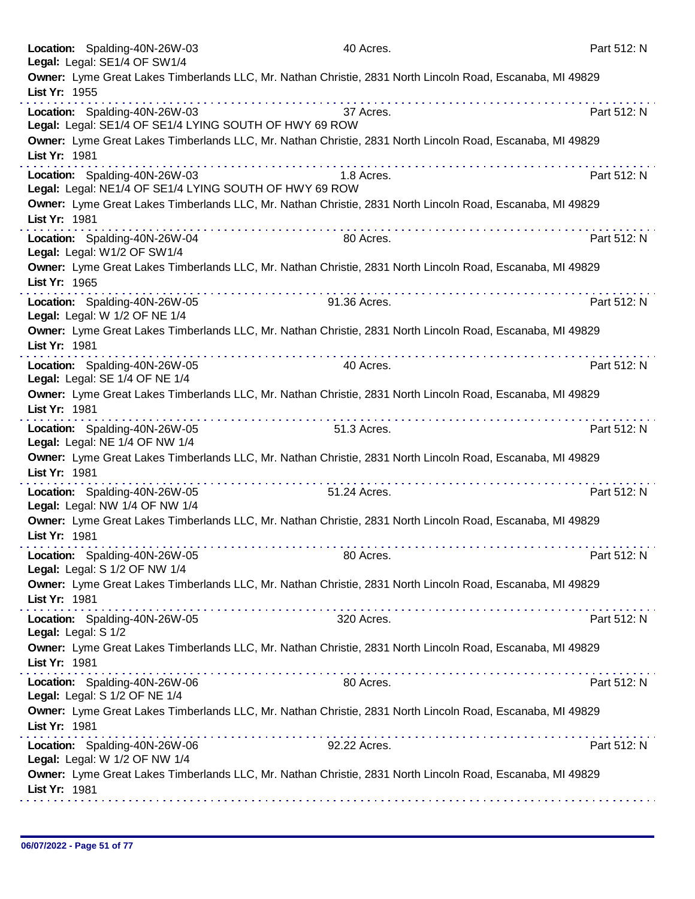| Location: Spalding-40N-26W-03<br>Legal: Legal: SE1/4 OF SW1/4                           | 40 Acres.                                                                                                 | Part 512: N                                                                                                        |
|-----------------------------------------------------------------------------------------|-----------------------------------------------------------------------------------------------------------|--------------------------------------------------------------------------------------------------------------------|
|                                                                                         | Owner: Lyme Great Lakes Timberlands LLC, Mr. Nathan Christie, 2831 North Lincoln Road, Escanaba, MI 49829 |                                                                                                                    |
| List Yr: 1955                                                                           |                                                                                                           |                                                                                                                    |
| Location: Spalding-40N-26W-03<br>Legal: Legal: SE1/4 OF SE1/4 LYING SOUTH OF HWY 69 ROW | 37 Acres.                                                                                                 | Part 512: N                                                                                                        |
| List Yr: 1981                                                                           | Owner: Lyme Great Lakes Timberlands LLC, Mr. Nathan Christie, 2831 North Lincoln Road, Escanaba, MI 49829 |                                                                                                                    |
| Location: Spalding-40N-26W-03<br>Legal: Legal: NE1/4 OF SE1/4 LYING SOUTH OF HWY 69 ROW | 1.8 Acres.                                                                                                | .<br>Part 512: N                                                                                                   |
| List Yr: 1981                                                                           | Owner: Lyme Great Lakes Timberlands LLC, Mr. Nathan Christie, 2831 North Lincoln Road, Escanaba, MI 49829 |                                                                                                                    |
| Location: Spalding-40N-26W-04<br>Legal: Legal: W1/2 OF SW1/4                            | <u>a serie de la característica de la </u><br>80 Acres.                                                   | Part 512: N                                                                                                        |
| List Yr: 1965                                                                           | Owner: Lyme Great Lakes Timberlands LLC, Mr. Nathan Christie, 2831 North Lincoln Road, Escanaba, MI 49829 |                                                                                                                    |
| Location: Spalding-40N-26W-05<br>Legal: Legal: W 1/2 OF NE 1/4                          | .<br>91.36 Acres.                                                                                         | Part 512: N                                                                                                        |
| List Yr: 1981                                                                           | Owner: Lyme Great Lakes Timberlands LLC, Mr. Nathan Christie, 2831 North Lincoln Road, Escanaba, MI 49829 |                                                                                                                    |
| Location: Spalding-40N-26W-05<br>Legal: Legal: SE 1/4 OF NE 1/4                         | 40 Acres.                                                                                                 | Part 512: N                                                                                                        |
| List Yr: 1981                                                                           | Owner: Lyme Great Lakes Timberlands LLC, Mr. Nathan Christie, 2831 North Lincoln Road, Escanaba, MI 49829 |                                                                                                                    |
| Location: Spalding-40N-26W-05<br>Legal: Legal: NE 1/4 OF NW 1/4                         | .<br>51.3 Acres.                                                                                          | Part 512: N                                                                                                        |
| List Yr: 1981                                                                           | Owner: Lyme Great Lakes Timberlands LLC, Mr. Nathan Christie, 2831 North Lincoln Road, Escanaba, MI 49829 |                                                                                                                    |
| Location: Spalding-40N-26W-05<br>Legal: Legal: NW 1/4 OF NW 1/4                         | 51.24 Acres.                                                                                              | Part 512: N                                                                                                        |
| List Yr: 1981                                                                           | Owner: Lyme Great Lakes Timberlands LLC, Mr. Nathan Christie, 2831 North Lincoln Road, Escanaba, MI 49829 |                                                                                                                    |
| Location: Spalding-40N-26W-05<br>Legal: Legal: S 1/2 OF NW 1/4                          | 80 Acres.                                                                                                 | Part 512: N                                                                                                        |
| List Yr: 1981                                                                           | Owner: Lyme Great Lakes Timberlands LLC, Mr. Nathan Christie, 2831 North Lincoln Road, Escanaba, MI 49829 |                                                                                                                    |
| Location: Spalding-40N-26W-05<br>Legal: Legal: S 1/2                                    | 320 Acres.                                                                                                | Part 512: N                                                                                                        |
| List Yr: 1981                                                                           | Owner: Lyme Great Lakes Timberlands LLC, Mr. Nathan Christie, 2831 North Lincoln Road, Escanaba, MI 49829 |                                                                                                                    |
| Location: Spalding-40N-26W-06<br>Legal: Legal: S 1/2 OF NE 1/4                          | 80 Acres.                                                                                                 | Part 512: N                                                                                                        |
| List Yr: 1981                                                                           | Owner: Lyme Great Lakes Timberlands LLC, Mr. Nathan Christie, 2831 North Lincoln Road, Escanaba, MI 49829 |                                                                                                                    |
| Location: Spalding-40N-26W-06<br>Legal: Legal: W 1/2 OF NW 1/4                          | 92.22 Acres.                                                                                              | Part 512: N                                                                                                        |
| List Yr: 1981                                                                           | Owner: Lyme Great Lakes Timberlands LLC, Mr. Nathan Christie, 2831 North Lincoln Road, Escanaba, MI 49829 | .<br>1999 - Prince Participe de Partide de la propieda de la propieda de la propieda de la propieda de la propieda |
|                                                                                         |                                                                                                           |                                                                                                                    |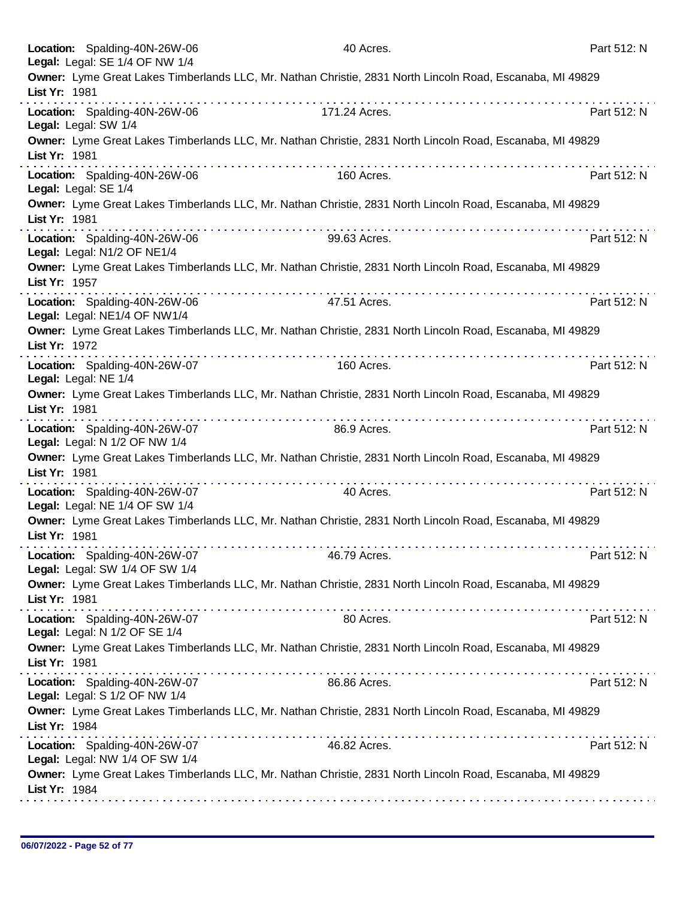|               | Location: Spalding-40N-26W-06<br>Legal: Legal: SE 1/4 OF NW 1/4 | 40 Acres.     | Part 512: N                                                                                               |
|---------------|-----------------------------------------------------------------|---------------|-----------------------------------------------------------------------------------------------------------|
| List Yr: 1981 |                                                                 |               | Owner: Lyme Great Lakes Timberlands LLC, Mr. Nathan Christie, 2831 North Lincoln Road, Escanaba, MI 49829 |
|               | Location: Spalding-40N-26W-06<br>Legal: Legal: SW 1/4           | 171.24 Acres. | Part 512: N                                                                                               |
| List Yr: 1981 |                                                                 |               | Owner: Lyme Great Lakes Timberlands LLC, Mr. Nathan Christie, 2831 North Lincoln Road, Escanaba, MI 49829 |
|               | Location: Spalding-40N-26W-06<br>Legal: Legal: SE 1/4           | 160 Acres.    | Part 512: N                                                                                               |
| List Yr: 1981 |                                                                 |               | Owner: Lyme Great Lakes Timberlands LLC, Mr. Nathan Christie, 2831 North Lincoln Road, Escanaba, MI 49829 |
|               | Location: Spalding-40N-26W-06<br>Legal: Legal: N1/2 OF NE1/4    | 99.63 Acres.  | Part 512: N                                                                                               |
| List Yr: 1957 |                                                                 |               | Owner: Lyme Great Lakes Timberlands LLC, Mr. Nathan Christie, 2831 North Lincoln Road, Escanaba, MI 49829 |
|               | Location: Spalding-40N-26W-06<br>Legal: Legal: NE1/4 OF NW1/4   | 47.51 Acres.  | Part 512: N                                                                                               |
| List Yr: 1972 |                                                                 |               | Owner: Lyme Great Lakes Timberlands LLC, Mr. Nathan Christie, 2831 North Lincoln Road, Escanaba, MI 49829 |
|               | Location: Spalding-40N-26W-07<br>Legal: Legal: NE 1/4           | 160 Acres.    | Part 512: N                                                                                               |
| List Yr: 1981 |                                                                 |               | Owner: Lyme Great Lakes Timberlands LLC, Mr. Nathan Christie, 2831 North Lincoln Road, Escanaba, MI 49829 |
|               | Location: Spalding-40N-26W-07<br>Legal: Legal: N 1/2 OF NW 1/4  | 86.9 Acres.   | Part 512: N                                                                                               |
| List Yr: 1981 |                                                                 |               | Owner: Lyme Great Lakes Timberlands LLC, Mr. Nathan Christie, 2831 North Lincoln Road, Escanaba, MI 49829 |
|               | Location: Spalding-40N-26W-07<br>Legal: Legal: NE 1/4 OF SW 1/4 | 40 Acres.     | Part 512: N                                                                                               |
| List Yr: 1981 |                                                                 |               | Owner: Lyme Great Lakes Timberlands LLC, Mr. Nathan Christie, 2831 North Lincoln Road, Escanaba, MI 49829 |
|               | Location: Spalding-40N-26W-07<br>Legal: Legal: SW 1/4 OF SW 1/4 | 46.79 Acres.  | Part 512: N                                                                                               |
| List Yr: 1981 |                                                                 |               | Owner: Lyme Great Lakes Timberlands LLC, Mr. Nathan Christie, 2831 North Lincoln Road, Escanaba, MI 49829 |
|               | Location: Spalding-40N-26W-07<br>Legal: Legal: N 1/2 OF SE 1/4  | 80 Acres.     | Part 512: N                                                                                               |
| List Yr: 1981 |                                                                 |               | Owner: Lyme Great Lakes Timberlands LLC, Mr. Nathan Christie, 2831 North Lincoln Road, Escanaba, MI 49829 |
|               | Location: Spalding-40N-26W-07<br>Legal: Legal: S 1/2 OF NW 1/4  | 86.86 Acres.  | Part 512: N                                                                                               |
| List Yr: 1984 |                                                                 |               | Owner: Lyme Great Lakes Timberlands LLC, Mr. Nathan Christie, 2831 North Lincoln Road, Escanaba, MI 49829 |
|               | Location: Spalding-40N-26W-07<br>Legal: Legal: NW 1/4 OF SW 1/4 | 46.82 Acres.  | Part 512: N                                                                                               |
| List Yr: 1984 |                                                                 |               | Owner: Lyme Great Lakes Timberlands LLC, Mr. Nathan Christie, 2831 North Lincoln Road, Escanaba, MI 49829 |
|               |                                                                 |               |                                                                                                           |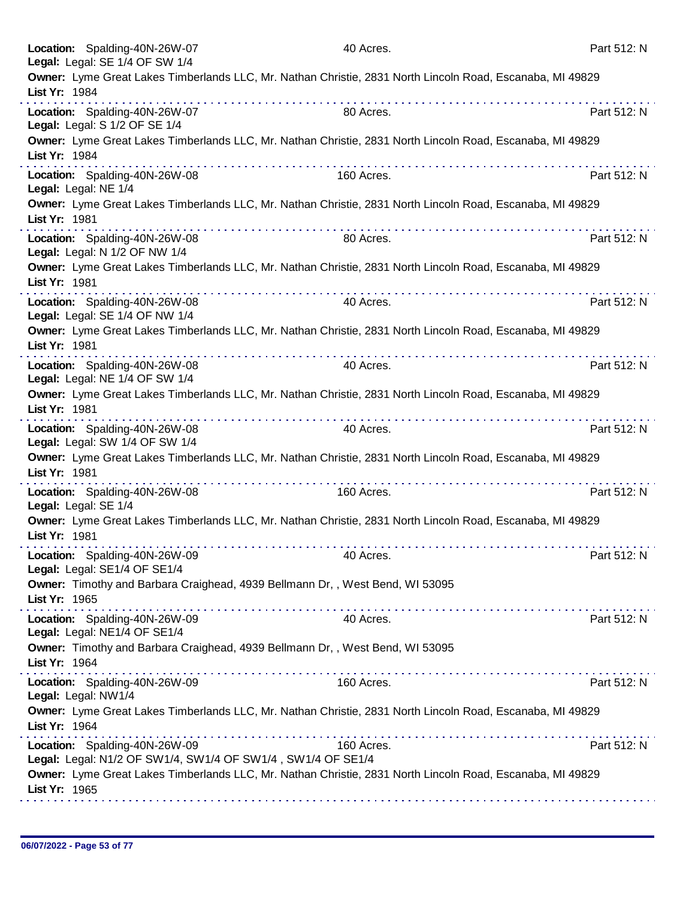| Location: Spalding-40N-26W-07<br>Legal: Legal: SE 1/4 OF SW 1/4                               | 40 Acres.                                                                                                 | Part 512: N |
|-----------------------------------------------------------------------------------------------|-----------------------------------------------------------------------------------------------------------|-------------|
| List Yr: 1984                                                                                 | Owner: Lyme Great Lakes Timberlands LLC, Mr. Nathan Christie, 2831 North Lincoln Road, Escanaba, MI 49829 |             |
| Location: Spalding-40N-26W-07<br>Legal: Legal: S 1/2 OF SE 1/4                                | 80 Acres.                                                                                                 | Part 512: N |
| List Yr: 1984                                                                                 | Owner: Lyme Great Lakes Timberlands LLC, Mr. Nathan Christie, 2831 North Lincoln Road, Escanaba, MI 49829 |             |
| Location: Spalding-40N-26W-08<br>Legal: Legal: NE 1/4                                         | 160 Acres.                                                                                                | Part 512: N |
| List Yr: 1981                                                                                 | Owner: Lyme Great Lakes Timberlands LLC, Mr. Nathan Christie, 2831 North Lincoln Road, Escanaba, MI 49829 |             |
| Location: Spalding-40N-26W-08<br>Legal: Legal: N 1/2 OF NW 1/4                                | 80 Acres.                                                                                                 | Part 512: N |
| List Yr: 1981                                                                                 | Owner: Lyme Great Lakes Timberlands LLC, Mr. Nathan Christie, 2831 North Lincoln Road, Escanaba, MI 49829 |             |
| Location: Spalding-40N-26W-08<br>Legal: Legal: SE 1/4 OF NW 1/4                               | 40 Acres.                                                                                                 | Part 512: N |
| List Yr: 1981                                                                                 | Owner: Lyme Great Lakes Timberlands LLC, Mr. Nathan Christie, 2831 North Lincoln Road, Escanaba, MI 49829 |             |
| Location: Spalding-40N-26W-08<br>Legal: Legal: NE 1/4 OF SW 1/4                               | 40 Acres.                                                                                                 | Part 512: N |
| List Yr: 1981                                                                                 | Owner: Lyme Great Lakes Timberlands LLC, Mr. Nathan Christie, 2831 North Lincoln Road, Escanaba, MI 49829 |             |
| Location: Spalding-40N-26W-08<br>Legal: Legal: SW 1/4 OF SW 1/4                               | 40 Acres.                                                                                                 | Part 512: N |
| List Yr: 1981                                                                                 | Owner: Lyme Great Lakes Timberlands LLC, Mr. Nathan Christie, 2831 North Lincoln Road, Escanaba, MI 49829 |             |
| Location: Spalding-40N-26W-08<br>Legal: Legal: SE 1/4                                         | 160 Acres.                                                                                                | Part 512: N |
| List Yr: 1981                                                                                 | Owner: Lyme Great Lakes Timberlands LLC, Mr. Nathan Christie, 2831 North Lincoln Road, Escanaba, MI 49829 |             |
| Location: Spalding-40N-26W-09<br>Legal: Legal: SE1/4 OF SE1/4                                 | 40 Acres.                                                                                                 | Part 512: N |
| Owner: Timothy and Barbara Craighead, 4939 Bellmann Dr,, West Bend, WI 53095<br>List Yr: 1965 |                                                                                                           |             |
| Location: Spalding-40N-26W-09<br>Legal: Legal: NE1/4 OF SE1/4                                 | 40 Acres.                                                                                                 | Part 512: N |
| Owner: Timothy and Barbara Craighead, 4939 Bellmann Dr,, West Bend, WI 53095<br>List Yr: 1964 |                                                                                                           |             |
| Location: Spalding-40N-26W-09<br>Legal: Legal: NW1/4                                          | 160 Acres.                                                                                                | Part 512: N |
| List Yr: 1964                                                                                 | Owner: Lyme Great Lakes Timberlands LLC, Mr. Nathan Christie, 2831 North Lincoln Road, Escanaba, MI 49829 |             |
| Location: Spalding-40N-26W-09<br>Legal: Legal: N1/2 OF SW1/4, SW1/4 OF SW1/4, SW1/4 OF SE1/4  | 160 Acres.                                                                                                | Part 512: N |
| List Yr: 1965                                                                                 | Owner: Lyme Great Lakes Timberlands LLC, Mr. Nathan Christie, 2831 North Lincoln Road, Escanaba, MI 49829 |             |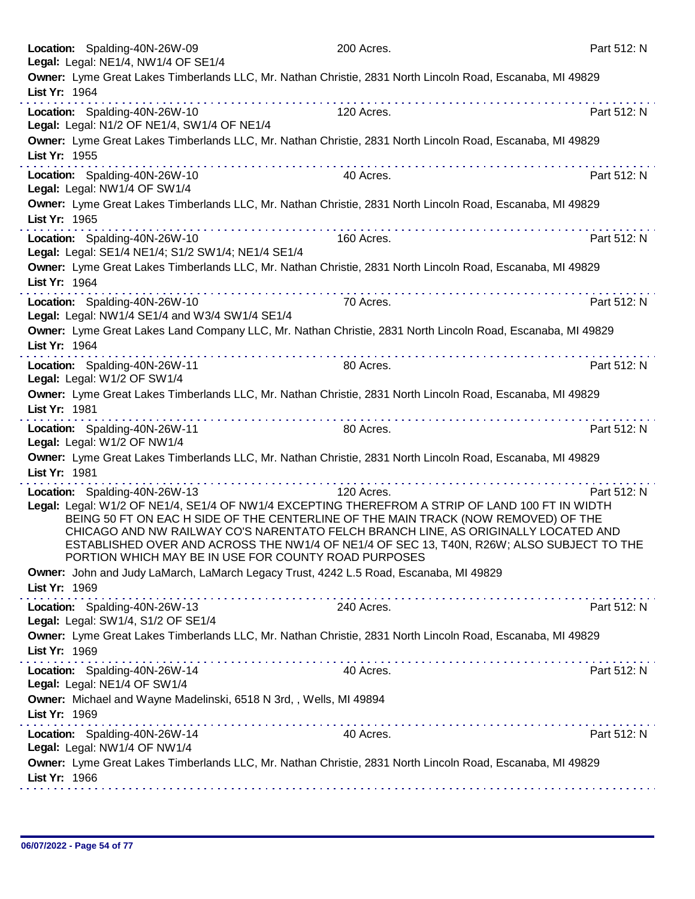|                                                                                                                            | 200 Acres.                                                                                | Part 512: N |  |
|----------------------------------------------------------------------------------------------------------------------------|-------------------------------------------------------------------------------------------|-------------|--|
| Legal: Legal: NE1/4, NW1/4 OF SE1/4                                                                                        |                                                                                           |             |  |
| Owner: Lyme Great Lakes Timberlands LLC, Mr. Nathan Christie, 2831 North Lincoln Road, Escanaba, MI 49829                  |                                                                                           |             |  |
| List Yr: 1964                                                                                                              |                                                                                           |             |  |
| Location: Spalding-40N-26W-10                                                                                              | 120 Acres.                                                                                | Part 512: N |  |
| Legal: Legal: N1/2 OF NE1/4, SW1/4 OF NE1/4                                                                                |                                                                                           |             |  |
| Owner: Lyme Great Lakes Timberlands LLC, Mr. Nathan Christie, 2831 North Lincoln Road, Escanaba, MI 49829                  |                                                                                           |             |  |
| List Yr: 1955                                                                                                              |                                                                                           |             |  |
| Location: Spalding-40N-26W-10                                                                                              | 40 Acres.                                                                                 | Part 512: N |  |
| Legal: Legal: NW1/4 OF SW1/4                                                                                               |                                                                                           |             |  |
| Owner: Lyme Great Lakes Timberlands LLC, Mr. Nathan Christie, 2831 North Lincoln Road, Escanaba, MI 49829                  |                                                                                           |             |  |
| List Yr: 1965                                                                                                              |                                                                                           |             |  |
|                                                                                                                            |                                                                                           |             |  |
| Location: Spalding-40N-26W-10                                                                                              | 160 Acres.                                                                                | Part 512: N |  |
| Legal: Legal: SE1/4 NE1/4; S1/2 SW1/4; NE1/4 SE1/4                                                                         |                                                                                           |             |  |
| Owner: Lyme Great Lakes Timberlands LLC, Mr. Nathan Christie, 2831 North Lincoln Road, Escanaba, MI 49829                  |                                                                                           |             |  |
| List Yr: 1964                                                                                                              |                                                                                           |             |  |
| Location: Spalding-40N-26W-10                                                                                              | 70 Acres.                                                                                 | Part 512: N |  |
| Legal: Legal: NW1/4 SE1/4 and W3/4 SW1/4 SE1/4                                                                             |                                                                                           |             |  |
| Owner: Lyme Great Lakes Land Company LLC, Mr. Nathan Christie, 2831 North Lincoln Road, Escanaba, MI 49829                 |                                                                                           |             |  |
| List Yr: 1964                                                                                                              |                                                                                           |             |  |
| Location: Spalding-40N-26W-11                                                                                              | 80 Acres.                                                                                 | Part 512: N |  |
| Legal: Legal: W1/2 OF SW1/4                                                                                                |                                                                                           |             |  |
| Owner: Lyme Great Lakes Timberlands LLC, Mr. Nathan Christie, 2831 North Lincoln Road, Escanaba, MI 49829                  |                                                                                           |             |  |
| List Yr: 1981                                                                                                              |                                                                                           |             |  |
|                                                                                                                            |                                                                                           |             |  |
| Location: Spalding-40N-26W-11                                                                                              | 80 Acres.                                                                                 | Part 512: N |  |
| Legal: Legal: W1/2 OF NW1/4                                                                                                |                                                                                           |             |  |
| Owner: Lyme Great Lakes Timberlands LLC, Mr. Nathan Christie, 2831 North Lincoln Road, Escanaba, MI 49829                  |                                                                                           |             |  |
| List Yr: 1981                                                                                                              |                                                                                           |             |  |
|                                                                                                                            |                                                                                           |             |  |
| Location: Spalding-40N-26W-13                                                                                              | 120 Acres.                                                                                | Part 512: N |  |
| Legal: Legal: W1/2 OF NE1/4, SE1/4 OF NW1/4 EXCEPTING THEREFROM A STRIP OF LAND 100 FT IN WIDTH                            |                                                                                           |             |  |
|                                                                                                                            | BEING 50 FT ON EAC H SIDE OF THE CENTERLINE OF THE MAIN TRACK (NOW REMOVED) OF THE        |             |  |
|                                                                                                                            | CHICAGO AND NW RAILWAY CO'S NARENTATO FELCH BRANCH LINE, AS ORIGINALLY LOCATED AND        |             |  |
|                                                                                                                            | ESTABLISHED OVER AND ACROSS THE NW1/4 OF NE1/4 OF SEC 13, T40N, R26W; ALSO SUBJECT TO THE |             |  |
| PORTION WHICH MAY BE IN USE FOR COUNTY ROAD PURPOSES                                                                       |                                                                                           |             |  |
| Owner: John and Judy LaMarch, LaMarch Legacy Trust, 4242 L.5 Road, Escanaba, MI 49829                                      |                                                                                           |             |  |
| List Yr: 1969                                                                                                              |                                                                                           |             |  |
| Location: Spalding-40N-26W-13                                                                                              | 240 Acres.                                                                                | Part 512: N |  |
| Legal: Legal: SW1/4, S1/2 OF SE1/4                                                                                         |                                                                                           |             |  |
| Owner: Lyme Great Lakes Timberlands LLC, Mr. Nathan Christie, 2831 North Lincoln Road, Escanaba, MI 49829                  |                                                                                           |             |  |
| List Yr: 1969                                                                                                              |                                                                                           |             |  |
|                                                                                                                            | 40 Acres.                                                                                 | Part 512: N |  |
| Location: Spalding-40N-26W-14<br>Legal: Legal: NE1/4 OF SW1/4                                                              |                                                                                           |             |  |
| Owner: Michael and Wayne Madelinski, 6518 N 3rd,, Wells, MI 49894                                                          |                                                                                           |             |  |
| List Yr: 1969                                                                                                              |                                                                                           |             |  |
| a construction and a construction of the construction                                                                      |                                                                                           |             |  |
| Location: Spalding-40N-26W-14                                                                                              | 40 Acres.                                                                                 | Part 512: N |  |
| Legal: Legal: NW1/4 OF NW1/4                                                                                               |                                                                                           |             |  |
| Owner: Lyme Great Lakes Timberlands LLC, Mr. Nathan Christie, 2831 North Lincoln Road, Escanaba, MI 49829<br>List Yr: 1966 |                                                                                           |             |  |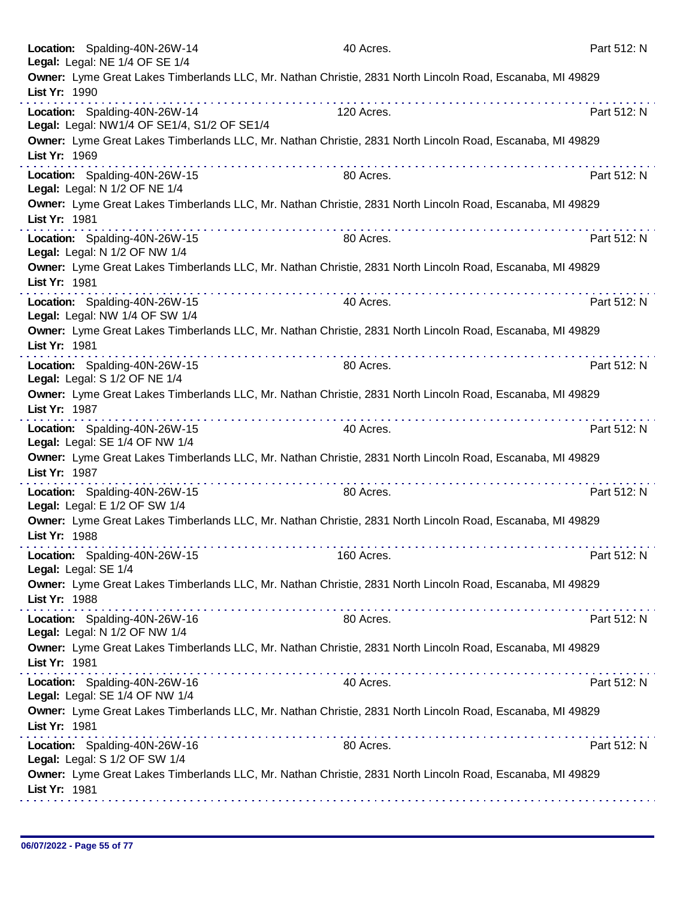|               | Location: Spalding-40N-26W-14<br>Legal: Legal: NE 1/4 OF SE 1/4 | 40 Acres.                                                                                                 | Part 512: N |
|---------------|-----------------------------------------------------------------|-----------------------------------------------------------------------------------------------------------|-------------|
| List Yr: 1990 |                                                                 | Owner: Lyme Great Lakes Timberlands LLC, Mr. Nathan Christie, 2831 North Lincoln Road, Escanaba, MI 49829 |             |
|               | Location: Spalding-40N-26W-14                                   | 120 Acres.                                                                                                | Part 512: N |
|               | Legal: Legal: NW1/4 OF SE1/4, S1/2 OF SE1/4                     |                                                                                                           |             |
| List Yr: 1969 | .                                                               | Owner: Lyme Great Lakes Timberlands LLC, Mr. Nathan Christie, 2831 North Lincoln Road, Escanaba, MI 49829 |             |
|               | Location: Spalding-40N-26W-15<br>Legal: Legal: N 1/2 OF NE 1/4  | 80 Acres.                                                                                                 | Part 512: N |
| List Yr: 1981 |                                                                 | Owner: Lyme Great Lakes Timberlands LLC, Mr. Nathan Christie, 2831 North Lincoln Road, Escanaba, MI 49829 |             |
|               | Location: Spalding-40N-26W-15<br>Legal: Legal: N 1/2 OF NW 1/4  | 80 Acres.                                                                                                 | Part 512: N |
| List Yr: 1981 |                                                                 | Owner: Lyme Great Lakes Timberlands LLC, Mr. Nathan Christie, 2831 North Lincoln Road, Escanaba, MI 49829 |             |
|               | Location: Spalding-40N-26W-15<br>Legal: Legal: NW 1/4 OF SW 1/4 | 40 Acres.                                                                                                 | Part 512: N |
| List Yr: 1981 |                                                                 | Owner: Lyme Great Lakes Timberlands LLC, Mr. Nathan Christie, 2831 North Lincoln Road, Escanaba, MI 49829 |             |
|               | Location: Spalding-40N-26W-15<br>Legal: Legal: S 1/2 OF NE 1/4  | .<br>.<br>80 Acres.                                                                                       | Part 512: N |
| List Yr: 1987 |                                                                 | Owner: Lyme Great Lakes Timberlands LLC, Mr. Nathan Christie, 2831 North Lincoln Road, Escanaba, MI 49829 |             |
|               | Location: Spalding-40N-26W-15<br>Legal: Legal: SE 1/4 OF NW 1/4 | 40 Acres.                                                                                                 | Part 512: N |
| List Yr: 1987 |                                                                 | Owner: Lyme Great Lakes Timberlands LLC, Mr. Nathan Christie, 2831 North Lincoln Road, Escanaba, MI 49829 |             |
|               | Location: Spalding-40N-26W-15<br>Legal: Legal: E 1/2 OF SW 1/4  | 80 Acres.                                                                                                 | Part 512: N |
| List Yr: 1988 |                                                                 | Owner: Lyme Great Lakes Timberlands LLC, Mr. Nathan Christie, 2831 North Lincoln Road, Escanaba, MI 49829 |             |
|               | Location: Spalding-40N-26W-15<br>Legal: Legal: SE 1/4           | 160 Acres.                                                                                                | Part 512: N |
| List Yr: 1988 |                                                                 | Owner: Lyme Great Lakes Timberlands LLC, Mr. Nathan Christie, 2831 North Lincoln Road, Escanaba, MI 49829 |             |
|               | Location: Spalding-40N-26W-16<br>Legal: Legal: N 1/2 OF NW 1/4  | 80 Acres.                                                                                                 | Part 512: N |
| List Yr: 1981 |                                                                 | Owner: Lyme Great Lakes Timberlands LLC, Mr. Nathan Christie, 2831 North Lincoln Road, Escanaba, MI 49829 |             |
|               | Location: Spalding-40N-26W-16<br>Legal: Legal: SE 1/4 OF NW 1/4 | 40 Acres.                                                                                                 | Part 512: N |
| List Yr: 1981 |                                                                 | Owner: Lyme Great Lakes Timberlands LLC, Mr. Nathan Christie, 2831 North Lincoln Road, Escanaba, MI 49829 |             |
|               | Location: Spalding-40N-26W-16<br>Legal: Legal: S 1/2 OF SW 1/4  | 80 Acres.                                                                                                 | Part 512: N |
| List Yr: 1981 |                                                                 | Owner: Lyme Great Lakes Timberlands LLC, Mr. Nathan Christie, 2831 North Lincoln Road, Escanaba, MI 49829 |             |
|               |                                                                 |                                                                                                           |             |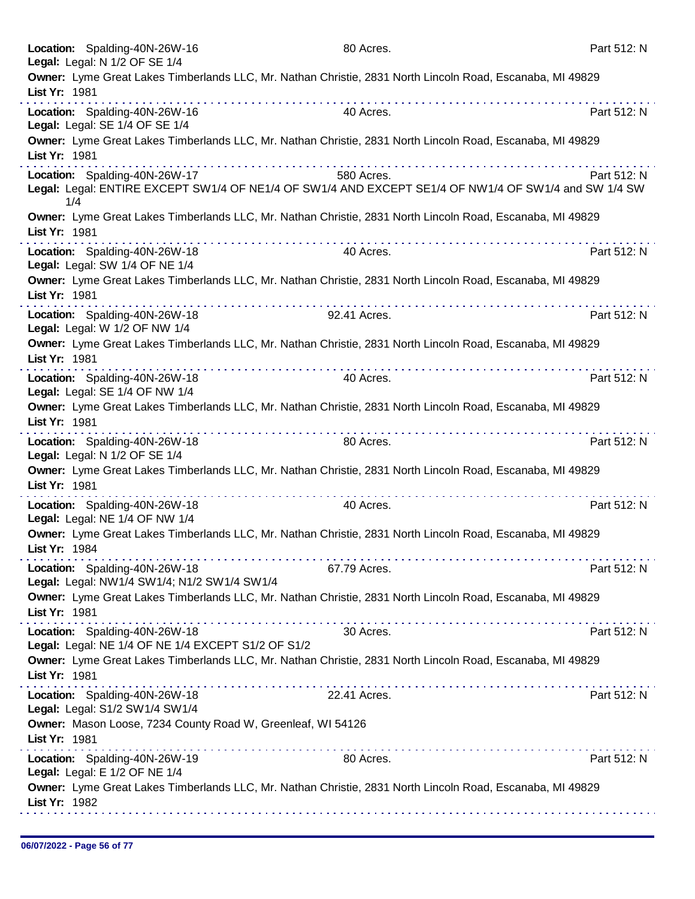| Location: Spalding-40N-26W-16                                                |                                                             | 80 Acres.                                                                                                 | Part 512: N |
|------------------------------------------------------------------------------|-------------------------------------------------------------|-----------------------------------------------------------------------------------------------------------|-------------|
| Legal: Legal: N 1/2 OF SE 1/4                                                |                                                             |                                                                                                           |             |
| List Yr: 1981                                                                |                                                             | Owner: Lyme Great Lakes Timberlands LLC, Mr. Nathan Christie, 2831 North Lincoln Road, Escanaba, MI 49829 |             |
| Location: Spalding-40N-26W-16<br>Legal: Legal: SE 1/4 OF SE 1/4              |                                                             | 40 Acres.                                                                                                 | Part 512: N |
| List Yr: 1981                                                                |                                                             | Owner: Lyme Great Lakes Timberlands LLC, Mr. Nathan Christie, 2831 North Lincoln Road, Escanaba, MI 49829 |             |
| Location: Spalding-40N-26W-17                                                |                                                             | 580 Acres.                                                                                                | Part 512: N |
| 1/4                                                                          |                                                             | Legal: Legal: ENTIRE EXCEPT SW1/4 OF NE1/4 OF SW1/4 AND EXCEPT SE1/4 OF NW1/4 OF SW1/4 and SW 1/4 SW      |             |
| List Yr: 1981                                                                |                                                             | Owner: Lyme Great Lakes Timberlands LLC, Mr. Nathan Christie, 2831 North Lincoln Road, Escanaba, MI 49829 |             |
| Location: Spalding-40N-26W-18<br>Legal: Legal: SW 1/4 OF NE 1/4              |                                                             | 40 Acres.                                                                                                 | Part 512: N |
| List Yr: 1981                                                                |                                                             | Owner: Lyme Great Lakes Timberlands LLC, Mr. Nathan Christie, 2831 North Lincoln Road, Escanaba, MI 49829 |             |
| Location: Spalding-40N-26W-18<br>Legal: Legal: W 1/2 OF NW 1/4               |                                                             | 92.41 Acres.                                                                                              | Part 512: N |
| List Yr: 1981                                                                |                                                             | Owner: Lyme Great Lakes Timberlands LLC, Mr. Nathan Christie, 2831 North Lincoln Road, Escanaba, MI 49829 |             |
| Location: Spalding-40N-26W-18<br>Legal: Legal: SE 1/4 OF NW 1/4              |                                                             | 40 Acres.                                                                                                 | Part 512: N |
| List Yr: 1981                                                                |                                                             | Owner: Lyme Great Lakes Timberlands LLC, Mr. Nathan Christie, 2831 North Lincoln Road, Escanaba, MI 49829 |             |
| Location: Spalding-40N-26W-18<br>Legal: Legal: N 1/2 OF SE 1/4               | . <b>.</b>                                                  | 80 Acres.                                                                                                 | Part 512: N |
| List Yr: 1981                                                                |                                                             | Owner: Lyme Great Lakes Timberlands LLC, Mr. Nathan Christie, 2831 North Lincoln Road, Escanaba, MI 49829 |             |
| Location: Spalding-40N-26W-18<br>Legal: Legal: NE 1/4 OF NW 1/4              |                                                             | 40 Acres.                                                                                                 | Part 512: N |
| List Yr: 1984                                                                |                                                             | Owner: Lyme Great Lakes Timberlands LLC, Mr. Nathan Christie, 2831 North Lincoln Road, Escanaba, MI 49829 |             |
| Location: Spalding-40N-26W-18<br>Legal: Legal: NW1/4 SW1/4; N1/2 SW1/4 SW1/4 |                                                             | 67.79 Acres.                                                                                              | Part 512: N |
| List Yr: 1981                                                                |                                                             | Owner: Lyme Great Lakes Timberlands LLC, Mr. Nathan Christie, 2831 North Lincoln Road, Escanaba, MI 49829 |             |
| Location: Spalding-40N-26W-18                                                | Legal: Legal: NE 1/4 OF NE 1/4 EXCEPT S1/2 OF S1/2          | 30 Acres.                                                                                                 | Part 512: N |
| List Yr: 1981                                                                |                                                             | Owner: Lyme Great Lakes Timberlands LLC, Mr. Nathan Christie, 2831 North Lincoln Road, Escanaba, MI 49829 |             |
| Location: Spalding-40N-26W-18<br>Legal: Legal: S1/2 SW1/4 SW1/4              |                                                             | 22.41 Acres.                                                                                              | Part 512: N |
| List Yr: 1981                                                                | Owner: Mason Loose, 7234 County Road W, Greenleaf, WI 54126 |                                                                                                           |             |
| Location: Spalding-40N-26W-19<br>Legal: Legal: E 1/2 OF NE 1/4               |                                                             | 80 Acres.                                                                                                 | Part 512: N |
| List Yr: 1982                                                                |                                                             | Owner: Lyme Great Lakes Timberlands LLC, Mr. Nathan Christie, 2831 North Lincoln Road, Escanaba, MI 49829 |             |
|                                                                              |                                                             |                                                                                                           |             |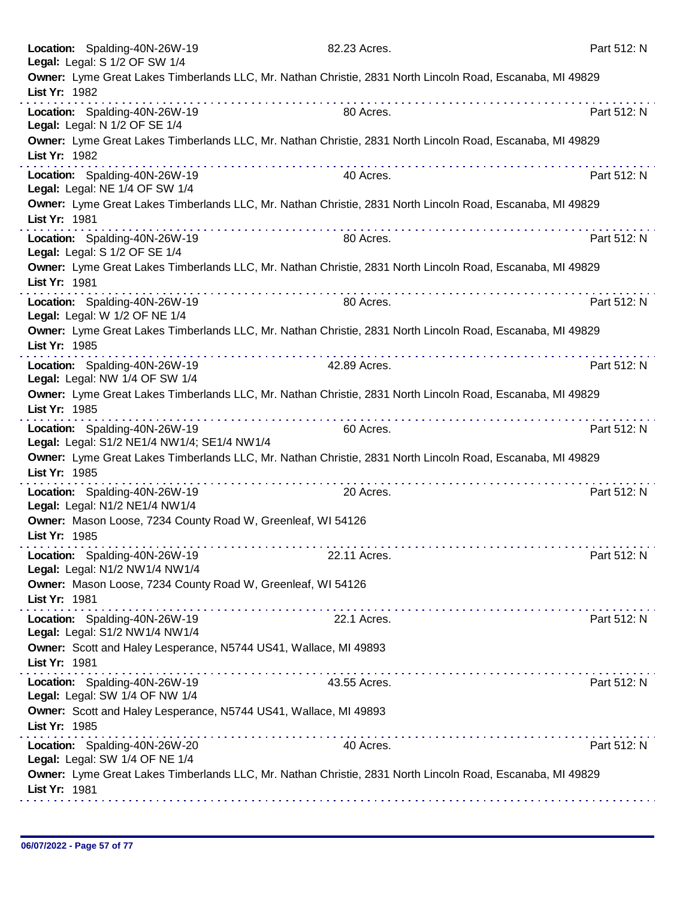| Location: Spalding-40N-26W-19<br>Legal: Legal: S 1/2 OF SW 1/4                    | 82.23 Acres.                                                                                                                                                                                                                  | Part 512: N |
|-----------------------------------------------------------------------------------|-------------------------------------------------------------------------------------------------------------------------------------------------------------------------------------------------------------------------------|-------------|
| List Yr: 1982                                                                     | Owner: Lyme Great Lakes Timberlands LLC, Mr. Nathan Christie, 2831 North Lincoln Road, Escanaba, MI 49829                                                                                                                     |             |
| Location: Spalding-40N-26W-19<br>Legal: Legal: N 1/2 OF SE 1/4                    | 80 Acres.                                                                                                                                                                                                                     | Part 512: N |
| List Yr: 1982                                                                     | Owner: Lyme Great Lakes Timberlands LLC, Mr. Nathan Christie, 2831 North Lincoln Road, Escanaba, MI 49829                                                                                                                     |             |
| Location: Spalding-40N-26W-19<br>Legal: Legal: NE 1/4 OF SW 1/4                   | 40 Acres.                                                                                                                                                                                                                     | Part 512: N |
| List Yr: 1981                                                                     | Owner: Lyme Great Lakes Timberlands LLC, Mr. Nathan Christie, 2831 North Lincoln Road, Escanaba, MI 49829                                                                                                                     |             |
| Location: Spalding-40N-26W-19<br>Legal: Legal: S 1/2 OF SE 1/4                    | 80 Acres.                                                                                                                                                                                                                     | Part 512: N |
| List Yr: 1981                                                                     | Owner: Lyme Great Lakes Timberlands LLC, Mr. Nathan Christie, 2831 North Lincoln Road, Escanaba, MI 49829                                                                                                                     |             |
| Location: Spalding-40N-26W-19<br>Legal: Legal: W 1/2 OF NE 1/4                    | 80 Acres.                                                                                                                                                                                                                     | Part 512: N |
| List Yr: 1985                                                                     | Owner: Lyme Great Lakes Timberlands LLC, Mr. Nathan Christie, 2831 North Lincoln Road, Escanaba, MI 49829<br>.                                                                                                                |             |
| Location: Spalding-40N-26W-19<br>Legal: Legal: NW 1/4 OF SW 1/4                   | 42.89 Acres.                                                                                                                                                                                                                  | Part 512: N |
| List Yr: 1985                                                                     | Owner: Lyme Great Lakes Timberlands LLC, Mr. Nathan Christie, 2831 North Lincoln Road, Escanaba, MI 49829<br>.                                                                                                                |             |
| Location: Spalding-40N-26W-19<br>Legal: Legal: S1/2 NE1/4 NW1/4; SE1/4 NW1/4      | 60 Acres.                                                                                                                                                                                                                     | Part 512: N |
| List Yr: 1985                                                                     | Owner: Lyme Great Lakes Timberlands LLC, Mr. Nathan Christie, 2831 North Lincoln Road, Escanaba, MI 49829                                                                                                                     |             |
| Location: Spalding-40N-26W-19<br>Legal: Legal: N1/2 NE1/4 NW1/4                   | 20 Acres.                                                                                                                                                                                                                     | Part 512: N |
| Owner: Mason Loose, 7234 County Road W, Greenleaf, WI 54126<br>List Yr: 1985      |                                                                                                                                                                                                                               |             |
| Location: Spalding-40N-26W-19<br>Legal: Legal: N1/2 NW1/4 NW1/4                   | 22.11 Acres.                                                                                                                                                                                                                  | Part 512: N |
| Owner: Mason Loose, 7234 County Road W, Greenleaf, WI 54126<br>List Yr: 1981      | a construction of the construction of the construction of the construction of the construction of the construction of the construction of the construction of the construction of the construction of the construction of the |             |
| Location: Spalding-40N-26W-19<br>Legal: Legal: S1/2 NW1/4 NW1/4                   | 22.1 Acres.                                                                                                                                                                                                                   | Part 512: N |
| Owner: Scott and Haley Lesperance, N5744 US41, Wallace, MI 49893<br>List Yr: 1981 |                                                                                                                                                                                                                               |             |
| Location: Spalding-40N-26W-19<br>Legal: Legal: SW 1/4 OF NW 1/4                   | 43.55 Acres.                                                                                                                                                                                                                  | Part 512: N |
| Owner: Scott and Haley Lesperance, N5744 US41, Wallace, MI 49893<br>List Yr: 1985 |                                                                                                                                                                                                                               |             |
| Location: Spalding-40N-26W-20<br>Legal: Legal: SW 1/4 OF NE 1/4                   | 40 Acres.                                                                                                                                                                                                                     | Part 512: N |
| List Yr: 1981                                                                     | Owner: Lyme Great Lakes Timberlands LLC, Mr. Nathan Christie, 2831 North Lincoln Road, Escanaba, MI 49829                                                                                                                     |             |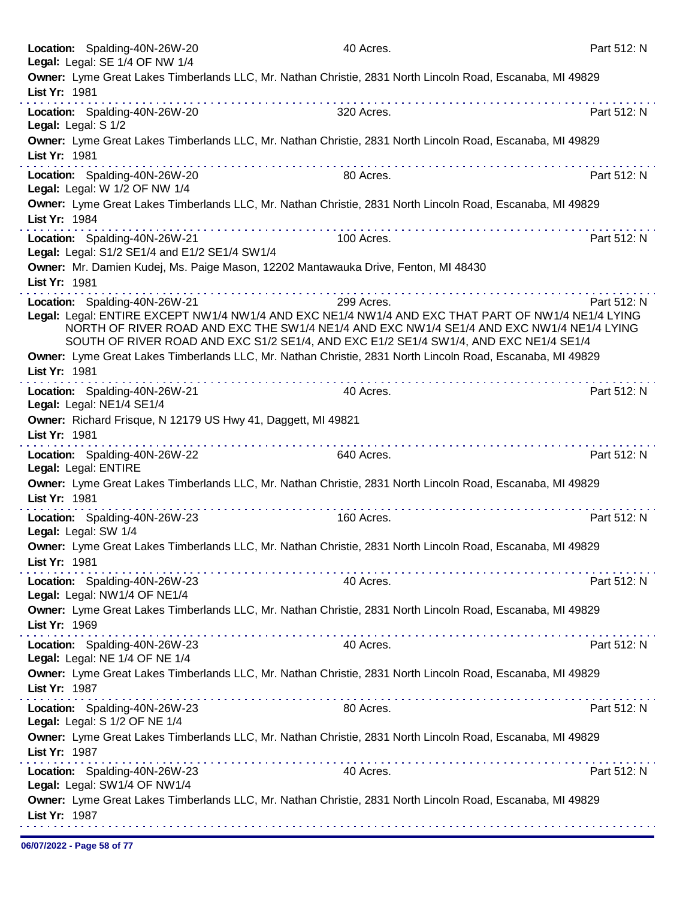|                     | Location: Spalding-40N-26W-20<br>Legal: Legal: SE 1/4 OF NW 1/4                | 40 Acres.                                                                                                                                                                                                                                                                                                                                                                                                                                                     | Part 512: N |
|---------------------|--------------------------------------------------------------------------------|---------------------------------------------------------------------------------------------------------------------------------------------------------------------------------------------------------------------------------------------------------------------------------------------------------------------------------------------------------------------------------------------------------------------------------------------------------------|-------------|
| List Yr: 1981       |                                                                                | Owner: Lyme Great Lakes Timberlands LLC, Mr. Nathan Christie, 2831 North Lincoln Road, Escanaba, MI 49829                                                                                                                                                                                                                                                                                                                                                     |             |
| Legal: Legal: S 1/2 | Location: Spalding-40N-26W-20                                                  | 320 Acres.                                                                                                                                                                                                                                                                                                                                                                                                                                                    | Part 512: N |
| List Yr: 1981       |                                                                                | Owner: Lyme Great Lakes Timberlands LLC, Mr. Nathan Christie, 2831 North Lincoln Road, Escanaba, MI 49829                                                                                                                                                                                                                                                                                                                                                     |             |
|                     | Location: Spalding-40N-26W-20<br>Legal: Legal: W 1/2 OF NW 1/4                 | 80 Acres.                                                                                                                                                                                                                                                                                                                                                                                                                                                     | Part 512: N |
| List Yr: 1984       |                                                                                | Owner: Lyme Great Lakes Timberlands LLC, Mr. Nathan Christie, 2831 North Lincoln Road, Escanaba, MI 49829<br>$\label{eq:reduced} \begin{split} \mathcal{L}_{\mathcal{A}}(\mathbf{x},\mathbf{y},\mathbf{y}) = \mathcal{L}_{\mathcal{A}}(\mathbf{x},\mathbf{y},\mathbf{y}) = \mathcal{L}_{\mathcal{A}}(\mathbf{x},\mathbf{y},\mathbf{y},\mathbf{y},\mathbf{y},\mathbf{y}) + \mathcal{L}_{\mathcal{A}}(\mathbf{x},\mathbf{y},\mathbf{y},\mathbf{y}) \end{split}$ |             |
|                     | Location: Spalding-40N-26W-21<br>Legal: Legal: S1/2 SE1/4 and E1/2 SE1/4 SW1/4 | 100 Acres.                                                                                                                                                                                                                                                                                                                                                                                                                                                    | Part 512: N |
| List Yr: 1981       |                                                                                | Owner: Mr. Damien Kudej, Ms. Paige Mason, 12202 Mantawauka Drive, Fenton, MI 48430                                                                                                                                                                                                                                                                                                                                                                            |             |
|                     | Location: Spalding-40N-26W-21                                                  | 299 Acres.                                                                                                                                                                                                                                                                                                                                                                                                                                                    | Part 512: N |
|                     |                                                                                | Legal: Legal: ENTIRE EXCEPT NW1/4 NW1/4 AND EXC NE1/4 NW1/4 AND EXC THAT PART OF NW1/4 NE1/4 LYING<br>NORTH OF RIVER ROAD AND EXC THE SW1/4 NE1/4 AND EXC NW1/4 SE1/4 AND EXC NW1/4 NE1/4 LYING<br>SOUTH OF RIVER ROAD AND EXC S1/2 SE1/4, AND EXC E1/2 SE1/4 SW1/4, AND EXC NE1/4 SE1/4                                                                                                                                                                      |             |
| List Yr: 1981       |                                                                                | Owner: Lyme Great Lakes Timberlands LLC, Mr. Nathan Christie, 2831 North Lincoln Road, Escanaba, MI 49829                                                                                                                                                                                                                                                                                                                                                     |             |
|                     | Location: Spalding-40N-26W-21<br>Legal: Legal: NE1/4 SE1/4                     | 40 Acres.                                                                                                                                                                                                                                                                                                                                                                                                                                                     | Part 512: N |
| List Yr: 1981       | Owner: Richard Frisque, N 12179 US Hwy 41, Daggett, MI 49821                   |                                                                                                                                                                                                                                                                                                                                                                                                                                                               |             |
|                     | Location: Spalding-40N-26W-22<br>Legal: Legal: ENTIRE                          | 640 Acres.                                                                                                                                                                                                                                                                                                                                                                                                                                                    | Part 512: N |
| List Yr: 1981       |                                                                                | Owner: Lyme Great Lakes Timberlands LLC, Mr. Nathan Christie, 2831 North Lincoln Road, Escanaba, MI 49829                                                                                                                                                                                                                                                                                                                                                     |             |
|                     | Location: Spalding-40N-26W-23<br>Legal: Legal: SW 1/4                          | 160 Acres.                                                                                                                                                                                                                                                                                                                                                                                                                                                    | Part 512: N |
| List Yr: 1981       |                                                                                | Owner: Lyme Great Lakes Timberlands LLC, Mr. Nathan Christie, 2831 North Lincoln Road, Escanaba, MI 49829                                                                                                                                                                                                                                                                                                                                                     |             |
|                     | Location: Spalding-40N-26W-23<br>Legal: Legal: NW1/4 OF NE1/4                  | 40 Acres.                                                                                                                                                                                                                                                                                                                                                                                                                                                     | Part 512: N |
| List Yr: 1969       |                                                                                | Owner: Lyme Great Lakes Timberlands LLC, Mr. Nathan Christie, 2831 North Lincoln Road, Escanaba, MI 49829                                                                                                                                                                                                                                                                                                                                                     |             |
|                     | Location: Spalding-40N-26W-23<br>Legal: Legal: NE 1/4 OF NE 1/4                | 40 Acres.                                                                                                                                                                                                                                                                                                                                                                                                                                                     | Part 512: N |
| List Yr: 1987       |                                                                                | Owner: Lyme Great Lakes Timberlands LLC, Mr. Nathan Christie, 2831 North Lincoln Road, Escanaba, MI 49829<br>the second complete service in the second complete service                                                                                                                                                                                                                                                                                       |             |
|                     | Location: Spalding-40N-26W-23<br>Legal: Legal: S 1/2 OF NE 1/4                 | 80 Acres.                                                                                                                                                                                                                                                                                                                                                                                                                                                     | Part 512: N |
| List Yr: 1987       |                                                                                | Owner: Lyme Great Lakes Timberlands LLC, Mr. Nathan Christie, 2831 North Lincoln Road, Escanaba, MI 49829                                                                                                                                                                                                                                                                                                                                                     |             |
|                     | Location: Spalding-40N-26W-23<br>Legal: Legal: SW1/4 OF NW1/4                  | 40 Acres.                                                                                                                                                                                                                                                                                                                                                                                                                                                     | Part 512: N |
| List Yr: 1987       |                                                                                | Owner: Lyme Great Lakes Timberlands LLC, Mr. Nathan Christie, 2831 North Lincoln Road, Escanaba, MI 49829                                                                                                                                                                                                                                                                                                                                                     |             |
|                     |                                                                                |                                                                                                                                                                                                                                                                                                                                                                                                                                                               |             |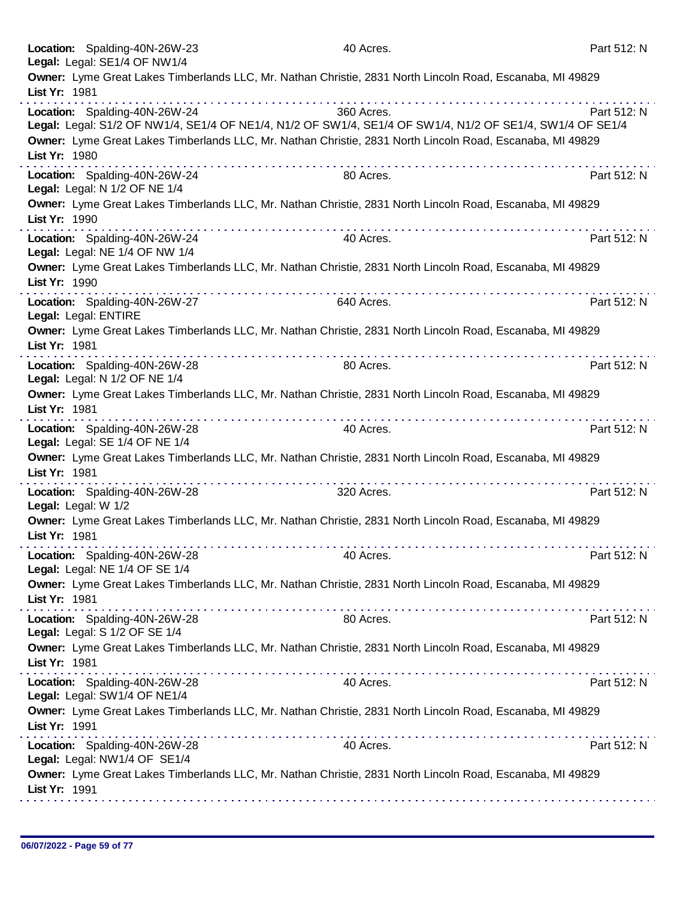| Location: Spalding-40N-26W-23<br>Legal: Legal: SE1/4 OF NW1/4   | 40 Acres.                                                                                                 | Part 512: N |
|-----------------------------------------------------------------|-----------------------------------------------------------------------------------------------------------|-------------|
|                                                                 | Owner: Lyme Great Lakes Timberlands LLC, Mr. Nathan Christie, 2831 North Lincoln Road, Escanaba, MI 49829 |             |
| List Yr: 1981                                                   |                                                                                                           |             |
| Location: Spalding-40N-26W-24                                   | 360 Acres.                                                                                                | Part 512: N |
|                                                                 | Legal: Legal: S1/2 OF NW1/4, SE1/4 OF NE1/4, N1/2 OF SW1/4, SE1/4 OF SW1/4, N1/2 OF SE1/4, SW1/4 OF SE1/4 |             |
| List Yr: 1980                                                   | Owner: Lyme Great Lakes Timberlands LLC, Mr. Nathan Christie, 2831 North Lincoln Road, Escanaba, MI 49829 |             |
| Location: Spalding-40N-26W-24<br>Legal: Legal: N 1/2 OF NE 1/4  | 80 Acres.                                                                                                 | Part 512: N |
| List Yr: 1990                                                   | Owner: Lyme Great Lakes Timberlands LLC, Mr. Nathan Christie, 2831 North Lincoln Road, Escanaba, MI 49829 |             |
| Location: Spalding-40N-26W-24<br>Legal: Legal: NE 1/4 OF NW 1/4 | 40 Acres.                                                                                                 | Part 512: N |
| List Yr: 1990                                                   | Owner: Lyme Great Lakes Timberlands LLC, Mr. Nathan Christie, 2831 North Lincoln Road, Escanaba, MI 49829 |             |
| Location: Spalding-40N-26W-27<br>Legal: Legal: ENTIRE           | 640 Acres.                                                                                                | Part 512: N |
| List Yr: 1981                                                   | Owner: Lyme Great Lakes Timberlands LLC, Mr. Nathan Christie, 2831 North Lincoln Road, Escanaba, MI 49829 |             |
| Location: Spalding-40N-26W-28<br>Legal: Legal: N 1/2 OF NE 1/4  | 80 Acres.                                                                                                 | Part 512: N |
| List Yr: 1981                                                   | Owner: Lyme Great Lakes Timberlands LLC, Mr. Nathan Christie, 2831 North Lincoln Road, Escanaba, MI 49829 |             |
| Location: Spalding-40N-26W-28<br>Legal: Legal: SE 1/4 OF NE 1/4 | 40 Acres.                                                                                                 | Part 512: N |
| List Yr: 1981                                                   | Owner: Lyme Great Lakes Timberlands LLC, Mr. Nathan Christie, 2831 North Lincoln Road, Escanaba, MI 49829 |             |
| Location: Spalding-40N-26W-28<br>Legal: Legal: W 1/2            | 320 Acres.                                                                                                | Part 512: N |
| List Yr: 1981                                                   | Owner: Lyme Great Lakes Timberlands LLC, Mr. Nathan Christie, 2831 North Lincoln Road, Escanaba, MI 49829 |             |
| Location: Spalding-40N-26W-28<br>Legal: Legal: NE 1/4 OF SE 1/4 | 40 Acres.                                                                                                 | Part 512: N |
| List Yr: 1981                                                   | Owner: Lyme Great Lakes Timberlands LLC, Mr. Nathan Christie, 2831 North Lincoln Road, Escanaba, MI 49829 |             |
| Location: Spalding-40N-26W-28<br>Legal: Legal: S 1/2 OF SE 1/4  | 80 Acres.                                                                                                 | Part 512: N |
| List Yr: 1981                                                   | Owner: Lyme Great Lakes Timberlands LLC, Mr. Nathan Christie, 2831 North Lincoln Road, Escanaba, MI 49829 |             |
| Location: Spalding-40N-26W-28<br>Legal: Legal: SW1/4 OF NE1/4   | 40 Acres.                                                                                                 | Part 512: N |
| List Yr: 1991                                                   | Owner: Lyme Great Lakes Timberlands LLC, Mr. Nathan Christie, 2831 North Lincoln Road, Escanaba, MI 49829 |             |
| Location: Spalding-40N-26W-28<br>Legal: Legal: NW1/4 OF SE1/4   | 40 Acres.                                                                                                 | Part 512: N |
| List Yr: 1991                                                   | Owner: Lyme Great Lakes Timberlands LLC, Mr. Nathan Christie, 2831 North Lincoln Road, Escanaba, MI 49829 |             |
|                                                                 |                                                                                                           |             |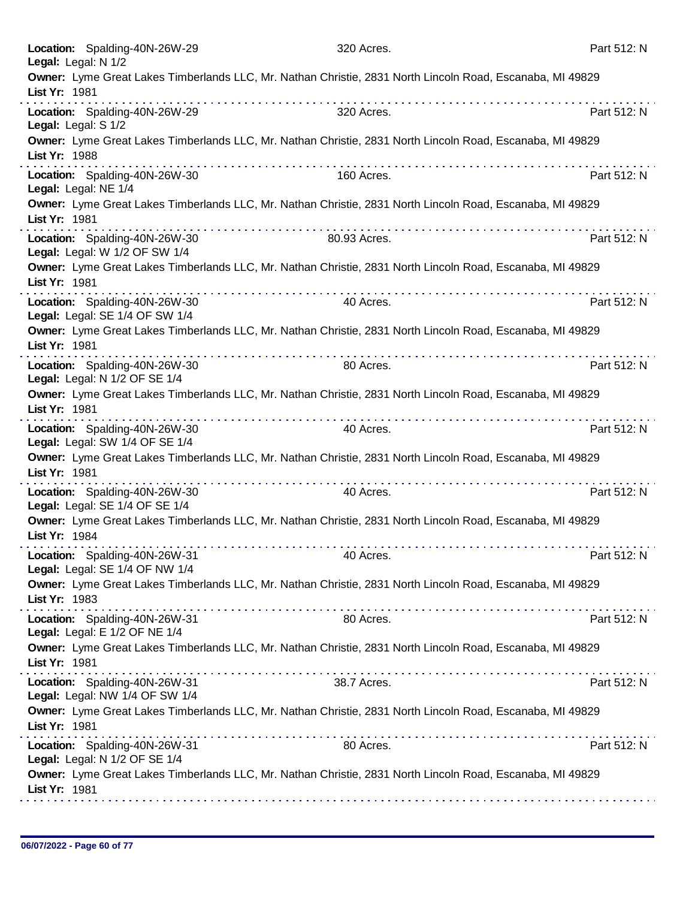| 320 Acres.                                                                                                | Part 512: N                                                                                                                                                                                                                                                                                                                                                                                                                                                                                                                                                                                                                                                                                                                                                                                                                                                                                                                                                                                                            |
|-----------------------------------------------------------------------------------------------------------|------------------------------------------------------------------------------------------------------------------------------------------------------------------------------------------------------------------------------------------------------------------------------------------------------------------------------------------------------------------------------------------------------------------------------------------------------------------------------------------------------------------------------------------------------------------------------------------------------------------------------------------------------------------------------------------------------------------------------------------------------------------------------------------------------------------------------------------------------------------------------------------------------------------------------------------------------------------------------------------------------------------------|
| Owner: Lyme Great Lakes Timberlands LLC, Mr. Nathan Christie, 2831 North Lincoln Road, Escanaba, MI 49829 |                                                                                                                                                                                                                                                                                                                                                                                                                                                                                                                                                                                                                                                                                                                                                                                                                                                                                                                                                                                                                        |
| 320 Acres.                                                                                                | Part 512: N                                                                                                                                                                                                                                                                                                                                                                                                                                                                                                                                                                                                                                                                                                                                                                                                                                                                                                                                                                                                            |
| Owner: Lyme Great Lakes Timberlands LLC, Mr. Nathan Christie, 2831 North Lincoln Road, Escanaba, MI 49829 |                                                                                                                                                                                                                                                                                                                                                                                                                                                                                                                                                                                                                                                                                                                                                                                                                                                                                                                                                                                                                        |
| 160 Acres.                                                                                                | Part 512: N                                                                                                                                                                                                                                                                                                                                                                                                                                                                                                                                                                                                                                                                                                                                                                                                                                                                                                                                                                                                            |
| Owner: Lyme Great Lakes Timberlands LLC, Mr. Nathan Christie, 2831 North Lincoln Road, Escanaba, MI 49829 |                                                                                                                                                                                                                                                                                                                                                                                                                                                                                                                                                                                                                                                                                                                                                                                                                                                                                                                                                                                                                        |
| 80.93 Acres.                                                                                              | Part 512: N                                                                                                                                                                                                                                                                                                                                                                                                                                                                                                                                                                                                                                                                                                                                                                                                                                                                                                                                                                                                            |
|                                                                                                           |                                                                                                                                                                                                                                                                                                                                                                                                                                                                                                                                                                                                                                                                                                                                                                                                                                                                                                                                                                                                                        |
| 40 Acres.                                                                                                 | Part 512: N                                                                                                                                                                                                                                                                                                                                                                                                                                                                                                                                                                                                                                                                                                                                                                                                                                                                                                                                                                                                            |
|                                                                                                           |                                                                                                                                                                                                                                                                                                                                                                                                                                                                                                                                                                                                                                                                                                                                                                                                                                                                                                                                                                                                                        |
| 80 Acres.                                                                                                 | Part 512: N                                                                                                                                                                                                                                                                                                                                                                                                                                                                                                                                                                                                                                                                                                                                                                                                                                                                                                                                                                                                            |
|                                                                                                           |                                                                                                                                                                                                                                                                                                                                                                                                                                                                                                                                                                                                                                                                                                                                                                                                                                                                                                                                                                                                                        |
| 40 Acres.                                                                                                 | Part 512: N                                                                                                                                                                                                                                                                                                                                                                                                                                                                                                                                                                                                                                                                                                                                                                                                                                                                                                                                                                                                            |
|                                                                                                           |                                                                                                                                                                                                                                                                                                                                                                                                                                                                                                                                                                                                                                                                                                                                                                                                                                                                                                                                                                                                                        |
| 40 Acres.                                                                                                 | Part 512: N                                                                                                                                                                                                                                                                                                                                                                                                                                                                                                                                                                                                                                                                                                                                                                                                                                                                                                                                                                                                            |
|                                                                                                           |                                                                                                                                                                                                                                                                                                                                                                                                                                                                                                                                                                                                                                                                                                                                                                                                                                                                                                                                                                                                                        |
| 40 Acres.                                                                                                 | Part 512: N                                                                                                                                                                                                                                                                                                                                                                                                                                                                                                                                                                                                                                                                                                                                                                                                                                                                                                                                                                                                            |
|                                                                                                           |                                                                                                                                                                                                                                                                                                                                                                                                                                                                                                                                                                                                                                                                                                                                                                                                                                                                                                                                                                                                                        |
| 80 Acres.                                                                                                 | Part 512: N                                                                                                                                                                                                                                                                                                                                                                                                                                                                                                                                                                                                                                                                                                                                                                                                                                                                                                                                                                                                            |
|                                                                                                           |                                                                                                                                                                                                                                                                                                                                                                                                                                                                                                                                                                                                                                                                                                                                                                                                                                                                                                                                                                                                                        |
| 38.7 Acres.                                                                                               | Part 512: N                                                                                                                                                                                                                                                                                                                                                                                                                                                                                                                                                                                                                                                                                                                                                                                                                                                                                                                                                                                                            |
|                                                                                                           |                                                                                                                                                                                                                                                                                                                                                                                                                                                                                                                                                                                                                                                                                                                                                                                                                                                                                                                                                                                                                        |
| 80 Acres.                                                                                                 | Part 512: N                                                                                                                                                                                                                                                                                                                                                                                                                                                                                                                                                                                                                                                                                                                                                                                                                                                                                                                                                                                                            |
|                                                                                                           |                                                                                                                                                                                                                                                                                                                                                                                                                                                                                                                                                                                                                                                                                                                                                                                                                                                                                                                                                                                                                        |
|                                                                                                           | .<br>Owner: Lyme Great Lakes Timberlands LLC, Mr. Nathan Christie, 2831 North Lincoln Road, Escanaba, MI 49829<br>Owner: Lyme Great Lakes Timberlands LLC, Mr. Nathan Christie, 2831 North Lincoln Road, Escanaba, MI 49829<br>Owner: Lyme Great Lakes Timberlands LLC, Mr. Nathan Christie, 2831 North Lincoln Road, Escanaba, MI 49829<br>Owner: Lyme Great Lakes Timberlands LLC, Mr. Nathan Christie, 2831 North Lincoln Road, Escanaba, MI 49829<br>Owner: Lyme Great Lakes Timberlands LLC, Mr. Nathan Christie, 2831 North Lincoln Road, Escanaba, MI 49829<br>Owner: Lyme Great Lakes Timberlands LLC, Mr. Nathan Christie, 2831 North Lincoln Road, Escanaba, MI 49829<br>Owner: Lyme Great Lakes Timberlands LLC, Mr. Nathan Christie, 2831 North Lincoln Road, Escanaba, MI 49829<br>Owner: Lyme Great Lakes Timberlands LLC, Mr. Nathan Christie, 2831 North Lincoln Road, Escanaba, MI 49829<br>Owner: Lyme Great Lakes Timberlands LLC, Mr. Nathan Christie, 2831 North Lincoln Road, Escanaba, MI 49829 |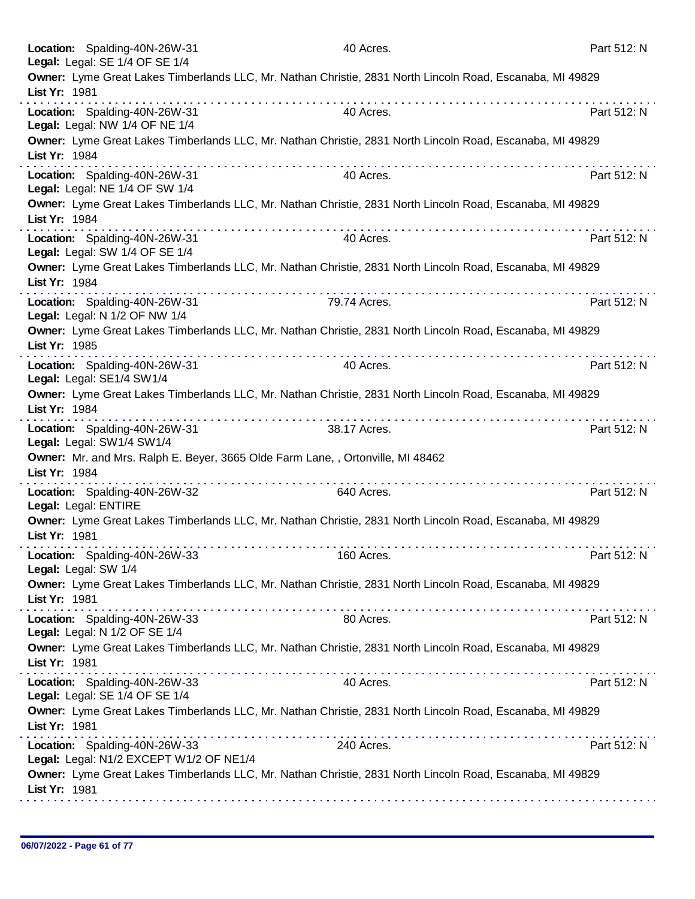| Location: Spalding-40N-26W-31<br>Legal: Legal: SE 1/4 OF SE 1/4                                  |   | 40 Acres.    |                                                                                                           | Part 512: N |
|--------------------------------------------------------------------------------------------------|---|--------------|-----------------------------------------------------------------------------------------------------------|-------------|
| List Yr: 1981                                                                                    |   |              | Owner: Lyme Great Lakes Timberlands LLC, Mr. Nathan Christie, 2831 North Lincoln Road, Escanaba, MI 49829 |             |
| Location: Spalding-40N-26W-31<br>Legal: Legal: NW 1/4 OF NE 1/4                                  | . | 40 Acres.    |                                                                                                           | Part 512: N |
| List Yr: 1984                                                                                    | . |              | Owner: Lyme Great Lakes Timberlands LLC, Mr. Nathan Christie, 2831 North Lincoln Road, Escanaba, MI 49829 |             |
| Location: Spalding-40N-26W-31<br>Legal: Legal: NE 1/4 OF SW 1/4                                  |   | 40 Acres.    |                                                                                                           | Part 512: N |
| List Yr: 1984                                                                                    |   |              | Owner: Lyme Great Lakes Timberlands LLC, Mr. Nathan Christie, 2831 North Lincoln Road, Escanaba, MI 49829 |             |
| Location: Spalding-40N-26W-31<br>Legal: Legal: SW 1/4 OF SE 1/4                                  |   | 40 Acres.    |                                                                                                           | Part 512: N |
| List Yr: 1984                                                                                    |   |              | Owner: Lyme Great Lakes Timberlands LLC, Mr. Nathan Christie, 2831 North Lincoln Road, Escanaba, MI 49829 |             |
| Location: Spalding-40N-26W-31<br>Legal: Legal: N 1/2 OF NW 1/4                                   |   | 79.74 Acres. |                                                                                                           | Part 512: N |
| List Yr: 1985                                                                                    |   |              | Owner: Lyme Great Lakes Timberlands LLC, Mr. Nathan Christie, 2831 North Lincoln Road, Escanaba, MI 49829 |             |
| Location: Spalding-40N-26W-31<br>Legal: Legal: SE1/4 SW1/4                                       |   | 40 Acres.    |                                                                                                           | Part 512: N |
| List Yr: 1984                                                                                    |   |              | Owner: Lyme Great Lakes Timberlands LLC, Mr. Nathan Christie, 2831 North Lincoln Road, Escanaba, MI 49829 |             |
| Location: Spalding-40N-26W-31<br>Legal: Legal: SW1/4 SW1/4                                       |   | 38.17 Acres. |                                                                                                           | Part 512: N |
| Owner: Mr. and Mrs. Ralph E. Beyer, 3665 Olde Farm Lane, , Ortonville, MI 48462<br>List Yr: 1984 |   |              |                                                                                                           |             |
| Location: Spalding-40N-26W-32<br>Legal: Legal: ENTIRE                                            |   | 640 Acres.   |                                                                                                           | Part 512: N |
| List Yr: 1981                                                                                    |   |              | Owner: Lyme Great Lakes Timberlands LLC, Mr. Nathan Christie, 2831 North Lincoln Road, Escanaba, MI 49829 |             |
| Location: Spalding-40N-26W-33<br>Legal: Legal: SW 1/4                                            |   | 160 Acres.   |                                                                                                           | Part 512: N |
| List Yr: 1981                                                                                    |   |              | Owner: Lyme Great Lakes Timberlands LLC, Mr. Nathan Christie, 2831 North Lincoln Road, Escanaba, MI 49829 |             |
| Location: Spalding-40N-26W-33<br>Legal: Legal: N 1/2 OF SE 1/4                                   |   | 80 Acres.    |                                                                                                           | Part 512: N |
| List Yr: 1981                                                                                    |   |              | Owner: Lyme Great Lakes Timberlands LLC, Mr. Nathan Christie, 2831 North Lincoln Road, Escanaba, MI 49829 |             |
| Location: Spalding-40N-26W-33<br>Legal: Legal: SE 1/4 OF SE 1/4                                  |   | 40 Acres.    |                                                                                                           | Part 512: N |
| List Yr: 1981                                                                                    |   |              | Owner: Lyme Great Lakes Timberlands LLC, Mr. Nathan Christie, 2831 North Lincoln Road, Escanaba, MI 49829 |             |
| Location: Spalding-40N-26W-33<br>Legal: Legal: N1/2 EXCEPT W1/2 OF NE1/4                         |   | 240 Acres.   |                                                                                                           | Part 512: N |
| List Yr: 1981                                                                                    |   |              | Owner: Lyme Great Lakes Timberlands LLC, Mr. Nathan Christie, 2831 North Lincoln Road, Escanaba, MI 49829 |             |
|                                                                                                  |   |              |                                                                                                           |             |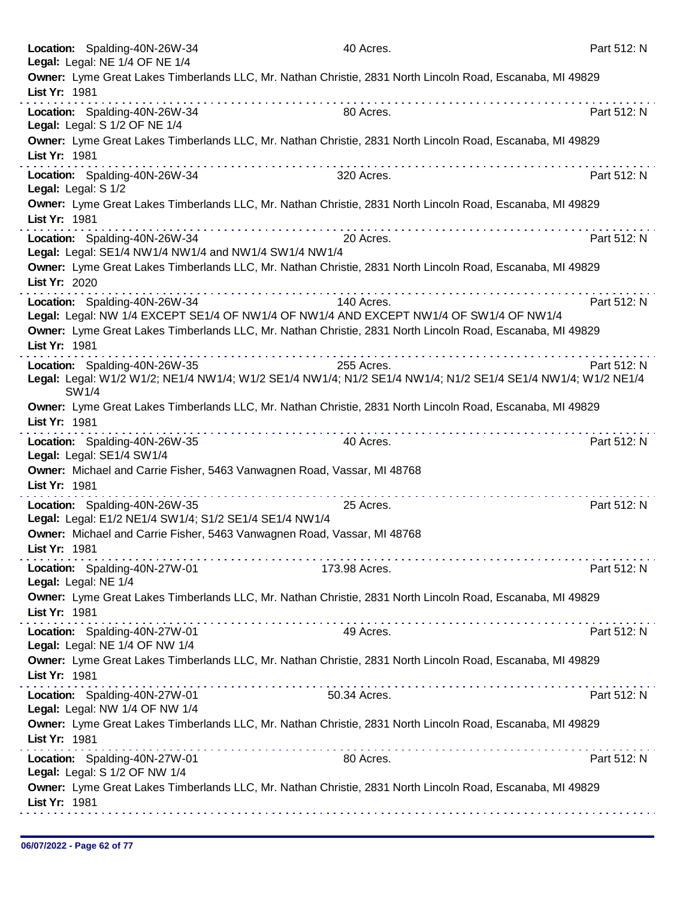| Location: Spalding-40N-26W-34<br>Legal: Legal: NE 1/4 OF NE 1/4                         | 40 Acres.                                                                                                                  | Part 512: N |
|-----------------------------------------------------------------------------------------|----------------------------------------------------------------------------------------------------------------------------|-------------|
|                                                                                         | Owner: Lyme Great Lakes Timberlands LLC, Mr. Nathan Christie, 2831 North Lincoln Road, Escanaba, MI 49829                  |             |
| List Yr: 1981                                                                           |                                                                                                                            |             |
| Location: Spalding-40N-26W-34                                                           | 80 Acres.                                                                                                                  | Part 512: N |
| Legal: Legal: S 1/2 OF NE 1/4                                                           |                                                                                                                            |             |
| List Yr: 1981                                                                           | Owner: Lyme Great Lakes Timberlands LLC, Mr. Nathan Christie, 2831 North Lincoln Road, Escanaba, MI 49829                  |             |
| Location: Spalding-40N-26W-34<br>Legal: Legal: S 1/2                                    | 320 Acres.                                                                                                                 | Part 512: N |
| List Yr: 1981                                                                           | Owner: Lyme Great Lakes Timberlands LLC, Mr. Nathan Christie, 2831 North Lincoln Road, Escanaba, MI 49829                  |             |
| Location: Spalding-40N-26W-34<br>Legal: Legal: SE1/4 NW1/4 NW1/4 and NW1/4 SW1/4 NW1/4  | 20 Acres.                                                                                                                  | Part 512: N |
| List Yr: 2020                                                                           | Owner: Lyme Great Lakes Timberlands LLC, Mr. Nathan Christie, 2831 North Lincoln Road, Escanaba, MI 49829                  |             |
| Location: Spalding-40N-26W-34                                                           | 140 Acres.                                                                                                                 | Part 512: N |
|                                                                                         | Legal: Legal: NW 1/4 EXCEPT SE1/4 OF NW1/4 OF NW1/4 AND EXCEPT NW1/4 OF SW1/4 OF NW1/4                                     |             |
| List Yr: 1981                                                                           | Owner: Lyme Great Lakes Timberlands LLC, Mr. Nathan Christie, 2831 North Lincoln Road, Escanaba, MI 49829                  |             |
|                                                                                         |                                                                                                                            |             |
| Location: Spalding-40N-26W-35                                                           | 255 Acres.<br>Legal: Legal: W1/2 W1/2; NE1/4 NW1/4; W1/2 SE1/4 NW1/4; N1/2 SE1/4 NW1/4; N1/2 SE1/4 SE1/4 NW1/4; W1/2 NE1/4 | Part 512: N |
| SW1/4                                                                                   | Owner: Lyme Great Lakes Timberlands LLC, Mr. Nathan Christie, 2831 North Lincoln Road, Escanaba, MI 49829                  |             |
| List Yr: 1981                                                                           | <u>.</u>                                                                                                                   |             |
| Location: Spalding-40N-26W-35<br>Legal: Legal: SE1/4 SW1/4                              | 40 Acres.                                                                                                                  | Part 512: N |
| Owner: Michael and Carrie Fisher, 5463 Vanwagnen Road, Vassar, MI 48768                 |                                                                                                                            |             |
| List Yr: 1981                                                                           |                                                                                                                            |             |
| Location: Spalding-40N-26W-35<br>Legal: Legal: E1/2 NE1/4 SW1/4; S1/2 SE1/4 SE1/4 NW1/4 | 25 Acres.                                                                                                                  | Part 512: N |
| Owner: Michael and Carrie Fisher, 5463 Vanwagnen Road, Vassar, MI 48768                 |                                                                                                                            |             |
| List Yr: 1981                                                                           |                                                                                                                            |             |
| Location: Spalding-40N-27W-01<br>Legal: Legal: NE 1/4                                   | 173.98 Acres.                                                                                                              | Part 512: N |
|                                                                                         | Owner: Lyme Great Lakes Timberlands LLC, Mr. Nathan Christie, 2831 North Lincoln Road, Escanaba, MI 49829                  |             |
| List Yr: 1981                                                                           |                                                                                                                            |             |
| Location: Spalding-40N-27W-01<br>Legal: Legal: NE 1/4 OF NW 1/4                         | 49 Acres.                                                                                                                  | Part 512: N |
| List Yr: 1981                                                                           | Owner: Lyme Great Lakes Timberlands LLC, Mr. Nathan Christie, 2831 North Lincoln Road, Escanaba, MI 49829                  |             |
| Location: Spalding-40N-27W-01                                                           | 50.34 Acres.                                                                                                               | Part 512: N |
| Legal: Legal: NW 1/4 OF NW 1/4                                                          |                                                                                                                            |             |
| List Yr: 1981                                                                           | Owner: Lyme Great Lakes Timberlands LLC, Mr. Nathan Christie, 2831 North Lincoln Road, Escanaba, MI 49829                  |             |
| Location: Spalding-40N-27W-01<br>Legal: Legal: S 1/2 OF NW 1/4                          | 80 Acres.                                                                                                                  | Part 512: N |
| List Yr: 1981                                                                           | Owner: Lyme Great Lakes Timberlands LLC, Mr. Nathan Christie, 2831 North Lincoln Road, Escanaba, MI 49829                  |             |
|                                                                                         |                                                                                                                            |             |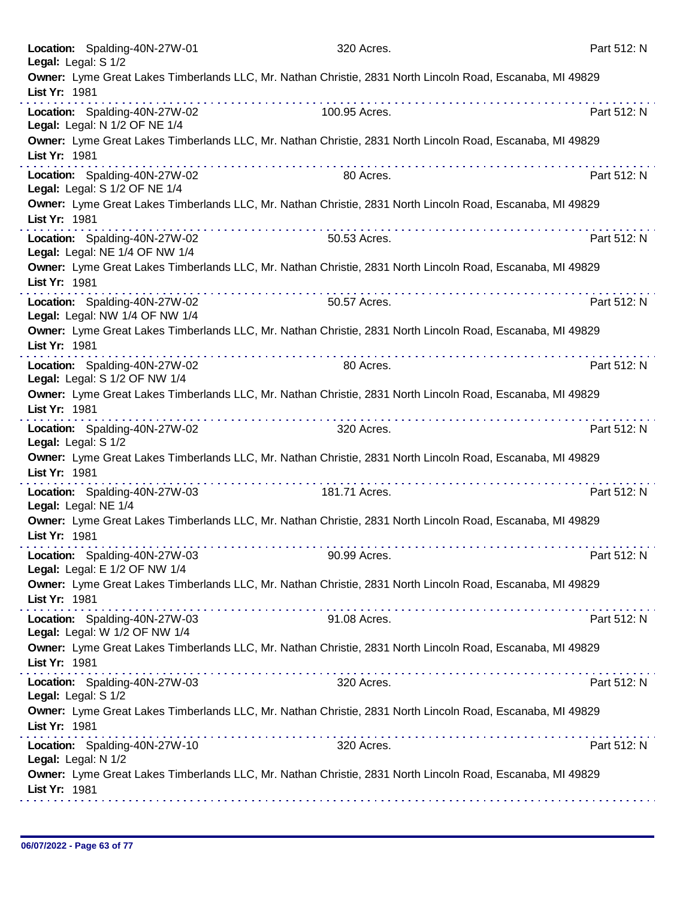| Location: Spalding-40N-27W-01<br>Legal: Legal: S 1/2            | 320 Acres.                                                                                                                                                                         | Part 512: N |
|-----------------------------------------------------------------|------------------------------------------------------------------------------------------------------------------------------------------------------------------------------------|-------------|
| List Yr: 1981                                                   | Owner: Lyme Great Lakes Timberlands LLC, Mr. Nathan Christie, 2831 North Lincoln Road, Escanaba, MI 49829                                                                          |             |
| Location: Spalding-40N-27W-02<br>Legal: Legal: N 1/2 OF NE 1/4  | 100.95 Acres.                                                                                                                                                                      | Part 512: N |
| List Yr: 1981                                                   | Owner: Lyme Great Lakes Timberlands LLC, Mr. Nathan Christie, 2831 North Lincoln Road, Escanaba, MI 49829                                                                          |             |
| Location: Spalding-40N-27W-02<br>Legal: Legal: S 1/2 OF NE 1/4  | 80 Acres.                                                                                                                                                                          | Part 512: N |
| List Yr: 1981                                                   | Owner: Lyme Great Lakes Timberlands LLC, Mr. Nathan Christie, 2831 North Lincoln Road, Escanaba, MI 49829<br>in die stellen van die stelling van die stelling van die stelling van |             |
| Location: Spalding-40N-27W-02<br>Legal: Legal: NE 1/4 OF NW 1/4 | 50.53 Acres.                                                                                                                                                                       | Part 512: N |
| List Yr: 1981                                                   | Owner: Lyme Great Lakes Timberlands LLC, Mr. Nathan Christie, 2831 North Lincoln Road, Escanaba, MI 49829<br>.                                                                     |             |
| Location: Spalding-40N-27W-02<br>Legal: Legal: NW 1/4 OF NW 1/4 | 50.57 Acres.                                                                                                                                                                       | Part 512: N |
| List Yr: 1981                                                   | Owner: Lyme Great Lakes Timberlands LLC, Mr. Nathan Christie, 2831 North Lincoln Road, Escanaba, MI 49829                                                                          |             |
| Location: Spalding-40N-27W-02<br>Legal: Legal: S 1/2 OF NW 1/4  | 80 Acres.                                                                                                                                                                          | Part 512: N |
| List Yr: 1981                                                   | Owner: Lyme Great Lakes Timberlands LLC, Mr. Nathan Christie, 2831 North Lincoln Road, Escanaba, MI 49829                                                                          |             |
| Location: Spalding-40N-27W-02<br>Legal: Legal: S 1/2            | 320 Acres.                                                                                                                                                                         | Part 512: N |
| List Yr: 1981                                                   | Owner: Lyme Great Lakes Timberlands LLC, Mr. Nathan Christie, 2831 North Lincoln Road, Escanaba, MI 49829                                                                          |             |
| Location: Spalding-40N-27W-03<br>Legal: Legal: NE 1/4           | 181.71 Acres.                                                                                                                                                                      | Part 512: N |
| List Yr: 1981                                                   | Owner: Lyme Great Lakes Timberlands LLC, Mr. Nathan Christie, 2831 North Lincoln Road, Escanaba, MI 49829                                                                          |             |
| Location: Spalding-40N-27W-03<br>Legal: Legal: E 1/2 OF NW 1/4  | 90.99 Acres.                                                                                                                                                                       | Part 512: N |
| List Yr: 1981                                                   | Owner: Lyme Great Lakes Timberlands LLC, Mr. Nathan Christie, 2831 North Lincoln Road, Escanaba, MI 49829                                                                          |             |
| Location: Spalding-40N-27W-03<br>Legal: Legal: W 1/2 OF NW 1/4  | 91.08 Acres.                                                                                                                                                                       | Part 512: N |
| List Yr: 1981                                                   | Owner: Lyme Great Lakes Timberlands LLC, Mr. Nathan Christie, 2831 North Lincoln Road, Escanaba, MI 49829                                                                          |             |
| Location: Spalding-40N-27W-03<br>Legal: Legal: S 1/2            | 320 Acres.                                                                                                                                                                         | Part 512: N |
| List Yr: 1981                                                   | Owner: Lyme Great Lakes Timberlands LLC, Mr. Nathan Christie, 2831 North Lincoln Road, Escanaba, MI 49829                                                                          |             |
| Location: Spalding-40N-27W-10<br>Legal: Legal: N 1/2            | 320 Acres.                                                                                                                                                                         | Part 512: N |
| List Yr: 1981                                                   | Owner: Lyme Great Lakes Timberlands LLC, Mr. Nathan Christie, 2831 North Lincoln Road, Escanaba, MI 49829                                                                          |             |
|                                                                 |                                                                                                                                                                                    |             |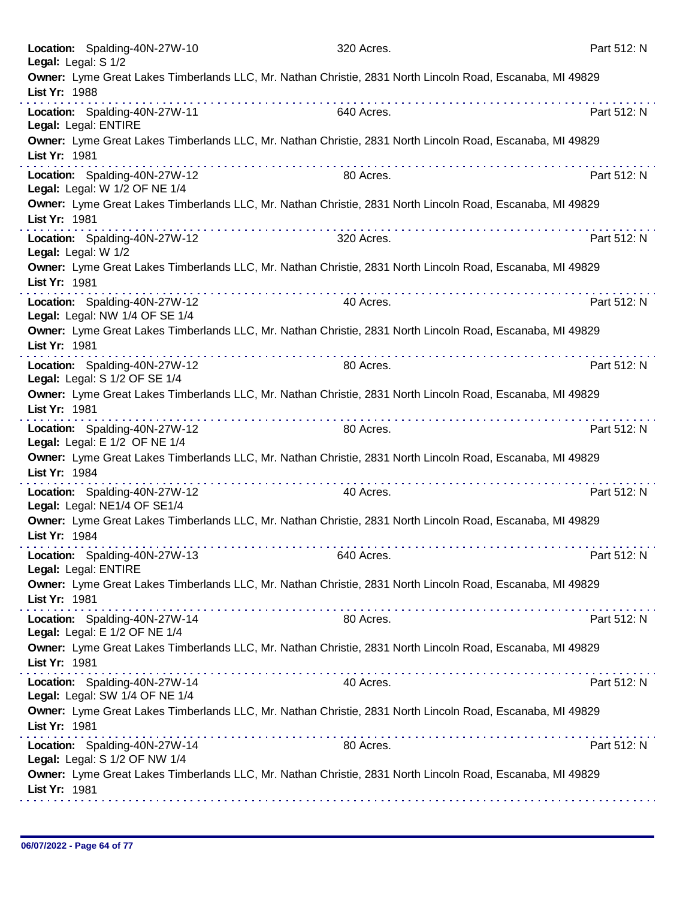| Location: Spalding-40N-27W-10<br>Legal: Legal: S 1/2                                                                       | 320 Acres.                                                                                                                                                                                                                           | Part 512: N |
|----------------------------------------------------------------------------------------------------------------------------|--------------------------------------------------------------------------------------------------------------------------------------------------------------------------------------------------------------------------------------|-------------|
| Owner: Lyme Great Lakes Timberlands LLC, Mr. Nathan Christie, 2831 North Lincoln Road, Escanaba, MI 49829<br>List Yr: 1988 | <u>a dia ana ana ana ana ana ana ana ana ana</u>                                                                                                                                                                                     |             |
| Location: Spalding-40N-27W-11<br>Legal: Legal: ENTIRE                                                                      | 640 Acres.                                                                                                                                                                                                                           | Part 512: N |
| Owner: Lyme Great Lakes Timberlands LLC, Mr. Nathan Christie, 2831 North Lincoln Road, Escanaba, MI 49829<br>List Yr: 1981 |                                                                                                                                                                                                                                      |             |
| Location: Spalding-40N-27W-12<br>Legal: Legal: W 1/2 OF NE 1/4                                                             | 80 Acres.                                                                                                                                                                                                                            | Part 512: N |
| Owner: Lyme Great Lakes Timberlands LLC, Mr. Nathan Christie, 2831 North Lincoln Road, Escanaba, MI 49829<br>List Yr: 1981 |                                                                                                                                                                                                                                      |             |
| Location: Spalding-40N-27W-12<br>Legal: Legal: W 1/2                                                                       | 320 Acres.                                                                                                                                                                                                                           | Part 512: N |
| Owner: Lyme Great Lakes Timberlands LLC, Mr. Nathan Christie, 2831 North Lincoln Road, Escanaba, MI 49829<br>List Yr: 1981 |                                                                                                                                                                                                                                      |             |
| Location: Spalding-40N-27W-12<br>Legal: Legal: NW 1/4 OF SE 1/4                                                            | 40 Acres.                                                                                                                                                                                                                            | Part 512: N |
| Owner: Lyme Great Lakes Timberlands LLC, Mr. Nathan Christie, 2831 North Lincoln Road, Escanaba, MI 49829<br>List Yr: 1981 |                                                                                                                                                                                                                                      |             |
| Location: Spalding-40N-27W-12<br>Legal: Legal: S 1/2 OF SE 1/4                                                             | 80 Acres.                                                                                                                                                                                                                            | Part 512: N |
| Owner: Lyme Great Lakes Timberlands LLC, Mr. Nathan Christie, 2831 North Lincoln Road, Escanaba, MI 49829<br>List Yr: 1981 | .                                                                                                                                                                                                                                    |             |
| Location: Spalding-40N-27W-12<br>Legal: Legal: E 1/2 OF NE 1/4                                                             | 80 Acres.                                                                                                                                                                                                                            | Part 512: N |
| Owner: Lyme Great Lakes Timberlands LLC, Mr. Nathan Christie, 2831 North Lincoln Road, Escanaba, MI 49829<br>List Yr: 1984 |                                                                                                                                                                                                                                      |             |
| Location: Spalding-40N-27W-12<br>Legal: Legal: NE1/4 OF SE1/4                                                              | 40 Acres.                                                                                                                                                                                                                            | Part 512: N |
| Owner: Lyme Great Lakes Timberlands LLC, Mr. Nathan Christie, 2831 North Lincoln Road, Escanaba, MI 49829<br>List Yr: 1984 |                                                                                                                                                                                                                                      |             |
| Location: Spalding-40N-27W-13<br>Legal: Legal: ENTIRE                                                                      | 640 Acres.                                                                                                                                                                                                                           | Part 512: N |
| Owner: Lyme Great Lakes Timberlands LLC, Mr. Nathan Christie, 2831 North Lincoln Road, Escanaba, MI 49829<br>List Yr: 1981 |                                                                                                                                                                                                                                      |             |
| Location: Spalding-40N-27W-14<br>Legal: Legal: E 1/2 OF NE 1/4                                                             | 80 Acres.                                                                                                                                                                                                                            | Part 512: N |
| Owner: Lyme Great Lakes Timberlands LLC, Mr. Nathan Christie, 2831 North Lincoln Road, Escanaba, MI 49829<br>List Yr: 1981 |                                                                                                                                                                                                                                      |             |
| Location: Spalding-40N-27W-14<br>Legal: Legal: SW 1/4 OF NE 1/4                                                            | 40 Acres.                                                                                                                                                                                                                            | Part 512: N |
| Owner: Lyme Great Lakes Timberlands LLC, Mr. Nathan Christie, 2831 North Lincoln Road, Escanaba, MI 49829<br>List Yr: 1981 | <b>The contract of the contract of the contract of the contract of the contract of the contract of the contract of the contract of the contract of the contract of the contract of the contract of the contract of the contract </b> |             |
| Location: Spalding-40N-27W-14<br>Legal: Legal: S 1/2 OF NW 1/4                                                             | 80 Acres.                                                                                                                                                                                                                            | Part 512: N |
| Owner: Lyme Great Lakes Timberlands LLC, Mr. Nathan Christie, 2831 North Lincoln Road, Escanaba, MI 49829<br>List Yr: 1981 |                                                                                                                                                                                                                                      |             |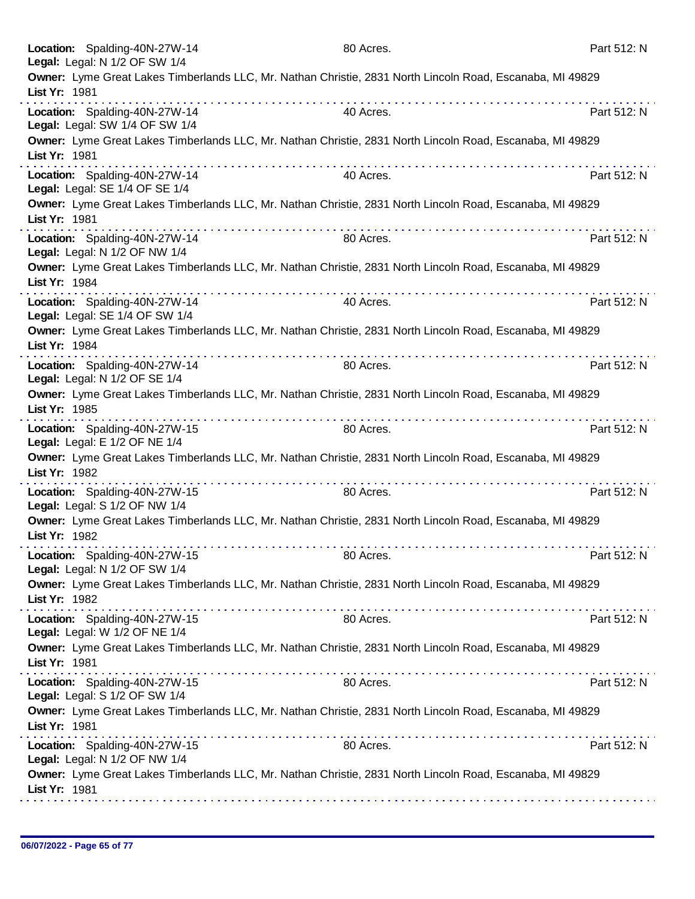|               | Location: Spalding-40N-27W-14<br>Legal: Legal: N 1/2 OF SW 1/4  | 80 Acres.                                                                                                 | Part 512: N |
|---------------|-----------------------------------------------------------------|-----------------------------------------------------------------------------------------------------------|-------------|
| List Yr: 1981 |                                                                 | Owner: Lyme Great Lakes Timberlands LLC, Mr. Nathan Christie, 2831 North Lincoln Road, Escanaba, MI 49829 |             |
|               | Location: Spalding-40N-27W-14<br>Legal: Legal: SW 1/4 OF SW 1/4 | 40 Acres.                                                                                                 | Part 512: N |
| List Yr: 1981 |                                                                 | Owner: Lyme Great Lakes Timberlands LLC, Mr. Nathan Christie, 2831 North Lincoln Road, Escanaba, MI 49829 |             |
|               | Location: Spalding-40N-27W-14<br>Legal: Legal: SE 1/4 OF SE 1/4 | 40 Acres.                                                                                                 | Part 512: N |
| List Yr: 1981 |                                                                 | Owner: Lyme Great Lakes Timberlands LLC, Mr. Nathan Christie, 2831 North Lincoln Road, Escanaba, MI 49829 |             |
|               | Location: Spalding-40N-27W-14<br>Legal: Legal: N 1/2 OF NW 1/4  | 80 Acres.                                                                                                 | Part 512: N |
| List Yr: 1984 |                                                                 | Owner: Lyme Great Lakes Timberlands LLC, Mr. Nathan Christie, 2831 North Lincoln Road, Escanaba, MI 49829 |             |
|               | Location: Spalding-40N-27W-14<br>Legal: Legal: SE 1/4 OF SW 1/4 | 40 Acres.                                                                                                 | Part 512: N |
| List Yr: 1984 |                                                                 | Owner: Lyme Great Lakes Timberlands LLC, Mr. Nathan Christie, 2831 North Lincoln Road, Escanaba, MI 49829 |             |
|               | Location: Spalding-40N-27W-14<br>Legal: Legal: N 1/2 OF SE 1/4  | 80 Acres.                                                                                                 | Part 512: N |
| List Yr: 1985 |                                                                 | Owner: Lyme Great Lakes Timberlands LLC, Mr. Nathan Christie, 2831 North Lincoln Road, Escanaba, MI 49829 |             |
|               | Location: Spalding-40N-27W-15<br>Legal: Legal: E 1/2 OF NE 1/4  | 80 Acres.                                                                                                 | Part 512: N |
| List Yr: 1982 | .                                                               | Owner: Lyme Great Lakes Timberlands LLC, Mr. Nathan Christie, 2831 North Lincoln Road, Escanaba, MI 49829 |             |
|               | Location: Spalding-40N-27W-15<br>Legal: Legal: S 1/2 OF NW 1/4  | 80 Acres.                                                                                                 | Part 512: N |
| List Yr: 1982 |                                                                 | Owner: Lyme Great Lakes Timberlands LLC, Mr. Nathan Christie, 2831 North Lincoln Road, Escanaba, MI 49829 |             |
|               | Location: Spalding-40N-27W-15<br>Legal: Legal: N 1/2 OF SW 1/4  | 80 Acres.                                                                                                 | Part 512: N |
| List Yr: 1982 |                                                                 | Owner: Lyme Great Lakes Timberlands LLC, Mr. Nathan Christie, 2831 North Lincoln Road, Escanaba, MI 49829 |             |
|               | Location: Spalding-40N-27W-15<br>Legal: Legal: W 1/2 OF NE 1/4  | 80 Acres.                                                                                                 | Part 512: N |
| List Yr: 1981 |                                                                 | Owner: Lyme Great Lakes Timberlands LLC, Mr. Nathan Christie, 2831 North Lincoln Road, Escanaba, MI 49829 |             |
|               | Location: Spalding-40N-27W-15<br>Legal: Legal: S 1/2 OF SW 1/4  | 80 Acres.                                                                                                 | Part 512: N |
| List Yr: 1981 |                                                                 | Owner: Lyme Great Lakes Timberlands LLC, Mr. Nathan Christie, 2831 North Lincoln Road, Escanaba, MI 49829 |             |
|               | Location: Spalding-40N-27W-15<br>Legal: Legal: N 1/2 OF NW 1/4  | 80 Acres.                                                                                                 | Part 512: N |
| List Yr: 1981 |                                                                 | Owner: Lyme Great Lakes Timberlands LLC, Mr. Nathan Christie, 2831 North Lincoln Road, Escanaba, MI 49829 |             |
|               |                                                                 |                                                                                                           |             |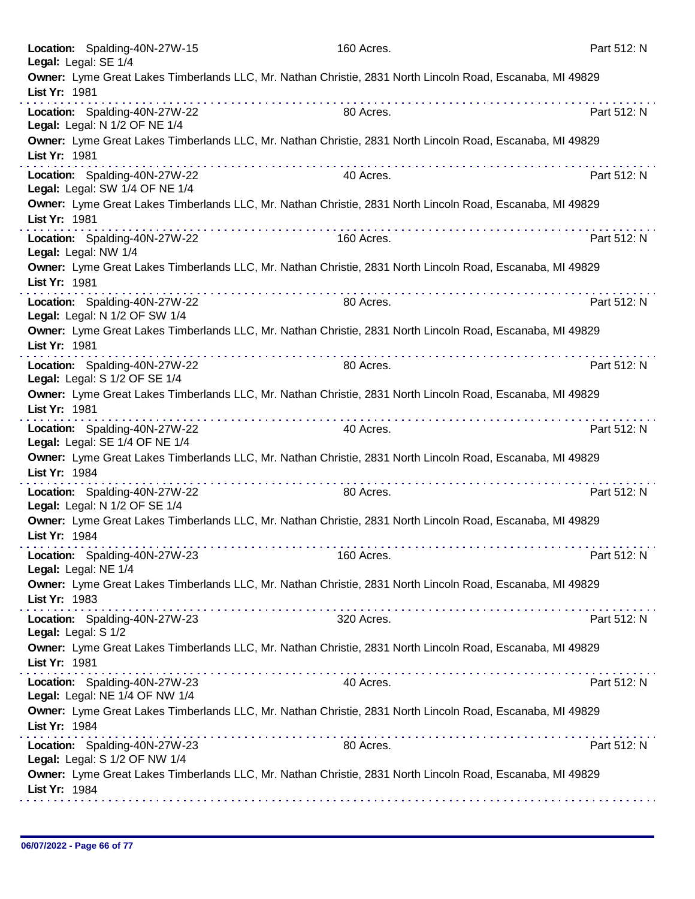| Location: Spalding-40N-27W-15<br>Legal: Legal: SE 1/4           | 160 Acres.                                                                                                | Part 512: N |
|-----------------------------------------------------------------|-----------------------------------------------------------------------------------------------------------|-------------|
| List Yr: 1981                                                   | Owner: Lyme Great Lakes Timberlands LLC, Mr. Nathan Christie, 2831 North Lincoln Road, Escanaba, MI 49829 |             |
| Location: Spalding-40N-27W-22<br>Legal: Legal: N 1/2 OF NE 1/4  | 80 Acres.                                                                                                 | Part 512: N |
| List Yr: 1981                                                   | Owner: Lyme Great Lakes Timberlands LLC, Mr. Nathan Christie, 2831 North Lincoln Road, Escanaba, MI 49829 |             |
| Location: Spalding-40N-27W-22<br>Legal: Legal: SW 1/4 OF NE 1/4 | 40 Acres.                                                                                                 | Part 512: N |
| List Yr: 1981                                                   | Owner: Lyme Great Lakes Timberlands LLC, Mr. Nathan Christie, 2831 North Lincoln Road, Escanaba, MI 49829 |             |
| Location: Spalding-40N-27W-22<br>Legal: Legal: NW 1/4           | 160 Acres.                                                                                                | Part 512: N |
| List Yr: 1981                                                   | Owner: Lyme Great Lakes Timberlands LLC, Mr. Nathan Christie, 2831 North Lincoln Road, Escanaba, MI 49829 |             |
| Location: Spalding-40N-27W-22<br>Legal: Legal: N 1/2 OF SW 1/4  | 80 Acres.                                                                                                 | Part 512: N |
| List Yr: 1981                                                   | Owner: Lyme Great Lakes Timberlands LLC, Mr. Nathan Christie, 2831 North Lincoln Road, Escanaba, MI 49829 |             |
| Location: Spalding-40N-27W-22<br>Legal: Legal: S 1/2 OF SE 1/4  | .<br>80 Acres.                                                                                            | Part 512: N |
| List Yr: 1981                                                   | Owner: Lyme Great Lakes Timberlands LLC, Mr. Nathan Christie, 2831 North Lincoln Road, Escanaba, MI 49829 |             |
| Location: Spalding-40N-27W-22<br>Legal: Legal: SE 1/4 OF NE 1/4 | 40 Acres.                                                                                                 | Part 512: N |
| List Yr: 1984                                                   | Owner: Lyme Great Lakes Timberlands LLC, Mr. Nathan Christie, 2831 North Lincoln Road, Escanaba, MI 49829 |             |
| Location: Spalding-40N-27W-22<br>Legal: Legal: N 1/2 OF SE 1/4  | 80 Acres.                                                                                                 | Part 512: N |
| List Yr: 1984                                                   | Owner: Lyme Great Lakes Timberlands LLC, Mr. Nathan Christie, 2831 North Lincoln Road, Escanaba, MI 49829 |             |
| Location: Spalding-40N-27W-23<br>Legal: Legal: NE 1/4           | 160 Acres.                                                                                                | Part 512: N |
| List Yr: 1983                                                   | Owner: Lyme Great Lakes Timberlands LLC, Mr. Nathan Christie, 2831 North Lincoln Road, Escanaba, MI 49829 |             |
| Location: Spalding-40N-27W-23<br>Legal: Legal: S 1/2            | 320 Acres.                                                                                                | Part 512: N |
| List Yr: 1981                                                   | Owner: Lyme Great Lakes Timberlands LLC, Mr. Nathan Christie, 2831 North Lincoln Road, Escanaba, MI 49829 |             |
| Location: Spalding-40N-27W-23<br>Legal: Legal: NE 1/4 OF NW 1/4 | 40 Acres.                                                                                                 | Part 512: N |
| List Yr: 1984                                                   | Owner: Lyme Great Lakes Timberlands LLC, Mr. Nathan Christie, 2831 North Lincoln Road, Escanaba, MI 49829 |             |
| Location: Spalding-40N-27W-23<br>Legal: Legal: S 1/2 OF NW 1/4  | 80 Acres.                                                                                                 | Part 512: N |
| List Yr: 1984                                                   | Owner: Lyme Great Lakes Timberlands LLC, Mr. Nathan Christie, 2831 North Lincoln Road, Escanaba, MI 49829 |             |
|                                                                 |                                                                                                           |             |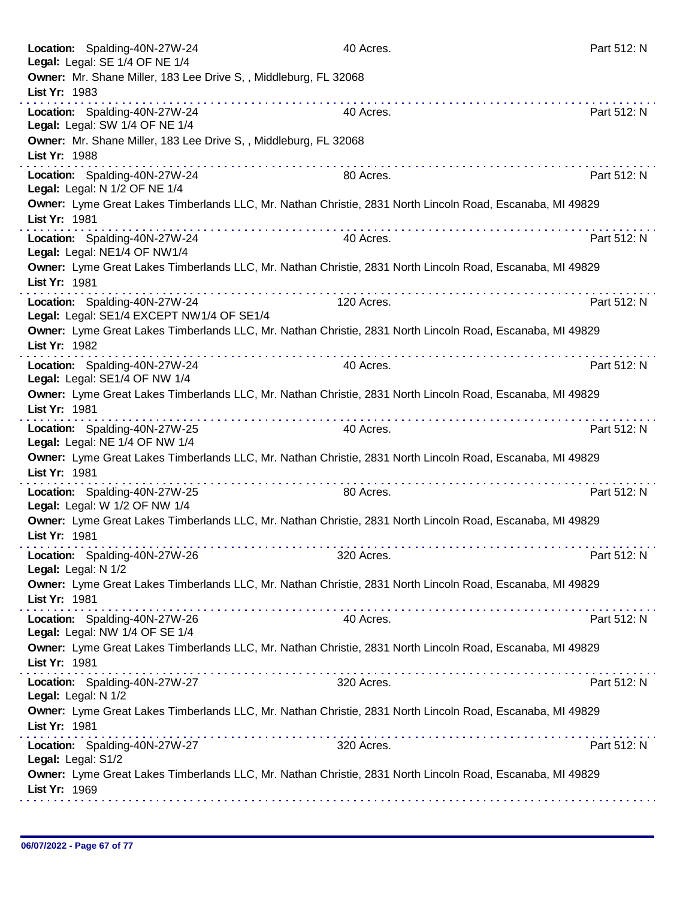| Location: Spalding-40N-27W-24<br>Legal: Legal: SE 1/4 OF NE 1/4<br>Owner: Mr. Shane Miller, 183 Lee Drive S, , Middleburg, FL 32068 | 40 Acres.                                                        | Part 512: N |
|-------------------------------------------------------------------------------------------------------------------------------------|------------------------------------------------------------------|-------------|
| List Yr: 1983                                                                                                                       |                                                                  |             |
| Location: Spalding-40N-27W-24<br>Legal: Legal: SW 1/4 OF NE 1/4                                                                     | 40 Acres.                                                        | Part 512: N |
| Owner: Mr. Shane Miller, 183 Lee Drive S,, Middleburg, FL 32068<br>List Yr: 1988                                                    |                                                                  |             |
| Location: Spalding-40N-27W-24<br>Legal: Legal: N 1/2 OF NE 1/4                                                                      | 80 Acres.                                                        | Part 512: N |
| Owner: Lyme Great Lakes Timberlands LLC, Mr. Nathan Christie, 2831 North Lincoln Road, Escanaba, MI 49829<br>List Yr: 1981          |                                                                  |             |
| Location: Spalding-40N-27W-24<br>Legal: Legal: NE1/4 OF NW1/4                                                                       | a dia 400 metatra. Any kaominina dia 41 metatra.<br>40 Acres.    | Part 512: N |
| Owner: Lyme Great Lakes Timberlands LLC, Mr. Nathan Christie, 2831 North Lincoln Road, Escanaba, MI 49829<br>List Yr: 1981          |                                                                  |             |
| Location: Spalding-40N-27W-24<br>Legal: Legal: SE1/4 EXCEPT NW1/4 OF SE1/4                                                          | 120 Acres.                                                       | Part 512: N |
| Owner: Lyme Great Lakes Timberlands LLC, Mr. Nathan Christie, 2831 North Lincoln Road, Escanaba, MI 49829<br>List Yr: 1982          |                                                                  |             |
| Location: Spalding-40N-27W-24<br>Legal: Legal: SE1/4 OF NW 1/4                                                                      | 40 Acres.                                                        | Part 512: N |
| Owner: Lyme Great Lakes Timberlands LLC, Mr. Nathan Christie, 2831 North Lincoln Road, Escanaba, MI 49829<br>List Yr: 1981          |                                                                  |             |
| Location: Spalding-40N-27W-25<br>Legal: Legal: NE 1/4 OF NW 1/4                                                                     | 40 Acres.                                                        | Part 512: N |
| Owner: Lyme Great Lakes Timberlands LLC, Mr. Nathan Christie, 2831 North Lincoln Road, Escanaba, MI 49829<br>List Yr: 1981          | <u>. De electronico de la contra de la contra de la contra d</u> |             |
| Location: Spalding-40N-27W-25<br>Legal: Legal: W 1/2 OF NW 1/4                                                                      | 80 Acres.                                                        | Part 512: N |
| Owner: Lyme Great Lakes Timberlands LLC, Mr. Nathan Christie, 2831 North Lincoln Road, Escanaba, MI 49829<br>List Yr: 1981          |                                                                  |             |
| Location: Spalding-40N-27W-26<br>Legal: Legal: N 1/2                                                                                | 320 Acres.                                                       | Part 512: N |
| Owner: Lyme Great Lakes Timberlands LLC, Mr. Nathan Christie, 2831 North Lincoln Road, Escanaba, MI 49829<br>List Yr: 1981          |                                                                  |             |
| Location: Spalding-40N-27W-26<br>Legal: Legal: NW 1/4 OF SE 1/4                                                                     | 40 Acres.                                                        | Part 512: N |
| Owner: Lyme Great Lakes Timberlands LLC, Mr. Nathan Christie, 2831 North Lincoln Road, Escanaba, MI 49829<br>List Yr: 1981          |                                                                  |             |
| Location: Spalding-40N-27W-27<br>Legal: Legal: N 1/2                                                                                | 320 Acres.                                                       | Part 512: N |
| Owner: Lyme Great Lakes Timberlands LLC, Mr. Nathan Christie, 2831 North Lincoln Road, Escanaba, MI 49829<br>List Yr: 1981          |                                                                  |             |
| Location: Spalding-40N-27W-27<br>Legal: Legal: S1/2                                                                                 | 320 Acres.                                                       | Part 512: N |
| Owner: Lyme Great Lakes Timberlands LLC, Mr. Nathan Christie, 2831 North Lincoln Road, Escanaba, MI 49829<br>List Yr: 1969          |                                                                  |             |
|                                                                                                                                     |                                                                  |             |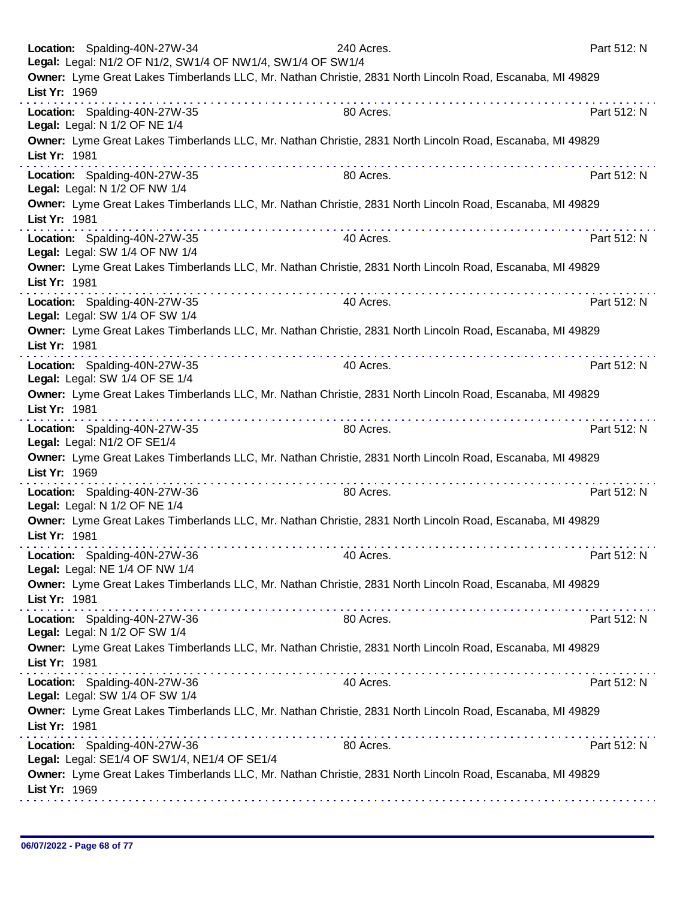| Location: Spalding-40N-27W-34                                   | Legal: Legal: N1/2 OF N1/2, SW1/4 OF NW1/4, SW1/4 OF SW1/4 | 240 Acres. |                                                                                                           | Part 512: N |
|-----------------------------------------------------------------|------------------------------------------------------------|------------|-----------------------------------------------------------------------------------------------------------|-------------|
| List Yr: 1969                                                   |                                                            |            | Owner: Lyme Great Lakes Timberlands LLC, Mr. Nathan Christie, 2831 North Lincoln Road, Escanaba, MI 49829 |             |
| Location: Spalding-40N-27W-35<br>Legal: Legal: N 1/2 OF NE 1/4  |                                                            | 80 Acres.  |                                                                                                           | Part 512: N |
| List Yr: 1981                                                   |                                                            |            | Owner: Lyme Great Lakes Timberlands LLC, Mr. Nathan Christie, 2831 North Lincoln Road, Escanaba, MI 49829 |             |
| Location: Spalding-40N-27W-35<br>Legal: Legal: N 1/2 OF NW 1/4  |                                                            | 80 Acres.  |                                                                                                           | Part 512: N |
| List Yr: 1981                                                   |                                                            |            | Owner: Lyme Great Lakes Timberlands LLC, Mr. Nathan Christie, 2831 North Lincoln Road, Escanaba, MI 49829 |             |
| Location: Spalding-40N-27W-35<br>Legal: Legal: SW 1/4 OF NW 1/4 |                                                            | 40 Acres.  |                                                                                                           | Part 512: N |
| List Yr: 1981                                                   |                                                            |            | Owner: Lyme Great Lakes Timberlands LLC, Mr. Nathan Christie, 2831 North Lincoln Road, Escanaba, MI 49829 |             |
| Location: Spalding-40N-27W-35<br>Legal: Legal: SW 1/4 OF SW 1/4 |                                                            | 40 Acres.  |                                                                                                           | Part 512: N |
| List Yr: 1981                                                   |                                                            |            | Owner: Lyme Great Lakes Timberlands LLC, Mr. Nathan Christie, 2831 North Lincoln Road, Escanaba, MI 49829 |             |
| Location: Spalding-40N-27W-35<br>Legal: Legal: SW 1/4 OF SE 1/4 |                                                            | 40 Acres.  |                                                                                                           | Part 512: N |
| List Yr: 1981                                                   |                                                            |            | Owner: Lyme Great Lakes Timberlands LLC, Mr. Nathan Christie, 2831 North Lincoln Road, Escanaba, MI 49829 |             |
| Location: Spalding-40N-27W-35<br>Legal: Legal: N1/2 OF SE1/4    |                                                            | 80 Acres.  |                                                                                                           | Part 512: N |
| List Yr: 1969                                                   |                                                            |            | Owner: Lyme Great Lakes Timberlands LLC, Mr. Nathan Christie, 2831 North Lincoln Road, Escanaba, MI 49829 |             |
| Location: Spalding-40N-27W-36<br>Legal: Legal: N 1/2 OF NE 1/4  |                                                            | 80 Acres.  |                                                                                                           | Part 512: N |
| List Yr: 1981                                                   |                                                            |            | Owner: Lyme Great Lakes Timberlands LLC, Mr. Nathan Christie, 2831 North Lincoln Road, Escanaba, MI 49829 |             |
| Location: Spalding-40N-27W-36<br>Legal: Legal: NE 1/4 OF NW 1/4 |                                                            | 40 Acres.  |                                                                                                           | Part 512: N |
| List Yr: 1981                                                   |                                                            |            | Owner: Lyme Great Lakes Timberlands LLC, Mr. Nathan Christie, 2831 North Lincoln Road, Escanaba, MI 49829 |             |
| Location: Spalding-40N-27W-36<br>Legal: Legal: N 1/2 OF SW 1/4  |                                                            | 80 Acres.  |                                                                                                           | Part 512: N |
| List Yr: 1981                                                   |                                                            |            | Owner: Lyme Great Lakes Timberlands LLC, Mr. Nathan Christie, 2831 North Lincoln Road, Escanaba, MI 49829 |             |
| Location: Spalding-40N-27W-36<br>Legal: Legal: SW 1/4 OF SW 1/4 |                                                            | 40 Acres.  |                                                                                                           | Part 512: N |
| List Yr: 1981                                                   |                                                            |            | Owner: Lyme Great Lakes Timberlands LLC, Mr. Nathan Christie, 2831 North Lincoln Road, Escanaba, MI 49829 |             |
| Location: Spalding-40N-27W-36                                   | Legal: Legal: SE1/4 OF SW1/4, NE1/4 OF SE1/4               | 80 Acres.  |                                                                                                           | Part 512: N |
| List Yr: 1969                                                   |                                                            |            | Owner: Lyme Great Lakes Timberlands LLC, Mr. Nathan Christie, 2831 North Lincoln Road, Escanaba, MI 49829 |             |
|                                                                 |                                                            |            |                                                                                                           |             |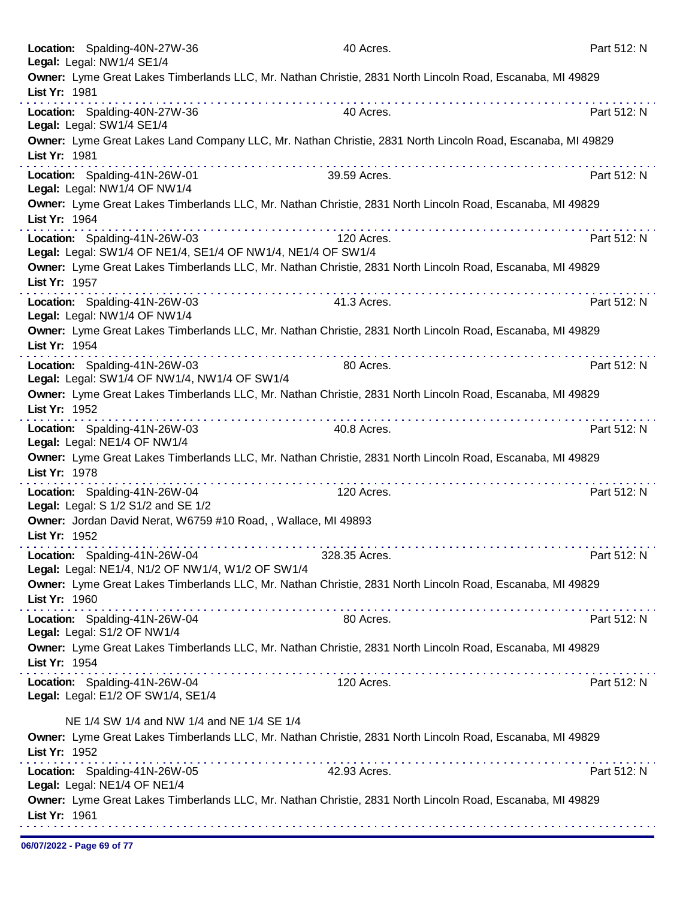| Location: Spalding-40N-27W-36                                                                 | 40 Acres.                                                                                                  | Part 512: N |
|-----------------------------------------------------------------------------------------------|------------------------------------------------------------------------------------------------------------|-------------|
| Legal: Legal: NW1/4 SE1/4                                                                     | Owner: Lyme Great Lakes Timberlands LLC, Mr. Nathan Christie, 2831 North Lincoln Road, Escanaba, MI 49829  |             |
| List Yr: 1981                                                                                 |                                                                                                            |             |
| Location: Spalding-40N-27W-36                                                                 | 40 Acres.                                                                                                  | Part 512: N |
| Legal: Legal: SW1/4 SE1/4<br>List Yr: 1981                                                    | Owner: Lyme Great Lakes Land Company LLC, Mr. Nathan Christie, 2831 North Lincoln Road, Escanaba, MI 49829 |             |
|                                                                                               | 39.59 Acres.                                                                                               | Part 512: N |
| Location: Spalding-41N-26W-01<br>Legal: Legal: NW1/4 OF NW1/4                                 |                                                                                                            |             |
| List Yr: 1964                                                                                 | Owner: Lyme Great Lakes Timberlands LLC, Mr. Nathan Christie, 2831 North Lincoln Road, Escanaba, MI 49829  |             |
| Location: Spalding-41N-26W-03<br>Legal: Legal: SW1/4 OF NE1/4, SE1/4 OF NW1/4, NE1/4 OF SW1/4 | 120 Acres.                                                                                                 | Part 512: N |
| List Yr: 1957                                                                                 | Owner: Lyme Great Lakes Timberlands LLC, Mr. Nathan Christie, 2831 North Lincoln Road, Escanaba, MI 49829  |             |
|                                                                                               | .                                                                                                          |             |
| Location: Spalding-41N-26W-03<br>Legal: Legal: NW1/4 OF NW1/4                                 | 41.3 Acres.                                                                                                | Part 512: N |
| List Yr: 1954                                                                                 | Owner: Lyme Great Lakes Timberlands LLC, Mr. Nathan Christie, 2831 North Lincoln Road, Escanaba, MI 49829  |             |
| Location: Spalding-41N-26W-03<br>Legal: Legal: SW1/4 OF NW1/4, NW1/4 OF SW1/4                 | 80 Acres.                                                                                                  | Part 512: N |
|                                                                                               | Owner: Lyme Great Lakes Timberlands LLC, Mr. Nathan Christie, 2831 North Lincoln Road, Escanaba, MI 49829  |             |
| List Yr: 1952                                                                                 |                                                                                                            |             |
| Location: Spalding-41N-26W-03<br>Legal: Legal: NE1/4 OF NW1/4                                 | 40.8 Acres.                                                                                                | Part 512: N |
| List Yr: 1978                                                                                 | Owner: Lyme Great Lakes Timberlands LLC, Mr. Nathan Christie, 2831 North Lincoln Road, Escanaba, MI 49829  |             |
| Location: Spalding-41N-26W-04<br>Legal: Legal: S 1/2 S1/2 and SE 1/2                          | 120 Acres.                                                                                                 | Part 512: N |
| Owner: Jordan David Nerat, W6759 #10 Road,, Wallace, MI 49893<br>List Yr: 1952                |                                                                                                            |             |
| Location: Spalding-41N-26W-04<br>Legal: Legal: NE1/4, N1/2 OF NW1/4, W1/2 OF SW1/4            | 328.35 Acres.                                                                                              | Part 512: N |
| List Yr: 1960                                                                                 | Owner: Lyme Great Lakes Timberlands LLC, Mr. Nathan Christie, 2831 North Lincoln Road, Escanaba, MI 49829  |             |
| Location: Spalding-41N-26W-04<br>Legal: Legal: S1/2 OF NW1/4                                  | 80 Acres.                                                                                                  | Part 512: N |
| List Yr: 1954                                                                                 | Owner: Lyme Great Lakes Timberlands LLC, Mr. Nathan Christie, 2831 North Lincoln Road, Escanaba, MI 49829  |             |
| Location: Spalding-41N-26W-04                                                                 | 120 Acres.                                                                                                 | Part 512: N |
| Legal: Legal: E1/2 OF SW1/4, SE1/4                                                            |                                                                                                            |             |
| NE 1/4 SW 1/4 and NW 1/4 and NE 1/4 SE 1/4                                                    |                                                                                                            |             |
| List Yr: 1952                                                                                 | Owner: Lyme Great Lakes Timberlands LLC, Mr. Nathan Christie, 2831 North Lincoln Road, Escanaba, MI 49829  |             |
| Location: Spalding-41N-26W-05<br>Legal: Legal: NE1/4 OF NE1/4                                 | 42.93 Acres.                                                                                               | Part 512: N |
| List Yr: 1961                                                                                 | Owner: Lyme Great Lakes Timberlands LLC, Mr. Nathan Christie, 2831 North Lincoln Road, Escanaba, MI 49829  |             |
|                                                                                               |                                                                                                            |             |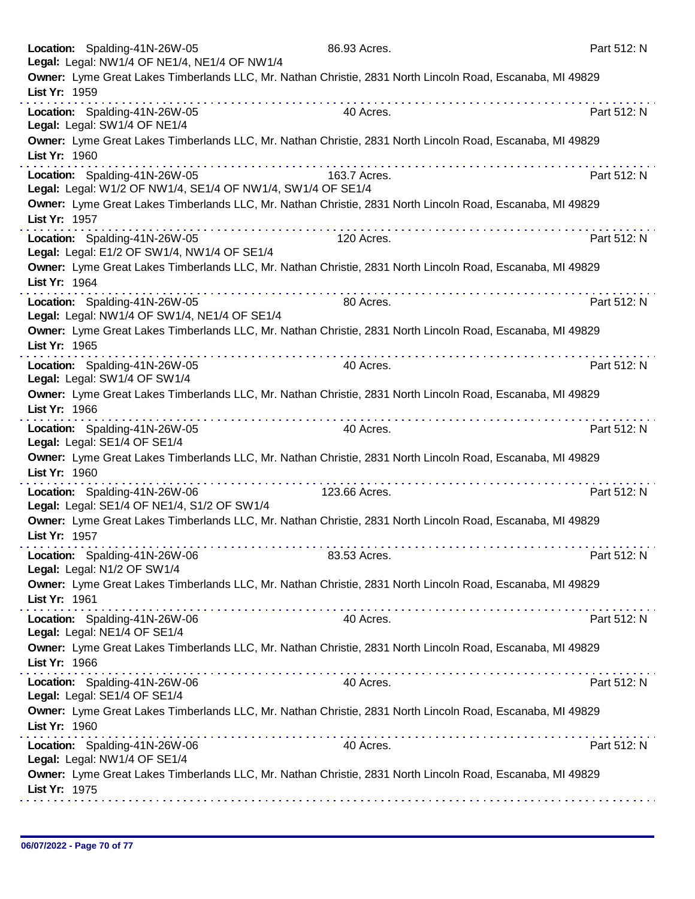| Location: Spalding-41N-26W-05<br>Legal: Legal: NW1/4 OF NE1/4, NE1/4 OF NW1/4                                                                                            | 86.93 Acres.      | Part 512: N |
|--------------------------------------------------------------------------------------------------------------------------------------------------------------------------|-------------------|-------------|
| Owner: Lyme Great Lakes Timberlands LLC, Mr. Nathan Christie, 2831 North Lincoln Road, Escanaba, MI 49829<br>List Yr: 1959                                               |                   |             |
| Location: Spalding-41N-26W-05<br>Legal: Legal: SW1/4 OF NE1/4                                                                                                            | 40 Acres.         | Part 512: N |
| Owner: Lyme Great Lakes Timberlands LLC, Mr. Nathan Christie, 2831 North Lincoln Road, Escanaba, MI 49829<br>List Yr: 1960                                               |                   |             |
| Location: Spalding-41N-26W-05                                                                                                                                            | .<br>163.7 Acres. | Part 512: N |
| Legal: Legal: W1/2 OF NW1/4, SE1/4 OF NW1/4, SW1/4 OF SE1/4<br>Owner: Lyme Great Lakes Timberlands LLC, Mr. Nathan Christie, 2831 North Lincoln Road, Escanaba, MI 49829 |                   |             |
| List Yr: 1957                                                                                                                                                            |                   |             |
| Location: Spalding-41N-26W-05<br>Legal: Legal: E1/2 OF SW1/4, NW1/4 OF SE1/4                                                                                             | 120 Acres.        | Part 512: N |
| Owner: Lyme Great Lakes Timberlands LLC, Mr. Nathan Christie, 2831 North Lincoln Road, Escanaba, MI 49829<br>List Yr: 1964                                               |                   |             |
| .<br>Location: Spalding-41N-26W-05<br>Legal: Legal: NW1/4 OF SW1/4, NE1/4 OF SE1/4                                                                                       | 80 Acres.         | Part 512: N |
| Owner: Lyme Great Lakes Timberlands LLC, Mr. Nathan Christie, 2831 North Lincoln Road, Escanaba, MI 49829<br>List Yr: 1965                                               |                   |             |
| Location: Spalding-41N-26W-05<br>Legal: Legal: SW1/4 OF SW1/4                                                                                                            | 40 Acres.         | Part 512: N |
| Owner: Lyme Great Lakes Timberlands LLC, Mr. Nathan Christie, 2831 North Lincoln Road, Escanaba, MI 49829<br>List Yr: 1966                                               |                   |             |
| Location: Spalding-41N-26W-05<br>Legal: Legal: SE1/4 OF SE1/4                                                                                                            | 40 Acres.         | Part 512: N |
| Owner: Lyme Great Lakes Timberlands LLC, Mr. Nathan Christie, 2831 North Lincoln Road, Escanaba, MI 49829<br>List Yr: 1960<br>.                                          |                   |             |
| Location: Spalding-41N-26W-06<br>Legal: Legal: SE1/4 OF NE1/4, S1/2 OF SW1/4                                                                                             | 123.66 Acres.     | Part 512: N |
| Owner: Lyme Great Lakes Timberlands LLC, Mr. Nathan Christie, 2831 North Lincoln Road, Escanaba, MI 49829<br>List Yr: 1957                                               |                   |             |
| Location: Spalding-41N-26W-06<br>Legal: Legal: N1/2 OF SW1/4                                                                                                             | 83.53 Acres.      | Part 512: N |
| Owner: Lyme Great Lakes Timberlands LLC, Mr. Nathan Christie, 2831 North Lincoln Road, Escanaba, MI 49829<br>List Yr: 1961                                               |                   |             |
| Location: Spalding-41N-26W-06<br>Legal: Legal: NE1/4 OF SE1/4                                                                                                            | 40 Acres.         | Part 512: N |
| Owner: Lyme Great Lakes Timberlands LLC, Mr. Nathan Christie, 2831 North Lincoln Road, Escanaba, MI 49829<br>List Yr: 1966                                               |                   |             |
| Location: Spalding-41N-26W-06<br>Legal: Legal: SE1/4 OF SE1/4                                                                                                            | 40 Acres.         | Part 512: N |
| Owner: Lyme Great Lakes Timberlands LLC, Mr. Nathan Christie, 2831 North Lincoln Road, Escanaba, MI 49829<br>List Yr: 1960                                               |                   |             |
| Location: Spalding-41N-26W-06<br>Legal: Legal: NW1/4 OF SE1/4                                                                                                            | 40 Acres.         | Part 512: N |
| Owner: Lyme Great Lakes Timberlands LLC, Mr. Nathan Christie, 2831 North Lincoln Road, Escanaba, MI 49829<br>List Yr: 1975                                               |                   |             |
|                                                                                                                                                                          |                   |             |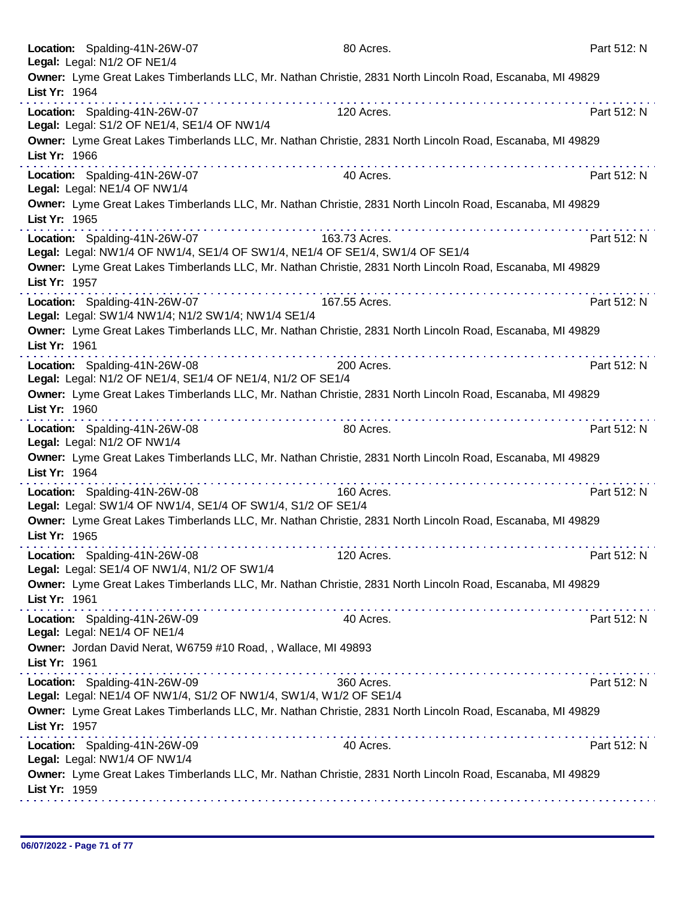| Location: Spalding-41N-26W-07<br>Legal: Legal: N1/2 OF NE1/4                                       | 80 Acres.                                                                                                           | Part 512: N |
|----------------------------------------------------------------------------------------------------|---------------------------------------------------------------------------------------------------------------------|-------------|
| List Yr: 1964                                                                                      | Owner: Lyme Great Lakes Timberlands LLC, Mr. Nathan Christie, 2831 North Lincoln Road, Escanaba, MI 49829           |             |
| Location: Spalding-41N-26W-07<br>Legal: Legal: S1/2 OF NE1/4, SE1/4 OF NW1/4                       | 120 Acres.                                                                                                          | Part 512: N |
| List Yr: 1966                                                                                      | Owner: Lyme Great Lakes Timberlands LLC, Mr. Nathan Christie, 2831 North Lincoln Road, Escanaba, MI 49829           |             |
| Location: Spalding-41N-26W-07<br>Legal: Legal: NE1/4 OF NW1/4                                      | .<br>40 Acres.                                                                                                      | Part 512: N |
| List Yr: 1965                                                                                      | Owner: Lyme Great Lakes Timberlands LLC, Mr. Nathan Christie, 2831 North Lincoln Road, Escanaba, MI 49829           |             |
| Location: Spalding-41N-26W-07                                                                      | 163.73 Acres.<br>Legal: Legal: NW1/4 OF NW1/4, SE1/4 OF SW1/4, NE1/4 OF SE1/4, SW1/4 OF SE1/4                       | Part 512: N |
| List Yr: 1957                                                                                      | Owner: Lyme Great Lakes Timberlands LLC, Mr. Nathan Christie, 2831 North Lincoln Road, Escanaba, MI 49829<br>.<br>. |             |
| Location: Spalding-41N-26W-07<br>Legal: Legal: SW1/4 NW1/4; N1/2 SW1/4; NW1/4 SE1/4                | 167.55 Acres.                                                                                                       | Part 512: N |
| List Yr: 1961                                                                                      | Owner: Lyme Great Lakes Timberlands LLC, Mr. Nathan Christie, 2831 North Lincoln Road, Escanaba, MI 49829           |             |
| Location: Spalding-41N-26W-08<br>Legal: Legal: N1/2 OF NE1/4, SE1/4 OF NE1/4, N1/2 OF SE1/4        | 200 Acres.                                                                                                          | Part 512: N |
| List Yr: 1960                                                                                      | Owner: Lyme Great Lakes Timberlands LLC, Mr. Nathan Christie, 2831 North Lincoln Road, Escanaba, MI 49829           |             |
| Location: Spalding-41N-26W-08<br>Legal: Legal: N1/2 OF NW1/4                                       | 80 Acres.                                                                                                           | Part 512: N |
| List Yr: 1964                                                                                      | Owner: Lyme Great Lakes Timberlands LLC, Mr. Nathan Christie, 2831 North Lincoln Road, Escanaba, MI 49829<br>.      |             |
| Location: Spalding-41N-26W-08<br>Legal: Legal: SW1/4 OF NW1/4, SE1/4 OF SW1/4, S1/2 OF SE1/4       | 160 Acres.                                                                                                          | Part 512: N |
| List Yr: 1965                                                                                      | Owner: Lyme Great Lakes Timberlands LLC, Mr. Nathan Christie, 2831 North Lincoln Road, Escanaba, MI 49829           |             |
| Location: Spalding-41N-26W-08<br>Legal: Legal: SE1/4 OF NW1/4, N1/2 OF SW1/4                       | 120 Acres.                                                                                                          | Part 512: N |
| List Yr: 1961                                                                                      | Owner: Lyme Great Lakes Timberlands LLC, Mr. Nathan Christie, 2831 North Lincoln Road, Escanaba, MI 49829           |             |
| Location: Spalding-41N-26W-09<br>Legal: Legal: NE1/4 OF NE1/4                                      | 40 Acres.                                                                                                           | Part 512: N |
| Owner: Jordan David Nerat, W6759 #10 Road, , Wallace, MI 49893<br>List Yr: 1961                    |                                                                                                                     |             |
| Location: Spalding-41N-26W-09<br>Legal: Legal: NE1/4 OF NW1/4, S1/2 OF NW1/4, SW1/4, W1/2 OF SE1/4 | 360 Acres.                                                                                                          | Part 512: N |
| List Yr: 1957                                                                                      | Owner: Lyme Great Lakes Timberlands LLC, Mr. Nathan Christie, 2831 North Lincoln Road, Escanaba, MI 49829           |             |
| Location: Spalding-41N-26W-09<br>Legal: Legal: NW1/4 OF NW1/4                                      | 40 Acres.                                                                                                           | Part 512: N |
| List Yr: 1959                                                                                      | Owner: Lyme Great Lakes Timberlands LLC, Mr. Nathan Christie, 2831 North Lincoln Road, Escanaba, MI 49829           |             |
|                                                                                                    |                                                                                                                     |             |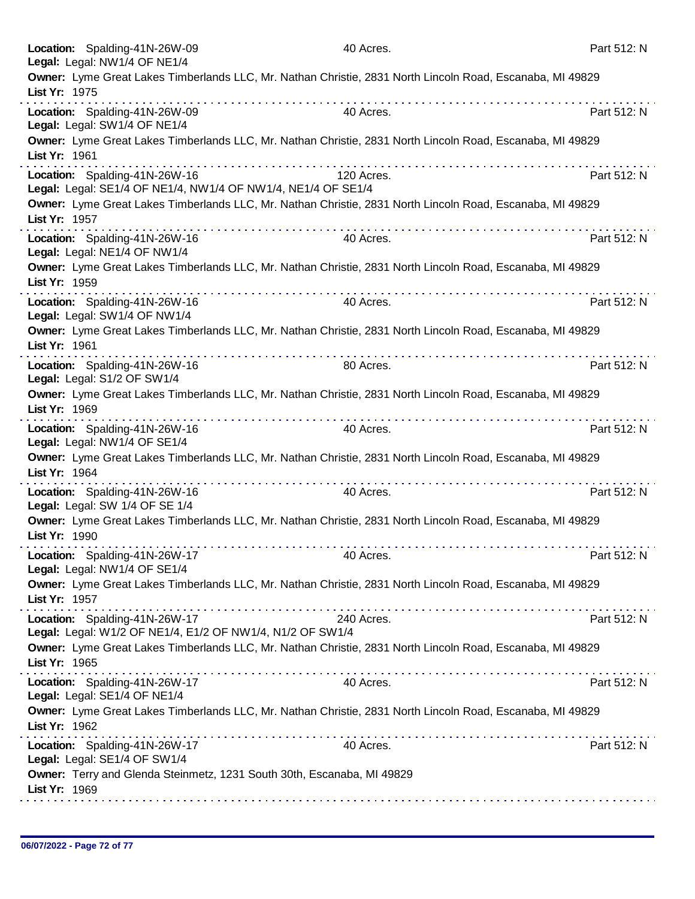|               | Location: Spalding-41N-26W-09<br>Legal: Legal: NW1/4 OF NE1/4                                 | 40 Acres.                                                                                                      | Part 512: N |
|---------------|-----------------------------------------------------------------------------------------------|----------------------------------------------------------------------------------------------------------------|-------------|
| List Yr: 1975 |                                                                                               | Owner: Lyme Great Lakes Timberlands LLC, Mr. Nathan Christie, 2831 North Lincoln Road, Escanaba, MI 49829      |             |
|               | Location: Spalding-41N-26W-09<br>Legal: Legal: SW1/4 OF NE1/4                                 | 40 Acres.                                                                                                      | Part 512: N |
| List Yr: 1961 |                                                                                               | Owner: Lyme Great Lakes Timberlands LLC, Mr. Nathan Christie, 2831 North Lincoln Road, Escanaba, MI 49829      |             |
|               | Location: Spalding-41N-26W-16<br>Legal: Legal: SE1/4 OF NE1/4, NW1/4 OF NW1/4, NE1/4 OF SE1/4 | 120 Acres.                                                                                                     | Part 512: N |
| List Yr: 1957 |                                                                                               | Owner: Lyme Great Lakes Timberlands LLC, Mr. Nathan Christie, 2831 North Lincoln Road, Escanaba, MI 49829      |             |
|               | Location: Spalding-41N-26W-16<br>Legal: Legal: NE1/4 OF NW1/4                                 | 40 Acres.                                                                                                      | Part 512: N |
| List Yr: 1959 |                                                                                               | Owner: Lyme Great Lakes Timberlands LLC, Mr. Nathan Christie, 2831 North Lincoln Road, Escanaba, MI 49829      |             |
|               | Location: Spalding-41N-26W-16<br>Legal: Legal: SW1/4 OF NW1/4                                 | 40 Acres.                                                                                                      | Part 512: N |
| List Yr: 1961 |                                                                                               | Owner: Lyme Great Lakes Timberlands LLC, Mr. Nathan Christie, 2831 North Lincoln Road, Escanaba, MI 49829      |             |
|               | Location: Spalding-41N-26W-16<br>Legal: Legal: S1/2 OF SW1/4                                  | 80 Acres.                                                                                                      | Part 512: N |
| List Yr: 1969 |                                                                                               | Owner: Lyme Great Lakes Timberlands LLC, Mr. Nathan Christie, 2831 North Lincoln Road, Escanaba, MI 49829<br>. | .           |
|               | Location: Spalding-41N-26W-16<br>Legal: Legal: NW1/4 OF SE1/4                                 | 40 Acres.                                                                                                      | Part 512: N |
| List Yr: 1964 |                                                                                               | Owner: Lyme Great Lakes Timberlands LLC, Mr. Nathan Christie, 2831 North Lincoln Road, Escanaba, MI 49829      |             |
|               | Location: Spalding-41N-26W-16<br>Legal: Legal: SW 1/4 OF SE 1/4                               | 40 Acres.                                                                                                      | Part 512: N |
| List Yr: 1990 |                                                                                               | Owner: Lyme Great Lakes Timberlands LLC, Mr. Nathan Christie, 2831 North Lincoln Road, Escanaba, MI 49829      |             |
|               | Location: Spalding-41N-26W-17<br>Legal: Legal: NW1/4 OF SE1/4                                 | 40 Acres.                                                                                                      | Part 512: N |
| List Yr: 1957 |                                                                                               | Owner: Lyme Great Lakes Timberlands LLC, Mr. Nathan Christie, 2831 North Lincoln Road, Escanaba, MI 49829      |             |
|               | Location: Spalding-41N-26W-17<br>Legal: Legal: W1/2 OF NE1/4, E1/2 OF NW1/4, N1/2 OF SW1/4    | 240 Acres.                                                                                                     | Part 512: N |
| List Yr: 1965 |                                                                                               | Owner: Lyme Great Lakes Timberlands LLC, Mr. Nathan Christie, 2831 North Lincoln Road, Escanaba, MI 49829      |             |
|               | Location: Spalding-41N-26W-17<br>Legal: Legal: SE1/4 OF NE1/4                                 | 40 Acres.                                                                                                      | Part 512: N |
| List Yr: 1962 |                                                                                               | Owner: Lyme Great Lakes Timberlands LLC, Mr. Nathan Christie, 2831 North Lincoln Road, Escanaba, MI 49829      |             |
|               | Location: Spalding-41N-26W-17<br>Legal: Legal: SE1/4 OF SW1/4                                 | 40 Acres.                                                                                                      | Part 512: N |
| List Yr: 1969 | Owner: Terry and Glenda Steinmetz, 1231 South 30th, Escanaba, MI 49829                        |                                                                                                                |             |
|               |                                                                                               |                                                                                                                |             |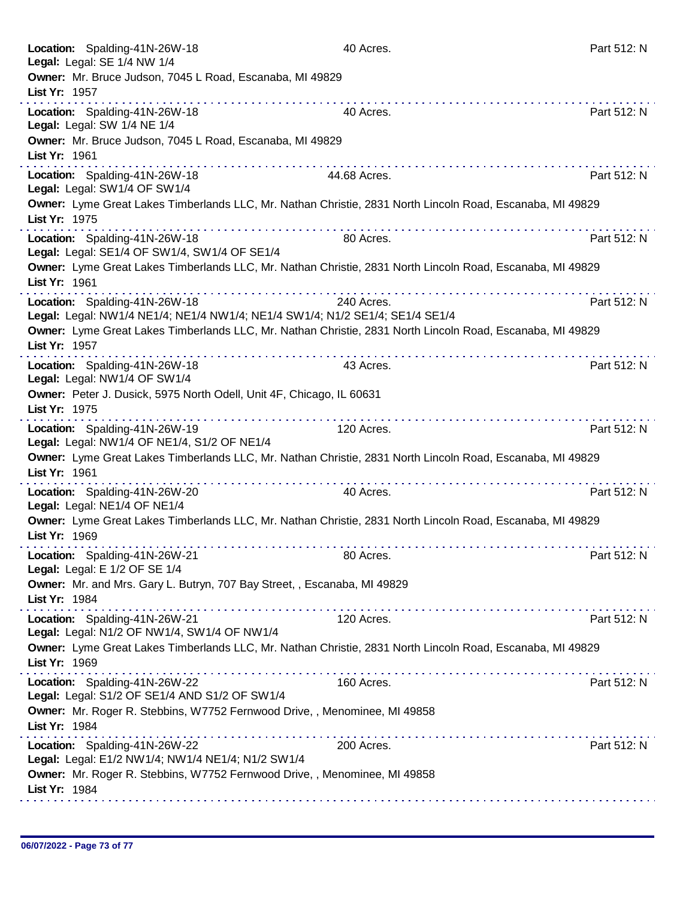| Location: Spalding-41N-26W-18<br>Legal: Legal: SE 1/4 NW 1/4                                                                                                              | 40 Acres.    | Part 512: N |
|---------------------------------------------------------------------------------------------------------------------------------------------------------------------------|--------------|-------------|
| Owner: Mr. Bruce Judson, 7045 L Road, Escanaba, MI 49829                                                                                                                  |              |             |
| List Yr: 1957<br>.                                                                                                                                                        |              |             |
| Location: Spalding-41N-26W-18<br>Legal: Legal: SW 1/4 NE 1/4                                                                                                              | 40 Acres.    | Part 512: N |
| Owner: Mr. Bruce Judson, 7045 L Road, Escanaba, MI 49829<br>List Yr: 1961                                                                                                 |              |             |
| Location: Spalding-41N-26W-18<br>Legal: Legal: SW1/4 OF SW1/4                                                                                                             | 44.68 Acres. | Part 512: N |
| Owner: Lyme Great Lakes Timberlands LLC, Mr. Nathan Christie, 2831 North Lincoln Road, Escanaba, MI 49829<br>List Yr: 1975                                                |              |             |
| Location: Spalding-41N-26W-18<br>Legal: Legal: SE1/4 OF SW1/4, SW1/4 OF SE1/4                                                                                             | 80 Acres.    | Part 512: N |
| Owner: Lyme Great Lakes Timberlands LLC, Mr. Nathan Christie, 2831 North Lincoln Road, Escanaba, MI 49829<br>List Yr: 1961                                                |              |             |
| Location: Spalding-41N-26W-18<br>Legal: Legal: NW1/4 NE1/4; NE1/4 NW1/4; NE1/4 SW1/4; N1/2 SE1/4; SE1/4 SE1/4                                                             | 240 Acres.   | Part 512: N |
| Owner: Lyme Great Lakes Timberlands LLC, Mr. Nathan Christie, 2831 North Lincoln Road, Escanaba, MI 49829<br>List Yr: 1957                                                |              |             |
| Location: Spalding-41N-26W-18<br>Legal: Legal: NW1/4 OF SW1/4                                                                                                             | 43 Acres.    | Part 512: N |
| Owner: Peter J. Dusick, 5975 North Odell, Unit 4F, Chicago, IL 60631<br>List Yr: 1975                                                                                     |              |             |
| .<br>Location: Spalding-41N-26W-19<br>Legal: Legal: NW1/4 OF NE1/4, S1/2 OF NE1/4                                                                                         | 120 Acres.   | Part 512: N |
| Owner: Lyme Great Lakes Timberlands LLC, Mr. Nathan Christie, 2831 North Lincoln Road, Escanaba, MI 49829<br>List Yr: 1961                                                |              |             |
|                                                                                                                                                                           |              | Part 512: N |
| Location: Spalding-41N-26W-20<br>Legal: Legal: NE1/4 OF NE1/4                                                                                                             | 40 Acres.    |             |
| Owner: Lyme Great Lakes Timberlands LLC, Mr. Nathan Christie, 2831 North Lincoln Road, Escanaba, MI 49829<br>List Yr: 1969                                                |              |             |
| Location: Spalding-41N-26W-21<br>Legal: Legal: E 1/2 OF SE 1/4                                                                                                            | 80 Acres.    | Part 512: N |
| Owner: Mr. and Mrs. Gary L. Butryn, 707 Bay Street, , Escanaba, MI 49829<br>List Yr: 1984                                                                                 |              |             |
| Location: Spalding-41N-26W-21                                                                                                                                             | 120 Acres.   | Part 512: N |
| Legal: Legal: N1/2 OF NW1/4, SW1/4 OF NW1/4<br>Owner: Lyme Great Lakes Timberlands LLC, Mr. Nathan Christie, 2831 North Lincoln Road, Escanaba, MI 49829<br>List Yr: 1969 |              |             |
| Location: Spalding-41N-26W-22<br>Legal: Legal: S1/2 OF SE1/4 AND S1/2 OF SW1/4                                                                                            | 160 Acres.   | Part 512: N |
| Owner: Mr. Roger R. Stebbins, W7752 Fernwood Drive,, Menominee, MI 49858<br>List Yr: 1984                                                                                 |              |             |
| Location: Spalding-41N-26W-22                                                                                                                                             | 200 Acres.   | Part 512: N |
| Legal: Legal: E1/2 NW1/4; NW1/4 NE1/4; N1/2 SW1/4<br>Owner: Mr. Roger R. Stebbins, W7752 Fernwood Drive, , Menominee, MI 49858<br>List Yr: 1984                           |              |             |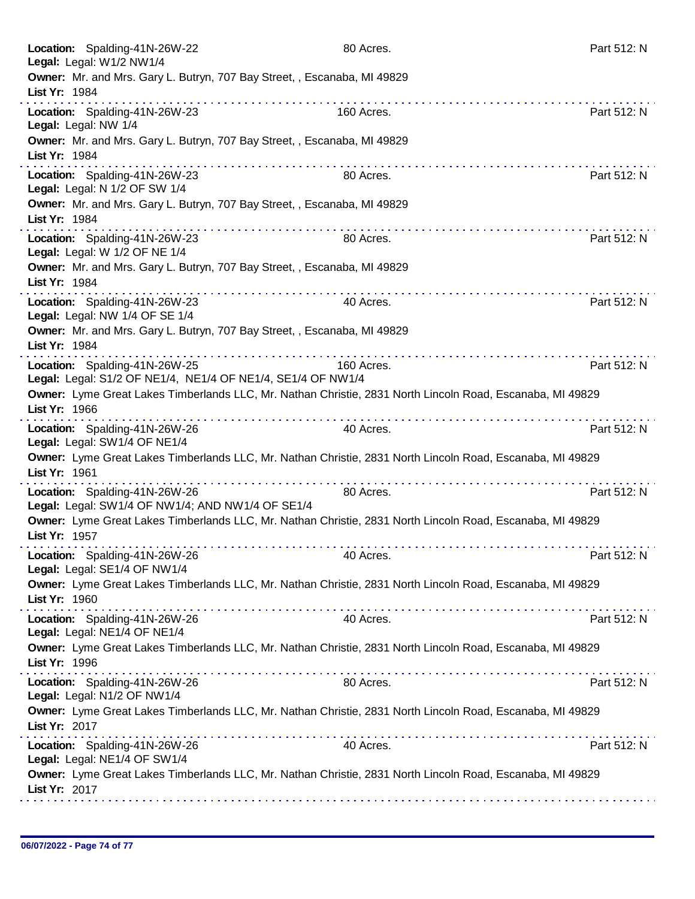| Location: Spalding-41N-26W-22<br>Legal: Legal: W1/2 NW1/4       |                                                                               | 80 Acres.                                                                                                 | Part 512: N |
|-----------------------------------------------------------------|-------------------------------------------------------------------------------|-----------------------------------------------------------------------------------------------------------|-------------|
| List Yr: 1984                                                   | Owner: Mr. and Mrs. Gary L. Butryn, 707 Bay Street, , Escanaba, MI 49829      |                                                                                                           |             |
| Location: Spalding-41N-26W-23<br>Legal: Legal: NW 1/4           |                                                                               | 160 Acres.                                                                                                | Part 512: N |
| List Yr: 1984                                                   | Owner: Mr. and Mrs. Gary L. Butryn, 707 Bay Street, , Escanaba, MI 49829<br>. |                                                                                                           |             |
| Location: Spalding-41N-26W-23<br>Legal: Legal: N 1/2 OF SW 1/4  |                                                                               | 80 Acres.                                                                                                 | Part 512: N |
| List Yr: 1984                                                   | Owner: Mr. and Mrs. Gary L. Butryn, 707 Bay Street, , Escanaba, MI 49829      |                                                                                                           |             |
| Location: Spalding-41N-26W-23<br>Legal: Legal: W 1/2 OF NE 1/4  |                                                                               | 80 Acres.                                                                                                 | Part 512: N |
| List Yr: 1984                                                   | Owner: Mr. and Mrs. Gary L. Butryn, 707 Bay Street, , Escanaba, MI 49829      |                                                                                                           |             |
| Location: Spalding-41N-26W-23<br>Legal: Legal: NW 1/4 OF SE 1/4 |                                                                               | 40 Acres.                                                                                                 | Part 512: N |
| List Yr: 1984                                                   | Owner: Mr. and Mrs. Gary L. Butryn, 707 Bay Street, , Escanaba, MI 49829      |                                                                                                           |             |
| Location: Spalding-41N-26W-25                                   | Legal: Legal: S1/2 OF NE1/4, NE1/4 OF NE1/4, SE1/4 OF NW1/4                   | 160 Acres.                                                                                                | Part 512: N |
| List Yr: 1966                                                   |                                                                               | Owner: Lyme Great Lakes Timberlands LLC, Mr. Nathan Christie, 2831 North Lincoln Road, Escanaba, MI 49829 |             |
| Location: Spalding-41N-26W-26<br>Legal: Legal: SW1/4 OF NE1/4   |                                                                               | 40 Acres.                                                                                                 | Part 512: N |
| List Yr: 1961                                                   |                                                                               | Owner: Lyme Great Lakes Timberlands LLC, Mr. Nathan Christie, 2831 North Lincoln Road, Escanaba, MI 49829 |             |
| Location: Spalding-41N-26W-26                                   | Legal: Legal: SW1/4 OF NW1/4; AND NW1/4 OF SE1/4                              | 80 Acres.                                                                                                 | Part 512: N |
| List Yr: 1957                                                   |                                                                               | Owner: Lyme Great Lakes Timberlands LLC, Mr. Nathan Christie, 2831 North Lincoln Road, Escanaba, MI 49829 |             |
| Location: Spalding-41N-26W-26<br>Legal: Legal: SE1/4 OF NW1/4   |                                                                               | 40 Acres.                                                                                                 | Part 512: N |
| List Yr: 1960                                                   |                                                                               | Owner: Lyme Great Lakes Timberlands LLC, Mr. Nathan Christie, 2831 North Lincoln Road, Escanaba, MI 49829 |             |
| Location: Spalding-41N-26W-26<br>Legal: Legal: NE1/4 OF NE1/4   |                                                                               | 40 Acres.                                                                                                 | Part 512: N |
| List Yr: 1996                                                   | the second contract of the second contract of the                             | Owner: Lyme Great Lakes Timberlands LLC, Mr. Nathan Christie, 2831 North Lincoln Road, Escanaba, MI 49829 |             |
| Location: Spalding-41N-26W-26<br>Legal: Legal: N1/2 OF NW1/4    |                                                                               | 80 Acres.                                                                                                 | Part 512: N |
| List Yr: 2017                                                   |                                                                               | Owner: Lyme Great Lakes Timberlands LLC, Mr. Nathan Christie, 2831 North Lincoln Road, Escanaba, MI 49829 |             |
| Location: Spalding-41N-26W-26<br>Legal: Legal: NE1/4 OF SW1/4   |                                                                               | 40 Acres.                                                                                                 | Part 512: N |
| List Yr: 2017                                                   |                                                                               | Owner: Lyme Great Lakes Timberlands LLC, Mr. Nathan Christie, 2831 North Lincoln Road, Escanaba, MI 49829 |             |
|                                                                 |                                                                               |                                                                                                           |             |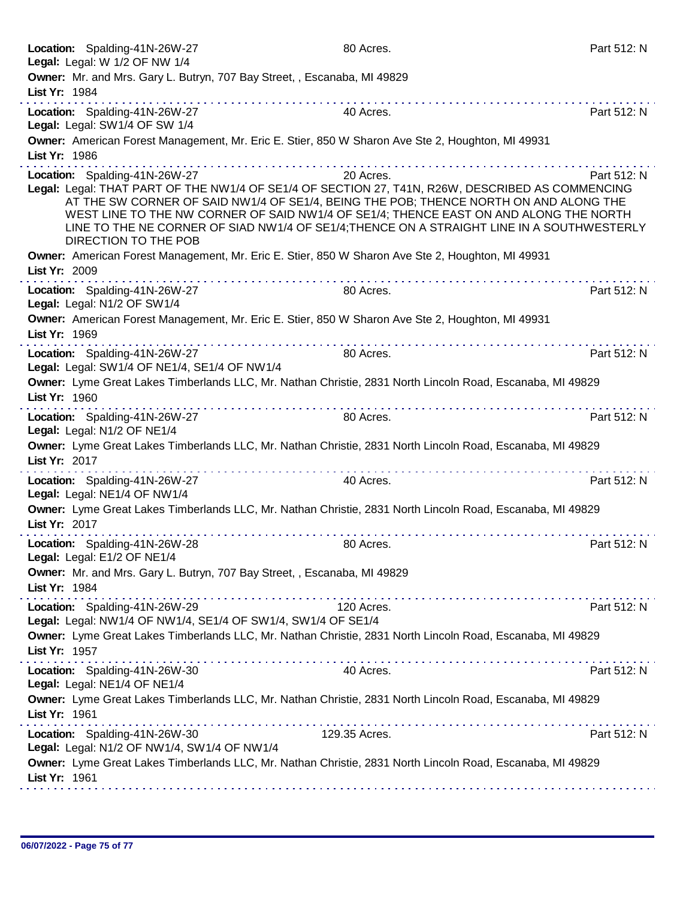|               | Location: Spalding-41N-26W-27<br>Legal: Legal: W 1/2 OF NW 1/4                                                                                                                                                                                                                                                                                                                                                                                                                             | 80 Acres.                                                                                                                                                                                                                                                                                                                                                                        | Part 512: N |
|---------------|--------------------------------------------------------------------------------------------------------------------------------------------------------------------------------------------------------------------------------------------------------------------------------------------------------------------------------------------------------------------------------------------------------------------------------------------------------------------------------------------|----------------------------------------------------------------------------------------------------------------------------------------------------------------------------------------------------------------------------------------------------------------------------------------------------------------------------------------------------------------------------------|-------------|
| List Yr: 1984 | Owner: Mr. and Mrs. Gary L. Butryn, 707 Bay Street, , Escanaba, MI 49829                                                                                                                                                                                                                                                                                                                                                                                                                   |                                                                                                                                                                                                                                                                                                                                                                                  |             |
|               |                                                                                                                                                                                                                                                                                                                                                                                                                                                                                            |                                                                                                                                                                                                                                                                                                                                                                                  |             |
|               | Location: Spalding-41N-26W-27<br>Legal: Legal: SW1/4 OF SW 1/4                                                                                                                                                                                                                                                                                                                                                                                                                             | 40 Acres.                                                                                                                                                                                                                                                                                                                                                                        | Part 512: N |
| List Yr: 1986 |                                                                                                                                                                                                                                                                                                                                                                                                                                                                                            | Owner: American Forest Management, Mr. Eric E. Stier, 850 W Sharon Ave Ste 2, Houghton, MI 49931                                                                                                                                                                                                                                                                                 |             |
|               | Location: Spalding-41N-26W-27                                                                                                                                                                                                                                                                                                                                                                                                                                                              | 20 Acres.                                                                                                                                                                                                                                                                                                                                                                        | Part 512: N |
|               | DIRECTION TO THE POB                                                                                                                                                                                                                                                                                                                                                                                                                                                                       | Legal: Legal: THAT PART OF THE NW1/4 OF SE1/4 OF SECTION 27, T41N, R26W, DESCRIBED AS COMMENCING<br>AT THE SW CORNER OF SAID NW1/4 OF SE1/4, BEING THE POB; THENCE NORTH ON AND ALONG THE<br>WEST LINE TO THE NW CORNER OF SAID NW1/4 OF SE1/4; THENCE EAST ON AND ALONG THE NORTH<br>LINE TO THE NE CORNER OF SIAD NW1/4 OF SE1/4; THENCE ON A STRAIGHT LINE IN A SOUTHWESTERLY |             |
| List Yr: 2009 |                                                                                                                                                                                                                                                                                                                                                                                                                                                                                            | Owner: American Forest Management, Mr. Eric E. Stier, 850 W Sharon Ave Ste 2, Houghton, MI 49931                                                                                                                                                                                                                                                                                 |             |
|               | .<br>Location: Spalding-41N-26W-27<br>Legal: Legal: N1/2 OF SW1/4                                                                                                                                                                                                                                                                                                                                                                                                                          | 80 Acres.                                                                                                                                                                                                                                                                                                                                                                        | Part 512: N |
| List Yr: 1969 |                                                                                                                                                                                                                                                                                                                                                                                                                                                                                            | Owner: American Forest Management, Mr. Eric E. Stier, 850 W Sharon Ave Ste 2, Houghton, MI 49931                                                                                                                                                                                                                                                                                 |             |
|               | $\mathcal{L}^{\mathcal{A}}(\mathcal{A}^{\mathcal{A}}(\mathcal{A}^{\mathcal{A}}(\mathcal{A}^{\mathcal{A}}(\mathcal{A}^{\mathcal{A}}(\mathcal{A}^{\mathcal{A}}(\mathcal{A}^{\mathcal{A}}(\mathcal{A}^{\mathcal{A}}(\mathcal{A}^{\mathcal{A}}(\mathcal{A}^{\mathcal{A}}(\mathcal{A}^{\mathcal{A}}(\mathcal{A}^{\mathcal{A}}(\mathcal{A}^{\mathcal{A}}(\mathcal{A}^{\mathcal{A}}(\mathcal{A}^{\mathcal{A}}(\mathcal{A}^{\mathcal{A}}(\mathcal{A}^{\mathcal{A$<br>Location: Spalding-41N-26W-27 | 80 Acres.                                                                                                                                                                                                                                                                                                                                                                        | Part 512: N |
|               | Legal: Legal: SW1/4 OF NE1/4, SE1/4 OF NW1/4                                                                                                                                                                                                                                                                                                                                                                                                                                               |                                                                                                                                                                                                                                                                                                                                                                                  |             |
|               |                                                                                                                                                                                                                                                                                                                                                                                                                                                                                            | Owner: Lyme Great Lakes Timberlands LLC, Mr. Nathan Christie, 2831 North Lincoln Road, Escanaba, MI 49829                                                                                                                                                                                                                                                                        |             |
| List Yr: 1960 |                                                                                                                                                                                                                                                                                                                                                                                                                                                                                            |                                                                                                                                                                                                                                                                                                                                                                                  |             |
|               | Location: Spalding-41N-26W-27<br>Legal: Legal: N1/2 OF NE1/4                                                                                                                                                                                                                                                                                                                                                                                                                               | 80 Acres.                                                                                                                                                                                                                                                                                                                                                                        | Part 512: N |
| List Yr: 2017 |                                                                                                                                                                                                                                                                                                                                                                                                                                                                                            | Owner: Lyme Great Lakes Timberlands LLC, Mr. Nathan Christie, 2831 North Lincoln Road, Escanaba, MI 49829                                                                                                                                                                                                                                                                        |             |
|               | .<br>Location: Spalding-41N-26W-27<br>Legal: Legal: NE1/4 OF NW1/4                                                                                                                                                                                                                                                                                                                                                                                                                         | .<br>40 Acres.                                                                                                                                                                                                                                                                                                                                                                   | Part 512: N |
| List Yr: 2017 |                                                                                                                                                                                                                                                                                                                                                                                                                                                                                            | Owner: Lyme Great Lakes Timberlands LLC, Mr. Nathan Christie, 2831 North Lincoln Road, Escanaba, MI 49829                                                                                                                                                                                                                                                                        |             |
|               | Location: Spalding-41N-26W-28<br>Legal: Legal: E1/2 OF NE1/4                                                                                                                                                                                                                                                                                                                                                                                                                               | 80 Acres.                                                                                                                                                                                                                                                                                                                                                                        | Part 512: N |
| List Yr: 1984 | Owner: Mr. and Mrs. Gary L. Butryn, 707 Bay Street, , Escanaba, MI 49829                                                                                                                                                                                                                                                                                                                                                                                                                   |                                                                                                                                                                                                                                                                                                                                                                                  |             |
|               | Location: Spalding-41N-26W-29<br>Legal: Legal: NW1/4 OF NW1/4, SE1/4 OF SW1/4, SW1/4 OF SE1/4                                                                                                                                                                                                                                                                                                                                                                                              | 120 Acres.                                                                                                                                                                                                                                                                                                                                                                       | Part 512: N |
| List Yr: 1957 |                                                                                                                                                                                                                                                                                                                                                                                                                                                                                            | Owner: Lyme Great Lakes Timberlands LLC, Mr. Nathan Christie, 2831 North Lincoln Road, Escanaba, MI 49829                                                                                                                                                                                                                                                                        |             |
|               | Location: Spalding-41N-26W-30<br>Legal: Legal: NE1/4 OF NE1/4                                                                                                                                                                                                                                                                                                                                                                                                                              | 40 Acres.                                                                                                                                                                                                                                                                                                                                                                        | Part 512: N |
| List Yr: 1961 |                                                                                                                                                                                                                                                                                                                                                                                                                                                                                            | Owner: Lyme Great Lakes Timberlands LLC, Mr. Nathan Christie, 2831 North Lincoln Road, Escanaba, MI 49829                                                                                                                                                                                                                                                                        |             |
|               | .<br>Location: Spalding-41N-26W-30<br>Legal: Legal: N1/2 OF NW1/4, SW1/4 OF NW1/4                                                                                                                                                                                                                                                                                                                                                                                                          | 129.35 Acres.                                                                                                                                                                                                                                                                                                                                                                    | Part 512: N |
| List Yr: 1961 |                                                                                                                                                                                                                                                                                                                                                                                                                                                                                            | Owner: Lyme Great Lakes Timberlands LLC, Mr. Nathan Christie, 2831 North Lincoln Road, Escanaba, MI 49829                                                                                                                                                                                                                                                                        |             |
|               |                                                                                                                                                                                                                                                                                                                                                                                                                                                                                            |                                                                                                                                                                                                                                                                                                                                                                                  |             |